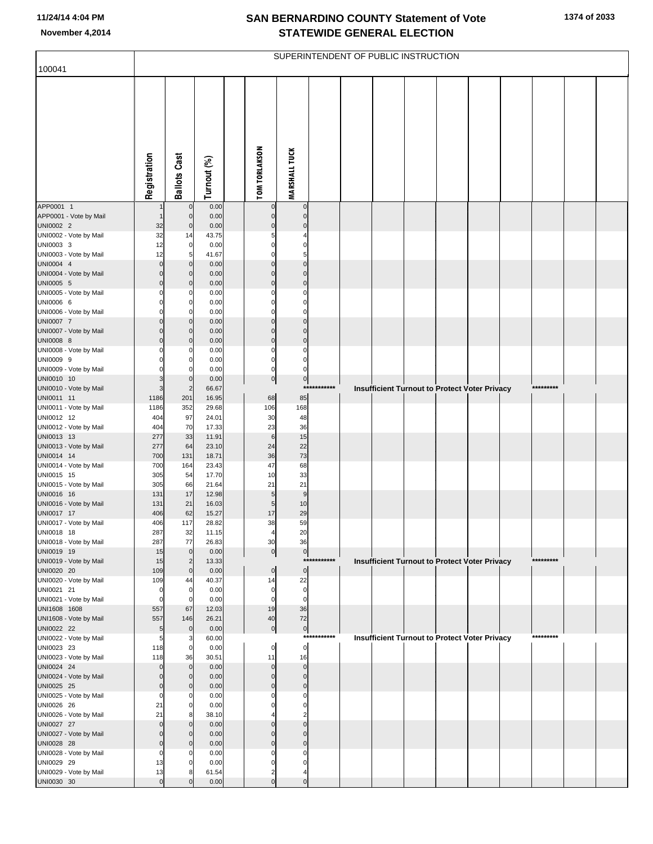**1374 of 2033**

| 100041                               |              |                               |                |                            |                                  |             | SUPERINTENDENT OF PUBLIC INSTRUCTION |  |                                                      |           |  |
|--------------------------------------|--------------|-------------------------------|----------------|----------------------------|----------------------------------|-------------|--------------------------------------|--|------------------------------------------------------|-----------|--|
|                                      |              |                               |                |                            |                                  |             |                                      |  |                                                      |           |  |
|                                      | Registration | <b>Ballots Cast</b>           | Turnout (%)    | <b>TOM TORLAKSON</b>       | <b>MARSHALL TUCK</b>             |             |                                      |  |                                                      |           |  |
| APP0001 1                            |              | $\mathbf 0$                   | 0.00           | $\mathbf 0$                | $\pmb{0}$                        |             |                                      |  |                                                      |           |  |
| APP0001 - Vote by Mail<br>UNI0002 2  | 32           | $\pmb{0}$<br>$\pmb{0}$        | 0.00<br>0.00   | 0<br>$\Omega$              | $\overline{0}$<br>$\mathbf 0$    |             |                                      |  |                                                      |           |  |
| UNI0002 - Vote by Mail               | 32           | 14                            | 43.75          | 5                          | 4                                |             |                                      |  |                                                      |           |  |
| UNI0003 3                            | 12           | $\mathbf 0$                   | 0.00           | $\Omega$                   | $\mathbf 0$                      |             |                                      |  |                                                      |           |  |
| UNI0003 - Vote by Mail<br>UNI0004 4  | 12<br>0      | 5<br>$\mathbf 0$              | 41.67<br>0.00  | 0<br>$\Omega$              | 5 <sub>5</sub><br>$\overline{0}$ |             |                                      |  |                                                      |           |  |
| UNI0004 - Vote by Mail               | 0            | $\mathbf 0$                   | 0.00           | $\mathbf 0$                | $\overline{0}$                   |             |                                      |  |                                                      |           |  |
| UNI0005 5                            | በ            | $\mathbf 0$                   | 0.00           | $\mathbf 0$                | $\overline{0}$                   |             |                                      |  |                                                      |           |  |
| UNI0005 - Vote by Mail               |              | 0                             | 0.00           | 0                          | $\pmb{0}$                        |             |                                      |  |                                                      |           |  |
| UNI0006 6<br>UNI0006 - Vote by Mail  |              | $\mathbf 0$<br>0              | 0.00<br>0.00   | $\Omega$<br>0              | $\overline{0}$<br>$\overline{0}$ |             |                                      |  |                                                      |           |  |
| UNI0007 7                            |              | $\mathbf 0$                   | 0.00           | 0                          | $\overline{0}$                   |             |                                      |  |                                                      |           |  |
| UNI0007 - Vote by Mail               |              | $\mathbf 0$                   | 0.00           | $\Omega$                   | $\overline{0}$                   |             |                                      |  |                                                      |           |  |
| UNI0008 8<br>UNI0008 - Vote by Mail  |              | $\mathbf 0$<br>0              | 0.00<br>0.00   | $\mathbf 0$<br>0           | $\overline{0}$<br>$\pmb{0}$      |             |                                      |  |                                                      |           |  |
| UNI0009 9                            |              | 0                             | 0.00           | 0                          | $\overline{0}$                   |             |                                      |  |                                                      |           |  |
| UNI0009 - Vote by Mail               |              | $\Omega$                      | 0.00           | $\mathbf 0$                | $\overline{0}$                   |             |                                      |  |                                                      |           |  |
| UNI0010 10                           |              | $\mathbf 0$                   | 0.00           | $\overline{0}$             | $\overline{0}$<br>$***$          | ******      |                                      |  |                                                      | ********* |  |
| UNI0010 - Vote by Mail<br>UNI0011 11 | 3<br>1186    | $\overline{2}$<br>201         | 66.67<br>16.95 | 68                         | 85                               |             |                                      |  | Insufficient Turnout to Protect Voter Privacy        |           |  |
| UNI0011 - Vote by Mail               | 1186         | 352                           | 29.68          | 106                        | 168                              |             |                                      |  |                                                      |           |  |
| UNI0012 12                           | 404          | 97                            | 24.01          | 30                         | 48                               |             |                                      |  |                                                      |           |  |
| UNI0012 - Vote by Mail<br>UNI0013 13 | 404<br>277   | 70<br>33                      | 17.33<br>11.91 | 23<br>$\,6$                | 36<br>15                         |             |                                      |  |                                                      |           |  |
| UNI0013 - Vote by Mail               | 277          | 64                            | 23.10          | 24                         | 22                               |             |                                      |  |                                                      |           |  |
| UNI0014 14                           | 700          | 131                           | 18.71          | 36                         | 73                               |             |                                      |  |                                                      |           |  |
| UNI0014 - Vote by Mail               | 700<br>305   | 164<br>54                     | 23.43<br>17.70 | 47<br>10                   | 68<br>33                         |             |                                      |  |                                                      |           |  |
| UNI0015 15<br>UNI0015 - Vote by Mail | 305          | 66                            | 21.64          | 21                         | 21                               |             |                                      |  |                                                      |           |  |
| UNI0016 16                           | 131          | 17                            | 12.98          | 5                          | $\boldsymbol{9}$                 |             |                                      |  |                                                      |           |  |
| UNI0016 - Vote by Mail               | 131          | 21                            | 16.03          | 5                          | 10                               |             |                                      |  |                                                      |           |  |
| UNI0017 17<br>UNI0017 - Vote by Mail | 406<br>406   | 62<br>117                     | 15.27<br>28.82 | 17<br>38                   | 29<br>59                         |             |                                      |  |                                                      |           |  |
| UNI0018 18                           | 287          | 32                            | 11.15          | 4                          | 20                               |             |                                      |  |                                                      |           |  |
| UNI0018 - Vote by Mail               | 287          | 77                            | 26.83          | 30                         | 36                               |             |                                      |  |                                                      |           |  |
| UNI0019 19<br>UNI0019 - Vote by Mail | 15<br>15     | $\mathbf 0$<br>$\overline{2}$ | 0.00<br>13.33  | $\overline{0}$             | $\overline{0}$                   | *********** |                                      |  | Insufficient Turnout to Protect Voter Privacy        | ********* |  |
| UNI0020 20                           | 109          | $\pmb{0}$                     | 0.00           | 0                          | $\overline{0}$                   |             |                                      |  |                                                      |           |  |
| UNI0020 - Vote by Mail               | 109          | 44                            | 40.37          | 14                         | 22                               |             |                                      |  |                                                      |           |  |
| UNI0021 21<br>UNI0021 - Vote by Mail | 0<br>0       | $\mathbf 0$<br>$\mathbf 0$    | 0.00<br>0.00   | 0<br>0                     | $\overline{0}$<br>$\overline{0}$ |             |                                      |  |                                                      |           |  |
| UNI1608 1608                         | 557          | 67                            | 12.03          | 19                         | 36                               |             |                                      |  |                                                      |           |  |
| UNI1608 - Vote by Mail               | 557          | 146                           | 26.21          | 40                         | 72                               |             |                                      |  |                                                      |           |  |
| UNI0022 22<br>UNI0022 - Vote by Mail | 5<br>5       | $\mathbf 0$<br>3              | 0.00<br>60.00  | $\pmb{0}$                  | $\overline{0}$                   | *********** |                                      |  | <b>Insufficient Turnout to Protect Voter Privacy</b> | ********* |  |
| UNI0023 23                           | 118          | $\mathbf 0$                   | 0.00           | 0                          | $\overline{0}$                   |             |                                      |  |                                                      |           |  |
| UNI0023 - Vote by Mail               | 118          | 36                            | 30.51          | 11                         | 16                               |             |                                      |  |                                                      |           |  |
| UNI0024 24                           | 0            | $\mathbf 0$<br>$\mathbf 0$    | 0.00           | $\Omega$                   | $\overline{0}$                   |             |                                      |  |                                                      |           |  |
| UNI0024 - Vote by Mail<br>UNI0025 25 | 0<br>0       | $\mathbf 0$                   | 0.00<br>0.00   | $\mathbf 0$<br>$\mathbf 0$ | $\overline{0}$<br>$\overline{0}$ |             |                                      |  |                                                      |           |  |
| UNI0025 - Vote by Mail               | C            | 0                             | 0.00           | 0                          | $\pmb{0}$                        |             |                                      |  |                                                      |           |  |
| UNI0026 26                           | 21           | $\mathbf 0$                   | 0.00           | O                          | $\overline{0}$                   |             |                                      |  |                                                      |           |  |
| UNI0026 - Vote by Mail<br>UNI0027 27 | 21<br>0      | 8<br>$\mathbf 0$              | 38.10<br>0.00  | $\Omega$                   | $\overline{2}$<br>$\overline{0}$ |             |                                      |  |                                                      |           |  |
| UNI0027 - Vote by Mail               | 0            | $\mathbf 0$                   | 0.00           | $\Omega$                   | $\overline{0}$                   |             |                                      |  |                                                      |           |  |
| UNI0028 28                           | $\Omega$     | $\mathbf 0$                   | 0.00           | $\Omega$                   | $\overline{0}$                   |             |                                      |  |                                                      |           |  |
| UNI0028 - Vote by Mail               | 0            | $\Omega$                      | 0.00           | 0                          | 0                                |             |                                      |  |                                                      |           |  |
| UNI0029 29<br>UNI0029 - Vote by Mail | 13<br>13     | $\mathbf 0$<br>8              | 0.00<br>61.54  | $\Omega$<br>2              | 0<br>4                           |             |                                      |  |                                                      |           |  |
| UNI0030 30                           | C            | $\Omega$                      | 0.00           | $\Omega$                   | $\mathbf 0$                      |             |                                      |  |                                                      |           |  |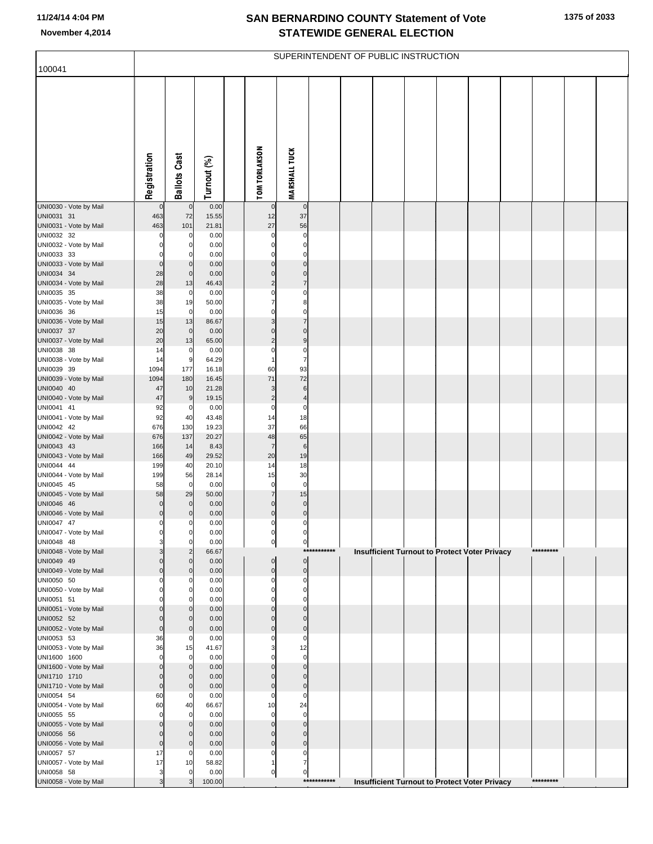**1375 of 2033**

|                                        |              |                               |                |                      |                             |             | SUPERINTENDENT OF PUBLIC INSTRUCTION |  |                                                      |           |  |
|----------------------------------------|--------------|-------------------------------|----------------|----------------------|-----------------------------|-------------|--------------------------------------|--|------------------------------------------------------|-----------|--|
| 100041                                 |              |                               |                |                      |                             |             |                                      |  |                                                      |           |  |
|                                        | Registration | <b>Ballots Cast</b>           | Turnout (%)    | <b>TOM TORLAKSON</b> | <b>MARSHALL TUCK</b>        |             |                                      |  |                                                      |           |  |
| UNI0030 - Vote by Mail                 | $\Omega$     | $\mathbf 0$                   | 0.00           |                      | $\mathbf 0$                 |             |                                      |  |                                                      |           |  |
| UNI0031 31<br>UNI0031 - Vote by Mail   | 463<br>463   | 72<br>101                     | 15.55<br>21.81 | 12<br>27             | 37<br>56                    |             |                                      |  |                                                      |           |  |
| UNI0032 32                             |              | 0                             | 0.00           | 0                    | 0                           |             |                                      |  |                                                      |           |  |
| UNI0032 - Vote by Mail                 |              | $\mathbf 0$                   | 0.00           | 0                    | $\mathbf 0$                 |             |                                      |  |                                                      |           |  |
| UNI0033 33<br>UNI0033 - Vote by Mail   | 0            | 0<br>$\mathbf 0$              | 0.00<br>0.00   | 0                    | 0<br>$\overline{0}$         |             |                                      |  |                                                      |           |  |
| UNI0034 34                             | 28           | $\bf 0$                       | 0.00           | 0                    | 0                           |             |                                      |  |                                                      |           |  |
| UNI0034 - Vote by Mail                 | 28           | 13                            | 46.43          | $\overline{2}$<br>0  | $\overline{7}$<br>0         |             |                                      |  |                                                      |           |  |
| UNI0035 35<br>UNI0035 - Vote by Mail   | 38<br>38     | $\pmb{0}$<br>19               | 0.00<br>50.00  | 7                    | 8                           |             |                                      |  |                                                      |           |  |
| UNI0036 36                             | 15           | $\mathbf 0$                   | 0.00           | 0                    | 0                           |             |                                      |  |                                                      |           |  |
| UNI0036 - Vote by Mail<br>UNI0037 37   | 15<br>20     | 13<br>$\pmb{0}$               | 86.67<br>0.00  | 3<br>0               | 7<br>$\Omega$               |             |                                      |  |                                                      |           |  |
| UNI0037 - Vote by Mail                 | 20           | 13                            | 65.00          | $\overline{2}$       | 9                           |             |                                      |  |                                                      |           |  |
| UNI0038 38                             | 14           | 0                             | 0.00           | 0                    | $\mathbf 0$                 |             |                                      |  |                                                      |           |  |
| UNI0038 - Vote by Mail<br>UNI0039 39   | 14<br>1094   | 9<br>177                      | 64.29<br>16.18 | 60                   | $\overline{7}$<br>93        |             |                                      |  |                                                      |           |  |
| UNI0039 - Vote by Mail                 | 1094         | 180                           | 16.45          | 71                   | 72                          |             |                                      |  |                                                      |           |  |
| UNI0040 40<br>UNI0040 - Vote by Mail   | 47<br>47     | 10<br>9                       | 21.28<br>19.15 | 3<br>$\overline{c}$  | 6<br>4                      |             |                                      |  |                                                      |           |  |
| UNI0041 41                             | 92           | 0                             | 0.00           | 0                    | 0                           |             |                                      |  |                                                      |           |  |
| UNI0041 - Vote by Mail                 | 92           | 40                            | 43.48          | 14                   | 18                          |             |                                      |  |                                                      |           |  |
| UNI0042 42<br>UNI0042 - Vote by Mail   | 676<br>676   | 130<br>137                    | 19.23<br>20.27 | 37<br>48             | 66<br>65                    |             |                                      |  |                                                      |           |  |
| UNI0043 43                             | 166          | 14                            | 8.43           | $\overline{7}$       | $\,$ 6                      |             |                                      |  |                                                      |           |  |
| UNI0043 - Vote by Mail<br>UNI0044 44   | 166          | 49<br>40                      | 29.52          | 20<br>14             | 19<br>18                    |             |                                      |  |                                                      |           |  |
| UNI0044 - Vote by Mail                 | 199<br>199   | 56                            | 20.10<br>28.14 | 15                   | 30                          |             |                                      |  |                                                      |           |  |
| UNI0045 45                             | 58           | $\pmb{0}$                     | 0.00           | 0                    | $\mathbf 0$                 |             |                                      |  |                                                      |           |  |
| UNI0045 - Vote by Mail<br>UNI0046 46   | 58           | 29<br>$\bf 0$                 | 50.00<br>0.00  | $\overline{7}$<br>0  | 15<br>$\mathbf 0$           |             |                                      |  |                                                      |           |  |
| UNI0046 - Vote by Mail                 | 0            | $\mathbf 0$                   | 0.00           | 0                    | $\pmb{0}$                   |             |                                      |  |                                                      |           |  |
| UNI0047 47<br>UNI0047 - Vote by Mail   | 0<br>0       | $\pmb{0}$                     | 0.00           | 0                    | $\overline{0}$              |             |                                      |  |                                                      |           |  |
| UNI0048 48                             | З            | $\overline{0}$<br>$\mathbf 0$ | 0.00<br>0.00   | 0<br>이               | 0<br>$\overline{0}$         |             |                                      |  |                                                      |           |  |
| UNI0048 - Vote by Mail                 |              | $\overline{2}$                | 66.67          |                      |                             | *********** |                                      |  | Insufficient Turnout to Protect Voter Privacy        | ********* |  |
| UNI0049 49<br>UNI0049 - Vote by Mail   |              | $\mathbf 0$<br>$\mathbf 0$    | 0.00<br>0.00   | 0<br>0               | $\overline{0}$<br>$\pmb{0}$ |             |                                      |  |                                                      |           |  |
| UNI0050 50                             |              | 0                             | 0.00           | $\Omega$             | 0                           |             |                                      |  |                                                      |           |  |
| UNI0050 - Vote by Mail<br>UNI0051 51   |              | $\mathbf 0$<br>$\mathbf 0$    | 0.00<br>0.00   | 0                    | $\mathbf 0$<br>0            |             |                                      |  |                                                      |           |  |
| UNI0051 - Vote by Mail                 |              | $\mathbf 0$                   | 0.00           |                      | $\Omega$                    |             |                                      |  |                                                      |           |  |
| UNI0052 52                             |              | $\mathbf 0$                   | 0.00           | 0                    | $\mathbf{0}$                |             |                                      |  |                                                      |           |  |
| UNI0052 - Vote by Mail<br>UNI0053 53   | 0<br>36      | $\mathbf 0$<br>$\mathbf 0$    | 0.00<br>0.00   | 0<br>0               | $\pmb{0}$<br>$\Omega$       |             |                                      |  |                                                      |           |  |
| UNI0053 - Vote by Mail                 | 36           | 15                            | 41.67          | 3                    | 12                          |             |                                      |  |                                                      |           |  |
| UNI1600 1600<br>UNI1600 - Vote by Mail | C            | $\mathbf 0$<br>$\mathbf 0$    | 0.00<br>0.00   | ŋ<br>ſ               | $\mathbf 0$<br>$\mathbf 0$  |             |                                      |  |                                                      |           |  |
| UNI1710 1710                           |              | $\mathbf 0$                   | 0.00           |                      | $\mathbf{0}$                |             |                                      |  |                                                      |           |  |
| UNI1710 - Vote by Mail                 | 0            | $\mathbf 0$                   | 0.00           | $\mathbf 0$          | $\pmb{0}$                   |             |                                      |  |                                                      |           |  |
| UNI0054 54<br>UNI0054 - Vote by Mail   | 60<br>60     | $\mathbf 0$<br>40             | 0.00<br>66.67  | 0<br>10              | $\Omega$<br>24              |             |                                      |  |                                                      |           |  |
| UNI0055 55                             | C            | $\mathbf 0$                   | 0.00           | $\Omega$             | $\mathbf 0$                 |             |                                      |  |                                                      |           |  |
| UNI0055 - Vote by Mail                 |              | $\mathbf 0$<br>$\mathbf 0$    | 0.00           | $\Omega$             | $\Omega$                    |             |                                      |  |                                                      |           |  |
| UNI0056 56<br>UNI0056 - Vote by Mail   | 0            | $\mathbf 0$                   | 0.00<br>0.00   | 0<br>0               | $\mathbf 0$<br>$\pmb{0}$    |             |                                      |  |                                                      |           |  |
| UNI0057 57                             | 17           | 0                             | 0.00           | 0                    | 0                           |             |                                      |  |                                                      |           |  |
| UNI0057 - Vote by Mail<br>UNI0058 58   | 17           | 10<br>$\mathbf 0$             | 58.82<br>0.00  | 1<br>0               | 7<br>$\overline{0}$         |             |                                      |  |                                                      |           |  |
| UNI0058 - Vote by Mail                 |              | 3                             | 100.00         |                      |                             | *********** |                                      |  | <b>Insufficient Turnout to Protect Voter Privacy</b> | ********* |  |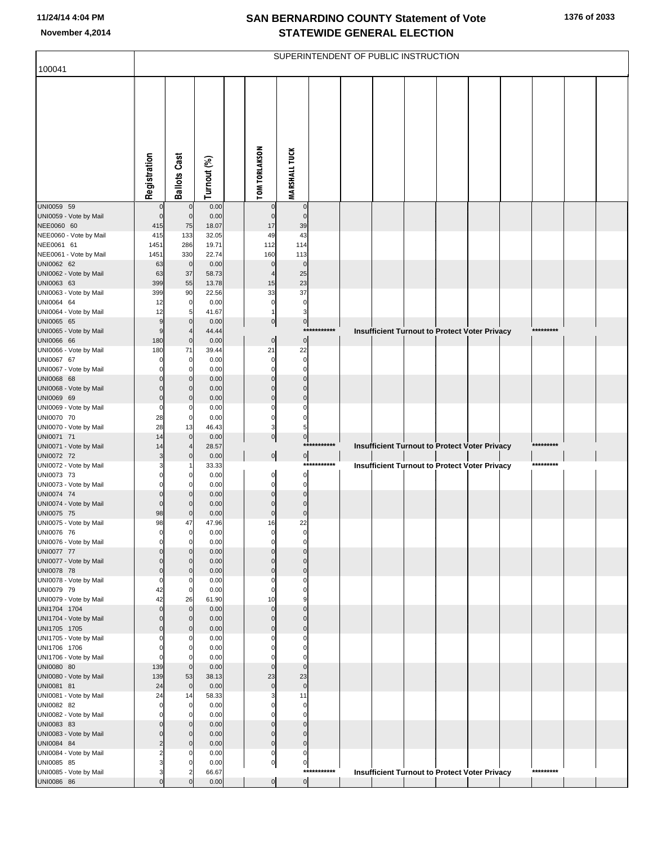| 100041                                 |                            |                              |               |                      |                          |                            |              | SUPERINTENDENT OF PUBLIC INSTRUCTION |  |                                                      |           |  |
|----------------------------------------|----------------------------|------------------------------|---------------|----------------------|--------------------------|----------------------------|--------------|--------------------------------------|--|------------------------------------------------------|-----------|--|
|                                        |                            |                              |               |                      |                          |                            |              |                                      |  |                                                      |           |  |
|                                        | Registration               | <b>Ballots Cast</b>          | Turnout (%)   | <b>TOM TORLAKSON</b> |                          | <b>MARSHALL TUCK</b>       |              |                                      |  |                                                      |           |  |
| UNI0059 59                             | $\mathbf 0$                | $\mathbf 0$                  | 0.00          |                      | 0                        | $\mathbf 0$                |              |                                      |  |                                                      |           |  |
| UNI0059 - Vote by Mail<br>NEE0060 60   | $\mathbf 0$<br>415         | $\mathbf 0$<br>75            | 0.00<br>18.07 |                      | $\mathbf 0$<br>17        | $\mathbf 0$<br>39          |              |                                      |  |                                                      |           |  |
| NEE0060 - Vote by Mail                 | 415                        | 133                          | 32.05         |                      | 49                       | 43                         |              |                                      |  |                                                      |           |  |
| NEE0061 61                             | 1451                       | 286                          | 19.71         |                      | 112                      | 114                        |              |                                      |  |                                                      |           |  |
| NEE0061 - Vote by Mail                 | 1451                       | 330<br>$\mathbf 0$           | 22.74<br>0.00 |                      | 160<br>$\mathbf 0$       | 113<br>$\mathbf 0$         |              |                                      |  |                                                      |           |  |
| UNI0062 62<br>UNI0062 - Vote by Mail   | 63<br>63                   | 37                           | 58.73         |                      | 4                        | 25                         |              |                                      |  |                                                      |           |  |
| UNI0063 63                             | 399                        | 55                           | 13.78         |                      | 15                       | 23                         |              |                                      |  |                                                      |           |  |
| UNI0063 - Vote by Mail                 | 399                        | 90                           | 22.56         |                      | 33                       | 37                         |              |                                      |  |                                                      |           |  |
| UNI0064 64<br>UNI0064 - Vote by Mail   | 12<br>12                   | 0<br>5                       | 0.00<br>41.67 |                      | $\mathbf 0$<br>1         | $\pmb{0}$<br>3             |              |                                      |  |                                                      |           |  |
| UNI0065 65                             | 9                          | $\mathbf 0$                  | 0.00          |                      | $\circ$                  | $\circ$                    |              |                                      |  |                                                      |           |  |
| UNI0065 - Vote by Mail                 | 9                          | $\overline{4}$               | 44.44         |                      |                          |                            | ************ |                                      |  | Insufficient Turnout to Protect Voter Privacy        | ********* |  |
| UNI0066 66                             | 180                        | $\mathbf 0$                  | 0.00          |                      | $\overline{0}$           | $\overline{0}$             |              |                                      |  |                                                      |           |  |
| UNI0066 - Vote by Mail                 | 180<br>0                   | 71<br>0                      | 39.44         |                      | 21<br>0                  | 22<br>$\mathbf 0$          |              |                                      |  |                                                      |           |  |
| UNI0067 67<br>UNI0067 - Vote by Mail   | 0                          | C                            | 0.00<br>0.00  |                      | $\Omega$                 | $\mathbf 0$                |              |                                      |  |                                                      |           |  |
| UNI0068 68                             | $\Omega$                   | $\mathbf 0$                  | 0.00          |                      | $\pmb{0}$                | $\mathbf 0$                |              |                                      |  |                                                      |           |  |
| UNI0068 - Vote by Mail                 | $\Omega$                   | C                            | 0.00          |                      | $\pmb{0}$                | $\mathbf 0$                |              |                                      |  |                                                      |           |  |
| UNI0069 69                             | $\mathbf 0$<br>$\mathbf 0$ | $\mathbf 0$                  | 0.00          |                      | $\mathbf 0$<br>$\Omega$  | $\mathbf 0$<br>$\mathbf 0$ |              |                                      |  |                                                      |           |  |
| UNI0069 - Vote by Mail<br>UNI0070 70   | 28                         | C<br>0                       | 0.00<br>0.00  |                      | $\mathbf 0$              | $\mathbf 0$                |              |                                      |  |                                                      |           |  |
| UNI0070 - Vote by Mail                 | 28                         | 13                           | 46.43         |                      | 3                        | 5                          |              |                                      |  |                                                      |           |  |
| UNI0071 71                             | 14                         | $\mathbf 0$                  | 0.00          |                      | $\circ$                  | $\overline{0}$             |              |                                      |  |                                                      |           |  |
| UNI0071 - Vote by Mail<br>UNI0072 72   | 14<br>3                    | 4<br>$\mathbf 0$             | 28.57<br>0.00 |                      | $\overline{0}$           |                            | ***********  |                                      |  | <b>Insufficient Turnout to Protect Voter Privacy</b> | ********* |  |
| UNI0072 - Vote by Mail                 |                            |                              | 33.33         |                      |                          | $\overline{0}$             | ***********  |                                      |  | <b>Insufficient Turnout to Protect Voter Privacy</b> | ********* |  |
| UNI0073 73                             | 0                          | 0                            | 0.00          |                      | $\mathbf 0$              | $\mathbf{0}$               |              |                                      |  |                                                      |           |  |
| UNI0073 - Vote by Mail                 | $\Omega$                   | C                            | 0.00          |                      | $\mathbf 0$              | $\mathbf 0$                |              |                                      |  |                                                      |           |  |
| UNI0074 74<br>UNI0074 - Vote by Mail   | $\Omega$<br>$\Omega$       | C<br>C                       | 0.00<br>0.00  |                      | $\pmb{0}$<br>$\mathbf 0$ | $\mathbf 0$<br>$\mathbf 0$ |              |                                      |  |                                                      |           |  |
| UNI0075 75                             | 98                         | $\mathbf 0$                  | 0.00          |                      | $\mathbf 0$              | $\mathbf 0$                |              |                                      |  |                                                      |           |  |
| UNI0075 - Vote by Mail                 | 98                         | 47                           | 47.96         |                      | 16                       | 22                         |              |                                      |  |                                                      |           |  |
| UNI0076 76<br>UNI0076 - Vote by Mail   | $\Omega$                   | 0<br>$\mathbf 0$             | 0.00          |                      | $\Omega$                 | $\mathbf 0$                |              |                                      |  |                                                      |           |  |
| UNI0077 77                             | $\Omega$                   | C                            | 0.00<br>0.00  |                      | $\mathbf 0$              | $\mathbf 0$                |              |                                      |  |                                                      |           |  |
| UNI0077 - Vote by Mail                 | $\Omega$                   | $\mathcal{C}$                | 0.00          |                      | $\Omega$                 | $\mathbf 0$                |              |                                      |  |                                                      |           |  |
| UNI0078 78                             | $\Omega$                   | $\mathcal{C}$                | 0.00          |                      | $\mathbf 0$              | $\mathbf 0$                |              |                                      |  |                                                      |           |  |
| UNI0078 - Vote by Mail<br>UNI0079 79   | $\mathbf 0$<br>42          | C.<br>0                      | 0.00<br>0.00  |                      | $\Omega$<br>0            | $\mathbf 0$<br>$\mathbf 0$ |              |                                      |  |                                                      |           |  |
| UNI0079 - Vote by Mail                 | 42                         | 26                           | 61.90         |                      | 10                       | 9                          |              |                                      |  |                                                      |           |  |
| UNI1704 1704                           | $\mathbf 0$                | $\mathbf 0$                  | 0.00          |                      | $\mathbf 0$              | $\mathbf 0$                |              |                                      |  |                                                      |           |  |
| UNI1704 - Vote by Mail                 | $\Omega$                   | $\mathbf 0$                  | 0.00          |                      | $\pmb{0}$                | $\mathbf 0$<br>$\mathbf 0$ |              |                                      |  |                                                      |           |  |
| UNI1705 1705<br>UNI1705 - Vote by Mail | $\Omega$<br>$\Omega$       | $\mathbf 0$<br>C             | 0.00<br>0.00  |                      | $\pmb{0}$<br>$\Omega$    | $\mathbf 0$                |              |                                      |  |                                                      |           |  |
| UNI1706 1706                           | $\Omega$                   | C                            | 0.00          |                      | $\Omega$                 | $\mathbf 0$                |              |                                      |  |                                                      |           |  |
| UNI1706 - Vote by Mail                 | $\Omega$                   | C                            | 0.00          |                      | $\Omega$                 | $\mathbf 0$                |              |                                      |  |                                                      |           |  |
| UNI0080 80                             | 139                        | $\mathbf 0$                  | 0.00          |                      | $\pmb{0}$                | $\mathbf 0$                |              |                                      |  |                                                      |           |  |
| UNI0080 - Vote by Mail<br>UNI0081 81   | 139<br>24                  | 53<br>$\mathbf 0$            | 38.13<br>0.00 |                      | 23<br>$\mathbf 0$        | 23<br>$\mathbf 0$          |              |                                      |  |                                                      |           |  |
| UNI0081 - Vote by Mail                 | 24                         | 14                           | 58.33         |                      | 3                        | 11                         |              |                                      |  |                                                      |           |  |
| UNI0082 82                             | $\mathbf 0$                | 0                            | 0.00          |                      | $\Omega$                 | $\mathbf 0$                |              |                                      |  |                                                      |           |  |
| UNI0082 - Vote by Mail                 | $\Omega$<br>$\Omega$       | C                            | 0.00          |                      | $\Omega$                 | $\mathbf 0$<br>$\mathbf 0$ |              |                                      |  |                                                      |           |  |
| UNI0083 83<br>UNI0083 - Vote by Mail   | $\Omega$                   | $\mathbf 0$<br>$\mathcal{C}$ | 0.00<br>0.00  |                      | $\pmb{0}$<br>$\pmb{0}$   | $\mathbf 0$                |              |                                      |  |                                                      |           |  |
| UNI0084 84                             | $\overline{2}$             | $\mathcal{C}$                | 0.00          |                      | $\mathbf 0$              | $\overline{0}$             |              |                                      |  |                                                      |           |  |
| UNI0084 - Vote by Mail                 |                            |                              | 0.00          |                      | $\mathbf 0$              | $\mathbf 0$                |              |                                      |  |                                                      |           |  |
| UNI0085 85                             |                            |                              | 0.00          |                      | $\mathbf 0$              | $\mathbf{0}$               | ***********  |                                      |  |                                                      | ********* |  |
| UNI0085 - Vote by Mail<br>UNI0086 86   | 3<br>$\Omega$              | 2<br>$\Omega$                | 66.67<br>0.00 |                      | $\overline{0}$           | $\overline{0}$             |              |                                      |  | <b>Insufficient Turnout to Protect Voter Privacy</b> |           |  |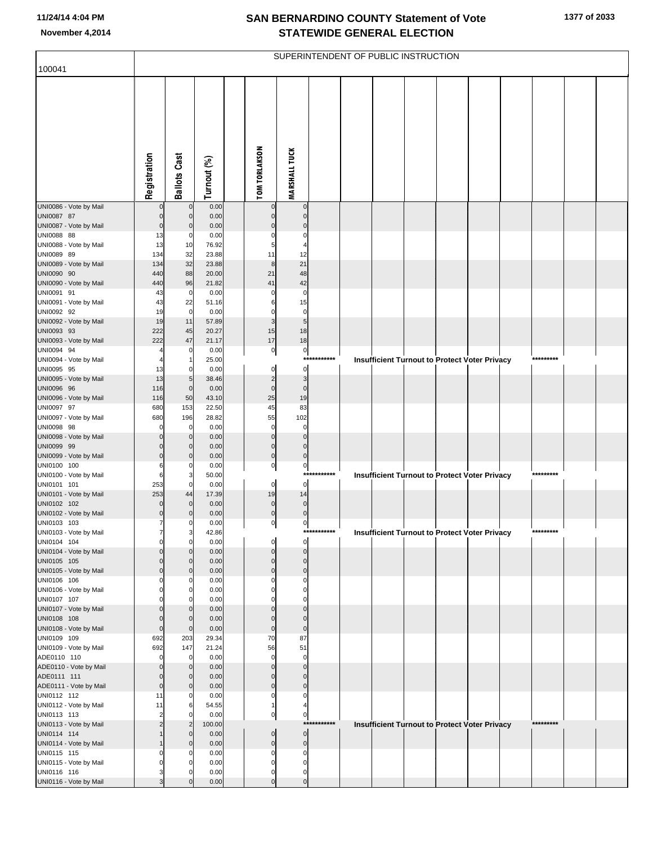|                                       |              |                            |                |                             |                                  |             | SUPERINTENDENT OF PUBLIC INSTRUCTION |  |                                                      |           |  |
|---------------------------------------|--------------|----------------------------|----------------|-----------------------------|----------------------------------|-------------|--------------------------------------|--|------------------------------------------------------|-----------|--|
| 100041                                |              |                            |                |                             |                                  |             |                                      |  |                                                      |           |  |
|                                       | Registration | <b>Ballots Cast</b>        | Turnout (%)    | <b>TOM TORLAKSON</b>        | <b>MARSHALL TUCK</b>             |             |                                      |  |                                                      |           |  |
| UNI0086 - Vote by Mail                |              | $\pmb{0}$                  | 0.00           | $\mathbf 0$                 | $\overline{0}$                   |             |                                      |  |                                                      |           |  |
| UNI0087 87                            |              | $\mathbf 0$                | 0.00           | $\Omega$                    | $\mathbf 0$                      |             |                                      |  |                                                      |           |  |
| UNI0087 - Vote by Mail                |              | $\Omega$                   | 0.00           |                             | $\Omega$                         |             |                                      |  |                                                      |           |  |
| UNI0088 88<br>UNI0088 - Vote by Mail  | 13<br>13     | 0<br>10                    | 0.00<br>76.92  | 5                           | 0                                |             |                                      |  |                                                      |           |  |
| UNI0089 89                            | 134          | 32                         | 23.88          | 11                          | 12                               |             |                                      |  |                                                      |           |  |
| UNI0089 - Vote by Mail                | 134          | 32                         | 23.88          | 8                           | 21                               |             |                                      |  |                                                      |           |  |
| UNI0090 90                            | 440          | 88                         | 20.00          | 21                          | 48                               |             |                                      |  |                                                      |           |  |
| UNI0090 - Vote by Mail<br>UNI0091 91  | 440<br>43    | 96<br>$\mathbf 0$          | 21.82<br>0.00  | 41                          | 42<br>$\pmb{0}$                  |             |                                      |  |                                                      |           |  |
| UNI0091 - Vote by Mail                | 43           | 22                         | 51.16          | 6                           | 15                               |             |                                      |  |                                                      |           |  |
| UNI0092 92                            | 19           | $\pmb{0}$                  | 0.00           | $\Omega$                    | $\overline{0}$                   |             |                                      |  |                                                      |           |  |
| UNI0092 - Vote by Mail                | 19           | 11<br>45                   | 57.89          | 3                           | $5\overline{a}$<br>18            |             |                                      |  |                                                      |           |  |
| UNI0093 93<br>UNI0093 - Vote by Mail  | 222<br>222   | 47                         | 20.27<br>21.17 | 15<br>17                    | 18                               |             |                                      |  |                                                      |           |  |
| UNI0094 94                            |              | 0                          | 0.00           | $\overline{0}$              | $\overline{0}$                   |             |                                      |  |                                                      |           |  |
| UNI0094 - Vote by Mail                |              | $\mathbf{1}$               | 25.00          |                             | ***                              | ****        |                                      |  | <b>Insufficient Turnout to Protect Voter Privacy</b> |           |  |
| UNI0095 95<br>UNI0095 - Vote by Mail  | 13<br>13     | 0<br>5                     | 0.00<br>38.46  | 0<br>$\overline{2}$         | $\overline{0}$<br>$\overline{3}$ |             |                                      |  |                                                      |           |  |
| UNI0096 96                            | 116          | $\mathbf 0$                | 0.00           | $\pmb{0}$                   | $\pmb{0}$                        |             |                                      |  |                                                      |           |  |
| UNI0096 - Vote by Mail                | 116          | 50                         | 43.10          | 25                          | 19                               |             |                                      |  |                                                      |           |  |
| UNI0097 97                            | 680          | 153                        | 22.50          | 45                          | 83                               |             |                                      |  |                                                      |           |  |
| UNI0097 - Vote by Mail<br>UNI0098 98  | 680          | 196<br>$\mathbf 0$         | 28.82<br>0.00  | 55<br>0                     | 102<br>$\pmb{0}$                 |             |                                      |  |                                                      |           |  |
| UNI0098 - Vote by Mail                |              | $\mathbf 0$                | 0.00           | $\Omega$                    | $\mathbf 0$                      |             |                                      |  |                                                      |           |  |
| UNI0099 99                            |              | $\mathbf 0$                | 0.00           | $\mathbf{0}$                | $\pmb{0}$                        |             |                                      |  |                                                      |           |  |
| UNI0099 - Vote by Mail<br>UNI0100 100 |              | $\Omega$<br>0              | 0.00<br>0.00   | $\pmb{0}$<br>$\overline{0}$ | $\overline{0}$                   |             |                                      |  |                                                      |           |  |
| UNI0100 - Vote by Mail                |              | 3                          | 50.00          |                             | 이<br>***                         | ****        |                                      |  | <b>Insufficient Turnout to Protect Voter Privacy</b> |           |  |
| UNI0101 101                           | 253          | $\mathbf 0$                | 0.00           | $\overline{0}$              | $\overline{0}$                   |             |                                      |  |                                                      |           |  |
| UNI0101 - Vote by Mail                | 253          | 44                         | 17.39          | 19                          | 14                               |             |                                      |  |                                                      |           |  |
| UNI0102 102<br>UNI0102 - Vote by Mail |              | $\mathbf 0$<br>$\Omega$    | 0.00<br>0.00   | $\mathbf 0$<br>$\pmb{0}$    | $\overline{0}$<br>$\overline{0}$ |             |                                      |  |                                                      |           |  |
| UNI0103 103                           | 7            | 0                          | 0.00           | $\overline{0}$              | $\overline{0}$                   |             |                                      |  |                                                      |           |  |
| UNI0103 - Vote by Mail                | 7            | 3                          | 42.86          |                             |                                  | *********** |                                      |  | <b>Insufficient Turnout to Protect Voter Privacy</b> | ********* |  |
| UNI0104 104<br>UNI0104 - Vote by Mail | ი            | $\mathbf 0$<br>$\mathbf 0$ | 0.00<br>0.00   | 0<br>$\Omega$               | $\overline{0}$<br>$\overline{0}$ |             |                                      |  |                                                      |           |  |
| UNI0105 105                           |              | $\mathbf 0$                | 0.00           | $\mathbf 0$                 | $\overline{0}$                   |             |                                      |  |                                                      |           |  |
| UNI0105 - Vote by Mail                |              | $\Omega$                   | 0.00           | $\mathbf{0}$                | $\overline{0}$                   |             |                                      |  |                                                      |           |  |
| UNI0106 106<br>UNI0106 - Vote by Mail |              | 0<br>$\mathbf 0$           | 0.00<br>0.00   | 0<br>U                      | $\pmb{0}$<br>$\mathbf 0$         |             |                                      |  |                                                      |           |  |
| UNI0107 107                           |              | $\Omega$                   | 0.00           |                             | $\overline{0}$                   |             |                                      |  |                                                      |           |  |
| UNI0107 - Vote by Mail                |              | $\mathbf 0$                | 0.00           | $\Omega$                    | $\overline{0}$                   |             |                                      |  |                                                      |           |  |
| UNI0108 108                           | O            | $\mathbf 0$<br>$\mathbf 0$ | 0.00<br>0.00   | $\mathbf{0}$<br>$\mathbf 0$ | $\Omega$<br>$\overline{0}$       |             |                                      |  |                                                      |           |  |
| UNI0108 - Vote by Mail<br>UNI0109 109 | 692          | 203                        | 29.34          | 70                          | 87                               |             |                                      |  |                                                      |           |  |
| UNI0109 - Vote by Mail                | 692          | 147                        | 21.24          | 56                          | 51                               |             |                                      |  |                                                      |           |  |
| ADE0110 110                           |              | $\mathbf 0$                | 0.00           | $\mathbf 0$                 | $\mathbf 0$                      |             |                                      |  |                                                      |           |  |
| ADE0110 - Vote by Mail<br>ADE0111 111 |              | $\mathbf 0$<br>$\Omega$    | 0.00<br>0.00   | $\Omega$<br>$\Omega$        | $\overline{0}$<br>$\overline{0}$ |             |                                      |  |                                                      |           |  |
| ADE0111 - Vote by Mail                | O            | $\Omega$                   | 0.00           | $\mathbf{0}$                | $\overline{0}$                   |             |                                      |  |                                                      |           |  |
| UNI0112 112                           | 11           | $\mathbf 0$                | 0.00           | 0                           | $\overline{0}$                   |             |                                      |  |                                                      |           |  |
| UNI0112 - Vote by Mail<br>UNI0113 113 | 11<br>2      | 6<br>$\mathbf 0$           | 54.55<br>0.00  | 1<br>$\overline{0}$         | 4<br>$\overline{0}$              |             |                                      |  |                                                      |           |  |
| UNI0113 - Vote by Mail                |              | $\overline{2}$             | 100.00         |                             | ***:                             | *******     |                                      |  | <b>Insufficient Turnout to Protect Voter Privacy</b> | ********* |  |
| UNI0114 114                           |              | $\mathbf 0$                | 0.00           | $\overline{0}$              | $\overline{0}$                   |             |                                      |  |                                                      |           |  |
| UNI0114 - Vote by Mail                |              | $\Omega$                   | 0.00           | $\mathbf 0$                 | $\overline{0}$                   |             |                                      |  |                                                      |           |  |
| UNI0115 115<br>UNI0115 - Vote by Mail |              | 0<br>O                     | 0.00<br>0.00   | 0<br>$\Omega$               | $\overline{0}$<br>0              |             |                                      |  |                                                      |           |  |
| UNI0116 116                           |              | 0                          | 0.00           | 0                           | $\overline{0}$                   |             |                                      |  |                                                      |           |  |
| UNI0116 - Vote by Mail                |              | $\Omega$                   | 0.00           | $\mathbf 0$                 | $\overline{0}$                   |             |                                      |  |                                                      |           |  |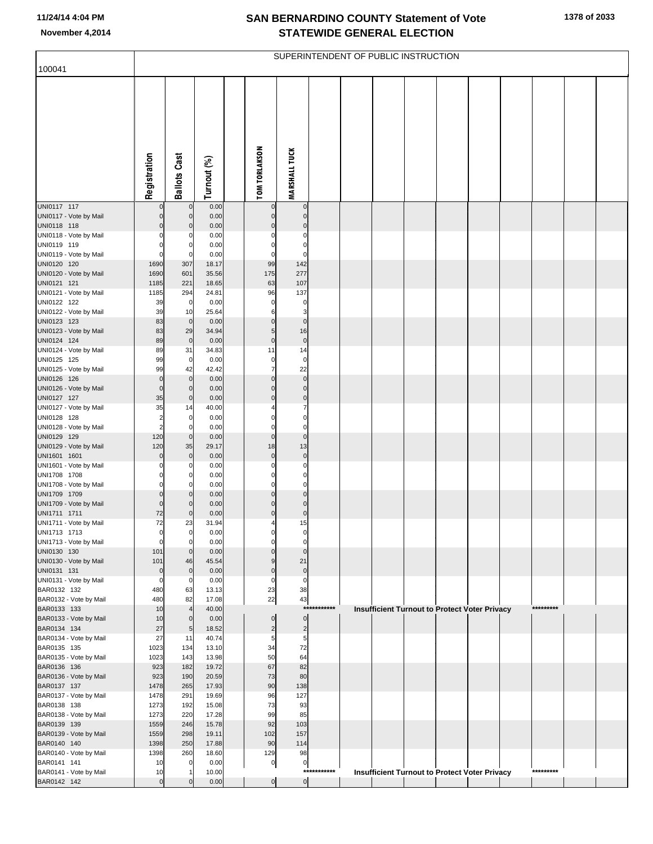| 100041                                 |                |                                |                |                            |                                  |             | SUPERINTENDENT OF PUBLIC INSTRUCTION |  |                                               |           |  |
|----------------------------------------|----------------|--------------------------------|----------------|----------------------------|----------------------------------|-------------|--------------------------------------|--|-----------------------------------------------|-----------|--|
|                                        |                |                                |                |                            |                                  |             |                                      |  |                                               |           |  |
|                                        | Registration   | <b>Ballots Cast</b>            | Turnout (%)    | <b>TOM TORLAKSON</b>       | <b>MARSHALL TUCK</b>             |             |                                      |  |                                               |           |  |
|                                        |                |                                |                |                            |                                  |             |                                      |  |                                               |           |  |
| UNI0117 117<br>UNI0117 - Vote by Mail  |                | $\mathbf 0$<br>$\mathbf 0$     | 0.00<br>0.00   | $\mathbf 0$<br>$\Omega$    | $\mathbf 0$<br>$\mathbf 0$       |             |                                      |  |                                               |           |  |
| UNI0118 118                            |                | $\Omega$                       | 0.00           | $\Omega$                   | $\mathbf 0$                      |             |                                      |  |                                               |           |  |
| UNI0118 - Vote by Mail                 |                | 0                              | 0.00           |                            | $\Omega$                         |             |                                      |  |                                               |           |  |
| UNI0119 119<br>UNI0119 - Vote by Mail  |                | 0<br>0                         | 0.00<br>0.00   | $\Omega$<br>$\mathbf 0$    | $\Omega$<br>$\Omega$             |             |                                      |  |                                               |           |  |
| UNI0120 120                            | 1690           | 307                            | 18.17          | 99                         | 142                              |             |                                      |  |                                               |           |  |
| UNI0120 - Vote by Mail                 | 1690           | 601                            | 35.56          | 175                        | 277                              |             |                                      |  |                                               |           |  |
| UNI0121 121                            | 1185           | 221                            | 18.65          | 63                         | 107                              |             |                                      |  |                                               |           |  |
| UNI0121 - Vote by Mail<br>UNI0122 122  | 1185<br>39     | 294<br>$\mathbf 0$             | 24.81<br>0.00  | 96<br>0                    | 137<br>$\pmb{0}$                 |             |                                      |  |                                               |           |  |
| UNI0122 - Vote by Mail                 | 39             | 10                             | 25.64          | 6                          | 3                                |             |                                      |  |                                               |           |  |
| UNI0123 123                            | 83             | $\mathbf 0$                    | 0.00           | $\pmb{0}$                  | $\pmb{0}$                        |             |                                      |  |                                               |           |  |
| UNI0123 - Vote by Mail<br>UNI0124 124  | 83<br>89       | 29<br>$\mathbf 0$              | 34.94<br>0.00  | 5<br>$\pmb{0}$             | 16<br>$\pmb{0}$                  |             |                                      |  |                                               |           |  |
| UNI0124 - Vote by Mail                 | 89             | 31                             | 34.83          | 11                         | 14                               |             |                                      |  |                                               |           |  |
| UNI0125 125                            | 99             | $\mathbf 0$                    | 0.00           | 0                          | $\mathbf 0$                      |             |                                      |  |                                               |           |  |
| UNI0125 - Vote by Mail<br>UNI0126 126  | 99<br>$\Omega$ | 42<br>$\mathbf 0$              | 42.42<br>0.00  | $\overline{7}$<br>$\Omega$ | 22<br>$\mathbf 0$                |             |                                      |  |                                               |           |  |
| UNI0126 - Vote by Mail                 |                | $\mathbf 0$                    | 0.00           | $\Omega$                   | $\pmb{0}$                        |             |                                      |  |                                               |           |  |
| UNI0127 127                            | 35             | $\mathbf 0$                    | 0.00           | $\mathbf{0}$               | $\mathbf 0$                      |             |                                      |  |                                               |           |  |
| UNI0127 - Vote by Mail                 | 35             | 14                             | 40.00          | $\Omega$                   | 7<br>0                           |             |                                      |  |                                               |           |  |
| UNI0128 128<br>UNI0128 - Vote by Mail  |                | $\mathbf 0$<br>$\mathbf 0$     | 0.00<br>0.00   | $\Omega$                   | $\Omega$                         |             |                                      |  |                                               |           |  |
| UNI0129 129                            | 120            | $\pmb{0}$                      | 0.00           | $\pmb{0}$                  | $\mathbf 0$                      |             |                                      |  |                                               |           |  |
| UNI0129 - Vote by Mail                 | 120            | 35                             | 29.17          | 18                         | 13                               |             |                                      |  |                                               |           |  |
| UNI1601 1601<br>UNI1601 - Vote by Mail |                | $\mathbf 0$<br>0               | 0.00<br>0.00   | $\mathbf 0$<br>$\Omega$    | $\mathbf 0$<br>0                 |             |                                      |  |                                               |           |  |
| UNI1708 1708                           |                | 0                              | 0.00           | $\Omega$                   | 0                                |             |                                      |  |                                               |           |  |
| UNI1708 - Vote by Mail                 |                | $\Omega$                       | 0.00           | $\Omega$                   | $\Omega$                         |             |                                      |  |                                               |           |  |
| UNI1709 1709<br>UNI1709 - Vote by Mail |                | $\mathbf 0$<br>$\mathbf 0$     | 0.00<br>0.00   | $\Omega$<br>$\Omega$       | $\overline{0}$<br>$\overline{0}$ |             |                                      |  |                                               |           |  |
| UNI1711 1711                           | 72             | $\mathbf 0$                    | 0.00           | $\Omega$                   | $\pmb{0}$                        |             |                                      |  |                                               |           |  |
| UNI1711 - Vote by Mail                 | 72             | 23                             | 31.94          | 4                          | 15                               |             |                                      |  |                                               |           |  |
| UNI1713 1713<br>UNI1713 - Vote by Mail | 0<br>$\Omega$  | $\mathbf{0}$<br>$\overline{0}$ | 0.00<br>0.00   | 0<br>$\Omega$              | $\Omega$                         |             |                                      |  |                                               |           |  |
| UNI0130 130                            | 101            | $\mathbf 0$                    | 0.00           | $\Omega$                   | $\mathbf 0$                      |             |                                      |  |                                               |           |  |
| UNI0130 - Vote by Mail                 | 101            | 46                             | 45.54          | 9                          | 21                               |             |                                      |  |                                               |           |  |
| UNI0131 131<br>UNI0131 - Vote by Mail  | $\Omega$<br>0  | $\mathbf 0$<br>0               | 0.00<br>0.00   | $\mathbf 0$<br>$\mathbf 0$ | $\pmb{0}$<br>0                   |             |                                      |  |                                               |           |  |
| BAR0132 132                            | 480            | 63                             | 13.13          | 23                         | 38                               |             |                                      |  |                                               |           |  |
| BAR0132 - Vote by Mail                 | 480            | 82                             | 17.08          | 22                         | 43                               |             |                                      |  |                                               |           |  |
| BAR0133 133<br>BAR0133 - Vote by Mail  | 10<br>10       | $\overline{4}$<br>$\mathbf 0$  | 40.00<br>0.00  | $\mathbf 0$                | $\pmb{0}$                        | *********** |                                      |  | Insufficient Turnout to Protect Voter Privacy | ********* |  |
| BAR0134 134                            | 27             | 5                              | 18.52          | $\overline{\mathbf{c}}$    | $\overline{c}$                   |             |                                      |  |                                               |           |  |
| BAR0134 - Vote by Mail                 | 27             | 11                             | 40.74          | 5                          | 5                                |             |                                      |  |                                               |           |  |
| BAR0135 135<br>BAR0135 - Vote by Mail  | 1023<br>1023   | 134<br>143                     | 13.10<br>13.98 | 34<br>50                   | 72<br>64                         |             |                                      |  |                                               |           |  |
| BAR0136 136                            | 923            | 182                            | 19.72          | 67                         | 82                               |             |                                      |  |                                               |           |  |
| BAR0136 - Vote by Mail                 | 923            | 190                            | 20.59          | 73                         | 80                               |             |                                      |  |                                               |           |  |
| BAR0137 137                            | 1478           | 265<br>291                     | 17.93<br>19.69 | 90<br>96                   | 138<br>127                       |             |                                      |  |                                               |           |  |
| BAR0137 - Vote by Mail<br>BAR0138 138  | 1478<br>1273   | 192                            | 15.08          | 73                         | 93                               |             |                                      |  |                                               |           |  |
| BAR0138 - Vote by Mail                 | 1273           | 220                            | 17.28          | 99                         | 85                               |             |                                      |  |                                               |           |  |
| BAR0139 139                            | 1559           | 246                            | 15.78          | 92                         | 103                              |             |                                      |  |                                               |           |  |
| BAR0139 - Vote by Mail<br>BAR0140 140  | 1559<br>1398   | 298<br>250                     | 19.11<br>17.88 | 102<br>90                  | 157<br>114                       |             |                                      |  |                                               |           |  |
| BAR0140 - Vote by Mail                 | 1398           | 260                            | 18.60          | 129                        | 98                               |             |                                      |  |                                               |           |  |
| BAR0141 141                            | 10             | 0                              | 0.00           | $\overline{0}$             | $\boldsymbol{0}$                 | *********** |                                      |  |                                               | ********* |  |
| BAR0141 - Vote by Mail<br>BAR0142 142  | 10<br>$\Omega$ | $\mathbf 0$                    | 10.00<br>0.00  | $\overline{0}$             | $\overline{0}$                   |             |                                      |  | Insufficient Turnout to Protect Voter Privacy |           |  |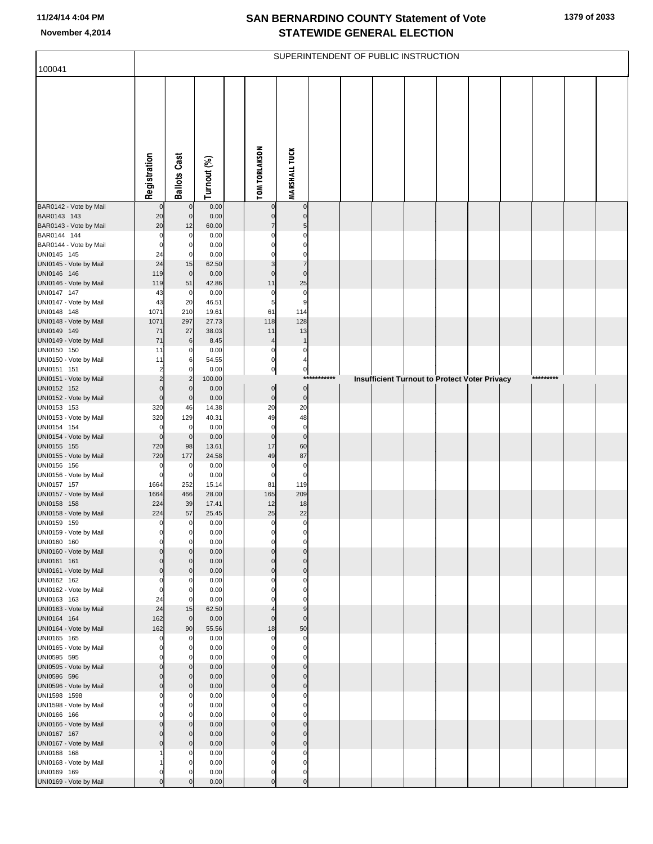|                                        |                    |                          |                |                             |                               |             | SUPERINTENDENT OF PUBLIC INSTRUCTION |  |                                                      |           |  |
|----------------------------------------|--------------------|--------------------------|----------------|-----------------------------|-------------------------------|-------------|--------------------------------------|--|------------------------------------------------------|-----------|--|
| 100041                                 |                    |                          |                |                             |                               |             |                                      |  |                                                      |           |  |
|                                        | Registration       | <b>Ballots Cast</b>      | Turnout (%)    | <b>TOM TORLAKSON</b>        | <b>MARSHALL TUCK</b>          |             |                                      |  |                                                      |           |  |
| BAR0142 - Vote by Mail                 |                    | $\mathbf 0$              | 0.00           |                             | $\pmb{0}$                     |             |                                      |  |                                                      |           |  |
| BAR0143 143                            | 20                 | $\mathbf 0$              | 0.00           |                             | $\mathbf 0$                   |             |                                      |  |                                                      |           |  |
| BAR0143 - Vote by Mail<br>BAR0144 144  | 20<br>0            | 12<br>$\Omega$           | 60.00<br>0.00  |                             | 5<br>$\Omega$                 |             |                                      |  |                                                      |           |  |
| BAR0144 - Vote by Mail                 | 0                  | $\mathbf 0$              | 0.00           |                             | $\Omega$                      |             |                                      |  |                                                      |           |  |
| UNI0145 145                            | 24                 | $\Omega$                 | 0.00           |                             | $\Omega$                      |             |                                      |  |                                                      |           |  |
| UNI0145 - Vote by Mail                 | 24                 | 15                       | 62.50          | 3                           | $\overline{7}$                |             |                                      |  |                                                      |           |  |
| UNI0146 146<br>UNI0146 - Vote by Mail  | 119<br>119         | $\overline{0}$<br>51     | 0.00<br>42.86  | $\Omega$<br>11              | $\mathbf 0$<br>25             |             |                                      |  |                                                      |           |  |
| UNI0147 147                            | 43                 | $\mathbf 0$              | 0.00           | 0                           | $\pmb{0}$                     |             |                                      |  |                                                      |           |  |
| UNI0147 - Vote by Mail                 | 43                 | 20                       | 46.51          | 5                           | 9                             |             |                                      |  |                                                      |           |  |
| UNI0148 148                            | 1071               | 210                      | 19.61          | 61                          | 114                           |             |                                      |  |                                                      |           |  |
| UNI0148 - Vote by Mail                 | 1071               | 297                      | 27.73          | 118                         | 128                           |             |                                      |  |                                                      |           |  |
| UNI0149 149<br>UNI0149 - Vote by Mail  | 71<br>71           | $27\,$<br>6              | 38.03<br>8.45  | 11<br>$\boldsymbol{\Delta}$ | 13<br>$\overline{1}$          |             |                                      |  |                                                      |           |  |
| UNI0150 150                            | 11                 | 0                        | 0.00           | 0                           | 0                             |             |                                      |  |                                                      |           |  |
| UNI0150 - Vote by Mail                 | 11                 | 6                        | 54.55          | $\mathbf 0$                 |                               |             |                                      |  |                                                      |           |  |
| UNI0151 151                            |                    | $\Omega$                 | 0.00           | $\pmb{0}$                   | $\overline{0}$                |             |                                      |  |                                                      |           |  |
| UNI0151 - Vote by Mail                 |                    | $\overline{2}$           | 100.00         |                             |                               | *********** |                                      |  | <b>Insufficient Turnout to Protect Voter Privacy</b> | ********* |  |
| UNI0152 152<br>UNI0152 - Vote by Mail  | 0<br>$\mathbf 0$   | $\Omega$<br>$\mathbf 0$  | 0.00<br>0.00   | $\pmb{0}$<br>$\pmb{0}$      | $\overline{0}$<br>$\mathbf 0$ |             |                                      |  |                                                      |           |  |
| UNI0153 153                            | 320                | 46                       | 14.38          | 20                          | 20                            |             |                                      |  |                                                      |           |  |
| UNI0153 - Vote by Mail                 | 320                | 129                      | 40.31          | 49                          | 48                            |             |                                      |  |                                                      |           |  |
| UNI0154 154                            | 0                  | $\mathbf 0$              | 0.00           | $\mathbf 0$                 | $\pmb{0}$                     |             |                                      |  |                                                      |           |  |
| UNI0154 - Vote by Mail<br>UNI0155 155  | $\mathbf 0$<br>720 | $\overline{0}$<br>98     | 0.00<br>13.61  | $\mathbf 0$<br>17           | $\bf 0$<br>60                 |             |                                      |  |                                                      |           |  |
| UNI0155 - Vote by Mail                 | 720                | 177                      | 24.58          | 49                          | 87                            |             |                                      |  |                                                      |           |  |
| UNI0156 156                            |                    | 0                        | 0.00           | 0                           | $\pmb{0}$                     |             |                                      |  |                                                      |           |  |
| UNI0156 - Vote by Mail                 | 0                  | $\overline{0}$           | 0.00           | $\mathbf 0$                 | $\mathbf 0$                   |             |                                      |  |                                                      |           |  |
| UNI0157 157<br>UNI0157 - Vote by Mail  | 1664<br>1664       | 252                      | 15.14          | 81                          | 119                           |             |                                      |  |                                                      |           |  |
| UNI0158 158                            | 224                | 466<br>39                | 28.00<br>17.41 | 165<br>12                   | 209<br>18                     |             |                                      |  |                                                      |           |  |
| UNI0158 - Vote by Mail                 | 224                | 57                       | 25.45          | 25                          | 22                            |             |                                      |  |                                                      |           |  |
| UNI0159 159                            | 0                  | $\mathbf 0$              | 0.00           | $\pmb{0}$                   | $\mathbf 0$                   |             |                                      |  |                                                      |           |  |
| UNI0159 - Vote by Mail                 | 0                  | $\overline{0}$           | 0.00           |                             |                               |             |                                      |  |                                                      |           |  |
| UNI0160 160<br>UNI0160 - Vote by Mail  | 0<br>0             | $\mathbf 0$<br>C         | 0.00<br>0.00   | $\Omega$<br>$\Omega$        | $\mathbf 0$<br>$\Omega$       |             |                                      |  |                                                      |           |  |
| UNI0161 161                            | 0                  | $\Omega$                 | 0.00           | $\Omega$                    | $\Omega$                      |             |                                      |  |                                                      |           |  |
| UNI0161 - Vote by Mail                 | $\mathbf 0$        | $\mathbf{0}$             | 0.00           | $\mathbf 0$                 | $\mathbf 0$                   |             |                                      |  |                                                      |           |  |
| UNI0162 162                            | $\Omega$           | C                        | 0.00           |                             | $\Omega$                      |             |                                      |  |                                                      |           |  |
| UNI0162 - Vote by Mail<br>UNI0163 163  | 0<br>24            | $\Omega$<br>$\Omega$     | 0.00<br>0.00   |                             | $\Omega$                      |             |                                      |  |                                                      |           |  |
| UNI0163 - Vote by Mail                 | 24                 | 15                       | 62.50          |                             | 9                             |             |                                      |  |                                                      |           |  |
| UNI0164 164                            | 162                | $\overline{0}$           | 0.00           | $\mathbf 0$                 | $\mathbf 0$                   |             |                                      |  |                                                      |           |  |
| UNI0164 - Vote by Mail                 | 162                | 90                       | 55.56          | 18                          | 50                            |             |                                      |  |                                                      |           |  |
| UNI0165 165<br>UNI0165 - Vote by Mail  | $\Omega$           | $\mathbf{0}$<br>$\Omega$ | 0.00<br>0.00   | $\Omega$<br>$\Omega$        | $\mathbf 0$<br>$\Omega$       |             |                                      |  |                                                      |           |  |
| UNI0595 595                            |                    | O                        | 0.00           |                             | $\Omega$                      |             |                                      |  |                                                      |           |  |
| UNI0595 - Vote by Mail                 | $\Omega$           | $\Omega$                 | 0.00           | $\Omega$                    | $\mathbf 0$                   |             |                                      |  |                                                      |           |  |
| UNI0596 596                            | 0                  | $\Omega$                 | 0.00           | $\Omega$                    | $\Omega$                      |             |                                      |  |                                                      |           |  |
| UNI0596 - Vote by Mail                 | $\mathbf 0$        | $\mathbf{0}$             | 0.00           | $\mathbf{0}$                | $\mathbf 0$                   |             |                                      |  |                                                      |           |  |
| UNI1598 1598<br>UNI1598 - Vote by Mail | $\Omega$           | 0<br>$\Omega$            | 0.00<br>0.00   | n<br>O                      | 0<br>$\Omega$                 |             |                                      |  |                                                      |           |  |
| UNI0166 166                            |                    |                          | 0.00           |                             | $\Omega$                      |             |                                      |  |                                                      |           |  |
| UNI0166 - Vote by Mail                 | $\mathbf 0$        | $\mathbf{0}$             | 0.00           | $\Omega$                    | $\Omega$                      |             |                                      |  |                                                      |           |  |
| UNI0167 167                            | $\Omega$           | $\mathbf{0}$             | 0.00           | $\Omega$                    | $\Omega$                      |             |                                      |  |                                                      |           |  |
| UNI0167 - Vote by Mail                 | $\mathbf 0$        | $\Omega$                 | 0.00           | $\mathbf 0$                 | $\mathbf 0$<br>$\Omega$       |             |                                      |  |                                                      |           |  |
| UNI0168 168<br>UNI0168 - Vote by Mail  |                    | O<br>$\Omega$            | 0.00<br>0.00   | n<br>$\Omega$               | $\Omega$                      |             |                                      |  |                                                      |           |  |
| UNI0169 169                            | 0                  |                          | 0.00           | $\Omega$                    | $\mathbf 0$                   |             |                                      |  |                                                      |           |  |
| UNI0169 - Vote by Mail                 | $\Omega$           |                          | 0.00           | $\Omega$                    | $\mathbf 0$                   |             |                                      |  |                                                      |           |  |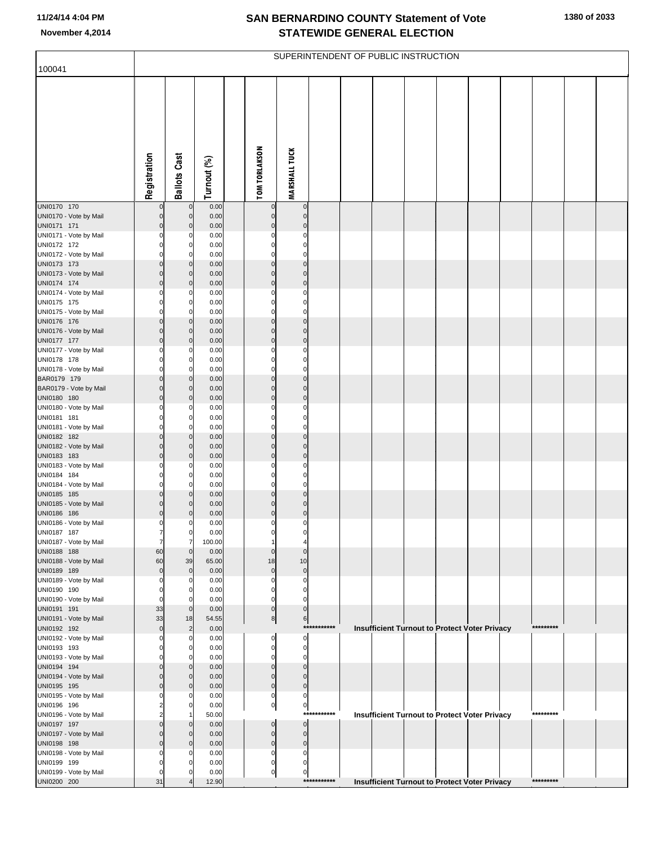|                                       |                                  |                            |                |                            |                            |             | SUPERINTENDENT OF PUBLIC INSTRUCTION |  |                                                      |           |  |
|---------------------------------------|----------------------------------|----------------------------|----------------|----------------------------|----------------------------|-------------|--------------------------------------|--|------------------------------------------------------|-----------|--|
| 100041                                |                                  |                            |                |                            |                            |             |                                      |  |                                                      |           |  |
|                                       |                                  |                            |                |                            |                            |             |                                      |  |                                                      |           |  |
|                                       |                                  |                            |                |                            |                            |             |                                      |  |                                                      |           |  |
|                                       |                                  |                            |                |                            |                            |             |                                      |  |                                                      |           |  |
|                                       | Registration                     | <b>Ballots Cast</b>        | Turnout (%)    | <b>TOM TORLAKSON</b>       | <b>MARSHALL TUCK</b>       |             |                                      |  |                                                      |           |  |
|                                       |                                  |                            |                |                            |                            |             |                                      |  |                                                      |           |  |
| UNI0170 170                           | 0                                | $\mathbf 0$                | 0.00           | 0                          | 0                          |             |                                      |  |                                                      |           |  |
| UNI0170 - Vote by Mail                | $\overline{0}$                   | $\mathbf 0$                | 0.00           | $\Omega$                   | $\mathbf 0$                |             |                                      |  |                                                      |           |  |
| UNI0171 171<br>UNI0171 - Vote by Mail | $\overline{0}$<br>$\mathbf{0}$   | $\mathbf 0$<br>C           | 0.00<br>0.00   | $\mathbf 0$<br>0           | $\Omega$<br>0              |             |                                      |  |                                                      |           |  |
| UNI0172 172                           | $\mathbf{0}$                     | 0                          | 0.00           | 0                          | 0                          |             |                                      |  |                                                      |           |  |
| UNI0172 - Vote by Mail                | $\mathbf{0}$                     | $\Omega$                   | 0.00           | 0                          | 0                          |             |                                      |  |                                                      |           |  |
| UNI0173 173                           | $\overline{0}$                   | $\mathbf 0$                | 0.00           | $\Omega$                   | $\Omega$                   |             |                                      |  |                                                      |           |  |
| UNI0173 - Vote by Mail                | $\overline{0}$<br>$\overline{0}$ | $\mathbf 0$<br>$\mathbf 0$ | 0.00           | $\mathbf 0$<br>$\mathbf 0$ | 0<br>$\mathbf 0$           |             |                                      |  |                                                      |           |  |
| UNI0174 174<br>UNI0174 - Vote by Mail | 0                                | 0                          | 0.00<br>0.00   | $\Omega$                   | 0                          |             |                                      |  |                                                      |           |  |
| UNI0175 175                           | $\mathbf{0}$                     | 0                          | 0.00           | 0                          | 0                          |             |                                      |  |                                                      |           |  |
| UNI0175 - Vote by Mail                | 0                                | $\Omega$                   | 0.00           | 0                          | $\Omega$                   |             |                                      |  |                                                      |           |  |
| UNI0176 176                           | $\overline{0}$                   | $\mathbf 0$                | 0.00           | $\Omega$                   | $\Omega$                   |             |                                      |  |                                                      |           |  |
| UNI0176 - Vote by Mail<br>UNI0177 177 | $\overline{0}$<br>$\overline{0}$ | $\mathbf 0$<br>$\mathbf 0$ | 0.00<br>0.00   | $\mathbf 0$<br>$\mathbf 0$ | $\mathbf 0$<br>$\mathbf 0$ |             |                                      |  |                                                      |           |  |
| UNI0177 - Vote by Mail                | $\mathbf{0}$                     | C                          | 0.00           | 0                          | 0                          |             |                                      |  |                                                      |           |  |
| UNI0178 178                           | $\mathbf{0}$                     | 0                          | 0.00           | 0                          | 0                          |             |                                      |  |                                                      |           |  |
| UNI0178 - Vote by Mail                | $\mathbf{0}$                     | $\Omega$                   | 0.00           | 0                          | $\Omega$                   |             |                                      |  |                                                      |           |  |
| BAR0179 179                           | $\overline{0}$                   | $\mathbf 0$                | 0.00           | $\Omega$                   | $\Omega$                   |             |                                      |  |                                                      |           |  |
| BAR0179 - Vote by Mail<br>UNI0180 180 | $\overline{0}$<br>$\overline{0}$ | $\mathbf 0$<br>$\mathbf 0$ | 0.00<br>0.00   | $\mathbf 0$<br>$\mathbf 0$ | 0<br>$\mathbf 0$           |             |                                      |  |                                                      |           |  |
| UNI0180 - Vote by Mail                | 0                                | 0                          | 0.00           | $\Omega$                   | 0                          |             |                                      |  |                                                      |           |  |
| UNI0181 181                           | $\mathbf{0}$                     | 0                          | 0.00           | 0                          | 0                          |             |                                      |  |                                                      |           |  |
| UNI0181 - Vote by Mail                | 0                                | $\Omega$                   | 0.00           | 0                          | 0                          |             |                                      |  |                                                      |           |  |
| UNI0182 182<br>UNI0182 - Vote by Mail | $\overline{0}$<br>$\overline{0}$ | $\mathbf 0$<br>$\mathbf 0$ | 0.00           | $\Omega$<br>$\mathbf 0$    | $\Omega$<br>$\mathbf 0$    |             |                                      |  |                                                      |           |  |
| UNI0183 183                           | $\overline{0}$                   | $\mathbf 0$                | 0.00<br>0.00   | $\mathbf 0$                | 0                          |             |                                      |  |                                                      |           |  |
| UNI0183 - Vote by Mail                | 0                                | C                          | 0.00           | 0                          | 0                          |             |                                      |  |                                                      |           |  |
| UNI0184 184                           | $\mathbf{0}$                     | 0                          | 0.00           | 0                          | 0                          |             |                                      |  |                                                      |           |  |
| UNI0184 - Vote by Mail                | $\mathbf{0}$                     | $\Omega$                   | 0.00           | 0<br>$\Omega$              | 0                          |             |                                      |  |                                                      |           |  |
| UNI0185 185<br>UNI0185 - Vote by Mail | $\overline{0}$<br>$\overline{0}$ | $\mathbf 0$<br>$\Omega$    | 0.00<br>0.00   | 0                          | $\mathbf 0$<br>0           |             |                                      |  |                                                      |           |  |
| UNI0186 186                           | $\overline{0}$                   | $\Omega$                   | 0.00           | 0                          | 0                          |             |                                      |  |                                                      |           |  |
| UNI0186 - Vote by Mail                | $\mathbf{0}$                     | C                          | 0.00           | 0                          | 0                          |             |                                      |  |                                                      |           |  |
| UNI0187 187                           | 7                                | $\mathbf 0$                | 0.00           |                            |                            |             |                                      |  |                                                      |           |  |
| UNI0187 - Vote by Mail<br>UNI0188 188 | 7<br>60                          | 7<br>$\mathbf 0$           | 100.00<br>0.00 | 0                          | $\Omega$                   |             |                                      |  |                                                      |           |  |
| UNI0188 - Vote by Mail                | 60                               | 39                         | 65.00          | 18                         | 10                         |             |                                      |  |                                                      |           |  |
| UNI0189 189                           | $\overline{0}$                   | $\mathbf 0$                | 0.00           | $\mathbf 0$                | 0                          |             |                                      |  |                                                      |           |  |
| UNI0189 - Vote by Mail                | $\Omega$                         | 0                          | 0.00           | 0                          | 0                          |             |                                      |  |                                                      |           |  |
| UNI0190 190<br>UNI0190 - Vote by Mail | $\mathbf{0}$<br>$\Omega$         | $\mathbf 0$<br>C           | 0.00<br>0.00   | 0<br>0                     | 0<br>$\Omega$              |             |                                      |  |                                                      |           |  |
| UNI0191 191                           | 33                               | $\mathbf 0$                | 0.00           | 0                          | 0                          |             |                                      |  |                                                      |           |  |
| UNI0191 - Vote by Mail                | 33                               | 18                         | 54.55          | 8                          | $6 \mid$                   |             |                                      |  |                                                      |           |  |
| UNI0192 192                           | $\overline{0}$                   | $\overline{c}$             | 0.00           |                            |                            | *********** |                                      |  | Insufficient Turnout to Protect Voter Privacy        | ********* |  |
| UNI0192 - Vote by Mail                | 0<br>0                           | $\Omega$                   | 0.00           | 0<br>0                     | 0                          |             |                                      |  |                                                      |           |  |
| UNI0193 193<br>UNI0193 - Vote by Mail | ŋ                                | 0<br>0                     | 0.00<br>0.00   | 0                          | 0<br>0                     |             |                                      |  |                                                      |           |  |
| UNI0194 194                           | $\Omega$                         | $\Omega$                   | 0.00           | $\Omega$                   | $\mathbf 0$                |             |                                      |  |                                                      |           |  |
| UNI0194 - Vote by Mail                | 0                                | $\Omega$                   | 0.00           | $\mathbf{0}$               | 0                          |             |                                      |  |                                                      |           |  |
| UNI0195 195                           | $\overline{0}$                   | $\Omega$                   | 0.00           | 0                          | $\mathbf 0$                |             |                                      |  |                                                      |           |  |
| UNI0195 - Vote by Mail<br>UNI0196 196 | 0<br>2                           | C<br>$\mathbf 0$           | 0.00<br>0.00   | 0<br>0                     | 0<br>$\overline{0}$        |             |                                      |  |                                                      |           |  |
| UNI0196 - Vote by Mail                | $\overline{2}$                   |                            | 50.00          |                            |                            | *********** |                                      |  | <b>Insufficient Turnout to Protect Voter Privacy</b> | ********* |  |
| UNI0197 197                           | $\Omega$                         | $\Omega$                   | 0.00           | $\Omega$                   | $\mathbf 0$                |             |                                      |  |                                                      |           |  |
| UNI0197 - Vote by Mail                | $\Omega$                         | $\Omega$                   | 0.00           | 0                          | 0                          |             |                                      |  |                                                      |           |  |
| UNI0198 198                           | $\overline{0}$                   | $\Omega$                   | 0.00           | 0                          | 0                          |             |                                      |  |                                                      |           |  |
| UNI0198 - Vote by Mail<br>UNI0199 199 | 0<br>ŋ                           | C<br>0                     | 0.00<br>0.00   | 0<br>0                     | 0<br>0                     |             |                                      |  |                                                      |           |  |
| UNI0199 - Vote by Mail                | 0                                |                            | 0.00           | 이                          | 0                          |             |                                      |  |                                                      |           |  |
| UNI0200 200                           | 31                               |                            | 12.90          |                            |                            | *********** |                                      |  | <b>Insufficient Turnout to Protect Voter Privacy</b> | ********* |  |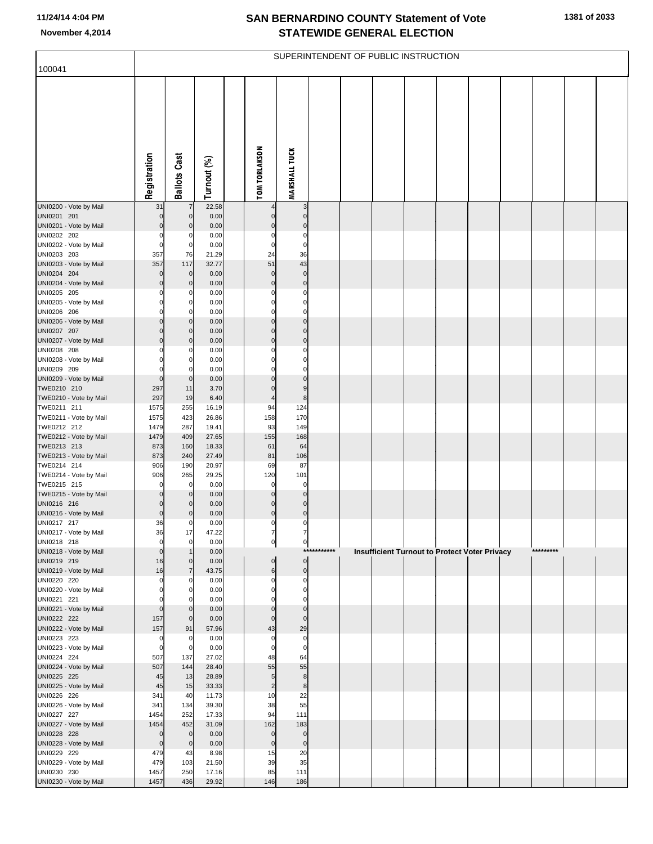| 100041                                |                                |                            |                |                         |                             |             | SUPERINTENDENT OF PUBLIC INSTRUCTION |  |                                               |           |  |
|---------------------------------------|--------------------------------|----------------------------|----------------|-------------------------|-----------------------------|-------------|--------------------------------------|--|-----------------------------------------------|-----------|--|
|                                       |                                |                            |                |                         |                             |             |                                      |  |                                               |           |  |
|                                       |                                |                            |                |                         |                             |             |                                      |  |                                               |           |  |
|                                       |                                |                            |                |                         |                             |             |                                      |  |                                               |           |  |
|                                       |                                |                            |                |                         |                             |             |                                      |  |                                               |           |  |
|                                       |                                |                            |                |                         |                             |             |                                      |  |                                               |           |  |
|                                       |                                |                            |                |                         |                             |             |                                      |  |                                               |           |  |
|                                       |                                |                            |                |                         |                             |             |                                      |  |                                               |           |  |
|                                       |                                |                            |                |                         |                             |             |                                      |  |                                               |           |  |
|                                       | Registration                   | <b>Ballots Cast</b>        | Turnout (%)    | <b>TOM TORLAKSON</b>    | <b>MARSHALL TUCK</b>        |             |                                      |  |                                               |           |  |
| UNI0200 - Vote by Mail                | 31                             | $\overline{7}$             | 22.58          |                         | 3                           |             |                                      |  |                                               |           |  |
| UNI0201 201                           | $\mathbf 0$                    | $\mathbf 0$                | 0.00           | 0                       | 0                           |             |                                      |  |                                               |           |  |
| UNI0201 - Vote by Mail<br>UNI0202 202 | $\overline{0}$<br>$\mathbf{0}$ | $\mathbf 0$<br>C           | 0.00<br>0.00   | 0<br>0                  | 0<br>0                      |             |                                      |  |                                               |           |  |
| UNI0202 - Vote by Mail                | $\mathbf{0}$                   | $\mathbf 0$                | 0.00           | 0                       | 0                           |             |                                      |  |                                               |           |  |
| UNI0203 203                           | 357                            | 76                         | 21.29          | 24                      | 36                          |             |                                      |  |                                               |           |  |
| UNI0203 - Vote by Mail                | 357<br>$\Omega$                | 117<br>$\mathbf 0$         | 32.77          | 51                      | 43<br>$\mathbf 0$           |             |                                      |  |                                               |           |  |
| UNI0204 204<br>UNI0204 - Vote by Mail | $\overline{0}$                 | $\mathbf 0$                | 0.00<br>0.00   | 0<br>0                  | $\mathbf 0$                 |             |                                      |  |                                               |           |  |
| UNI0205 205                           | $\Omega$                       | 0                          | 0.00           | $\Omega$                | 0                           |             |                                      |  |                                               |           |  |
| UNI0205 - Vote by Mail                | 0<br>$\Omega$                  | 0                          | 0.00           | 0                       | 0                           |             |                                      |  |                                               |           |  |
| UNI0206 206<br>UNI0206 - Vote by Mail | $\overline{0}$                 | $\Omega$<br>$\mathbf 0$    | 0.00<br>0.00   | $\Omega$<br>$\mathbf 0$ | 0<br>$\mathbf 0$            |             |                                      |  |                                               |           |  |
| UNI0207 207                           | $\Omega$                       | $\mathbf 0$                | 0.00           | $\Omega$                | $\Omega$                    |             |                                      |  |                                               |           |  |
| UNI0207 - Vote by Mail                | $\overline{0}$                 | $\mathbf 0$                | 0.00           | 0                       | $\mathbf 0$                 |             |                                      |  |                                               |           |  |
| UNI0208 208<br>UNI0208 - Vote by Mail | 0<br>$\Omega$                  | C<br>0                     | 0.00<br>0.00   | 0<br>0                  | 0<br>0                      |             |                                      |  |                                               |           |  |
| UNI0209 209                           | $\Omega$                       | $\Omega$                   | 0.00           | $\Omega$                | 0                           |             |                                      |  |                                               |           |  |
| UNI0209 - Vote by Mail                | $\overline{0}$                 | $\mathbf 0$                | 0.00           | 0                       | $\Omega$                    |             |                                      |  |                                               |           |  |
| TWE0210 210<br>TWE0210 - Vote by Mail | 297<br>297                     | 11<br>19                   | 3.70<br>6.40   | $\Omega$                | 9<br>$\bf8$                 |             |                                      |  |                                               |           |  |
| TWE0211 211                           | 1575                           | 255                        | 16.19          | 94                      | 124                         |             |                                      |  |                                               |           |  |
| TWE0211 - Vote by Mail                | 1575                           | 423                        | 26.86          | 158                     | 170                         |             |                                      |  |                                               |           |  |
| TWE0212 212<br>TWE0212 - Vote by Mail | 1479<br>1479                   | 287<br>409                 | 19.41<br>27.65 | 93<br>155               | 149<br>168                  |             |                                      |  |                                               |           |  |
| TWE0213 213                           | 873                            | 160                        | 18.33          | 61                      | 64                          |             |                                      |  |                                               |           |  |
| TWE0213 - Vote by Mail                | 873                            | 240                        | 27.49          | 81                      | 106                         |             |                                      |  |                                               |           |  |
| TWE0214 214<br>TWE0214 - Vote by Mail | 906<br>906                     | 190<br>265                 | 20.97<br>29.25 | 69<br>120               | 87<br>101                   |             |                                      |  |                                               |           |  |
| TWE0215 215                           | $\Omega$                       | $\mathbf 0$                | 0.00           | $\mathbf 0$             | 0                           |             |                                      |  |                                               |           |  |
| TWE0215 - Vote by Mail                | $\mathbf 0$<br>$\Omega$        | $\mathbf 0$                | 0.00           | $\Omega$                | 0                           |             |                                      |  |                                               |           |  |
| UNI0216 216<br>UNI0216 - Vote by Mail | $\overline{0}$                 | $\Omega$<br>C              | 0.00<br>0.00   | $\Omega$<br>$\mathbf 0$ | $\Omega$<br>$\mathbf 0$     |             |                                      |  |                                               |           |  |
| UNI0217 217                           | 36                             | 0                          | 0.00           | 0                       | 0                           |             |                                      |  |                                               |           |  |
| UNI0217 - Vote by Mail                | 36<br>$\overline{0}$           | 17<br>$\mathbf 0$          | 47.22          |                         |                             |             |                                      |  |                                               |           |  |
| UNI0218 218<br>UNI0218 - Vote by Mail | $\overline{0}$                 |                            | 0.00<br>0.00   | 0                       | 이                           | *********** |                                      |  | Insufficient Turnout to Protect Voter Privacy | ********* |  |
| UNI0219 219                           | 16                             | $\mathbf 0$                | 0.00           | 0                       | $\pmb{0}$                   |             |                                      |  |                                               |           |  |
| UNI0219 - Vote by Mail<br>UNI0220 220 | 16<br>$\mathbf{0}$             | $\overline{7}$<br>0        | 43.75<br>0.00  | 6<br>0                  | $\mathbf 0$<br>0            |             |                                      |  |                                               |           |  |
| UNI0220 - Vote by Mail                | $\Omega$                       | C                          | 0.00           | 0                       | 0                           |             |                                      |  |                                               |           |  |
| UNI0221 221                           | $\Omega$                       | C                          | 0.00           | 0                       | 0                           |             |                                      |  |                                               |           |  |
| UNI0221 - Vote by Mail<br>UNI0222 222 | $\overline{0}$<br>157          | $\mathbf 0$<br>$\mathbf 0$ | 0.00<br>0.00   | 0<br>$\Omega$           | $\mathbf{0}$<br>$\mathbf 0$ |             |                                      |  |                                               |           |  |
| UNI0222 - Vote by Mail                | 157                            | 91                         | 57.96          | 43                      | 29                          |             |                                      |  |                                               |           |  |
| UNI0223 223                           | $\mathbf{0}$                   | C                          | 0.00           | 0                       | 0                           |             |                                      |  |                                               |           |  |
| UNI0223 - Vote by Mail<br>UNI0224 224 | $\overline{0}$<br>507          | 0<br>137                   | 0.00<br>27.02  | 0<br>48                 | 0<br>64                     |             |                                      |  |                                               |           |  |
| UNI0224 - Vote by Mail                | 507                            | 144                        | 28.40          | 55                      | 55                          |             |                                      |  |                                               |           |  |
| UNI0225 225                           | 45                             | 13                         | 28.89          | 5                       | 8                           |             |                                      |  |                                               |           |  |
| UNI0225 - Vote by Mail<br>UNI0226 226 | 45<br>341                      | 15<br>40                   | 33.33<br>11.73 | $\overline{2}$<br>10    | $\bf8$<br>22                |             |                                      |  |                                               |           |  |
| UNI0226 - Vote by Mail                | 341                            | 134                        | 39.30          | 38                      | 55                          |             |                                      |  |                                               |           |  |
| UNI0227 227                           | 1454                           | 252                        | 17.33          | 94                      | 111                         |             |                                      |  |                                               |           |  |
| UNI0227 - Vote by Mail<br>UNI0228 228 | 1454<br>$\Omega$               | 452<br>$\mathbf 0$         | 31.09<br>0.00  | 162<br>0                | 183<br>0                    |             |                                      |  |                                               |           |  |
| UNI0228 - Vote by Mail                | $\overline{0}$                 | $\mathbf 0$                | 0.00           | $\mathbf 0$             | $\mathbf 0$                 |             |                                      |  |                                               |           |  |
| UNI0229 229                           | 479                            | 43                         | 8.98           | 15                      | 20                          |             |                                      |  |                                               |           |  |
| UNI0229 - Vote by Mail<br>UNI0230 230 | 479<br>1457                    | 103<br>250                 | 21.50<br>17.16 | 39<br>85                | 35<br>111                   |             |                                      |  |                                               |           |  |
| UNI0230 - Vote by Mail                | 1457                           | 436                        | 29.92          | 146                     | 186                         |             |                                      |  |                                               |           |  |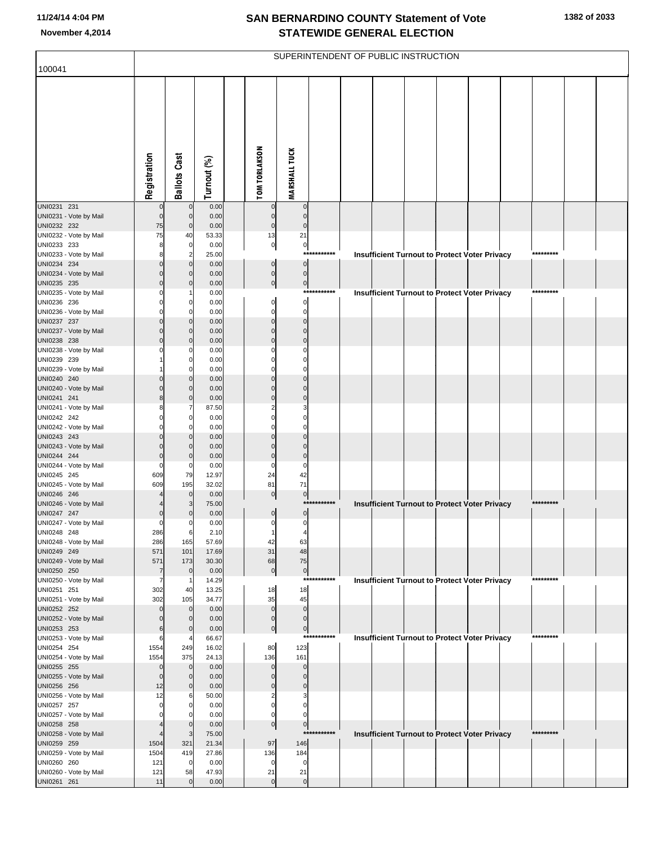|                                       |                   |                                  |                |                               |                            |             | SUPERINTENDENT OF PUBLIC INSTRUCTION |  |                                                      |           |  |
|---------------------------------------|-------------------|----------------------------------|----------------|-------------------------------|----------------------------|-------------|--------------------------------------|--|------------------------------------------------------|-----------|--|
| 100041                                |                   |                                  |                |                               |                            |             |                                      |  |                                                      |           |  |
|                                       | Registration      | <b>Ballots Cast</b>              | Turnout (%)    | <b>TOM TORLAKSON</b>          | <b>MARSHALL TUCK</b>       |             |                                      |  |                                                      |           |  |
| UNI0231 231                           |                   | $\mathbf 0$                      | 0.00           | $\pmb{0}$                     | $\mathbf 0$                |             |                                      |  |                                                      |           |  |
| UNI0231 - Vote by Mail<br>UNI0232 232 | $\mathbf 0$<br>75 | $\overline{0}$<br>$\overline{0}$ | 0.00<br>0.00   | $\pmb{0}$<br>$\overline{0}$   | $\mathbf 0$<br>$\mathbf 0$ |             |                                      |  |                                                      |           |  |
| UNI0232 - Vote by Mail                | 75                | 40                               | 53.33          | 13                            | 21                         |             |                                      |  |                                                      |           |  |
| UNI0233 233                           | 8                 | $\overline{0}$                   | 0.00           | $\overline{0}$                | $\boldsymbol{0}$           |             |                                      |  |                                                      |           |  |
| UNI0233 - Vote by Mail                | 8                 | $\overline{2}$                   | 25.00          |                               | ****                       |             |                                      |  | <b>Insufficient Turnout to Protect Voter Privacy</b> | ********* |  |
| UNI0234 234<br>UNI0234 - Vote by Mail |                   | $\mathbf 0$<br>$\mathbf 0$       | 0.00<br>0.00   | $\pmb{0}$<br>$\overline{0}$   | $\pmb{0}$<br>$\pmb{0}$     |             |                                      |  |                                                      |           |  |
| UNI0235 235                           | $\Omega$          | $\mathbf 0$                      | 0.00           | $\circ$                       | $\overline{0}$             |             |                                      |  |                                                      |           |  |
| UNI0235 - Vote by Mail                |                   |                                  | 0.00           |                               |                            | *********** |                                      |  | <b>Insufficient Turnout to Protect Voter Privacy</b> | ********* |  |
| UNI0236 236                           |                   | 0                                | 0.00           | $\overline{0}$                | $\pmb{0}$                  |             |                                      |  |                                                      |           |  |
| UNI0236 - Vote by Mail                |                   | $\Omega$                         | 0.00           | $\mathbf 0$                   | $\pmb{0}$                  |             |                                      |  |                                                      |           |  |
| UNI0237 237<br>UNI0237 - Vote by Mail |                   | $\mathbf 0$<br>$\mathbf 0$       | 0.00<br>0.00   | $\mathbf 0$<br>$\mathbf 0$    | $\mathbf 0$<br>$\mathbf 0$ |             |                                      |  |                                                      |           |  |
| UNI0238 238                           |                   | $\mathbf 0$                      | 0.00           | $\mathbf 0$                   | $\mathbf 0$                |             |                                      |  |                                                      |           |  |
| UNI0238 - Vote by Mail                |                   | 0                                | 0.00           | $\mathbf 0$                   | $\Omega$                   |             |                                      |  |                                                      |           |  |
| UNI0239 239                           |                   | 0                                | 0.00           | $\mathbf 0$                   | $\mathbf 0$                |             |                                      |  |                                                      |           |  |
| UNI0239 - Vote by Mail                |                   | $\Omega$                         | 0.00           | $\mathbf 0$                   | $\mathbf 0$                |             |                                      |  |                                                      |           |  |
| UNI0240 240<br>UNI0240 - Vote by Mail |                   | $\mathbf 0$<br>$\mathbf 0$       | 0.00<br>0.00   | $\mathbf 0$<br>$\mathbf 0$    | $\Omega$<br>$\mathbf 0$    |             |                                      |  |                                                      |           |  |
| UNI0241 241                           | 8                 | $\mathbf 0$                      | 0.00           | $\mathbf 0$                   | $\mathbf 0$                |             |                                      |  |                                                      |           |  |
| UNI0241 - Vote by Mail                |                   | 7                                | 87.50          | $\overline{2}$                | 3                          |             |                                      |  |                                                      |           |  |
| UNI0242 242                           |                   | $\mathbf 0$                      | 0.00           | $\mathbf 0$                   | $\mathbf 0$                |             |                                      |  |                                                      |           |  |
| UNI0242 - Vote by Mail                |                   | $\Omega$                         | 0.00           | $\mathbf 0$                   | $\Omega$                   |             |                                      |  |                                                      |           |  |
| UNI0243 243<br>UNI0243 - Vote by Mail |                   | $\mathbf 0$<br>$\mathbf 0$       | 0.00<br>0.00   | $\mathbf 0$<br>$\overline{0}$ | $\Omega$<br>$\Omega$       |             |                                      |  |                                                      |           |  |
| UNI0244 244                           | 0                 | $\mathbf 0$                      | 0.00           | $\pmb{0}$                     | $\mathbf 0$                |             |                                      |  |                                                      |           |  |
| UNI0244 - Vote by Mail                | $\Omega$          | 0                                | 0.00           | $\mathbf 0$                   | $\Omega$                   |             |                                      |  |                                                      |           |  |
| UNI0245 245                           | 609               | 79                               | 12.97          | 24                            | 42                         |             |                                      |  |                                                      |           |  |
| UNI0245 - Vote by Mail<br>UNI0246 246 | 609               | 195<br>$\overline{0}$            | 32.02<br>0.00  | 81<br>$\overline{0}$          | 71                         |             |                                      |  |                                                      |           |  |
| UNI0246 - Vote by Mail                |                   | 3                                | 75.00          |                               | $\pmb{0}$<br>***           | ******      |                                      |  | <b>Insufficient Turnout to Protect Voter Privacy</b> | ********* |  |
| UNI0247 247                           | 0                 | 0                                | 0.00           | $\mathbf 0$                   | $\pmb{0}$                  |             |                                      |  |                                                      |           |  |
| UNI0247 - Vote by Mail                | 0                 | 0                                | 0.00           | $\mathbf 0$                   | $\pmb{0}$                  |             |                                      |  |                                                      |           |  |
| UNI0248 248                           | 286               | 6                                | 2.10           |                               | 4                          |             |                                      |  |                                                      |           |  |
| UNI0248 - Vote by Mail<br>UNI0249 249 | 286<br>571        | 165<br>101                       | 57.69<br>17.69 | 42<br>31                      | 63<br>48                   |             |                                      |  |                                                      |           |  |
| UNI0249 - Vote by Mail                | 571               | 173                              | 30.30          | 68                            | 75                         |             |                                      |  |                                                      |           |  |
| UNI0250 250                           | $\overline{7}$    | $\mathbf 0$                      | 0.00           | $\pmb{0}$                     | $\mathbf{0}$               |             |                                      |  |                                                      |           |  |
| UNI0250 - Vote by Mail                | 7                 | -1                               | 14.29          |                               |                            | *********** |                                      |  | <b>Insufficient Turnout to Protect Voter Privacy</b> | ********* |  |
| UNI0251 251<br>UNI0251 - Vote by Mail | 302<br>302        | 40<br>105                        | 13.25<br>34.77 | 18<br>35                      | 18<br>45                   |             |                                      |  |                                                      |           |  |
| UNI0252 252                           | $\Omega$          | $\mathbf 0$                      | 0.00           | $\pmb{0}$                     | $\pmb{0}$                  |             |                                      |  |                                                      |           |  |
| UNI0252 - Vote by Mail                | 0                 | $\mathbf 0$                      | 0.00           | $\pmb{0}$                     | $\pmb{0}$                  |             |                                      |  |                                                      |           |  |
| UNI0253 253                           | 6                 | $\mathbf 0$                      | 0.00           | $\mathbf 0$                   | $\mathbf 0$                |             |                                      |  |                                                      |           |  |
| UNI0253 - Vote by Mail                | 6                 | 4                                | 66.67          |                               |                            | *********** |                                      |  | <b>Insufficient Turnout to Protect Voter Privacy</b> | ********* |  |
| UNI0254 254<br>UNI0254 - Vote by Mail | 1554<br>1554      | 249<br>375                       | 16.02<br>24.13 | 80<br>136                     | 123<br>161                 |             |                                      |  |                                                      |           |  |
| UNI0255 255                           | $\mathbf 0$       | $\overline{0}$                   | 0.00           | $\pmb{0}$                     | $\mathbf 0$                |             |                                      |  |                                                      |           |  |
| UNI0255 - Vote by Mail                | $\mathbf 0$       | $\mathbf 0$                      | 0.00           | $\pmb{0}$                     | $\mathbf 0$                |             |                                      |  |                                                      |           |  |
| UNI0256 256                           | 12                | $\mathbf 0$                      | 0.00           | $\pmb{0}$                     | $\pmb{0}$                  |             |                                      |  |                                                      |           |  |
| UNI0256 - Vote by Mail                | 12                | 6                                | 50.00          | $\overline{\mathbf{c}}$       | 3                          |             |                                      |  |                                                      |           |  |
| UNI0257 257<br>UNI0257 - Vote by Mail | $\Omega$          | 0<br>0                           | 0.00<br>0.00   | $\mathbf 0$<br>$\mathbf 0$    | $\mathbf 0$<br>0           |             |                                      |  |                                                      |           |  |
| UNI0258 258                           |                   | $\overline{0}$                   | 0.00           | $\overline{0}$                | $\pmb{0}$                  |             |                                      |  |                                                      |           |  |
| UNI0258 - Vote by Mail                |                   | 3                                | 75.00          |                               | $***$                      | ********    |                                      |  | <b>Insufficient Turnout to Protect Voter Privacy</b> | ********* |  |
| UNI0259 259                           | 1504              | 321                              | 21.34          | 97                            | 146                        |             |                                      |  |                                                      |           |  |
| UNI0259 - Vote by Mail                | 1504              | 419                              | 27.86          | 136                           | 184                        |             |                                      |  |                                                      |           |  |
| UNI0260 260<br>UNI0260 - Vote by Mail | 121<br>121        | $\mathbf 0$<br>58                | 0.00<br>47.93  | $\mathbf 0$<br>21             | 0<br>21                    |             |                                      |  |                                                      |           |  |
| UNI0261 261                           | 11                | $\Omega$                         | 0.00           | $\mathbf 0$                   | $\pmb{0}$                  |             |                                      |  |                                                      |           |  |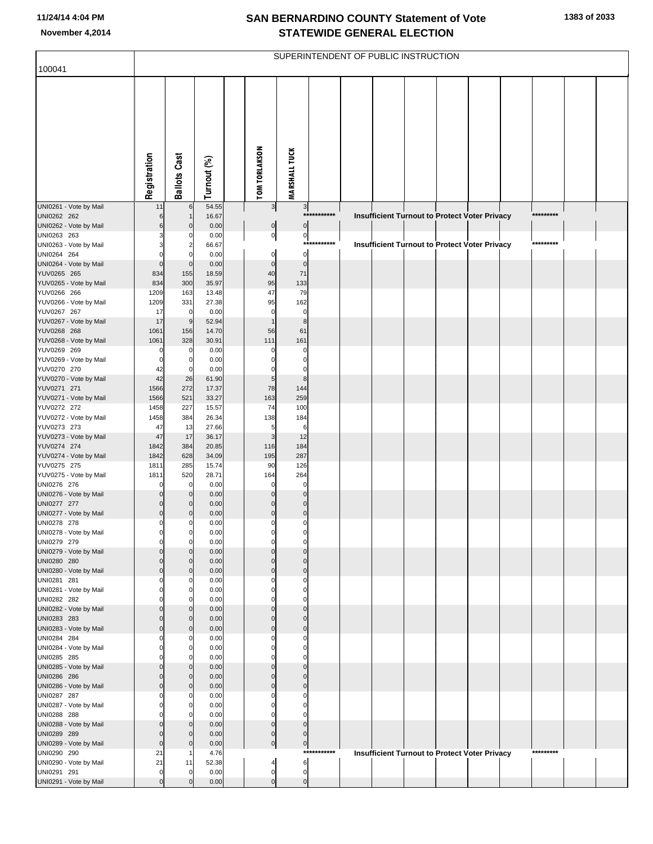| 100041                                |                |                      |                |                      | SUPERINTENDENT OF PUBLIC INSTRUCTION |             |  |  |                                                      |           |  |
|---------------------------------------|----------------|----------------------|----------------|----------------------|--------------------------------------|-------------|--|--|------------------------------------------------------|-----------|--|
|                                       | Registration   | <b>Ballots Cast</b>  | Turnout (%)    | <b>TOM TORLAKSON</b> | <b>MARSHALL TUCK</b>                 |             |  |  |                                                      |           |  |
| UNI0261 - Vote by Mail<br>UNI0262 262 | 11<br>6        | $6 \mid$             | 54.55<br>16.67 | $\frac{3}{2}$        | $3\vert$                             | *********** |  |  |                                                      | ********* |  |
| UNI0262 - Vote by Mail                |                | $\mathbf{0}$         | 0.00           | $\overline{0}$       | $\overline{0}$                       |             |  |  | Insufficient Turnout to Protect Voter Privacy        |           |  |
| UNI0263 263                           |                | O                    | 0.00           | $\mathbf{0}$         | $\overline{0}$                       |             |  |  |                                                      |           |  |
| UNI0263 - Vote by Mail<br>UNI0264 264 |                | 2<br>$\Omega$        | 66.67<br>0.00  | $\mathbf 0$          | $\mathbf 0$                          | *********** |  |  | Insufficient Turnout to Protect Voter Privacy        | ********* |  |
| UNI0264 - Vote by Mail                | $\Omega$       | $\mathbf 0$          | 0.00           | $\overline{0}$       | $\mathbf 0$                          |             |  |  |                                                      |           |  |
| YUV0265 265                           | 834            | 155                  | 18.59          | 40                   | 71                                   |             |  |  |                                                      |           |  |
| YUV0265 - Vote by Mail                | 834            | 300                  | 35.97          | 95                   | 133                                  |             |  |  |                                                      |           |  |
| YUV0266 266                           | 1209           | 163                  | 13.48          | 47                   | 79                                   |             |  |  |                                                      |           |  |
| YUV0266 - Vote by Mail<br>YUV0267 267 | 1209<br>17     | 331<br>$\mathbf 0$   | 27.38<br>0.00  | 95<br>$\mathbf 0$    | 162<br>$\mathbf 0$                   |             |  |  |                                                      |           |  |
| YUV0267 - Vote by Mail                | 17             | 9                    | 52.94          |                      | $\bf8$                               |             |  |  |                                                      |           |  |
| YUV0268 268                           | 1061           | 156                  | 14.70          | 56                   | 61                                   |             |  |  |                                                      |           |  |
| YUV0268 - Vote by Mail                | 1061           | 328                  | 30.91          | 111                  | 161                                  |             |  |  |                                                      |           |  |
| YUV0269 269                           | C              | 0                    | 0.00           | $\Omega$             | $\mathbf 0$                          |             |  |  |                                                      |           |  |
| YUV0269 - Vote by Mail<br>YUV0270 270 | C<br>42        | 0<br>$\mathbf 0$     | 0.00<br>0.00   |                      | O<br>$\mathbf 0$                     |             |  |  |                                                      |           |  |
| YUV0270 - Vote by Mail                | 42             | 26                   | 61.90          | 5                    | 8                                    |             |  |  |                                                      |           |  |
| YUV0271 271                           | 1566           | 272                  | 17.37          | 78                   | 144                                  |             |  |  |                                                      |           |  |
| YUV0271 - Vote by Mail                | 1566           | 521                  | 33.27          | 163                  | 259                                  |             |  |  |                                                      |           |  |
| YUV0272 272                           | 1458           | 227                  | 15.57          | 74                   | 100                                  |             |  |  |                                                      |           |  |
| YUV0272 - Vote by Mail<br>YUV0273 273 | 1458<br>47     | 384<br>13            | 26.34<br>27.66 | 138<br>5             | 184<br>6                             |             |  |  |                                                      |           |  |
| YUV0273 - Vote by Mail                | 47             | 17                   | 36.17          | 3                    | 12                                   |             |  |  |                                                      |           |  |
| YUV0274 274                           | 1842           | 384                  | 20.85          | 116                  | 184                                  |             |  |  |                                                      |           |  |
| YUV0274 - Vote by Mail                | 1842           | 628                  | 34.09          | 195                  | 287                                  |             |  |  |                                                      |           |  |
| YUV0275 275                           | 1811           | 285                  | 15.74          | 90                   | 126                                  |             |  |  |                                                      |           |  |
| YUV0275 - Vote by Mail<br>UNI0276 276 | 1811<br>C      | 520<br>$\mathbf 0$   | 28.71<br>0.00  | 164<br>$\mathbf 0$   | 264<br>$\mathbf 0$                   |             |  |  |                                                      |           |  |
| UNI0276 - Vote by Mail                |                | $\overline{0}$       | 0.00           | $\Omega$             | $\mathbf 0$                          |             |  |  |                                                      |           |  |
| UNI0277 277                           |                | $\overline{0}$       | 0.00           |                      | $\mathbf 0$                          |             |  |  |                                                      |           |  |
| UNI0277 - Vote by Mail                | O              | $\overline{0}$       | 0.00           | $\mathbf{0}$         | $\mathbf 0$                          |             |  |  |                                                      |           |  |
| UNI0278 278                           |                |                      | 0.00           | $\Omega$             | $\Omega$                             |             |  |  |                                                      |           |  |
| UNI0278 - Vote by Mail<br>UNI0279 279 |                | $\overline{0}$       | 0.00<br>0.00   | $\mathbf 0$          | $\mathbf 0$                          |             |  |  |                                                      |           |  |
| UNI0279 - Vote by Mail                |                | $\overline{0}$       | 0.00           | $\Omega$             | $\Omega$                             |             |  |  |                                                      |           |  |
| UNI0280 280                           |                | $\Omega$             | 0.00           | $\Omega$             | $\Omega$                             |             |  |  |                                                      |           |  |
| UNI0280 - Vote by Mail                |                | $\overline{0}$       | 0.00           | $\Omega$             | $\Omega$                             |             |  |  |                                                      |           |  |
| UNI0281 281                           |                | O                    | 0.00           |                      |                                      |             |  |  |                                                      |           |  |
| UNI0281 - Vote by Mail<br>UNI0282 282 |                | $\Omega$<br>$\Omega$ | 0.00<br>0.00   |                      | O                                    |             |  |  |                                                      |           |  |
| UNI0282 - Vote by Mail                |                | $\overline{0}$       | 0.00           |                      | $\Omega$                             |             |  |  |                                                      |           |  |
| UNI0283 283                           |                | $\Omega$             | 0.00           | $\Omega$             | $\Omega$                             |             |  |  |                                                      |           |  |
| UNI0283 - Vote by Mail                |                | $\overline{0}$       | 0.00           | $\Omega$             | $\Omega$                             |             |  |  |                                                      |           |  |
| UNI0284 284                           |                | ŋ                    | 0.00           |                      | O                                    |             |  |  |                                                      |           |  |
| UNI0284 - Vote by Mail<br>UNI0285 285 |                | $\Omega$<br>$\Omega$ | 0.00<br>0.00   |                      | O<br>O                               |             |  |  |                                                      |           |  |
| UNI0285 - Vote by Mail                |                | $\overline{0}$       | 0.00           | $\Omega$             | $\mathbf 0$                          |             |  |  |                                                      |           |  |
| UNI0286 286                           |                | $\Omega$             | 0.00           |                      | $\Omega$                             |             |  |  |                                                      |           |  |
| UNI0286 - Vote by Mail                |                | $\overline{0}$       | 0.00           | $\Omega$             | $\Omega$                             |             |  |  |                                                      |           |  |
| UNI0287 287                           |                | O                    | 0.00           |                      |                                      |             |  |  |                                                      |           |  |
| UNI0287 - Vote by Mail<br>UNI0288 288 |                | $\Omega$<br>$\Omega$ | 0.00<br>0.00   |                      |                                      |             |  |  |                                                      |           |  |
| UNI0288 - Vote by Mail                |                | $\overline{0}$       | 0.00           | $\Omega$             | $\mathbf 0$                          |             |  |  |                                                      |           |  |
| UNI0289 289                           |                | $\Omega$             | 0.00           | $\mathbf 0$          | $\mathbf 0$                          |             |  |  |                                                      |           |  |
| UNI0289 - Vote by Mail                | $\Omega$       | $\mathbf{0}$         | 0.00           | $\overline{0}$       | $\overline{0}$                       |             |  |  |                                                      |           |  |
| UNI0290 290                           | 21             |                      | 4.76           |                      |                                      | *********** |  |  | <b>Insufficient Turnout to Protect Voter Privacy</b> | ********* |  |
| UNI0290 - Vote by Mail<br>UNI0291 291 | 21<br>$\Omega$ | 11<br>$\Omega$       | 52.38<br>0.00  | 4<br>$\pmb{0}$       | 6<br>$\mathbf 0$                     |             |  |  |                                                      |           |  |
| UNI0291 - Vote by Mail                | $\Omega$       | $\Omega$             | 0.00           | $\Omega$             | $\mathbf 0$                          |             |  |  |                                                      |           |  |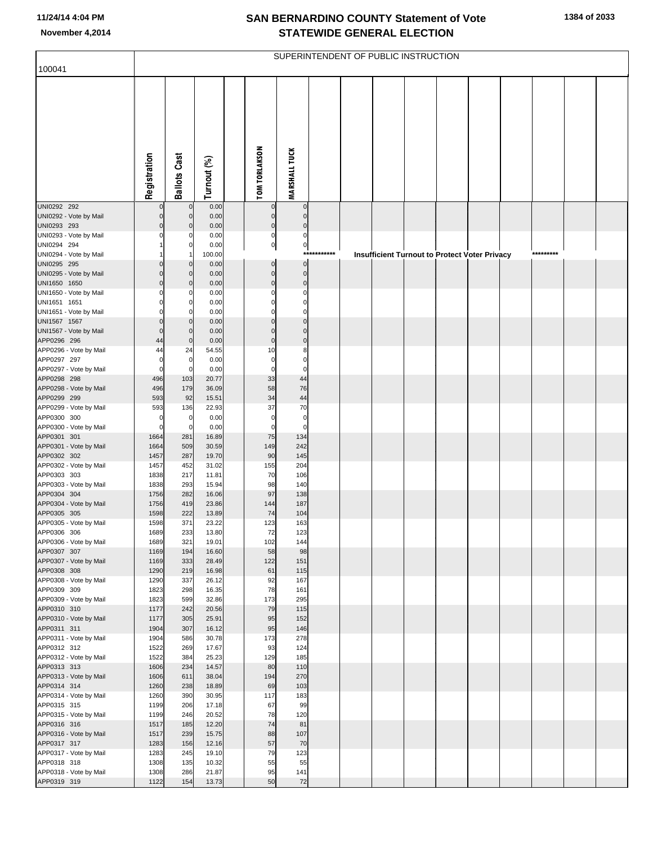|                                        |                      |                            |                |                            |                            |             | SUPERINTENDENT OF PUBLIC INSTRUCTION |  |                                               |  |           |  |
|----------------------------------------|----------------------|----------------------------|----------------|----------------------------|----------------------------|-------------|--------------------------------------|--|-----------------------------------------------|--|-----------|--|
| 100041                                 |                      |                            |                |                            |                            |             |                                      |  |                                               |  |           |  |
|                                        | Registration         | <b>Ballots Cast</b>        | Turnout (%)    | <b>TOM TORLAKSON</b>       | <b>MARSHALL TUCK</b>       |             |                                      |  |                                               |  |           |  |
| UNI0292 292<br>UNI0292 - Vote by Mail  | $\Omega$<br>$\Omega$ | $\mathbf 0$<br>$\mathbf 0$ | 0.00<br>0.00   | $\pmb{0}$<br>$\pmb{0}$     | $\mathbf 0$<br>$\mathbf 0$ |             |                                      |  |                                               |  |           |  |
| UNI0293 293                            | $\Omega$             | $\mathbf 0$                | 0.00           | $\overline{0}$             | $\mathbf 0$                |             |                                      |  |                                               |  |           |  |
| UNI0293 - Vote by Mail                 | $\Omega$             | 0                          | 0.00           | $\mathbf{0}$               | $\pmb{0}$                  |             |                                      |  |                                               |  |           |  |
| UNI0294 294                            |                      | 0                          | 0.00           | $\mathbf{0}$               | $\mathbf{0}$               | *********** |                                      |  |                                               |  | ********* |  |
| UNI0294 - Vote by Mail<br>UNI0295 295  | 0                    | $\mathbf 0$                | 100.00<br>0.00 | $\pmb{0}$                  | $\mathbf 0$                |             |                                      |  | Insufficient Turnout to Protect Voter Privacy |  |           |  |
| UNI0295 - Vote by Mail                 | $\Omega$             | $\mathbf 0$                | 0.00           | $\overline{0}$             | $\pmb{0}$                  |             |                                      |  |                                               |  |           |  |
| UNI1650 1650                           | $\Omega$             | $\mathbf 0$                | 0.00           | $\overline{0}$             | $\mathbf 0$                |             |                                      |  |                                               |  |           |  |
| UNI1650 - Vote by Mail                 | $\Omega$             | 0                          | 0.00           | $\mathbf 0$                | $\mathbf 0$                |             |                                      |  |                                               |  |           |  |
| UNI1651 1651                           | $\Omega$             | 0                          | 0.00           | $\mathbf 0$                | $\mathbf 0$                |             |                                      |  |                                               |  |           |  |
| UNI1651 - Vote by Mail<br>UNI1567 1567 | O<br>$\Omega$        | 0<br>$\mathbf 0$           | 0.00<br>0.00   | $\mathbf 0$<br>$\mathbf 0$ | $\Omega$<br>$\mathbf{0}$   |             |                                      |  |                                               |  |           |  |
| UNI1567 - Vote by Mail                 | $\Omega$             | $\mathbf 0$                | 0.00           | $\mathbf 0$                | $\mathbf 0$                |             |                                      |  |                                               |  |           |  |
| APP0296 296                            | 44                   | $\mathbf 0$                | 0.00           | $\mathbf 0$                | $\mathbf 0$                |             |                                      |  |                                               |  |           |  |
| APP0296 - Vote by Mail                 | 44                   | 24                         | 54.55          | 10                         | 8                          |             |                                      |  |                                               |  |           |  |
| APP0297 297                            | 0                    | 0                          | 0.00           | $\mathbf 0$                | $\mathbf 0$                |             |                                      |  |                                               |  |           |  |
| APP0297 - Vote by Mail<br>APP0298 298  | $\mathbf 0$<br>496   | $\mathbf 0$<br>103         | 0.00<br>20.77  | $\mathbf 0$<br>33          | $\mathbf 0$<br>44          |             |                                      |  |                                               |  |           |  |
| APP0298 - Vote by Mail                 | 496                  | 179                        | 36.09          | 58                         | 76                         |             |                                      |  |                                               |  |           |  |
| APP0299 299                            | 593                  | 92                         | 15.51          | 34                         | 44                         |             |                                      |  |                                               |  |           |  |
| APP0299 - Vote by Mail                 | 593                  | 136                        | 22.93          | 37                         | 70                         |             |                                      |  |                                               |  |           |  |
| APP0300 300<br>APP0300 - Vote by Mail  | 0<br>$\mathbf 0$     | 0<br>0                     | 0.00<br>0.00   | $\mathbf 0$<br>$\mathbf 0$ | $\pmb{0}$<br>$\Omega$      |             |                                      |  |                                               |  |           |  |
| APP0301 301                            | 1664                 | 281                        | 16.89          | 75                         | 134                        |             |                                      |  |                                               |  |           |  |
| APP0301 - Vote by Mail                 | 1664                 | 509                        | 30.59          | 149                        | 242                        |             |                                      |  |                                               |  |           |  |
| APP0302 302                            | 1457                 | 287                        | 19.70          | 90                         | 145                        |             |                                      |  |                                               |  |           |  |
| APP0302 - Vote by Mail                 | 1457                 | 452                        | 31.02          | 155                        | 204                        |             |                                      |  |                                               |  |           |  |
| APP0303 303<br>APP0303 - Vote by Mail  | 1838<br>1838         | 217<br>293                 | 11.81<br>15.94 | 70<br>98                   | 106<br>140                 |             |                                      |  |                                               |  |           |  |
| APP0304 304                            | 1756                 | 282                        | 16.06          | 97                         | 138                        |             |                                      |  |                                               |  |           |  |
| APP0304 - Vote by Mail                 | 1756                 | 419                        | 23.86          | 144                        | 187                        |             |                                      |  |                                               |  |           |  |
| APP0305 305                            | 1598                 | 222                        | 13.89          | 74                         | 104                        |             |                                      |  |                                               |  |           |  |
| APP0305 - Vote by Mail                 | 1598                 | 371                        | 23.22          | 123                        | 163                        |             |                                      |  |                                               |  |           |  |
| APP0306 306<br>APP0306 - Vote by Mail  | 1689<br>1689         | 233<br>321                 | 13.80<br>19.01 | 72<br>102                  | 123<br>144                 |             |                                      |  |                                               |  |           |  |
| APP0307 307                            | 1169                 | 194                        | 16.60          | 58                         | 98                         |             |                                      |  |                                               |  |           |  |
| APP0307 - Vote by Mail                 | 1169                 | 333                        | 28.49          | 122                        | 151                        |             |                                      |  |                                               |  |           |  |
| APP0308 308                            | 1290                 | 219                        | 16.98          | 61                         | 115                        |             |                                      |  |                                               |  |           |  |
| APP0308 - Vote by Mail<br>APP0309 309  | 1290<br>1823         | 337<br>298                 | 26.12<br>16.35 | 92<br>78                   | 167<br>161                 |             |                                      |  |                                               |  |           |  |
| APP0309 - Vote by Mail                 | 1823                 | 599                        | 32.86          | 173                        | 295                        |             |                                      |  |                                               |  |           |  |
| APP0310 310                            | 1177                 | 242                        | 20.56          | 79                         | 115                        |             |                                      |  |                                               |  |           |  |
| APP0310 - Vote by Mail                 | 1177                 | 305                        | 25.91          | 95                         | 152                        |             |                                      |  |                                               |  |           |  |
| APP0311 311<br>APP0311 - Vote by Mail  | 1904<br>1904         | 307<br>586                 | 16.12<br>30.78 | 95<br>173                  | 146<br>278                 |             |                                      |  |                                               |  |           |  |
| APP0312 312                            | 1522                 | 269                        | 17.67          | 93                         | 124                        |             |                                      |  |                                               |  |           |  |
| APP0312 - Vote by Mail                 | 1522                 | 384                        | 25.23          | 129                        | 185                        |             |                                      |  |                                               |  |           |  |
| APP0313 313                            | 1606                 | 234                        | 14.57          | 80                         | 110                        |             |                                      |  |                                               |  |           |  |
| APP0313 - Vote by Mail                 | 1606                 | 611                        | 38.04          | 194                        | 270                        |             |                                      |  |                                               |  |           |  |
| APP0314 314<br>APP0314 - Vote by Mail  | 1260<br>1260         | 238<br>390                 | 18.89<br>30.95 | 69<br>117                  | 103<br>183                 |             |                                      |  |                                               |  |           |  |
| APP0315 315                            | 1199                 | 206                        | 17.18          | 67                         | 99                         |             |                                      |  |                                               |  |           |  |
| APP0315 - Vote by Mail                 | 1199                 | 246                        | 20.52          | 78                         | 120                        |             |                                      |  |                                               |  |           |  |
| APP0316 316                            | 1517                 | 185                        | 12.20          | 74                         | 81                         |             |                                      |  |                                               |  |           |  |
| APP0316 - Vote by Mail                 | 1517                 | 239                        | 15.75          | 88                         | 107                        |             |                                      |  |                                               |  |           |  |
| APP0317 317<br>APP0317 - Vote by Mail  | 1283<br>1283         | 156<br>245                 | 12.16<br>19.10 | 57<br>79                   | 70<br>123                  |             |                                      |  |                                               |  |           |  |
| APP0318 318                            | 1308                 | 135                        | 10.32          | 55                         | 55                         |             |                                      |  |                                               |  |           |  |
| APP0318 - Vote by Mail                 | 1308                 | 286                        | 21.87          | 95                         | 141                        |             |                                      |  |                                               |  |           |  |
| APP0319 319                            | 1122                 | 154                        | 13.73          | 50                         | 72                         |             |                                      |  |                                               |  |           |  |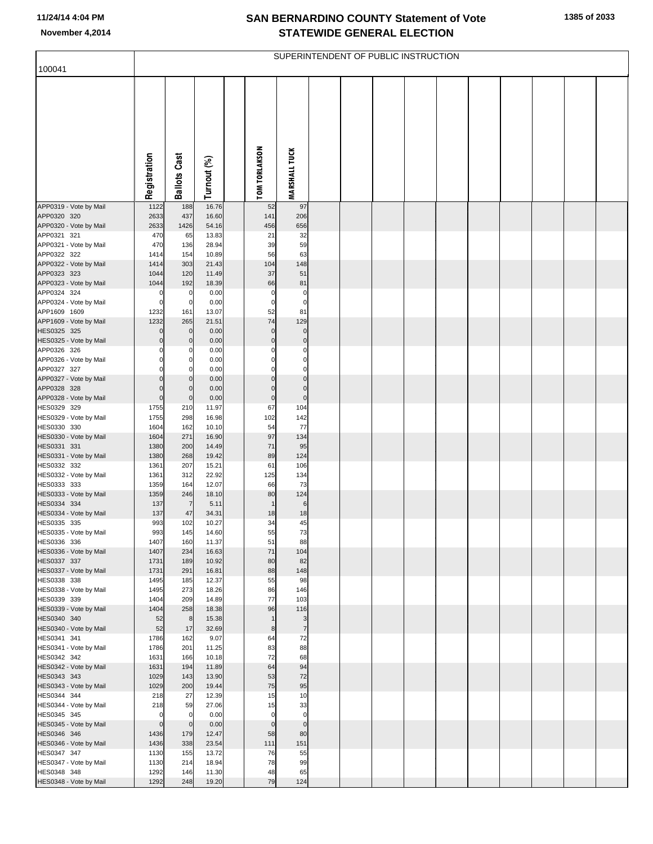|                                       |                            |                               |                |                            |                            | SUPERINTENDENT OF PUBLIC INSTRUCTION |  |  |  |  |
|---------------------------------------|----------------------------|-------------------------------|----------------|----------------------------|----------------------------|--------------------------------------|--|--|--|--|
| 100041                                |                            |                               |                |                            |                            |                                      |  |  |  |  |
|                                       | Registration               | <b>Ballots Cast</b>           | Turnout (%)    | <b>TOM TORLAKSON</b>       | <b>MARSHALL TUCK</b>       |                                      |  |  |  |  |
|                                       |                            |                               |                |                            |                            |                                      |  |  |  |  |
| APP0319 - Vote by Mail                | 1122                       | 188<br>437                    | 16.76          | 52                         | 97                         |                                      |  |  |  |  |
| APP0320 320<br>APP0320 - Vote by Mail | 2633<br>2633               | 1426                          | 16.60<br>54.16 | 141<br>456                 | 206<br>656                 |                                      |  |  |  |  |
| APP0321 321                           | 470                        | 65                            | 13.83          | 21                         | 32                         |                                      |  |  |  |  |
| APP0321 - Vote by Mail                | 470                        | 136                           | 28.94          | 39                         | 59                         |                                      |  |  |  |  |
| APP0322 322<br>APP0322 - Vote by Mail | 1414<br>1414               | 154<br>303                    | 10.89<br>21.43 | 56<br>104                  | 63<br>148                  |                                      |  |  |  |  |
| APP0323 323                           | 1044                       | 120                           | 11.49          | 37                         | 51                         |                                      |  |  |  |  |
| APP0323 - Vote by Mail                | 1044                       | 192                           | 18.39          | 66                         | 81                         |                                      |  |  |  |  |
| APP0324 324<br>APP0324 - Vote by Mail | $\mathbf 0$<br>$\mathbf 0$ | 0<br>0                        | 0.00<br>0.00   | 0<br>$\mathbf 0$           | $\mathbf 0$<br>$\mathbf 0$ |                                      |  |  |  |  |
| APP1609 1609                          | 1232                       | 161                           | 13.07          | 52                         | 81                         |                                      |  |  |  |  |
| APP1609 - Vote by Mail                | 1232                       | 265                           | 21.51          | 74                         | 129                        |                                      |  |  |  |  |
| HES0325 325<br>HES0325 - Vote by Mail | $\Omega$<br>$\Omega$       | $\overline{0}$<br>$\mathbf 0$ | 0.00<br>0.00   | $\mathbf 0$<br>$\mathbf 0$ | $\bf 0$<br>$\mathbf 0$     |                                      |  |  |  |  |
| APP0326 326                           | $\Omega$                   | 0                             | 0.00           | 0                          | 0                          |                                      |  |  |  |  |
| APP0326 - Vote by Mail                | $\Omega$                   | 0                             | 0.00           | $\Omega$                   | $\mathbf 0$<br>$\Omega$    |                                      |  |  |  |  |
| APP0327 327<br>APP0327 - Vote by Mail | $\Omega$<br>$\Omega$       | 0<br>$\mathbf{0}$             | 0.00<br>0.00   | $\Omega$<br>$\Omega$       | $\overline{0}$             |                                      |  |  |  |  |
| APP0328 328                           | $\Omega$                   | $\mathbf{0}$                  | 0.00           | $\mathbf 0$                | $\mathbf 0$                |                                      |  |  |  |  |
| APP0328 - Vote by Mail                | $\mathbf 0$                | $\mathbf{0}$                  | 0.00           | $\bf{0}$                   | $\mathbf 0$                |                                      |  |  |  |  |
| HES0329 329<br>HES0329 - Vote by Mail | 1755<br>1755               | 210<br>298                    | 11.97<br>16.98 | 67<br>102                  | 104<br>142                 |                                      |  |  |  |  |
| HES0330 330                           | 1604                       | 162                           | 10.10          | 54                         | 77                         |                                      |  |  |  |  |
| HES0330 - Vote by Mail<br>HES0331 331 | 1604                       | 271                           | 16.90          | 97                         | 134                        |                                      |  |  |  |  |
| HES0331 - Vote by Mail                | 1380<br>1380               | 200<br>268                    | 14.49<br>19.42 | 71<br>89                   | 95<br>124                  |                                      |  |  |  |  |
| HES0332 332                           | 1361                       | 207                           | 15.21          | 61                         | 106                        |                                      |  |  |  |  |
| HES0332 - Vote by Mail<br>HES0333 333 | 1361<br>1359               | 312                           | 22.92<br>12.07 | 125<br>66                  | 134<br>73                  |                                      |  |  |  |  |
| HES0333 - Vote by Mail                | 1359                       | 164<br>246                    | 18.10          | 80                         | 124                        |                                      |  |  |  |  |
| HES0334 334                           | 137                        | $\overline{7}$                | 5.11           | $\mathbf{1}$               | 6                          |                                      |  |  |  |  |
| HES0334 - Vote by Mail<br>HES0335 335 | 137<br>993                 | 47<br>102                     | 34.31<br>10.27 | 18<br>34                   | 18<br>45                   |                                      |  |  |  |  |
| HES0335 - Vote by Mail                | 993                        | 145                           | 14.60          | 55                         | 73                         |                                      |  |  |  |  |
| HES0336 336                           | 1407                       | 160                           | 11.37          | 51                         | 88                         |                                      |  |  |  |  |
| HES0336 - Vote by Mail<br>HES0337 337 | 1407<br>1731               | 234<br>189                    | 16.63<br>10.92 | 71<br>80                   | 104<br>82                  |                                      |  |  |  |  |
| HES0337 - Vote by Mail                | 1731                       | 291                           | 16.81          | 88                         | 148                        |                                      |  |  |  |  |
| HES0338 338                           | 1495                       | 185                           | 12.37          | 55                         | 98                         |                                      |  |  |  |  |
| HES0338 - Vote by Mail<br>HES0339 339 | 1495<br>1404               | 273<br>209                    | 18.26<br>14.89 | 86<br>77                   | 146<br>103                 |                                      |  |  |  |  |
| HES0339 - Vote by Mail                | 1404                       | 258                           | 18.38          | 96                         | 116                        |                                      |  |  |  |  |
| HES0340 340<br>HES0340 - Vote by Mail | 52                         | 8                             | 15.38          | $\mathbf{1}$               | 3<br>$\overline{7}$        |                                      |  |  |  |  |
| HES0341 341                           | 52<br>1786                 | 17<br>162                     | 32.69<br>9.07  | 8<br>64                    | 72                         |                                      |  |  |  |  |
| HES0341 - Vote by Mail                | 1786                       | 201                           | 11.25          | 83                         | 88                         |                                      |  |  |  |  |
| HES0342 342                           | 1631<br>1631               | 166<br>194                    | 10.18<br>11.89 | 72<br>64                   | 68<br>94                   |                                      |  |  |  |  |
| HES0342 - Vote by Mail<br>HES0343 343 | 1029                       | 143                           | 13.90          | 53                         | 72                         |                                      |  |  |  |  |
| HES0343 - Vote by Mail                | 1029                       | 200                           | 19.44          | 75                         | 95                         |                                      |  |  |  |  |
| HES0344 344                           | 218<br>218                 | 27                            | 12.39<br>27.06 | 15                         | 10                         |                                      |  |  |  |  |
| HES0344 - Vote by Mail<br>HES0345 345 | $\mathbf 0$                | 59<br>$\mathbf 0$             | 0.00           | 15<br>$\mathbf 0$          | 33<br>$\mathbf 0$          |                                      |  |  |  |  |
| HES0345 - Vote by Mail                | $\Omega$                   | $\overline{0}$                | 0.00           | $\mathbf 0$                | $\mathbf 0$                |                                      |  |  |  |  |
| HES0346 346                           | 1436                       | 179                           | 12.47          | 58                         | 80                         |                                      |  |  |  |  |
| HES0346 - Vote by Mail<br>HES0347 347 | 1436<br>1130               | 338<br>155                    | 23.54<br>13.72 | 111<br>76                  | 151<br>55                  |                                      |  |  |  |  |
| HES0347 - Vote by Mail                | 1130                       | 214                           | 18.94          | 78                         | 99                         |                                      |  |  |  |  |
| HES0348 348                           | 1292                       | 146                           | 11.30          | 48                         | 65                         |                                      |  |  |  |  |
| HES0348 - Vote by Mail                | 1292                       | 248                           | 19.20          | 79                         | 124                        |                                      |  |  |  |  |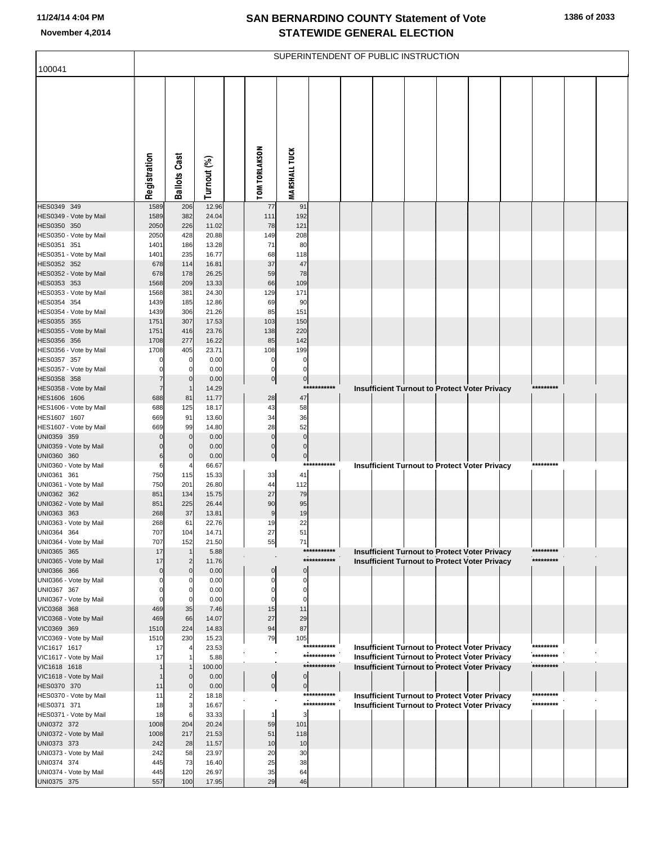| 100041                                 |                      |                            |                |                            |                         |                            | SUPERINTENDENT OF PUBLIC INSTRUCTION                                                                         |  |  |           |  |
|----------------------------------------|----------------------|----------------------------|----------------|----------------------------|-------------------------|----------------------------|--------------------------------------------------------------------------------------------------------------|--|--|-----------|--|
|                                        |                      |                            |                |                            |                         |                            |                                                                                                              |  |  |           |  |
|                                        |                      |                            |                |                            |                         |                            |                                                                                                              |  |  |           |  |
|                                        | Registration         | <b>Ballots Cast</b>        | Turnout (%)    | <b>TOM TORLAKSON</b>       | <b>MARSHALL TUCK</b>    |                            |                                                                                                              |  |  |           |  |
| HES0349 349                            | 1589                 | 206                        | 12.96          | 77                         | 91                      |                            |                                                                                                              |  |  |           |  |
| HES0349 - Vote by Mail<br>HES0350 350  | 1589<br>2050         | 382<br>226                 | 24.04<br>11.02 | 111<br>78                  | 192<br>121              |                            |                                                                                                              |  |  |           |  |
| HES0350 - Vote by Mail                 | 2050                 | 428                        | 20.88          | 149                        | 208                     |                            |                                                                                                              |  |  |           |  |
| HES0351 351                            | 1401                 | 186                        | 13.28          | 71                         | 80                      |                            |                                                                                                              |  |  |           |  |
| HES0351 - Vote by Mail                 | 1401                 | 235                        | 16.77          | 68                         | 118                     |                            |                                                                                                              |  |  |           |  |
| HES0352 352<br>HES0352 - Vote by Mail  | 678<br>678           | 114<br>178                 | 16.81<br>26.25 | 37<br>59                   | 47<br>78                |                            |                                                                                                              |  |  |           |  |
| HES0353 353                            | 1568                 | 209                        | 13.33          | 66                         | 109                     |                            |                                                                                                              |  |  |           |  |
| HES0353 - Vote by Mail                 | 1568                 | 381                        | 24.30          | 129                        | 171                     |                            |                                                                                                              |  |  |           |  |
| HES0354 354<br>HES0354 - Vote by Mail  | 1439<br>1439         | 185<br>306                 | 12.86<br>21.26 | 69<br>85                   | 90<br>151               |                            |                                                                                                              |  |  |           |  |
| HES0355 355                            | 1751                 | 307                        | 17.53          | 103                        | 150                     |                            |                                                                                                              |  |  |           |  |
| HES0355 - Vote by Mail                 | 1751                 | 416                        | 23.76          | 138                        | 220                     |                            |                                                                                                              |  |  |           |  |
| HES0356 356                            | 1708                 | 277                        | 16.22          | 85                         | 142                     |                            |                                                                                                              |  |  |           |  |
| HES0356 - Vote by Mail<br>HES0357 357  | 1708<br>$\Omega$     | 405<br>0                   | 23.71<br>0.00  | 108<br>$\mathbf 0$         | 199<br>0                |                            |                                                                                                              |  |  |           |  |
| HES0357 - Vote by Mail                 | $\Omega$             | $\mathbf 0$                | 0.00           | $\mathbf 0$                | $\Omega$                |                            |                                                                                                              |  |  |           |  |
| HES0358 358                            | $\overline{7}$       | $\mathbf 0$                | 0.00           | $\overline{0}$             | $\overline{0}$          |                            |                                                                                                              |  |  |           |  |
| HES0358 - Vote by Mail                 | $\overline{7}$       | $\overline{1}$             | 14.29          |                            |                         | ***********                | Insufficient Turnout to Protect Voter Privacy                                                                |  |  | ********* |  |
| HES1606 1606<br>HES1606 - Vote by Mail | 688<br>688           | 81<br>125                  | 11.77<br>18.17 | 28<br>43                   | 47<br>58                |                            |                                                                                                              |  |  |           |  |
| HES1607 1607                           | 669                  | 91                         | 13.60          | 34                         | 36                      |                            |                                                                                                              |  |  |           |  |
| HES1607 - Vote by Mail                 | 669                  | 99                         | 14.80          | 28                         | 52                      |                            |                                                                                                              |  |  |           |  |
| UNI0359 359<br>UNI0359 - Vote by Mail  | $\Omega$<br>$\Omega$ | $\mathbf 0$<br>$\mathbf 0$ | 0.00<br>0.00   | $\mathbf 0$<br>$\mathbf 0$ | $\mathbf 0$<br>$\Omega$ |                            |                                                                                                              |  |  |           |  |
| UNI0360 360                            | 6                    | $\mathbf 0$                | 0.00           | $\overline{0}$             | $\overline{0}$          |                            |                                                                                                              |  |  |           |  |
| UNI0360 - Vote by Mail                 | 6                    |                            | 66.67          |                            |                         | ***********                | Insufficient Turnout to Protect Voter Privacy                                                                |  |  | ********* |  |
| UNI0361 361<br>UNI0361 - Vote by Mail  | 750<br>750           | 115<br>201                 | 15.33<br>26.80 | 33<br>44                   | 41<br>112               |                            |                                                                                                              |  |  |           |  |
| UNI0362 362                            | 851                  | 134                        | 15.75          | 27                         | 79                      |                            |                                                                                                              |  |  |           |  |
| UNI0362 - Vote by Mail                 | 851                  | 225                        | 26.44          | 90                         | 95                      |                            |                                                                                                              |  |  |           |  |
| UNI0363 363                            | 268                  | 37                         | 13.81          | 9                          | 19                      |                            |                                                                                                              |  |  |           |  |
| UNI0363 - Vote by Mail<br>UNI0364 364  | 268<br>707           | 61<br>104                  | 22.76<br>14.71 | 19<br>27                   | 22<br>51                |                            |                                                                                                              |  |  |           |  |
| UNI0364 - Vote by Mail                 | 707                  | 152                        | 21.50          | 55                         | 71                      |                            |                                                                                                              |  |  |           |  |
| UNI0365 365                            | 17                   |                            | 5.88           |                            |                         | ***********<br>*********** | <b>Insufficient Turnout to Protect Voter Privacy</b>                                                         |  |  | ********* |  |
| UNI0365 - Vote by Mail<br>UNI0366 366  | 17<br>$\overline{0}$ | $\overline{2}$<br>$\Omega$ | 11.76<br>0.00  | 0                          | $\Omega$                |                            | <b>Insufficient Turnout to Protect Voter Privacy</b>                                                         |  |  | ********* |  |
| UNI0366 - Vote by Mail                 | $\Omega$             | C                          | 0.00           | 0                          | $\Omega$                |                            |                                                                                                              |  |  |           |  |
| UNI0367 367                            | $\Omega$             | 0                          | 0.00           | 0                          | $\Omega$                |                            |                                                                                                              |  |  |           |  |
| UNI0367 - Vote by Mail<br>VIC0368 368  | O<br>469             | C<br>35                    | 0.00<br>7.46   | O<br>15                    | 0<br>11                 |                            |                                                                                                              |  |  |           |  |
| VIC0368 - Vote by Mail                 | 469                  | 66                         | 14.07          | 27                         | 29                      |                            |                                                                                                              |  |  |           |  |
| VIC0369 369                            | 1510                 | 224                        | 14.83          | 94                         | 87                      |                            |                                                                                                              |  |  |           |  |
| VIC0369 - Vote by Mail                 | 1510                 | 230                        | 15.23          | 79                         | 105                     | ***********                |                                                                                                              |  |  | ********* |  |
| VIC1617 1617<br>VIC1617 - Vote by Mail | 17<br>17             |                            | 23.53<br>5.88  |                            |                         | ***********                | <b>Insufficient Turnout to Protect Voter Privacy</b><br><b>Insufficient Turnout to Protect Voter Privacy</b> |  |  | ********* |  |
| VIC1618 1618                           |                      |                            | 100.00         |                            |                         | ***********                | <b>Insufficient Turnout to Protect Voter Privacy</b>                                                         |  |  | ********* |  |
| VIC1618 - Vote by Mail                 |                      | $\Omega$                   | 0.00           | $\overline{0}$             | $\overline{0}$          |                            |                                                                                                              |  |  |           |  |
| HES0370 370                            | 11                   | $\Omega$                   | 0.00           | $\overline{0}$             | $\overline{0}$          | ***********                |                                                                                                              |  |  | ********* |  |
| HES0370 - Vote by Mail<br>HES0371 371  | 11<br>18             | 2<br>3                     | 18.18<br>16.67 |                            |                         | ***********                | Insufficient Turnout to Protect Voter Privacy<br>Insufficient Turnout to Protect Voter Privacy               |  |  | ********* |  |
| HES0371 - Vote by Mail                 | 18                   | 6                          | 33.33          |                            | 3                       |                            |                                                                                                              |  |  |           |  |
| UNI0372 372                            | 1008                 | 204                        | 20.24          | 59                         | 101                     |                            |                                                                                                              |  |  |           |  |
| UNI0372 - Vote by Mail                 | 1008                 | 217                        | 21.53          | 51<br>10                   | 118                     |                            |                                                                                                              |  |  |           |  |
| UNI0373 373<br>UNI0373 - Vote by Mail  | 242<br>242           | 28<br>58                   | 11.57<br>23.97 | 20                         | 10<br>30                |                            |                                                                                                              |  |  |           |  |
| UNI0374 374                            | 445                  | 73                         | 16.40          | 25                         | 38                      |                            |                                                                                                              |  |  |           |  |
| UNI0374 - Vote by Mail                 | 445                  | 120                        | 26.97          | 35                         | 64                      |                            |                                                                                                              |  |  |           |  |
| UNI0375 375                            | 557                  | 100                        | 17.95          | 29                         | 46                      |                            |                                                                                                              |  |  |           |  |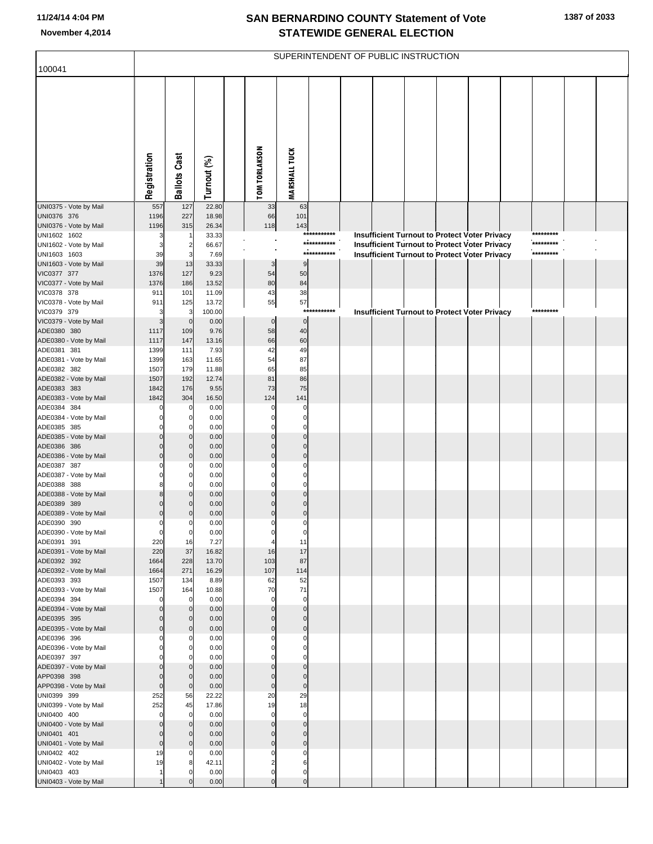|                                        |                            |                          |                 |                                    |                            |                            | SUPERINTENDENT OF PUBLIC INSTRUCTION |  |                                                      |                        |  |
|----------------------------------------|----------------------------|--------------------------|-----------------|------------------------------------|----------------------------|----------------------------|--------------------------------------|--|------------------------------------------------------|------------------------|--|
| 100041                                 |                            |                          |                 |                                    |                            |                            |                                      |  |                                                      |                        |  |
|                                        | Registration               | <b>Ballots Cast</b>      | Turnout (%)     | <b>TOM TORLAKSON</b>               | <b>MARSHALL TUCK</b>       |                            |                                      |  |                                                      |                        |  |
| UNI0375 - Vote by Mail                 | 557                        | $127$                    | 22.80           | 33                                 | 63                         |                            |                                      |  |                                                      |                        |  |
| UNI0376 376<br>UNI0376 - Vote by Mail  | 1196<br>1196               | 227<br>315               | 18.98<br>26.34  | 66<br>118                          | 101<br>143                 |                            |                                      |  |                                                      |                        |  |
| UNI1602 1602                           | З                          | -1                       | 33.33           |                                    |                            | ***********                |                                      |  | <b>Insufficient Turnout to Protect Voter Privacy</b> | *********              |  |
| UNI1602 - Vote by Mail                 | 3                          | $\overline{2}$           | 66.67           |                                    |                            | ***********<br>*********** |                                      |  | <b>Insufficient Turnout to Protect Voter Privacy</b> | *********<br>********* |  |
| UNI1603 1603<br>UNI1603 - Vote by Mail | 39<br>39                   | 3<br>13                  | 7.69<br>33.33   | 3                                  | $9\,$                      |                            |                                      |  | <b>Insufficient Turnout to Protect Voter Privacy</b> |                        |  |
| VIC0377 377                            | 1376                       | 127                      | 9.23            | 54                                 | 50                         |                            |                                      |  |                                                      |                        |  |
| VIC0377 - Vote by Mail                 | 1376                       | 186                      | 13.52           | 80                                 | 84                         |                            |                                      |  |                                                      |                        |  |
| VIC0378 378                            | 911                        | 101                      | 11.09           | 43                                 | 38                         |                            |                                      |  |                                                      |                        |  |
| VIC0378 - Vote by Mail<br>VIC0379 379  | 911<br>3                   | 125<br>3                 | 13.72<br>100.00 | 55                                 | 57                         | ***********                |                                      |  | <b>Insufficient Turnout to Protect Voter Privacy</b> | *********              |  |
| VIC0379 - Vote by Mail                 | 3                          | $\mathbf 0$              | 0.00            | $\bf{0}$                           | $\overline{0}$             |                            |                                      |  |                                                      |                        |  |
| ADE0380 380                            | 1117                       | 109                      | 9.76            | 58                                 | 40                         |                            |                                      |  |                                                      |                        |  |
| ADE0380 - Vote by Mail                 | 1117                       | 147                      | 13.16           | 66                                 | 60                         |                            |                                      |  |                                                      |                        |  |
| ADE0381 381<br>ADE0381 - Vote by Mail  | 1399<br>1399               | 111<br>163               | 7.93<br>11.65   | 42<br>54                           | 49<br>87                   |                            |                                      |  |                                                      |                        |  |
| ADE0382 382                            | 1507                       | 179                      | 11.88           | 65                                 | 85                         |                            |                                      |  |                                                      |                        |  |
| ADE0382 - Vote by Mail                 | 1507                       | 192                      | 12.74           | 81                                 | 86                         |                            |                                      |  |                                                      |                        |  |
| ADE0383 383                            | 1842                       | 176                      | 9.55            | 73                                 | 75                         |                            |                                      |  |                                                      |                        |  |
| ADE0383 - Vote by Mail<br>ADE0384 384  | 1842                       | 304<br>$\mathbf 0$       | 16.50<br>0.00   | 124<br>O                           | 141<br>0                   |                            |                                      |  |                                                      |                        |  |
| ADE0384 - Vote by Mail                 | $\Omega$                   | $\mathbf 0$              | 0.00            | O                                  | $\mathbf 0$                |                            |                                      |  |                                                      |                        |  |
| ADE0385 385                            | ŋ                          | $\Omega$                 | 0.00            |                                    | $\Omega$                   |                            |                                      |  |                                                      |                        |  |
| ADE0385 - Vote by Mail<br>ADE0386 386  | $\Omega$<br>$\Omega$       | $\mathbf{0}$<br>$\Omega$ | 0.00<br>0.00    | $\Omega$<br>$\Omega$               | $\Omega$<br>$\Omega$       |                            |                                      |  |                                                      |                        |  |
| ADE0386 - Vote by Mail                 | $\Omega$                   | $\mathbf 0$              | 0.00            | $\Omega$                           | $\mathbf 0$                |                            |                                      |  |                                                      |                        |  |
| ADE0387 387                            | ŋ                          | 0                        | 0.00            |                                    | $\Omega$                   |                            |                                      |  |                                                      |                        |  |
| ADE0387 - Vote by Mail                 | $\Omega$                   | $\mathbf 0$              | 0.00            | O                                  | $\Omega$                   |                            |                                      |  |                                                      |                        |  |
| ADE0388 388<br>ADE0388 - Vote by Mail  | 8<br>8                     | O<br>$\mathbf 0$         | 0.00<br>0.00    | O<br>$\Omega$                      | $\Omega$<br>$\Omega$       |                            |                                      |  |                                                      |                        |  |
| ADE0389 389                            | $\Omega$                   | n                        | 0.00            | O                                  | $\Omega$                   |                            |                                      |  |                                                      |                        |  |
| ADE0389 - Vote by Mail                 | $\mathbf 0$                | $\Omega$                 | 0.00            | $\Omega$                           | $\mathbf 0$                |                            |                                      |  |                                                      |                        |  |
| ADE0390 390                            | 0                          | 0                        | 0.00            | $\Omega$                           | 0                          |                            |                                      |  |                                                      |                        |  |
| ADE0390 - Vote by Mail<br>ADE0391 391  | $\mathbf 0$<br>220         | $\mathbf 0$<br>16        | 0.00<br>7.27    | $\boldsymbol{0}$<br>$\overline{4}$ | 0<br>11                    |                            |                                      |  |                                                      |                        |  |
| ADE0391 - Vote by Mail                 | 220                        | 37                       | 16.82           | 16                                 | 17                         |                            |                                      |  |                                                      |                        |  |
| ADE0392 392                            | 1664                       | 228                      | 13.70           | 103                                | 87                         |                            |                                      |  |                                                      |                        |  |
| ADE0392 - Vote by Mail<br>ADE0393 393  | 1664<br>1507               | 271<br>134               | 16.29<br>8.89   | 107<br>62                          | 114<br>52                  |                            |                                      |  |                                                      |                        |  |
| ADE0393 - Vote by Mail                 | 1507                       | 164                      | 10.88           | 70                                 | 71                         |                            |                                      |  |                                                      |                        |  |
| ADE0394 394                            | $\mathbf 0$                | $\mathbf 0$              | 0.00            | $\Omega$                           | $\mathbf 0$                |                            |                                      |  |                                                      |                        |  |
| ADE0394 - Vote by Mail                 | $\mathbf 0$                | $\mathbf{0}$             | 0.00            | $\mathbf 0$                        | $\mathbf 0$                |                            |                                      |  |                                                      |                        |  |
| ADE0395 395<br>ADE0395 - Vote by Mail  | $\mathbf 0$<br>$\mathbf 0$ | $\Omega$<br>$\mathbf 0$  | 0.00<br>0.00    | $\Omega$<br>$\mathbf 0$            | $\mathbf 0$<br>$\bf 0$     |                            |                                      |  |                                                      |                        |  |
| ADE0396 396                            | $\mathbf 0$                | 0                        | 0.00            | $\Omega$                           | $\mathbf 0$                |                            |                                      |  |                                                      |                        |  |
| ADE0396 - Vote by Mail                 | $\Omega$                   | $\mathbf 0$              | 0.00            | $\Omega$                           | $\mathbf 0$                |                            |                                      |  |                                                      |                        |  |
| ADE0397 397<br>ADE0397 - Vote by Mail  | 0<br>$\mathbf 0$           | O<br>$\mathbf 0$         | 0.00<br>0.00    | O<br>$\mathbf 0$                   | $\mathbf 0$<br>$\mathbf 0$ |                            |                                      |  |                                                      |                        |  |
| APP0398 398                            | $\mathbf 0$                | $\mathbf 0$              | 0.00            | $\Omega$                           | $\mathbf 0$                |                            |                                      |  |                                                      |                        |  |
| APP0398 - Vote by Mail                 | $\mathbf 0$                | $\mathbf 0$              | 0.00            | $\pmb{0}$                          | $\bf 0$                    |                            |                                      |  |                                                      |                        |  |
| UNI0399 399                            | 252                        | 56                       | 22.22           | 20                                 | 29                         |                            |                                      |  |                                                      |                        |  |
| UNI0399 - Vote by Mail<br>UNI0400 400  | 252<br>$\mathbf 0$         | 45<br>$\mathbf 0$        | 17.86<br>0.00   | 19<br>$\mathbf 0$                  | 18<br>$\mathbf 0$          |                            |                                      |  |                                                      |                        |  |
| UNI0400 - Vote by Mail                 | $\mathbf 0$                | $\mathbf{0}$             | 0.00            | $\mathbf 0$                        | $\mathbf 0$                |                            |                                      |  |                                                      |                        |  |
| UNI0401 401                            | $\mathbf 0$                | $\Omega$                 | 0.00            | $\Omega$                           | $\mathbf 0$                |                            |                                      |  |                                                      |                        |  |
| UNI0401 - Vote by Mail                 | $\mathbf 0$                | $\mathbf 0$              | 0.00            | $\mathbf 0$                        | $\bf 0$                    |                            |                                      |  |                                                      |                        |  |
| UNI0402 402<br>UNI0402 - Vote by Mail  | 19<br>19                   | 0<br>8                   | 0.00<br>42.11   | $\Omega$<br>$\overline{2}$         | $\mathbf 0$<br>6           |                            |                                      |  |                                                      |                        |  |
| UNI0403 403                            |                            | n                        | 0.00            | $\mathbf 0$                        | $\mathbf 0$                |                            |                                      |  |                                                      |                        |  |
| UNI0403 - Vote by Mail                 |                            | $\Omega$                 | 0.00            | $\Omega$                           | $\mathbf 0$                |                            |                                      |  |                                                      |                        |  |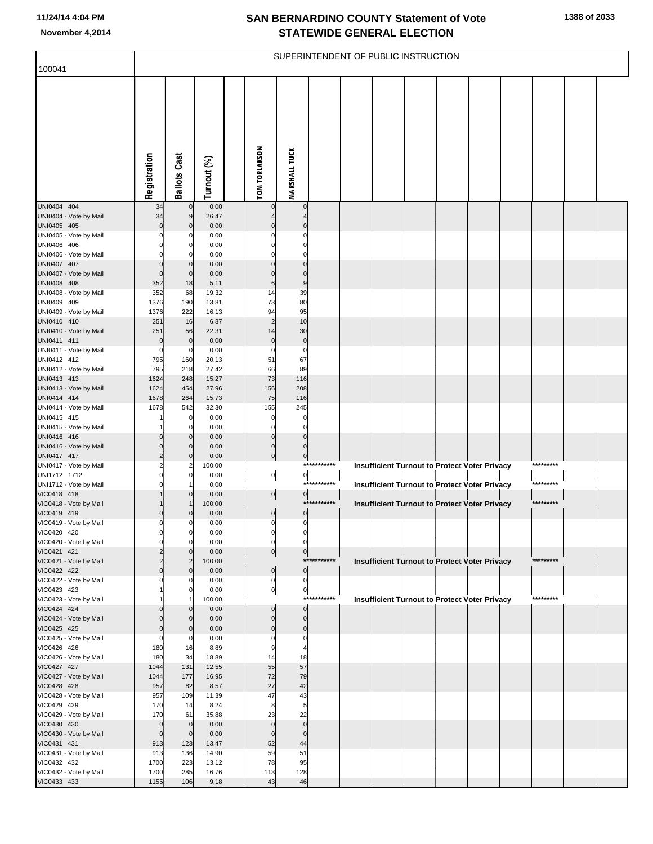| 100041                                |                            |                               |                |                                  |                                  |             | SUPERINTENDENT OF PUBLIC INSTRUCTION |  |                                                      |           |  |
|---------------------------------------|----------------------------|-------------------------------|----------------|----------------------------------|----------------------------------|-------------|--------------------------------------|--|------------------------------------------------------|-----------|--|
|                                       |                            |                               |                |                                  |                                  |             |                                      |  |                                                      |           |  |
|                                       | Registration               | <b>Ballots Cast</b>           | Turnout (%)    | <b>TOM TORLAKSON</b>             | <b>MARSHALL TUCK</b>             |             |                                      |  |                                                      |           |  |
| UNI0404 404                           | 34                         | $\mathbf 0$                   | 0.00           |                                  | $\mathbf 0$                      |             |                                      |  |                                                      |           |  |
| UNI0404 - Vote by Mail                | 34                         | $9\,$                         | 26.47          |                                  | 4                                |             |                                      |  |                                                      |           |  |
| UNI0405 405<br>UNI0405 - Vote by Mail | $\Omega$                   | $\mathbf 0$<br>0              | 0.00<br>0.00   | $\Omega$                         | $\mathbf 0$<br>0                 |             |                                      |  |                                                      |           |  |
| UNI0406 406                           |                            | 0                             | 0.00           |                                  | 0                                |             |                                      |  |                                                      |           |  |
| UNI0406 - Vote by Mail                |                            | $\Omega$                      | 0.00           |                                  | $\Omega$                         |             |                                      |  |                                                      |           |  |
| UNI0407 407                           | 0                          | $\mathbf 0$                   | 0.00           | $\Omega$                         | $\overline{0}$                   |             |                                      |  |                                                      |           |  |
| UNI0407 - Vote by Mail                | $\mathbf 0$                | $\mathbf 0$                   | 0.00           | $\Omega$                         | $\mathbf 0$                      |             |                                      |  |                                                      |           |  |
| UNI0408 408                           | 352                        | 18                            | 5.11           | 6                                | 9                                |             |                                      |  |                                                      |           |  |
| UNI0408 - Vote by Mail<br>UNI0409 409 | 352<br>1376                | 68<br>190                     | 19.32<br>13.81 | 14<br>73                         | 39<br>80                         |             |                                      |  |                                                      |           |  |
| UNI0409 - Vote by Mail                | 1376                       | 222                           | 16.13          | 94                               | 95                               |             |                                      |  |                                                      |           |  |
| UNI0410 410                           | 251                        | 16                            | 6.37           | $\overline{2}$                   | 10                               |             |                                      |  |                                                      |           |  |
| UNI0410 - Vote by Mail                | 251                        | 56                            | 22.31          | 14                               | 30                               |             |                                      |  |                                                      |           |  |
| UNI0411 411                           | $\mathbf 0$                | $\mathbf 0$                   | 0.00           | $\pmb{0}$                        | $\pmb{0}$                        |             |                                      |  |                                                      |           |  |
| UNI0411 - Vote by Mail                | $\mathbf 0$                | $\mathbf 0$                   | 0.00           | 0                                | 0                                |             |                                      |  |                                                      |           |  |
| UNI0412 412<br>UNI0412 - Vote by Mail | 795<br>795                 | 160<br>218                    | 20.13<br>27.42 | 51<br>66                         | 67<br>89                         |             |                                      |  |                                                      |           |  |
| UNI0413 413                           | 1624                       | 248                           | 15.27          | 73                               | 116                              |             |                                      |  |                                                      |           |  |
| UNI0413 - Vote by Mail                | 1624                       | 454                           | 27.96          | 156                              | 208                              |             |                                      |  |                                                      |           |  |
| UNI0414 414                           | 1678                       | 264                           | 15.73          | 75                               | 116                              |             |                                      |  |                                                      |           |  |
| UNI0414 - Vote by Mail                | 1678                       | 542                           | 32.30          | 155                              | 245                              |             |                                      |  |                                                      |           |  |
| UNI0415 415                           |                            | 0                             | 0.00           | 0<br>$\Omega$                    | 0                                |             |                                      |  |                                                      |           |  |
| UNI0415 - Vote by Mail<br>UNI0416 416 | 0                          | 0<br>$\mathbf 0$              | 0.00<br>0.00   | $\overline{0}$                   | 0<br>$\overline{0}$              |             |                                      |  |                                                      |           |  |
| UNI0416 - Vote by Mail                | $\Omega$                   | $\mathbf 0$                   | 0.00           | $\overline{0}$                   | $\overline{0}$                   |             |                                      |  |                                                      |           |  |
| UNI0417 417                           | 2                          | $\mathbf 0$                   | 0.00           | $\overline{0}$                   | $\overline{0}$                   |             |                                      |  |                                                      |           |  |
| UNI0417 - Vote by Mail                | 2                          | 2                             | 100.00         |                                  |                                  | *********** |                                      |  | <b>Insufficient Turnout to Protect Voter Privacy</b> | ********* |  |
| UNI1712 1712                          | $\Omega$<br>$\Omega$       | 0                             | 0.00           | $\mathbf{0}$                     | $\mathbf{0}$                     | *********** |                                      |  |                                                      | ********* |  |
| UNI1712 - Vote by Mail<br>VIC0418 418 |                            | $\mathbf 0$                   | 0.00<br>0.00   | $\overline{0}$                   | $\mathbf{0}$                     |             |                                      |  | <b>Insufficient Turnout to Protect Voter Privacy</b> |           |  |
| VIC0418 - Vote by Mail                |                            |                               | 100.00         |                                  |                                  | *********** |                                      |  | <b>Insufficient Turnout to Protect Voter Privacy</b> | ********* |  |
| VIC0419 419                           | $\Omega$                   | 0                             | 0.00           | $\overline{0}$                   | $\overline{0}$                   |             |                                      |  |                                                      |           |  |
| VIC0419 - Vote by Mail                | 0                          | 0                             | 0.00           | $\overline{0}$                   | $\overline{0}$                   |             |                                      |  |                                                      |           |  |
| VIC0420 420                           |                            |                               | 0.00           |                                  |                                  |             |                                      |  |                                                      |           |  |
| VIC0420 - Vote by Mail<br>VIC0421 421 | 0<br>2                     | 0<br>$\mathbf 0$              | 0.00<br>0.00   | $\overline{0}$<br>$\overline{0}$ | $\overline{0}$<br>$\overline{0}$ |             |                                      |  |                                                      |           |  |
| VIC0421 - Vote by Mail                | 2                          | $\overline{2}$                | 100.00         |                                  |                                  | *********** |                                      |  | Insufficient Turnout to Protect Voter Privacy        | ********* |  |
| VIC0422 422                           | $\Omega$                   | $\mathbf 0$                   | 0.00           | $\overline{0}$                   | $\overline{0}$                   |             |                                      |  |                                                      |           |  |
| VIC0422 - Vote by Mail                |                            | 0                             | 0.00           | $\overline{0}$                   | $\overline{0}$                   |             |                                      |  |                                                      |           |  |
| VIC0423 423                           |                            | 0                             | 0.00           | $\mathbf{0}$                     | $\overline{0}$                   | *********** |                                      |  |                                                      | ********* |  |
| VIC0423 - Vote by Mail<br>VIC0424 424 |                            | 0                             | 100.00<br>0.00 | $\mathbf 0$                      | $\overline{0}$                   |             |                                      |  | Insufficient Turnout to Protect Voter Privacy        |           |  |
| VIC0424 - Vote by Mail                | O                          | $\mathbf 0$                   | 0.00           | $\mathbf 0$                      | $\overline{0}$                   |             |                                      |  |                                                      |           |  |
| VIC0425 425                           | 0                          | $\mathbf 0$                   | 0.00           | $\Omega$                         | $\overline{0}$                   |             |                                      |  |                                                      |           |  |
| VIC0425 - Vote by Mail                | 0                          | 0                             | 0.00           |                                  | 0                                |             |                                      |  |                                                      |           |  |
| VIC0426 426                           | 180                        | 16                            | 8.89           |                                  |                                  |             |                                      |  |                                                      |           |  |
| VIC0426 - Vote by Mail                | 180                        | 34                            | 18.89          | 14<br>55                         | 18<br>57                         |             |                                      |  |                                                      |           |  |
| VIC0427 427<br>VIC0427 - Vote by Mail | 1044<br>1044               | 131<br>177                    | 12.55<br>16.95 | 72                               | 79                               |             |                                      |  |                                                      |           |  |
| VIC0428 428                           | 957                        | 82                            | 8.57           | 27                               | 42                               |             |                                      |  |                                                      |           |  |
| VIC0428 - Vote by Mail                | 957                        | 109                           | 11.39          | 47                               | 43                               |             |                                      |  |                                                      |           |  |
| VIC0429 429                           | 170                        | 14                            | 8.24           | 8                                | 5                                |             |                                      |  |                                                      |           |  |
| VIC0429 - Vote by Mail                | 170                        | 61                            | 35.88          | 23                               | 22                               |             |                                      |  |                                                      |           |  |
| VIC0430 430<br>VIC0430 - Vote by Mail | $\mathbf 0$<br>$\mathbf 0$ | $\overline{0}$<br>$\mathbf 0$ | 0.00<br>0.00   | $\mathbf 0$<br>$\mathbf{0}$      | $\mathbf 0$<br>$\mathbf 0$       |             |                                      |  |                                                      |           |  |
| VIC0431 431                           | 913                        | 123                           | 13.47          | 52                               | 44                               |             |                                      |  |                                                      |           |  |
| VIC0431 - Vote by Mail                | 913                        | 136                           | 14.90          | 59                               | 51                               |             |                                      |  |                                                      |           |  |
| VIC0432 432                           | 1700                       | 223                           | 13.12          | 78                               | 95                               |             |                                      |  |                                                      |           |  |
| VIC0432 - Vote by Mail                | 1700                       | 285                           | 16.76          | 113                              | 128                              |             |                                      |  |                                                      |           |  |
| VIC0433 433                           | 1155                       | 106                           | 9.18           | 43                               | 46                               |             |                                      |  |                                                      |           |  |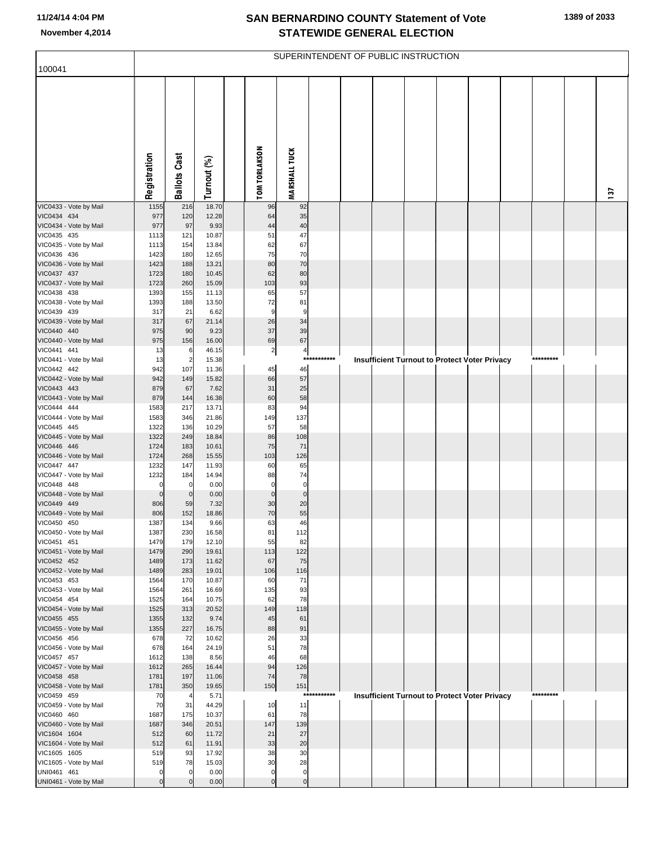| 100041                                 |              |                       |                |                      |                      |             | SUPERINTENDENT OF PUBLIC INSTRUCTION |  |                                                      |  |           |     |
|----------------------------------------|--------------|-----------------------|----------------|----------------------|----------------------|-------------|--------------------------------------|--|------------------------------------------------------|--|-----------|-----|
|                                        | Registration | <b>Ballots Cast</b>   | Turnout (%)    | <b>TOM TORLAKSON</b> | <b>MARSHALL TUCK</b> |             |                                      |  |                                                      |  |           | 137 |
| VIC0433 - Vote by Mail<br>VIC0434 434  | 1155<br>977  | 216<br>120            | 18.70<br>12.28 | 96<br>64             | 92<br>35             |             |                                      |  |                                                      |  |           |     |
| VIC0434 - Vote by Mail                 | 977          | 97                    | 9.93           | 44                   | 40                   |             |                                      |  |                                                      |  |           |     |
| VIC0435 435                            | 1113         | 121                   | 10.87          | 51                   | 47                   |             |                                      |  |                                                      |  |           |     |
| VIC0435 - Vote by Mail                 | 1113         | 154                   | 13.84          | 62                   | 67                   |             |                                      |  |                                                      |  |           |     |
| VIC0436 436<br>VIC0436 - Vote by Mail  | 1423<br>1423 | 180<br>188            | 12.65<br>13.21 | 75<br>80             | 70<br>70             |             |                                      |  |                                                      |  |           |     |
| VIC0437 437                            | 1723         | 180                   | 10.45          | 62                   | 80                   |             |                                      |  |                                                      |  |           |     |
| VIC0437 - Vote by Mail                 | 1723         | 260                   | 15.09          | 103                  | 93                   |             |                                      |  |                                                      |  |           |     |
| VIC0438 438                            | 1393         | 155                   | 11.13          | 65                   | 57                   |             |                                      |  |                                                      |  |           |     |
| VIC0438 - Vote by Mail<br>VIC0439 439  | 1393<br>317  | 188<br>21             | 13.50<br>6.62  | 72<br>9              | 81<br>9              |             |                                      |  |                                                      |  |           |     |
| VIC0439 - Vote by Mail                 | 317          | 67                    | 21.14          | 26                   | 34                   |             |                                      |  |                                                      |  |           |     |
| VIC0440 440                            | 975          | 90                    | 9.23           | 37                   | 39                   |             |                                      |  |                                                      |  |           |     |
| VIC0440 - Vote by Mail                 | 975          | 156                   | 16.00          | 69                   | 67                   |             |                                      |  |                                                      |  |           |     |
| VIC0441 441                            | 13           | 6                     | 46.15          | $\mathbf{2}$         | $\overline{a}$       |             |                                      |  |                                                      |  | ********* |     |
| VIC0441 - Vote by Mail<br>VIC0442 442  | 13<br>942    | $\overline{2}$<br>107 | 15.38<br>11.36 | 45                   | 46                   | *********** |                                      |  | Insufficient Turnout to Protect Voter Privacy        |  |           |     |
| VIC0442 - Vote by Mail                 | 942          | 149                   | 15.82          | 66                   | 57                   |             |                                      |  |                                                      |  |           |     |
| VIC0443 443                            | 879          | 67                    | 7.62           | 31                   | 25                   |             |                                      |  |                                                      |  |           |     |
| VIC0443 - Vote by Mail                 | 879          | 144                   | 16.38          | 60                   | 58                   |             |                                      |  |                                                      |  |           |     |
| VIC0444 444                            | 1583         | 217                   | 13.71          | 83                   | 94                   |             |                                      |  |                                                      |  |           |     |
| VIC0444 - Vote by Mail<br>VIC0445 445  | 1583<br>1322 | 346<br>136            | 21.86<br>10.29 | 149<br>57            | 137<br>58            |             |                                      |  |                                                      |  |           |     |
| VIC0445 - Vote by Mail                 | 1322         | 249                   | 18.84          | 86                   | 108                  |             |                                      |  |                                                      |  |           |     |
| VIC0446 446                            | 1724         | 183                   | 10.61          | 75                   | 71                   |             |                                      |  |                                                      |  |           |     |
| VIC0446 - Vote by Mail                 | 1724         | 268                   | 15.55          | 103                  | 126                  |             |                                      |  |                                                      |  |           |     |
| VIC0447 447<br>VIC0447 - Vote by Mail  | 1232<br>1232 | 147<br>184            | 11.93<br>14.94 | 60<br>88             | 65<br>74             |             |                                      |  |                                                      |  |           |     |
| VIC0448 448                            | 0            | $\mathbf 0$           | 0.00           | $\mathbf 0$          | $\mathbf 0$          |             |                                      |  |                                                      |  |           |     |
| VIC0448 - Vote by Mail                 | $\mathbf 0$  | $\mathbf 0$           | 0.00           | $\mathbf 0$          | $\pmb{0}$            |             |                                      |  |                                                      |  |           |     |
| VIC0449 449                            | 806          | 59                    | 7.32           | 30                   | 20                   |             |                                      |  |                                                      |  |           |     |
| VIC0449 - Vote by Mail                 | 806          | 152                   | 18.86          | 70                   | 55                   |             |                                      |  |                                                      |  |           |     |
| VIC0450 450<br>VIC0450 - Vote by Mail  | 1387<br>1387 | 134<br>230            | 9.66<br>16.58  | 63<br>81             | 46<br>112            |             |                                      |  |                                                      |  |           |     |
| VIC0451 451                            | 1479         | 179                   | 12.10          | 55                   | 82                   |             |                                      |  |                                                      |  |           |     |
| VIC0451 - Vote by Mail                 | 1479         | 290                   | 19.61          | 113                  | 122                  |             |                                      |  |                                                      |  |           |     |
| VIC0452 452                            | 1489         | 173                   | 11.62          | 67                   | 75                   |             |                                      |  |                                                      |  |           |     |
| VIC0452 - Vote by Mail<br>VIC0453 453  | 1489<br>1564 | 283<br>170            | 19.01<br>10.87 | 106<br>60            | 116<br>71            |             |                                      |  |                                                      |  |           |     |
| VIC0453 - Vote by Mail                 | 1564         | 261                   | 16.69          | 135                  | 93                   |             |                                      |  |                                                      |  |           |     |
| VIC0454 454                            | 1525         | 164                   | 10.75          | 62                   | 78                   |             |                                      |  |                                                      |  |           |     |
| VIC0454 - Vote by Mail                 | 1525         | 313                   | 20.52          | 149                  | 118                  |             |                                      |  |                                                      |  |           |     |
| VIC0455 455                            | 1355         | 132                   | 9.74           | 45                   | 61                   |             |                                      |  |                                                      |  |           |     |
| VIC0455 - Vote by Mail<br>VIC0456 456  | 1355<br>678  | 227<br>72             | 16.75<br>10.62 | 88<br>26             | 91<br>33             |             |                                      |  |                                                      |  |           |     |
| VIC0456 - Vote by Mail                 | 678          | 164                   | 24.19          | 51                   | 78                   |             |                                      |  |                                                      |  |           |     |
| VIC0457 457                            | 1612         | 138                   | 8.56           | 46                   | 68                   |             |                                      |  |                                                      |  |           |     |
| VIC0457 - Vote by Mail                 | 1612         | 265                   | 16.44          | 94                   | 126                  |             |                                      |  |                                                      |  |           |     |
| VIC0458 458                            | 1781         | 197                   | 11.06          | 74                   | 78                   |             |                                      |  |                                                      |  |           |     |
| VIC0458 - Vote by Mail<br>VIC0459 459  | 1781<br>70   | 350<br>$\overline{4}$ | 19.65<br>5.71  | 150                  | 151<br>***           | *******     |                                      |  | <b>Insufficient Turnout to Protect Voter Privacy</b> |  | ********* |     |
| VIC0459 - Vote by Mail                 | 70           | 31                    | 44.29          | 10                   | 11                   |             |                                      |  |                                                      |  |           |     |
| VIC0460 460                            | 1687         | 175                   | 10.37          | 61                   | 78                   |             |                                      |  |                                                      |  |           |     |
| VIC0460 - Vote by Mail                 | 1687         | 346                   | 20.51          | 147                  | 139                  |             |                                      |  |                                                      |  |           |     |
| VIC1604 1604                           | 512          | 60                    | 11.72          | 21                   | 27                   |             |                                      |  |                                                      |  |           |     |
| VIC1604 - Vote by Mail<br>VIC1605 1605 | 512<br>519   | 61<br>93              | 11.91<br>17.92 | 33<br>38             | 20<br>30             |             |                                      |  |                                                      |  |           |     |
| VIC1605 - Vote by Mail                 | 519          | 78                    | 15.03          | 30                   | 28                   |             |                                      |  |                                                      |  |           |     |
| UNI0461 461                            | 0            | 0                     | 0.00           | $\mathbf 0$          | $\pmb{0}$            |             |                                      |  |                                                      |  |           |     |
| UNI0461 - Vote by Mail                 | $\mathbf 0$  | $\mathbf 0$           | 0.00           | $\mathbf 0$          | $\pmb{0}$            |             |                                      |  |                                                      |  |           |     |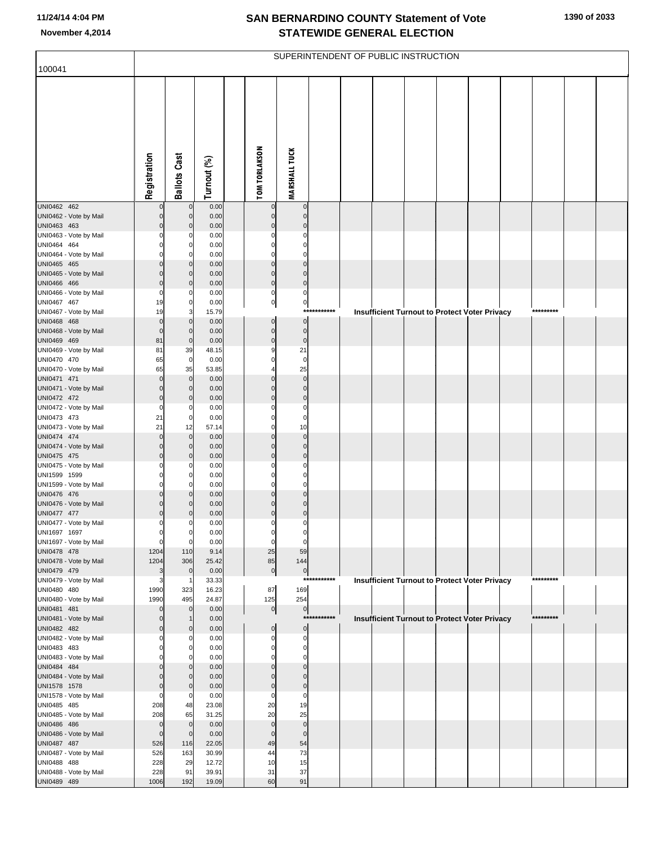|                                        |                            |                                  |                |                                  |                             |             | SUPERINTENDENT OF PUBLIC INSTRUCTION                 |  |  |           |  |
|----------------------------------------|----------------------------|----------------------------------|----------------|----------------------------------|-----------------------------|-------------|------------------------------------------------------|--|--|-----------|--|
| 100041                                 |                            |                                  |                |                                  |                             |             |                                                      |  |  |           |  |
|                                        | Registration               | <b>Ballots Cast</b>              | Turnout (%)    | <b>TOM TORLAKSON</b>             | <b>MARSHALL TUCK</b>        |             |                                                      |  |  |           |  |
| UNI0462 462                            |                            | $\mathbf 0$                      | 0.00           | $\pmb{0}$                        | $\mathbf 0$                 |             |                                                      |  |  |           |  |
| UNI0462 - Vote by Mail<br>UNI0463 463  | $\mathbf 0$<br>$\mathbf 0$ | $\overline{0}$<br>$\overline{0}$ | 0.00<br>0.00   | $\mathbf 0$<br>$\mathbf 0$       | $\mathbf 0$<br>$\mathbf{0}$ |             |                                                      |  |  |           |  |
| UNI0463 - Vote by Mail                 | $\Omega$                   | 0                                | 0.00           | $\mathbf 0$                      | $\Omega$                    |             |                                                      |  |  |           |  |
| UNI0464 464                            | 0                          | $\overline{0}$                   | 0.00           | $\mathbf 0$                      | $\mathbf 0$                 |             |                                                      |  |  |           |  |
| UNI0464 - Vote by Mail                 |                            | $\mathbf 0$                      | 0.00           | $\mathbf 0$                      | $\mathbf 0$                 |             |                                                      |  |  |           |  |
| UNI0465 465<br>UNI0465 - Vote by Mail  | $\Omega$<br>$\Omega$       | $\overline{0}$<br>$\mathbf 0$    | 0.00<br>0.00   | $\mathbf 0$<br>$\mathbf 0$       | $\mathbf 0$<br>$\mathbf 0$  |             |                                                      |  |  |           |  |
| UNI0466 466                            | $\mathbf 0$                | $\overline{0}$                   | 0.00           | $\circ$                          | $\mathbf 0$                 |             |                                                      |  |  |           |  |
| UNI0466 - Vote by Mail                 | 0                          | 0                                | 0.00           | $\mathbf 0$                      | $\pmb{0}$                   |             |                                                      |  |  |           |  |
| UNI0467 467<br>UNI0467 - Vote by Mail  | 19<br>19                   | $\overline{0}$<br>3              | 0.00<br>15.79  | $\overline{0}$                   | $\mathbf 0$                 | *********** |                                                      |  |  | ********* |  |
| UNI0468 468                            | $\mathbf 0$                | $\overline{0}$                   | 0.00           | $\pmb{0}$                        | $\mathbf 0$                 |             | <b>Insufficient Turnout to Protect Voter Privacy</b> |  |  |           |  |
| UNI0468 - Vote by Mail                 | $\mathbf 0$                | $\overline{0}$                   | 0.00           | $\overline{0}$                   | $\pmb{0}$                   |             |                                                      |  |  |           |  |
| UNI0469 469                            | 81                         | $\overline{0}$                   | 0.00           | $\overline{0}$                   | $\pmb{0}$                   |             |                                                      |  |  |           |  |
| UNI0469 - Vote by Mail<br>UNI0470 470  | 81<br>65                   | 39<br>$\mathbf 0$                | 48.15<br>0.00  | $\boldsymbol{9}$<br>$\mathbf 0$  | 21<br>$\mathbf 0$           |             |                                                      |  |  |           |  |
| UNI0470 - Vote by Mail                 | 65                         | 35                               | 53.85          | 4                                | 25                          |             |                                                      |  |  |           |  |
| UNI0471 471                            | $\Omega$                   | $\overline{0}$                   | 0.00           | $\mathbf 0$                      | $\mathbf 0$                 |             |                                                      |  |  |           |  |
| UNI0471 - Vote by Mail                 | $\mathbf 0$                | $\overline{0}$                   | 0.00           | $\mathbf 0$                      | $\pmb{0}$                   |             |                                                      |  |  |           |  |
| UNI0472 472<br>UNI0472 - Vote by Mail  | $\mathbf 0$<br>0           | $\overline{0}$<br>0              | 0.00<br>0.00   | $\mathbf 0$<br>$\mathbf 0$       | $\mathbf 0$<br>$\mathbf 0$  |             |                                                      |  |  |           |  |
| UNI0473 473                            | 21                         | $\mathbf 0$                      | 0.00           | $\mathbf 0$                      | $\mathbf 0$                 |             |                                                      |  |  |           |  |
| UNI0473 - Vote by Mail                 | 21                         | 12                               | 57.14          | $\mathbf 0$                      | 10                          |             |                                                      |  |  |           |  |
| UNI0474 474<br>UNI0474 - Vote by Mail  | $\Omega$<br>$\mathbf 0$    | $\overline{0}$<br>$\overline{0}$ | 0.00<br>0.00   | $\mathbf 0$<br>$\mathbf 0$       | $\mathbf 0$<br>$\mathbf 0$  |             |                                                      |  |  |           |  |
| UNI0475 475                            | $\mathbf 0$                | $\overline{0}$                   | 0.00           | $\mathbf 0$                      | $\mathbf 0$                 |             |                                                      |  |  |           |  |
| UNI0475 - Vote by Mail                 | 0                          | 0                                | 0.00           | $\mathbf 0$                      | 0                           |             |                                                      |  |  |           |  |
| UNI1599 1599                           | 0                          | $\overline{0}$                   | 0.00           | $\mathbf 0$                      | $\mathbf 0$                 |             |                                                      |  |  |           |  |
| UNI1599 - Vote by Mail<br>UNI0476 476  | 0<br>$\Omega$              | $\mathbf 0$<br>$\overline{0}$    | 0.00<br>0.00   | $\mathbf 0$<br>$\mathbf 0$       | $\mathbf 0$<br>$\mathbf 0$  |             |                                                      |  |  |           |  |
| UNI0476 - Vote by Mail                 | $\Omega$                   | $\mathbf 0$                      | 0.00           | $\mathbf 0$                      | $\mathbf 0$                 |             |                                                      |  |  |           |  |
| UNI0477 477                            | $\mathbf 0$                | $\mathbf 0$                      | 0.00           | $\mathbf 0$                      | $\mathbf 0$                 |             |                                                      |  |  |           |  |
| UNI0477 - Vote by Mail                 | 0                          | 0                                | 0.00           | $\mathbf 0$                      | 0                           |             |                                                      |  |  |           |  |
| UNI1697 1697<br>UNI1697 - Vote by Mail | 0<br>0                     | $\overline{0}$<br>$\mathbf 0$    | 0.00<br>0.00   | $\overline{0}$<br>$\overline{0}$ | 0<br>$\mathbf 0$            |             |                                                      |  |  |           |  |
| UNI0478 478                            | 1204                       | 110                              | 9.14           | 25                               | 59                          |             |                                                      |  |  |           |  |
| UNI0478 - Vote by Mail                 | 1204                       | 306                              | 25.42          | 85                               | 144                         |             |                                                      |  |  |           |  |
| UNI0479 479<br>UNI0479 - Vote by Mail  | 3<br>3                     | $\mathbf 0$<br>-1                | 0.00<br>33.33  | $\circ$                          | $\mathbf 0$                 | *********** | <b>Insufficient Turnout to Protect Voter Privacy</b> |  |  | ********* |  |
| UNI0480 480                            | 1990                       | 323                              | 16.23          | 87                               | 169                         |             |                                                      |  |  |           |  |
| UNI0480 - Vote by Mail                 | 1990                       | 495                              | 24.87          | 125                              | 254                         |             |                                                      |  |  |           |  |
| UNI0481 481<br>UNI0481 - Vote by Mail  | $\Omega$<br>$\Omega$       | $\overline{0}$                   | 0.00<br>0.00   | $\circ$                          | $\mathbf 0$                 | *********** | <b>Insufficient Turnout to Protect Voter Privacy</b> |  |  | ********* |  |
| UNI0482 482                            | $\mathbf 0$                | $\mathbf 0$                      | 0.00           | $\pmb{0}$                        | $\boldsymbol{0}$            |             |                                                      |  |  |           |  |
| UNI0482 - Vote by Mail                 | 0                          | 0                                | 0.00           | $\mathbf 0$                      | 0                           |             |                                                      |  |  |           |  |
| UNI0483 483<br>UNI0483 - Vote by Mail  | 0<br>ŋ                     | $\mathbf 0$<br>0                 | 0.00<br>0.00   | $\mathbf 0$<br>$\mathbf 0$       | $\pmb{0}$<br>$\mathbf 0$    |             |                                                      |  |  |           |  |
| UNI0484 484                            | 0                          | $\mathbf 0$                      | 0.00           | $\mathbf 0$                      | $\mathbf 0$                 |             |                                                      |  |  |           |  |
| UNI0484 - Vote by Mail                 | 0                          | $\mathbf 0$                      | 0.00           | $\mathbf 0$                      | $\mathbf 0$                 |             |                                                      |  |  |           |  |
| UNI1578 1578                           | $\mathbf 0$                | $\mathbf 0$                      | 0.00           | $\mathbf 0$                      | $\mathbf 0$                 |             |                                                      |  |  |           |  |
| UNI1578 - Vote by Mail<br>UNI0485 485  | 0<br>208                   | $\mathbf 0$<br>48                | 0.00<br>23.08  | $\mathbf 0$<br>20                | $\mathbf 0$<br>19           |             |                                                      |  |  |           |  |
| UNI0485 - Vote by Mail                 | 208                        | 65                               | 31.25          | 20                               | 25                          |             |                                                      |  |  |           |  |
| UNI0486 486                            | $\mathbf 0$                | $\overline{0}$                   | 0.00           | $\mathbf 0$                      | $\mathbf 0$                 |             |                                                      |  |  |           |  |
| UNI0486 - Vote by Mail                 | $\mathbf 0$                | $\mathbf 0$                      | 0.00           | $\pmb{0}$                        | $\mathbf 0$                 |             |                                                      |  |  |           |  |
| UNI0487 487<br>UNI0487 - Vote by Mail  | 526<br>526                 | 116<br>163                       | 22.05<br>30.99 | 49<br>44                         | 54<br>73                    |             |                                                      |  |  |           |  |
| UNI0488 488                            | 228                        | 29                               | 12.72          | 10                               | 15                          |             |                                                      |  |  |           |  |
| UNI0488 - Vote by Mail                 | 228                        | 91                               | 39.91          | 31                               | 37                          |             |                                                      |  |  |           |  |
| UNI0489 489                            | 1006                       | 192                              | 19.09          | 60                               | 91                          |             |                                                      |  |  |           |  |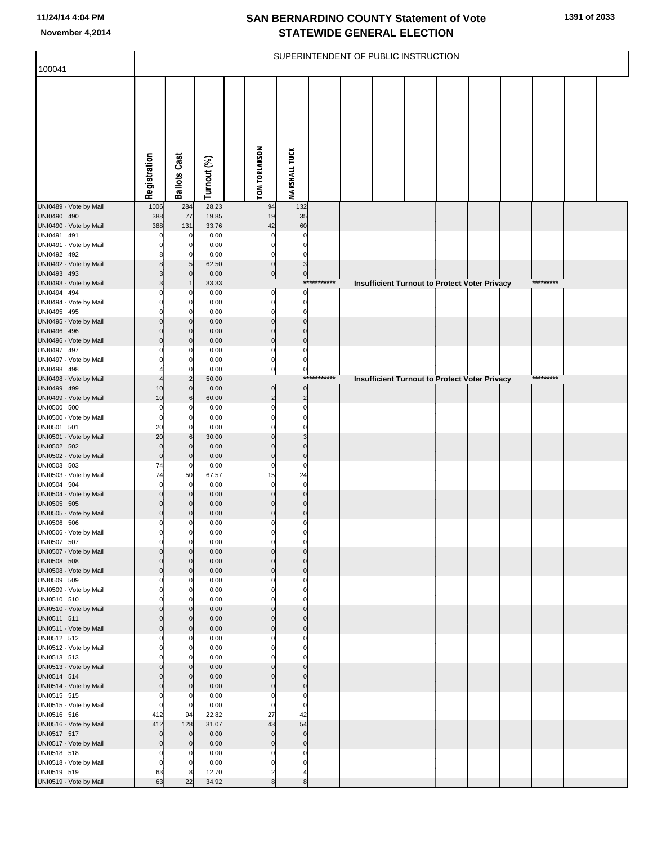|                                       |                            |                               |                |                            |                            |             | SUPERINTENDENT OF PUBLIC INSTRUCTION |  |                                               |           |  |
|---------------------------------------|----------------------------|-------------------------------|----------------|----------------------------|----------------------------|-------------|--------------------------------------|--|-----------------------------------------------|-----------|--|
| 100041                                |                            |                               |                |                            |                            |             |                                      |  |                                               |           |  |
|                                       | Registration               | <b>Ballots Cast</b>           | Turnout (%)    | <b>TOM TORLAKSON</b>       | <b>MARSHALL TUCK</b>       |             |                                      |  |                                               |           |  |
| UNI0489 - Vote by Mail                | 1006                       | 284                           | 28.23          | 94                         | 132                        |             |                                      |  |                                               |           |  |
| UNI0490 490<br>UNI0490 - Vote by Mail | 388<br>388                 | 77<br>131                     | 19.85<br>33.76 | 19<br>42                   | 35<br>60                   |             |                                      |  |                                               |           |  |
| UNI0491 491                           | $\Omega$                   | $\mathbf 0$                   | 0.00           | $\mathbf 0$                | 0                          |             |                                      |  |                                               |           |  |
| UNI0491 - Vote by Mail                | $\Omega$                   | $\mathbf 0$                   | 0.00           | $\mathbf 0$                | $\mathbf 0$                |             |                                      |  |                                               |           |  |
| UNI0492 492                           |                            | $\Omega$                      | 0.00           | $\mathbf 0$                | $\mathbf 0$                |             |                                      |  |                                               |           |  |
| UNI0492 - Vote by Mail                | 8                          | 5                             | 62.50          | $\pmb{0}$                  | 3                          |             |                                      |  |                                               |           |  |
| UNI0493 493                           | 3                          | $\overline{0}$                | 0.00           | $\overline{0}$             | $\overline{0}$             | *********** |                                      |  |                                               | ********* |  |
| UNI0493 - Vote by Mail<br>UNI0494 494 | 3<br>O                     | $\mathbf{0}$                  | 33.33<br>0.00  | 0                          | $\mathbf 0$                |             |                                      |  | Insufficient Turnout to Protect Voter Privacy |           |  |
| UNI0494 - Vote by Mail                | $\Omega$                   | 0                             | 0.00           | $\pmb{0}$                  | $\mathbf 0$                |             |                                      |  |                                               |           |  |
| UNI0495 495                           |                            | $\Omega$                      | 0.00           | $\mathbf 0$                | $\mathbf 0$                |             |                                      |  |                                               |           |  |
| UNI0495 - Vote by Mail                | $\mathbf 0$                | $\overline{0}$                | 0.00           | $\mathbf 0$                | $\mathbf 0$                |             |                                      |  |                                               |           |  |
| UNI0496 496                           | $\Omega$                   | $\overline{0}$                | 0.00           | $\mathbf 0$                | $\Omega$                   |             |                                      |  |                                               |           |  |
| UNI0496 - Vote by Mail<br>UNI0497 497 | $\Omega$<br>O              | $\overline{0}$<br>$\Omega$    | 0.00<br>0.00   | $\mathbf 0$<br>$\mathbf 0$ | $\mathbf 0$<br>$\mathbf 0$ |             |                                      |  |                                               |           |  |
| UNI0497 - Vote by Mail                |                            | 0                             | 0.00           | $\mathbf 0$                | $\mathbf 0$                |             |                                      |  |                                               |           |  |
| UNI0498 498                           |                            | $\Omega$                      | 0.00           | $\pmb{0}$                  | $\pmb{0}$                  |             |                                      |  |                                               |           |  |
| UNI0498 - Vote by Mail                |                            |                               | 50.00          |                            |                            | *********** |                                      |  | Insufficient Turnout to Protect Voter Privacy | ********* |  |
| UNI0499 499                           | 10                         | $\overline{0}$                | 0.00           | $\pmb{0}$                  | $\pmb{0}$                  |             |                                      |  |                                               |           |  |
| UNI0499 - Vote by Mail<br>UNI0500 500 | 10                         | 6<br>$\mathbf{0}$             | 60.00          | $\overline{2}$<br>$\Omega$ | $\overline{c}$             |             |                                      |  |                                               |           |  |
| UNI0500 - Vote by Mail                | 0<br>$\mathbf 0$           | 0                             | 0.00<br>0.00   | $\Omega$                   | $\mathbf 0$<br>$\mathbf 0$ |             |                                      |  |                                               |           |  |
| UNI0501 501                           | 20                         | $\Omega$                      | 0.00           | C                          | $\Omega$                   |             |                                      |  |                                               |           |  |
| UNI0501 - Vote by Mail                | 20                         | $6 \mid$                      | 30.00          | $\Omega$                   | 3                          |             |                                      |  |                                               |           |  |
| UNI0502 502                           | $\mathbf 0$                | $\mathbf{0}$                  | 0.00           | $\Omega$                   | $\Omega$                   |             |                                      |  |                                               |           |  |
| UNI0502 - Vote by Mail<br>UNI0503 503 | $\pmb{0}$<br>74            | $\overline{0}$<br>$\mathbf 0$ | 0.00<br>0.00   | $\mathbf 0$<br>$\Omega$    | $\mathbf 0$<br>$\mathbf 0$ |             |                                      |  |                                               |           |  |
| UNI0503 - Vote by Mail                | 74                         | 50                            | 67.57          | 15                         | 24                         |             |                                      |  |                                               |           |  |
| UNI0504 504                           | $\Omega$                   | 0                             | 0.00           | $\mathbf 0$                | $\mathbf 0$                |             |                                      |  |                                               |           |  |
| UNI0504 - Vote by Mail                | $\mathbf 0$                | $\overline{0}$                | 0.00           | $\Omega$                   | $\mathbf{0}$               |             |                                      |  |                                               |           |  |
| UNI0505 505                           | $\mathbf 0$                | 0                             | 0.00           | $\Omega$                   | $\mathbf 0$                |             |                                      |  |                                               |           |  |
| UNI0505 - Vote by Mail<br>UNI0506 506 | $\mathbf 0$<br>$\Omega$    | $\overline{0}$<br>O           | 0.00<br>0.00   | $\mathbf 0$<br>0           | $\mathbf 0$<br>0           |             |                                      |  |                                               |           |  |
| UNI0506 - Vote by Mail                |                            | $\overline{0}$                | 0.00           |                            |                            |             |                                      |  |                                               |           |  |
| UNI0507 507                           | $\Omega$                   | $\Omega$                      | 0.00           | $\mathbf 0$                | $\mathbf 0$                |             |                                      |  |                                               |           |  |
| UNI0507 - Vote by Mail                | $\mathbf 0$                | $\Omega$                      | 0.00           | $\Omega$                   | $\mathbf{0}$               |             |                                      |  |                                               |           |  |
| UNI0508 508                           | $\mathbf 0$                | $\Omega$                      | 0.00           | $\Omega$                   | $\Omega$                   |             |                                      |  |                                               |           |  |
| UNI0508 - Vote by Mail<br>UNI0509 509 | $\mathbf 0$<br>$\Omega$    | $\overline{0}$<br>0           | 0.00<br>0.00   | $\mathbf{0}$<br>$\Omega$   | $\mathbf 0$<br>$\Omega$    |             |                                      |  |                                               |           |  |
| UNI0509 - Vote by Mail                | $\mathbf 0$                | $\mathbf{0}$                  | 0.00           | $\Omega$                   | $\mathbf 0$                |             |                                      |  |                                               |           |  |
| UNI0510 510                           |                            | $\Omega$                      | 0.00           | $\Omega$                   | $\Omega$                   |             |                                      |  |                                               |           |  |
| UNI0510 - Vote by Mail                | $\mathbf 0$                | $\overline{0}$                | 0.00           | $\mathbf 0$                | $\mathbf 0$                |             |                                      |  |                                               |           |  |
| UNI0511 511                           | $\mathbf 0$                | $\overline{0}$                | 0.00           | $\Omega$                   | $\mathbf{0}$               |             |                                      |  |                                               |           |  |
| UNI0511 - Vote by Mail<br>UNI0512 512 | $\mathbf 0$<br>$\Omega$    | $\overline{0}$<br>$\mathsf 0$ | 0.00<br>0.00   | $\mathbf 0$<br>$\Omega$    | $\mathbf 0$<br>0           |             |                                      |  |                                               |           |  |
| UNI0512 - Vote by Mail                | $\mathbf 0$                | $\mathbf{0}$                  | 0.00           | $\Omega$                   | $\mathbf 0$                |             |                                      |  |                                               |           |  |
| UNI0513 513                           | $\Omega$                   | $\Omega$                      | 0.00           | $\Omega$                   | $\Omega$                   |             |                                      |  |                                               |           |  |
| UNI0513 - Vote by Mail                | $\mathbf 0$                | $\overline{0}$                | 0.00           | $\Omega$                   | $\mathbf 0$                |             |                                      |  |                                               |           |  |
| UNI0514 514                           | $\mathbf 0$                | $\Omega$                      | 0.00           | $\Omega$                   | $\Omega$                   |             |                                      |  |                                               |           |  |
| UNI0514 - Vote by Mail                | $\mathbf 0$<br>$\Omega$    | $\overline{0}$<br>0           | 0.00<br>0.00   | $\mathbf{0}$<br>$\Omega$   | $\pmb{0}$<br>$\mathbf 0$   |             |                                      |  |                                               |           |  |
| UNI0515 515<br>UNI0515 - Vote by Mail | $\mathbf 0$                | $\Omega$                      | 0.00           | $\mathbf 0$                | $\mathbf 0$                |             |                                      |  |                                               |           |  |
| UNI0516 516                           | 412                        | 94                            | 22.82          | 27                         | 42                         |             |                                      |  |                                               |           |  |
| UNI0516 - Vote by Mail                | 412                        | 128                           | 31.07          | 43                         | 54                         |             |                                      |  |                                               |           |  |
| UNI0517 517                           | $\mathbf 0$                | $\overline{0}$                | 0.00           | $\mathbf 0$                | $\mathbf 0$                |             |                                      |  |                                               |           |  |
| UNI0517 - Vote by Mail                | $\pmb{0}$                  | $\overline{0}$<br>$\Omega$    | 0.00<br>0.00   | $\mathbf 0$<br>$\Omega$    | $\pmb{0}$<br>$\mathbf 0$   |             |                                      |  |                                               |           |  |
| UNI0518 518<br>UNI0518 - Vote by Mail | $\mathbf 0$<br>$\mathbf 0$ | $\Omega$                      | 0.00           | $\mathbf 0$                | $\mathbf 0$                |             |                                      |  |                                               |           |  |
| UNI0519 519                           | 63                         | 8                             | 12.70          | $\overline{2}$             |                            |             |                                      |  |                                               |           |  |
| UNI0519 - Vote by Mail                | 63                         | 22                            | 34.92          | 8                          | 8                          |             |                                      |  |                                               |           |  |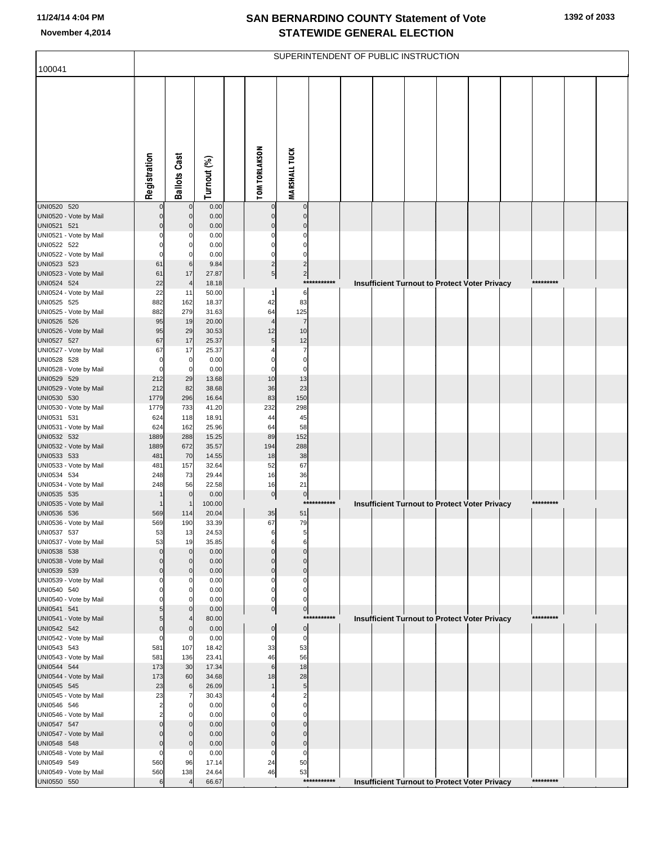|                                       |               |                            |                |                                   |                                |             | SUPERINTENDENT OF PUBLIC INSTRUCTION |  |                                                      |           |  |
|---------------------------------------|---------------|----------------------------|----------------|-----------------------------------|--------------------------------|-------------|--------------------------------------|--|------------------------------------------------------|-----------|--|
| 100041                                |               |                            |                |                                   |                                |             |                                      |  |                                                      |           |  |
|                                       | Registration  | <b>Ballots Cast</b>        | Turnout (%)    | <b>TOM TORLAKSON</b>              | <b>MARSHALL TUCK</b>           |             |                                      |  |                                                      |           |  |
| UNI0520 520                           |               | $\pmb{0}$                  | 0.00           | $\mathbf 0$                       | $\pmb{0}$                      |             |                                      |  |                                                      |           |  |
| UNI0520 - Vote by Mail                | $\Omega$<br>ŋ | $\mathbf 0$<br>$\mathbf 0$ | 0.00<br>0.00   | $\mathbf 0$<br>$\mathbf{0}$       | $\pmb{0}$<br>$\mathbf 0$       |             |                                      |  |                                                      |           |  |
| UNI0521 521<br>UNI0521 - Vote by Mail | O             | C                          | 0.00           | $\Omega$                          | 0                              |             |                                      |  |                                                      |           |  |
| UNI0522 522                           | C             | 0                          | 0.00           | $\Omega$                          | 0                              |             |                                      |  |                                                      |           |  |
| UNI0522 - Vote by Mail                | C             | $\Omega$                   | 0.00           | $\Omega$                          | $\Omega$                       |             |                                      |  |                                                      |           |  |
| UNI0523 523<br>UNI0523 - Vote by Mail | 61<br>61      | 6<br>17                    | 9.84<br>27.87  | $\overline{2}$<br>$5\overline{)}$ | $\overline{c}$<br>$\mathbf{2}$ |             |                                      |  |                                                      |           |  |
| UNI0524 524                           | 22            | $\overline{4}$             | 18.18          |                                   |                                | *********** |                                      |  | <b>Insufficient Turnout to Protect Voter Privacy</b> | ********* |  |
| UNI0524 - Vote by Mail                | 22            | 11                         | 50.00          | 1                                 | 6                              |             |                                      |  |                                                      |           |  |
| UNI0525 525                           | 882           | 162                        | 18.37          | 42                                | 83                             |             |                                      |  |                                                      |           |  |
| UNI0525 - Vote by Mail<br>UNI0526 526 | 882<br>95     | 279<br>19                  | 31.63<br>20.00 | 64<br>4                           | 125<br>$\overline{7}$          |             |                                      |  |                                                      |           |  |
| UNI0526 - Vote by Mail                | 95            | 29                         | 30.53          | 12                                | 10                             |             |                                      |  |                                                      |           |  |
| UNI0527 527                           | 67            | 17                         | 25.37          | 5                                 | 12                             |             |                                      |  |                                                      |           |  |
| UNI0527 - Vote by Mail<br>UNI0528 528 | 67<br>O       | 17<br>$\pmb{0}$            | 25.37<br>0.00  | $\Omega$                          | $\overline{7}$<br>$\mathbf 0$  |             |                                      |  |                                                      |           |  |
| UNI0528 - Vote by Mail                | C             | $\mathbf 0$                | 0.00           | 0                                 | $\mathbf 0$                    |             |                                      |  |                                                      |           |  |
| UNI0529 529                           | 212           | 29                         | 13.68          | 10                                | 13                             |             |                                      |  |                                                      |           |  |
| UNI0529 - Vote by Mail                | 212           | 82                         | 38.68          | 36                                | 23                             |             |                                      |  |                                                      |           |  |
| UNI0530 530<br>UNI0530 - Vote by Mail | 1779<br>1779  | 296<br>733                 | 16.64<br>41.20 | 83<br>232                         | 150<br>298                     |             |                                      |  |                                                      |           |  |
| UNI0531 531                           | 624           | 118                        | 18.91          | 44                                | 45                             |             |                                      |  |                                                      |           |  |
| UNI0531 - Vote by Mail                | 624           | 162                        | 25.96          | 64                                | 58                             |             |                                      |  |                                                      |           |  |
| UNI0532 532                           | 1889          | 288                        | 15.25          | 89                                | 152                            |             |                                      |  |                                                      |           |  |
| UNI0532 - Vote by Mail<br>UNI0533 533 | 1889<br>481   | 672<br>70                  | 35.57<br>14.55 | 194<br>18                         | 288<br>38                      |             |                                      |  |                                                      |           |  |
| UNI0533 - Vote by Mail                | 481           | 157                        | 32.64          | 52                                | 67                             |             |                                      |  |                                                      |           |  |
| UNI0534 534                           | 248           | 73                         | 29.44          | 16                                | 36                             |             |                                      |  |                                                      |           |  |
| UNI0534 - Vote by Mail<br>UNI0535 535 | 248           | 56<br>$\mathbf 0$          | 22.58<br>0.00  | 16<br>$\overline{0}$              | 21<br>$\pmb{0}$                |             |                                      |  |                                                      |           |  |
| UNI0535 - Vote by Mail                |               | $\overline{1}$             | 100.00         |                                   |                                | *********** |                                      |  | Insufficient Turnout to Protect Voter Privacy        | ********* |  |
| UNI0536 536                           | 569           | 114                        | 20.04          | 35                                | 51                             |             |                                      |  |                                                      |           |  |
| UNI0536 - Vote by Mail                | 569           | 190                        | 33.39          | 67                                | 79                             |             |                                      |  |                                                      |           |  |
| UNI0537 537<br>UNI0537 - Vote by Mail | 53<br>53      | 13<br>19                   | 24.53<br>35.85 | 6<br>6                            | 5<br>6                         |             |                                      |  |                                                      |           |  |
| UNI0538 538                           | $\Omega$      | $\mathbf 0$                | 0.00           | $\Omega$                          | $\mathbf 0$                    |             |                                      |  |                                                      |           |  |
| UNI0538 - Vote by Mail                | $\Omega$      | $\mathbf 0$                | 0.00           | $\Omega$                          | $\mathbf 0$                    |             |                                      |  |                                                      |           |  |
| UNI0539 539<br>UNI0539 - Vote by Mail | $\Omega$<br>O | $\mathbf 0$<br>$\Omega$    | 0.00<br>0.00   | $\overline{0}$<br>0               | $\pmb{0}$<br>0                 |             |                                      |  |                                                      |           |  |
| UNI0540 540                           |               | 0                          | 0.00           | $\overline{0}$                    | 0                              |             |                                      |  |                                                      |           |  |
| UNI0540 - Vote by Mail                |               | $\Omega$                   | 0.00           | $\Omega$                          | $\Omega$                       |             |                                      |  |                                                      |           |  |
| UNI0541 541<br>UNI0541 - Vote by Mail |               | $\mathbf 0$<br>4           | 0.00<br>80.00  | $\overline{0}$                    | 0                              | *********** |                                      |  | Insufficient Turnout to Protect Voter Privacy        | ********* |  |
| UNI0542 542                           | $\Omega$      | $\mathbf 0$                | 0.00           | $\overline{0}$                    | 0                              |             |                                      |  |                                                      |           |  |
| UNI0542 - Vote by Mail                | $\Omega$      | $\mathcal{C}$              | 0.00           | 0                                 | 0                              |             |                                      |  |                                                      |           |  |
| UNI0543 543                           | 581           | 107                        | 18.42          | 33                                | 53                             |             |                                      |  |                                                      |           |  |
| UNI0543 - Vote by Mail<br>UNI0544 544 | 581<br>173    | 136<br>30                  | 23.41<br>17.34 | 46<br>6                           | 56<br>18                       |             |                                      |  |                                                      |           |  |
| UNI0544 - Vote by Mail                | 173           | 60                         | 34.68          | 18                                | 28                             |             |                                      |  |                                                      |           |  |
| UNI0545 545                           | 23            | 6                          | 26.09          |                                   | 5                              |             |                                      |  |                                                      |           |  |
| UNI0545 - Vote by Mail                | 23<br>2       | 7<br>$\mathbf 0$           | 30.43          | O                                 | 2<br>0                         |             |                                      |  |                                                      |           |  |
| UNI0546 546<br>UNI0546 - Vote by Mail | 2             | $\Omega$                   | 0.00<br>0.00   | O                                 | $\Omega$                       |             |                                      |  |                                                      |           |  |
| UNI0547 547                           | Ω             | $\mathbf 0$                | 0.00           | $\Omega$                          | $\mathbf 0$                    |             |                                      |  |                                                      |           |  |
| UNI0547 - Vote by Mail                | Ω             | $\Omega$                   | 0.00           | $\Omega$                          | 0                              |             |                                      |  |                                                      |           |  |
| UNI0548 548                           | $\Omega$      | $\mathbf 0$                | 0.00           | $\overline{0}$                    | $\pmb{0}$                      |             |                                      |  |                                                      |           |  |
| UNI0548 - Vote by Mail<br>UNI0549 549 | 0<br>560      | $\mathbf 0$<br>96          | 0.00<br>17.14  | 0<br>24                           | 0<br>50                        |             |                                      |  |                                                      |           |  |
| UNI0549 - Vote by Mail                | 560           | 138                        | 24.64          | $\sqrt{46}$                       | 53                             |             |                                      |  |                                                      |           |  |
| UNI0550 550                           | 6             |                            | 66.67          |                                   |                                | *********** |                                      |  | <b>Insufficient Turnout to Protect Voter Privacy</b> | ********* |  |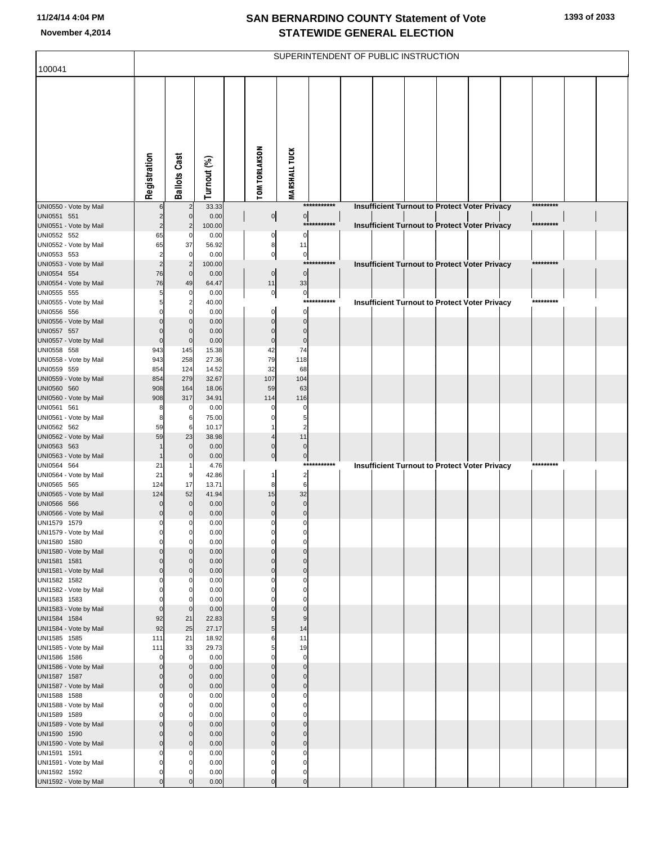| 100041                                 |                         |                                  |                |                      |                            |             | SUPERINTENDENT OF PUBLIC INSTRUCTION                 |  |  |           |  |
|----------------------------------------|-------------------------|----------------------------------|----------------|----------------------|----------------------------|-------------|------------------------------------------------------|--|--|-----------|--|
|                                        |                         |                                  |                |                      |                            |             |                                                      |  |  |           |  |
|                                        |                         |                                  |                |                      |                            |             |                                                      |  |  |           |  |
|                                        |                         |                                  |                |                      |                            |             |                                                      |  |  |           |  |
|                                        |                         |                                  |                |                      |                            |             |                                                      |  |  |           |  |
|                                        |                         |                                  |                |                      |                            |             |                                                      |  |  |           |  |
|                                        |                         |                                  |                |                      |                            |             |                                                      |  |  |           |  |
|                                        |                         |                                  |                |                      |                            |             |                                                      |  |  |           |  |
|                                        |                         |                                  |                |                      |                            |             |                                                      |  |  |           |  |
|                                        |                         |                                  |                |                      |                            |             |                                                      |  |  |           |  |
|                                        | Registration            | <b>Ballots Cast</b>              | Turnout (%)    | <b>TOM TORLAKSON</b> | <b>MARSHALL TUCK</b>       |             |                                                      |  |  |           |  |
| UNI0550 - Vote by Mail                 |                         |                                  | 33.33          |                      |                            | *********** | Insufficient Turnout to Protect Voter Privacy        |  |  | ********* |  |
| UNI0551 551                            | $\overline{2}$          | $\mathbf 0$                      | 0.00           | $\overline{0}$       | $\overline{0}$             |             |                                                      |  |  |           |  |
| UNI0551 - Vote by Mail                 | $\overline{c}$<br>65    | $\overline{2}$<br>$\mathbf 0$    | 100.00         | 0                    | $\mathbf 0$                | *********** | <b>Insufficient Turnout to Protect Voter Privacy</b> |  |  | ********* |  |
| UNI0552 552<br>UNI0552 - Vote by Mail  | 65                      | 37                               | 0.00<br>56.92  | 8                    | 11                         |             |                                                      |  |  |           |  |
| UNI0553 553                            | $\overline{c}$          | $\mathbf 0$                      | 0.00           | $\pmb{0}$            | $\overline{0}$             |             |                                                      |  |  |           |  |
| UNI0553 - Vote by Mail                 | $\overline{2}$          | $\overline{2}$                   | 100.00         |                      |                            | *********** | <b>Insufficient Turnout to Protect Voter Privacy</b> |  |  | ********* |  |
| UNI0554 554<br>UNI0554 - Vote by Mail  | 76<br>76                | $\mathbf{0}$<br>49               | 0.00<br>64.47  | $\mathbf 0$<br>11    | $\overline{0}$<br>33       |             |                                                      |  |  |           |  |
| UNI0555 555                            | 5                       | $\mathbf 0$                      | 0.00           | $\mathbf 0$          | $\overline{0}$             |             |                                                      |  |  |           |  |
| UNI0555 - Vote by Mail                 | 5                       | $\overline{2}$                   | 40.00          |                      |                            | *********** | <b>Insufficient Turnout to Protect Voter Privacy</b> |  |  | ********* |  |
| UNI0556 556<br>UNI0556 - Vote by Mail  |                         | $\mathbf 0$<br>$\overline{0}$    | 0.00<br>0.00   | $\Omega$             | $\mathbf 0$<br>$\mathbf 0$ |             |                                                      |  |  |           |  |
| UNI0557 557                            | $\Omega$                | $\mathbf{0}$                     | 0.00           | $\mathcal{C}$        | $\mathbf 0$                |             |                                                      |  |  |           |  |
| UNI0557 - Vote by Mail                 | $\Omega$                | $\mathbf 0$                      | 0.00           | $\Omega$             | $\mathbf 0$                |             |                                                      |  |  |           |  |
| UNI0558 558<br>UNI0558 - Vote by Mail  | 943<br>943              | 145<br>258                       | 15.38<br>27.36 | 42<br>79             | 74<br>118                  |             |                                                      |  |  |           |  |
| UNI0559 559                            | 854                     | 124                              | 14.52          | 32                   | 68                         |             |                                                      |  |  |           |  |
| UNI0559 - Vote by Mail                 | 854                     | 279                              | 32.67          | 107                  | 104                        |             |                                                      |  |  |           |  |
| UNI0560 560                            | 908                     | 164                              | 18.06          | 59<br>114            | 63                         |             |                                                      |  |  |           |  |
| UNI0560 - Vote by Mail<br>UNI0561 561  | 908<br>8                | 317<br>$\mathbf 0$               | 34.91<br>0.00  | C                    | 116<br>0                   |             |                                                      |  |  |           |  |
| UNI0561 - Vote by Mail                 | 8                       | 6                                | 75.00          |                      | 5                          |             |                                                      |  |  |           |  |
| UNI0562 562                            | 59                      | 6                                | 10.17          |                      | $\overline{c}$             |             |                                                      |  |  |           |  |
| UNI0562 - Vote by Mail<br>UNI0563 563  | 59                      | 23<br>$\overline{0}$             | 38.98<br>0.00  | C                    | 11<br>$\mathbf 0$          |             |                                                      |  |  |           |  |
| UNI0563 - Vote by Mail                 | $\mathbf 1$             | $\mathbf{0}$                     | 0.00           | $\Omega$             | 0                          |             |                                                      |  |  |           |  |
| UNI0564 564                            | 21<br>21                |                                  | 4.76           |                      |                            | *********** | <b>Insufficient Turnout to Protect Voter Privacy</b> |  |  | ********* |  |
| UNI0564 - Vote by Mail<br>UNI0565 565  | 124                     | 9<br>17                          | 42.86<br>13.71 | 8                    | $\overline{a}$<br>6        |             |                                                      |  |  |           |  |
| UNI0565 - Vote by Mail                 | 124                     | 52                               | 41.94          | 15                   | 32                         |             |                                                      |  |  |           |  |
| UNI0566 566                            | $\Omega$                | $\mathbf{0}$                     | 0.00           | $\Omega$             | $\mathbf 0$                |             |                                                      |  |  |           |  |
| UNI0566 - Vote by Mail<br>UNI1579 1579 | $\mathbf 0$<br>$\Omega$ | $\mathbf{0}$<br>0                | 0.00<br>0.00   | $\mathcal{C}$<br>C   | $\Omega$<br>0              |             |                                                      |  |  |           |  |
| UNI1579 - Vote by Mail                 |                         |                                  | 0.00           |                      |                            |             |                                                      |  |  |           |  |
| UNI1580 1580                           | $\Omega$                | $\mathbf 0$                      | 0.00           |                      | 0                          |             |                                                      |  |  |           |  |
| UNI1580 - Vote by Mail<br>UNI1581 1581 | $\Omega$                | $\mathbf{0}$<br>$\mathbf 0$      | 0.00<br>0.00   |                      | $\Omega$<br>$\Omega$       |             |                                                      |  |  |           |  |
| UNI1581 - Vote by Mail                 | $\Omega$                | $\overline{0}$                   | 0.00           | C                    | $\mathbf 0$                |             |                                                      |  |  |           |  |
| UNI1582 1582                           |                         | $\mathbf 0$                      | 0.00           |                      | $\Omega$                   |             |                                                      |  |  |           |  |
| UNI1582 - Vote by Mail<br>UNI1583 1583 |                         | $\mathbf 0$                      | 0.00<br>0.00   |                      | $\Omega$<br>$\Omega$       |             |                                                      |  |  |           |  |
| UNI1583 - Vote by Mail                 | $\mathbf 0$             | $\mathbf 0$                      | 0.00           |                      | $\mathbf 0$                |             |                                                      |  |  |           |  |
| UNI1584 1584                           | 92                      | 21                               | 22.83          | 5                    | 9                          |             |                                                      |  |  |           |  |
| UNI1584 - Vote by Mail<br>UNI1585 1585 | 92<br>111               | 25<br>21                         | 27.17<br>18.92 | 5<br>6               | 14<br>11                   |             |                                                      |  |  |           |  |
| UNI1585 - Vote by Mail                 | 111                     | 33                               | 29.73          | 5                    | 19                         |             |                                                      |  |  |           |  |
| UNI1586 1586                           | $\mathbf 0$             | $\Omega$                         | 0.00           | $\mathcal{C}$        | $\mathbf 0$                |             |                                                      |  |  |           |  |
| UNI1586 - Vote by Mail<br>UNI1587 1587 | $\Omega$<br>$\Omega$    | $\overline{0}$<br>$\overline{0}$ | 0.00<br>0.00   | C<br>ſ               | $\mathbf 0$<br>$\Omega$    |             |                                                      |  |  |           |  |
| UNI1587 - Vote by Mail                 | $\mathbf 0$             | $\overline{0}$                   | 0.00           | C                    | $\mathbf 0$                |             |                                                      |  |  |           |  |
| UNI1588 1588                           |                         | $\mathbf 0$                      | 0.00           |                      | $\Omega$                   |             |                                                      |  |  |           |  |
| UNI1588 - Vote by Mail<br>UNI1589 1589 |                         | $\mathbf 0$<br>$\mathbf 0$       | 0.00<br>0.00   |                      | 0<br>$\Omega$              |             |                                                      |  |  |           |  |
| UNI1589 - Vote by Mail                 | $\Omega$                | $\overline{0}$                   | 0.00           |                      | $\Omega$                   |             |                                                      |  |  |           |  |
| UNI1590 1590                           | $\Omega$                | $\mathbf 0$                      | 0.00           | C                    | $\Omega$                   |             |                                                      |  |  |           |  |
| UNI1590 - Vote by Mail<br>UNI1591 1591 | $\Omega$                | $\overline{0}$<br>$\mathbf 0$    | 0.00<br>0.00   | C<br>C               | $\mathbf 0$<br>$\Omega$    |             |                                                      |  |  |           |  |
| UNI1591 - Vote by Mail                 |                         | $\mathbf 0$                      | 0.00           | C                    | $\mathbf 0$                |             |                                                      |  |  |           |  |
| UNI1592 1592                           | $\Omega$                |                                  | 0.00           | $\mathbf 0$          | $\mathbf 0$                |             |                                                      |  |  |           |  |
| UNI1592 - Vote by Mail                 | $\Omega$                | $\mathbf{0}$                     | 0.00           | 0                    | $\pmb{0}$                  |             |                                                      |  |  |           |  |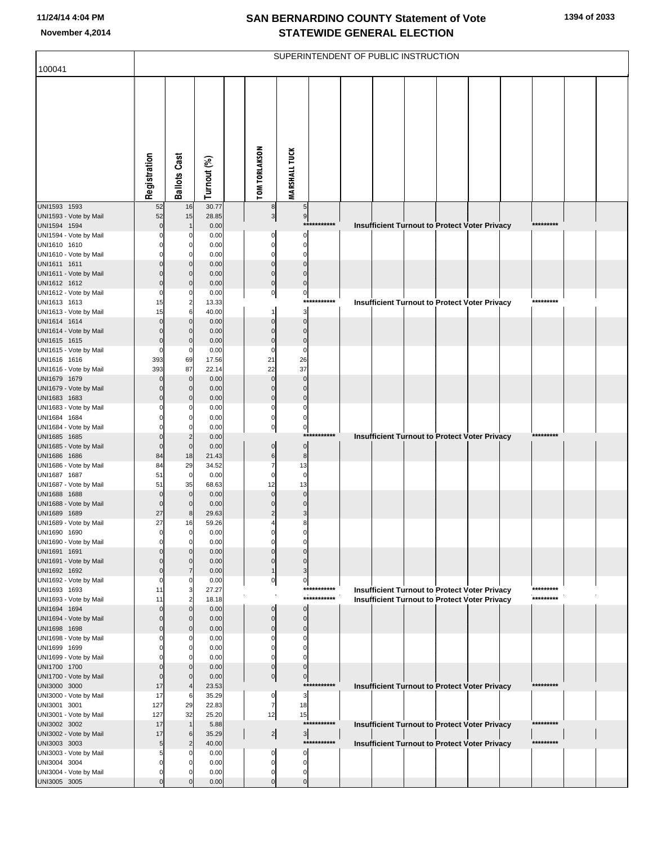| 100041                                 |                      |                         |                |                         |                               | SUPERINTENDENT OF PUBLIC INSTRUCTION |  |  |                                                      |           |  |
|----------------------------------------|----------------------|-------------------------|----------------|-------------------------|-------------------------------|--------------------------------------|--|--|------------------------------------------------------|-----------|--|
|                                        |                      |                         |                |                         |                               |                                      |  |  |                                                      |           |  |
|                                        |                      |                         |                |                         |                               |                                      |  |  |                                                      |           |  |
|                                        |                      |                         |                |                         |                               |                                      |  |  |                                                      |           |  |
|                                        |                      |                         |                |                         |                               |                                      |  |  |                                                      |           |  |
|                                        |                      |                         |                |                         |                               |                                      |  |  |                                                      |           |  |
|                                        |                      |                         |                |                         |                               |                                      |  |  |                                                      |           |  |
|                                        |                      |                         |                |                         |                               |                                      |  |  |                                                      |           |  |
|                                        |                      |                         |                |                         |                               |                                      |  |  |                                                      |           |  |
|                                        | Registration         | <b>Ballots Cast</b>     | Turnout (%)    | <b>TOM TORLAKSON</b>    | <b>MARSHALL TUCK</b>          |                                      |  |  |                                                      |           |  |
| UNI1593 1593                           | 52                   | 16                      | 30.77          | 8                       | $5\overline{)}$               |                                      |  |  |                                                      |           |  |
| UNI1593 - Vote by Mail                 | 52                   | 15                      | 28.85          | $\mathbf{3}$            | 9                             |                                      |  |  |                                                      |           |  |
| UNI1594 1594                           | $\mathbf 0$          |                         | 0.00           |                         |                               | ***********                          |  |  | Insufficient Turnout to Protect Voter Privacy        | ********* |  |
| UNI1594 - Vote by Mail<br>UNI1610 1610 |                      | O<br>0                  | 0.00<br>0.00   | O<br>$\Omega$           | $\Omega$<br>0                 |                                      |  |  |                                                      |           |  |
| UNI1610 - Vote by Mail                 |                      |                         | 0.00           | C                       | 0                             |                                      |  |  |                                                      |           |  |
| UNI1611 1611                           | n                    | $\Omega$                | 0.00           | $\Omega$                | $\overline{0}$                |                                      |  |  |                                                      |           |  |
| UNI1611 - Vote by Mail                 | $\Omega$<br>$\Omega$ | O                       | 0.00<br>0.00   | $\Omega$<br>$\Omega$    | $\Omega$<br>$\mathbf 0$       |                                      |  |  |                                                      |           |  |
| UNI1612 1612<br>UNI1612 - Vote by Mail | $\Omega$             |                         | 0.00           | $\pmb{0}$               | $\overline{0}$                |                                      |  |  |                                                      |           |  |
| UNI1613 1613                           | 15                   | $\overline{\mathbf{c}}$ | 13.33          |                         |                               | ***********                          |  |  | Insufficient Turnout to Protect Voter Privacy        | ********* |  |
| UNI1613 - Vote by Mail                 | 15                   | 6                       | 40.00          |                         | 3                             |                                      |  |  |                                                      |           |  |
| UNI1614 1614<br>UNI1614 - Vote by Mail | $\Omega$<br>$\Omega$ | $\Omega$                | 0.00<br>0.00   | $\Omega$<br>$\Omega$    | $\overline{0}$<br>$\mathbf 0$ |                                      |  |  |                                                      |           |  |
| UNI1615 1615                           | $\Omega$             | 0                       | 0.00           | $\Omega$                | $\pmb{0}$                     |                                      |  |  |                                                      |           |  |
| UNI1615 - Vote by Mail                 | $\Omega$             | 0                       | 0.00           | $\sqrt{ }$              | $\mathbf 0$                   |                                      |  |  |                                                      |           |  |
| UNI1616 1616                           | 393<br>393           | 69<br>87                | 17.56<br>22.14 | 21<br>22                | 26<br>37                      |                                      |  |  |                                                      |           |  |
| UNI1616 - Vote by Mail<br>UNI1679 1679 | $\Omega$             | $\mathbf{0}$            | 0.00           | $\Omega$                | $\mathbf 0$                   |                                      |  |  |                                                      |           |  |
| UNI1679 - Vote by Mail                 | $\Omega$             | O                       | 0.00           | $\Omega$                | $\mathbf 0$                   |                                      |  |  |                                                      |           |  |
| UNI1683 1683                           | $\Omega$             | $\Omega$                | 0.00           | $\Omega$                | $\overline{0}$                |                                      |  |  |                                                      |           |  |
| UNI1683 - Vote by Mail<br>UNI1684 1684 |                      | O                       | 0.00<br>0.00   | U<br>0                  | 0<br>$\mathbf 0$              |                                      |  |  |                                                      |           |  |
| UNI1684 - Vote by Mail                 |                      |                         | 0.00           | $\mathbf 0$             | $\overline{0}$                |                                      |  |  |                                                      |           |  |
| UNI1685 1685                           | $\Omega$             | $\overline{c}$          | 0.00           |                         |                               | ***********                          |  |  | <b>Insufficient Turnout to Protect Voter Privacy</b> | ********* |  |
| UNI1685 - Vote by Mail<br>UNI1686 1686 | $\mathbf 0$<br>84    | $\mathbf{0}$<br>18      | 0.00<br>21.43  | $\Omega$<br>6           | $\overline{0}$<br>8           |                                      |  |  |                                                      |           |  |
| UNI1686 - Vote by Mail                 | 84                   | 29                      | 34.52          |                         | 13                            |                                      |  |  |                                                      |           |  |
| UNI1687 1687                           | 51                   | $\mathbf 0$             | 0.00           | $\Omega$                | $\mathbf 0$                   |                                      |  |  |                                                      |           |  |
| UNI1687 - Vote by Mail<br>UNI1688 1688 | 51<br>$\mathbf 0$    | 35<br>$\mathbf{0}$      | 68.63<br>0.00  | 12<br>$\Omega$          | 13<br>$\pmb{0}$               |                                      |  |  |                                                      |           |  |
| UNI1688 - Vote by Mail                 | $\mathbf 0$          | $\Omega$                | 0.00           |                         | $\Omega$                      |                                      |  |  |                                                      |           |  |
| UNI1689 1689                           | 27                   | 8                       | 29.63          |                         | 3                             |                                      |  |  |                                                      |           |  |
| UNI1689 - Vote by Mail<br>UNI1690 1690 | 27                   | 16                      | 59.26<br>0.00  |                         | 8                             |                                      |  |  |                                                      |           |  |
| UNI1690 - Vote by Mail                 |                      | $\Omega$                | 0.00           |                         | O                             |                                      |  |  |                                                      |           |  |
| UNI1691 1691                           |                      |                         | 0.00           |                         |                               |                                      |  |  |                                                      |           |  |
| UNI1691 - Vote by Mail<br>UNI1692 1692 | $\Omega$             |                         | 0.00<br>0.00   | C                       | $\Omega$<br>3                 |                                      |  |  |                                                      |           |  |
| UNI1692 - Vote by Mail                 | C                    |                         | 0.00           | 0                       | $\overline{0}$                |                                      |  |  |                                                      |           |  |
| UNI1693 1693                           | 11                   | 3                       | 27.27          |                         |                               | ***********                          |  |  | <b>Insufficient Turnout to Protect Voter Privacy</b> | ********* |  |
| UNI1693 - Vote by Mail                 | 11<br>$\Omega$       | O                       | 18.18          | C                       |                               | ***********                          |  |  | <b>Insufficient Turnout to Protect Voter Privacy</b> | ********* |  |
| UNI1694 1694<br>UNI1694 - Vote by Mail | $\Omega$             |                         | 0.00<br>0.00   | $\Omega$                | $\mathbf{0}$<br>$\mathbf{0}$  |                                      |  |  |                                                      |           |  |
| UNI1698 1698                           | n                    |                         | 0.00           | n                       | $\mathbf 0$                   |                                      |  |  |                                                      |           |  |
| UNI1698 - Vote by Mail                 |                      |                         | 0.00           |                         | O                             |                                      |  |  |                                                      |           |  |
| UNI1699 1699<br>UNI1699 - Vote by Mail |                      | $^{(1)}$                | 0.00<br>0.00   | C                       |                               |                                      |  |  |                                                      |           |  |
| UNI1700 1700                           | n                    |                         | 0.00           | $\mathbf 0$             | $\overline{0}$                |                                      |  |  |                                                      |           |  |
| UNI1700 - Vote by Mail                 | $\Omega$             |                         | 0.00           | $\overline{0}$          | 이                             |                                      |  |  |                                                      |           |  |
| UNI3000 3000<br>UNI3000 - Vote by Mail | 17<br>17             | 6                       | 23.53<br>35.29 | 0                       | 3                             | ***********                          |  |  | Insufficient Turnout to Protect Voter Privacy        | ********* |  |
| UNI3001 3001                           | 127                  | 29                      | 22.83          | 7                       | 18                            |                                      |  |  |                                                      |           |  |
| UNI3001 - Vote by Mail                 | 127                  | 32                      | 25.20          | 12                      | 15                            |                                      |  |  |                                                      |           |  |
| UNI3002 3002<br>UNI3002 - Vote by Mail | 17<br>17             | 6                       | 5.88<br>35.29  |                         | $\overline{\mathbf{3}}$       | ***********                          |  |  | <b>Insufficient Turnout to Protect Voter Privacy</b> | ********* |  |
| UNI3003 3003                           | 5                    | 2                       | 40.00          | $\frac{2}{ }$           |                               | ***********                          |  |  | Insufficient Turnout to Protect Voter Privacy        | ********* |  |
| UNI3003 - Vote by Mail                 | 5                    |                         | 0.00           | O                       | $\Omega$                      |                                      |  |  |                                                      |           |  |
| UNI3004 3004                           | C                    |                         | 0.00           | 0                       | O                             |                                      |  |  |                                                      |           |  |
| UNI3004 - Vote by Mail<br>UNI3005 3005 | 0<br>$\Omega$        |                         | 0.00<br>0.00   | $\Omega$<br>$\mathbf 0$ | 0<br>$\overline{0}$           |                                      |  |  |                                                      |           |  |
|                                        |                      |                         |                |                         |                               |                                      |  |  |                                                      |           |  |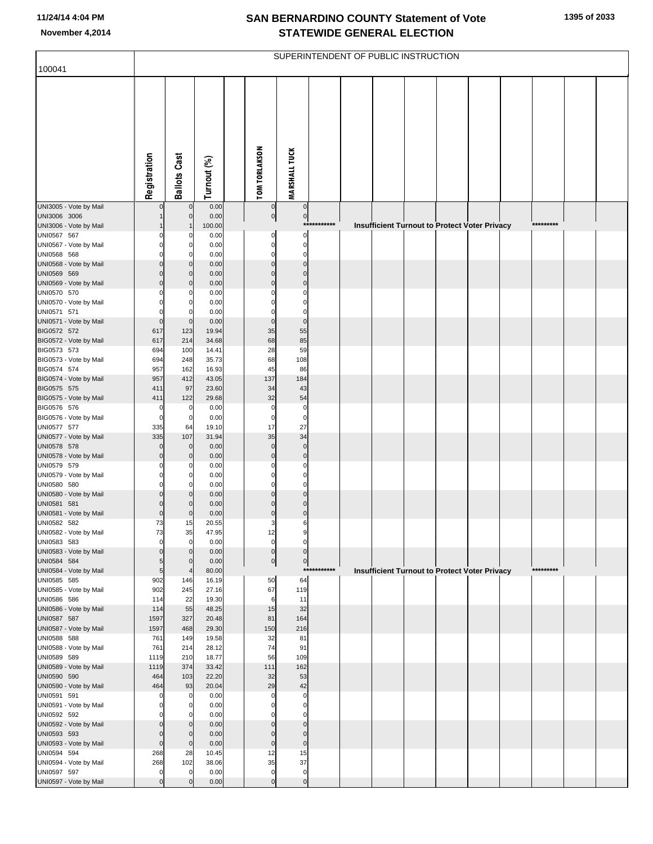| 100041                                 |                    |                            |                |                      |                            |             | SUPERINTENDENT OF PUBLIC INSTRUCTION |                                                      |  |  |           |  |
|----------------------------------------|--------------------|----------------------------|----------------|----------------------|----------------------------|-------------|--------------------------------------|------------------------------------------------------|--|--|-----------|--|
|                                        | Registration       | <b>Ballots Cast</b>        | Turnout (%)    | <b>TOM TORLAKSON</b> | <b>MARSHALL TUCK</b>       |             |                                      |                                                      |  |  |           |  |
| UNI3005 - Vote by Mail<br>UNI3006 3006 |                    | $\mathbf 0$<br>$\mathbf 0$ | 0.00<br>0.00   | $\overline{0}$       | $\overline{0}$             |             |                                      |                                                      |  |  |           |  |
| UNI3006 - Vote by Mail                 |                    |                            | 100.00         | $\overline{0}$       | $\overline{0}$             | *********** |                                      | Insufficient Turnout to Protect Voter Privacy        |  |  | ********* |  |
| UNI0567 567                            |                    |                            | 0.00           | 0                    | 0                          |             |                                      |                                                      |  |  |           |  |
| UNI0567 - Vote by Mail                 |                    | 0                          | 0.00           | $\Omega$             | 0                          |             |                                      |                                                      |  |  |           |  |
| UNI0568 568<br>UNI0568 - Vote by Mail  | C<br>n             | 0<br>0                     | 0.00<br>0.00   | $\Omega$<br>$\Omega$ | $\mathbf 0$<br>$\mathbf 0$ |             |                                      |                                                      |  |  |           |  |
| UNI0569 569                            | n                  | $\mathbf 0$                | 0.00           | $\Omega$             | $\Omega$                   |             |                                      |                                                      |  |  |           |  |
| UNI0569 - Vote by Mail                 | $\Omega$           | $\mathbf 0$                | 0.00           | $\Omega$             | $\mathbf 0$                |             |                                      |                                                      |  |  |           |  |
| UNI0570 570                            |                    | 0                          | 0.00           |                      | $\Omega$                   |             |                                      |                                                      |  |  |           |  |
| UNI0570 - Vote by Mail                 |                    | 0                          | 0.00           |                      | 0                          |             |                                      |                                                      |  |  |           |  |
| UNI0571 571<br>UNI0571 - Vote by Mail  | 0<br>$\mathbf 0$   | $\Omega$<br>$\mathbf 0$    | 0.00<br>0.00   | $\Omega$             | $\mathbf 0$<br>$\mathbf 0$ |             |                                      |                                                      |  |  |           |  |
| BIG0572 572                            | 617                | 123                        | 19.94          | 35                   | 55                         |             |                                      |                                                      |  |  |           |  |
| BIG0572 - Vote by Mail                 | 617                | 214                        | 34.68          | 68                   | 85                         |             |                                      |                                                      |  |  |           |  |
| BIG0573 573                            | 694                | 100                        | 14.41          | 28                   | 59                         |             |                                      |                                                      |  |  |           |  |
| BIG0573 - Vote by Mail                 | 694                | 248                        | 35.73          | 68                   | 108                        |             |                                      |                                                      |  |  |           |  |
| BIG0574 574<br>BIG0574 - Vote by Mail  | 957<br>957         | 162<br>412                 | 16.93<br>43.05 | 45<br>137            | 86<br>184                  |             |                                      |                                                      |  |  |           |  |
| BIG0575 575                            | 411                | 97                         | 23.60          | 34                   | 43                         |             |                                      |                                                      |  |  |           |  |
| BIG0575 - Vote by Mail                 | 411                | 122                        | 29.68          | 32                   | 54                         |             |                                      |                                                      |  |  |           |  |
| BIG0576 576                            | $\mathbf 0$        | 0                          | 0.00           | $\mathbf 0$          | $\mathbf 0$                |             |                                      |                                                      |  |  |           |  |
| BIG0576 - Vote by Mail                 | $\mathbf 0$        | $\mathbf 0$                | 0.00           | 0                    | 0                          |             |                                      |                                                      |  |  |           |  |
| UNI0577 577<br>UNI0577 - Vote by Mail  | 335<br>335         | 64<br>107                  | 19.10<br>31.94 | 17<br>35             | 27<br>34                   |             |                                      |                                                      |  |  |           |  |
| UNI0578 578                            | $\Omega$           | $\mathbf 0$                | 0.00           | $\mathbf 0$          | $\mathbf 0$                |             |                                      |                                                      |  |  |           |  |
| UNI0578 - Vote by Mail                 | $\Omega$           | $\mathbf 0$                | 0.00           | $\Omega$             | $\mathbf 0$                |             |                                      |                                                      |  |  |           |  |
| UNI0579 579                            | 0                  | 0                          | 0.00           |                      | $\Omega$                   |             |                                      |                                                      |  |  |           |  |
| UNI0579 - Vote by Mail                 | 0                  | $\overline{0}$             | 0.00           |                      | $\Omega$                   |             |                                      |                                                      |  |  |           |  |
| UNI0580 580<br>UNI0580 - Vote by Mail  | 0<br>0             | 0<br>0                     | 0.00<br>0.00   |                      | $\Omega$<br>$\mathbf 0$    |             |                                      |                                                      |  |  |           |  |
| UNI0581 581                            | $\Omega$           | $\Omega$                   | 0.00           |                      | $\Omega$                   |             |                                      |                                                      |  |  |           |  |
| UNI0581 - Vote by Mail                 | $\Omega$           | $\Omega$                   | 0.00           | $\Omega$             | $\mathbf 0$                |             |                                      |                                                      |  |  |           |  |
| UNI0582 582                            | 73                 | 15                         | 20.55          |                      | 6                          |             |                                      |                                                      |  |  |           |  |
| UNI0582 - Vote by Mail<br>UNI0583 583  | 73<br>$\mathbf 0$  | 35<br>$\mathbf 0$          | 47.95<br>0.00  | 12<br>$\mathbf{0}$   | $\mathbf 0$                |             |                                      |                                                      |  |  |           |  |
| UNI0583 - Vote by Mail                 | $\Omega$           | $\Omega$                   | 0.00           | $\overline{0}$       | $\overline{0}$             |             |                                      |                                                      |  |  |           |  |
| UNI0584 584                            | 5                  | $\Omega$                   | 0.00           | 이                    | $\overline{0}$             |             |                                      |                                                      |  |  |           |  |
| UNI0584 - Vote by Mail                 | 5                  | 4                          | 80.00          |                      |                            | *********** |                                      | <b>Insufficient Turnout to Protect Voter Privacy</b> |  |  | ********* |  |
| UNI0585 585                            | 902                | 146                        | 16.19          | 50                   | 64                         |             |                                      |                                                      |  |  |           |  |
| UNI0585 - Vote by Mail<br>UNI0586 586  | 902<br>114         | 245<br>22                  | 27.16<br>19.30 | 67<br>6              | 119<br>11                  |             |                                      |                                                      |  |  |           |  |
| UNI0586 - Vote by Mail                 | 114                | 55                         | 48.25          | 15                   | 32                         |             |                                      |                                                      |  |  |           |  |
| UNI0587 587                            | 1597               | 327                        | 20.48          | 81                   | 164                        |             |                                      |                                                      |  |  |           |  |
| UNI0587 - Vote by Mail                 | 1597               | 468                        | 29.30          | 150                  | 216                        |             |                                      |                                                      |  |  |           |  |
| UNI0588 588                            | 761                | 149                        | 19.58<br>28.12 | 32<br>74             | 81                         |             |                                      |                                                      |  |  |           |  |
| UNI0588 - Vote by Mail<br>UNI0589 589  | 761<br>1119        | 214<br>210                 | 18.77          | 56                   | 91<br>109                  |             |                                      |                                                      |  |  |           |  |
| UNI0589 - Vote by Mail                 | 1119               | 374                        | 33.42          | 111                  | 162                        |             |                                      |                                                      |  |  |           |  |
| UNI0590 590                            | 464                | 103                        | 22.20          | 32                   | 53                         |             |                                      |                                                      |  |  |           |  |
| UNI0590 - Vote by Mail                 | 464                | 93                         | 20.04          | 29                   | 42                         |             |                                      |                                                      |  |  |           |  |
| UNI0591 591                            | $\Omega$<br>0      | 0                          | 0.00           | $\Omega$             | $\mathbf 0$<br>0           |             |                                      |                                                      |  |  |           |  |
| UNI0591 - Vote by Mail<br>UNI0592 592  | 0                  | 0<br>$\Omega$              | 0.00<br>0.00   |                      | $\Omega$                   |             |                                      |                                                      |  |  |           |  |
| UNI0592 - Vote by Mail                 | $\Omega$           | 0                          | 0.00           |                      | $\mathbf 0$                |             |                                      |                                                      |  |  |           |  |
| UNI0593 593                            | $\Omega$           | $\Omega$                   | 0.00           | $\Omega$             | $\mathbf{0}$               |             |                                      |                                                      |  |  |           |  |
| UNI0593 - Vote by Mail                 | $\mathbf 0$        | $\mathbf 0$                | 0.00           | $\mathbf{0}$         | $\mathbf 0$                |             |                                      |                                                      |  |  |           |  |
| UNI0594 594                            | 268                | 28                         | 10.45          | 12                   | 15                         |             |                                      |                                                      |  |  |           |  |
| UNI0594 - Vote by Mail<br>UNI0597 597  | 268<br>$\mathbf 0$ | 102<br>$\Omega$            | 38.06<br>0.00  | 35<br>$\mathbf 0$    | 37<br>$\pmb{0}$            |             |                                      |                                                      |  |  |           |  |
| UNI0597 - Vote by Mail                 | $\mathbf 0$        |                            | 0.00           | $\mathbf{0}$         | $\pmb{0}$                  |             |                                      |                                                      |  |  |           |  |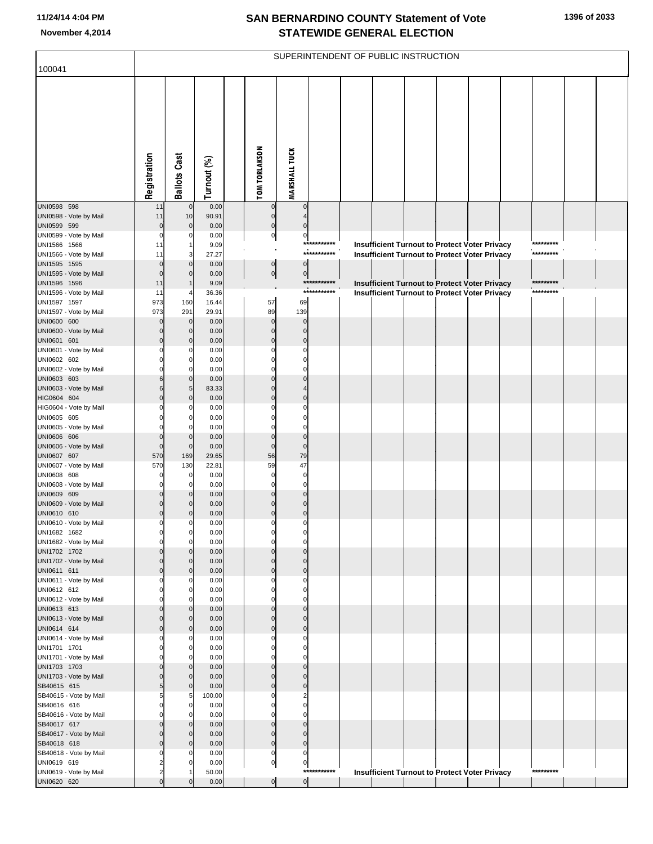|                                        |                     |                            |                |                            |                             |                            | SUPERINTENDENT OF PUBLIC INSTRUCTION |  |                                                      |                        |  |
|----------------------------------------|---------------------|----------------------------|----------------|----------------------------|-----------------------------|----------------------------|--------------------------------------|--|------------------------------------------------------|------------------------|--|
| 100041                                 |                     |                            |                |                            |                             |                            |                                      |  |                                                      |                        |  |
|                                        | Registration        | <b>Ballots Cast</b>        | Turnout (%)    | <b>TOM TORLAKSON</b>       | <b>MARSHALL TUCK</b>        |                            |                                      |  |                                                      |                        |  |
| UNI0598 598<br>UNI0598 - Vote by Mail  | 11<br>11            | $\mathbf 0$<br>10          | 0.00<br>90.91  | $\pmb{0}$<br>$\pmb{0}$     | 0                           |                            |                                      |  |                                                      |                        |  |
| UNI0599 599                            | $\mathbf 0$         | $\overline{0}$             | 0.00           | $\mathbf 0$                | $\Omega$                    |                            |                                      |  |                                                      |                        |  |
| UNI0599 - Vote by Mail                 | $\Omega$            | 0                          | 0.00           | $\overline{0}$             | $\bf{0}$                    |                            |                                      |  |                                                      |                        |  |
| UNI1566 1566                           | 11                  | 1                          | 9.09           |                            |                             | ***********<br>*********** |                                      |  | <b>Insufficient Turnout to Protect Voter Privacy</b> | *********<br>********* |  |
| UNI1566 - Vote by Mail<br>UNI1595 1595 | 11<br>$\Omega$      | 3<br>$\mathbf 0$           | 27.27<br>0.00  | $\overline{0}$             | $\pmb{0}$                   |                            |                                      |  | <b>Insufficient Turnout to Protect Voter Privacy</b> |                        |  |
| UNI1595 - Vote by Mail                 | $\Omega$            | $\mathbf 0$                | 0.00           | $\overline{0}$             | $\pmb{0}$                   |                            |                                      |  |                                                      |                        |  |
| UNI1596 1596                           | 11                  |                            | 9.09           |                            |                             | ***********                |                                      |  | <b>Insufficient Turnout to Protect Voter Privacy</b> | *********              |  |
| UNI1596 - Vote by Mail                 | 11                  | 4                          | 36.36          |                            |                             | ***********                |                                      |  | <b>Insufficient Turnout to Protect Voter Privacy</b> | *********              |  |
| UNI1597 1597<br>UNI1597 - Vote by Mail | 973<br>973          | 160<br>291                 | 16.44<br>29.91 | 57<br>89                   | 69<br>139                   |                            |                                      |  |                                                      |                        |  |
| UNI0600 600                            | 0                   | $\mathbf 0$                | 0.00           | $\mathbf 0$                | $\mathbf 0$                 |                            |                                      |  |                                                      |                        |  |
| UNI0600 - Vote by Mail                 | $\Omega$            | $\mathbf 0$                | 0.00           | $\pmb{0}$                  | $\mathbf 0$                 |                            |                                      |  |                                                      |                        |  |
| UNI0601 601                            | 0                   | $\mathbf 0$                | 0.00           | $\mathbf 0$                | $\mathbf 0$                 |                            |                                      |  |                                                      |                        |  |
| UNI0601 - Vote by Mail                 |                     | 0                          | 0.00           | $\mathbf 0$                | 0                           |                            |                                      |  |                                                      |                        |  |
| UNI0602 602<br>UNI0602 - Vote by Mail  |                     | 0<br>0                     | 0.00<br>0.00   | $\mathbf 0$<br>$\mathbf 0$ | $\mathbf 0$<br>$\mathbf 0$  |                            |                                      |  |                                                      |                        |  |
| UNI0603 603                            | 6                   | $\mathbf 0$                | 0.00           | $\mathbf 0$                | $\Omega$                    |                            |                                      |  |                                                      |                        |  |
| UNI0603 - Vote by Mail                 | 6                   | 5                          | 83.33          | $\pmb{0}$                  | 4                           |                            |                                      |  |                                                      |                        |  |
| HIG0604 604                            | $\Omega$            | $\mathbf 0$                | 0.00           | $\pmb{0}$                  | $\mathbf 0$                 |                            |                                      |  |                                                      |                        |  |
| HIG0604 - Vote by Mail<br>UNI0605 605  |                     | 0<br>0                     | 0.00<br>0.00   | $\mathbf 0$<br>$\mathbf 0$ | 0<br>$\mathbf 0$            |                            |                                      |  |                                                      |                        |  |
| UNI0605 - Vote by Mail                 |                     | 0                          | 0.00           | $\mathbf 0$                | $\mathbf 0$                 |                            |                                      |  |                                                      |                        |  |
| UNI0606 606                            | 0                   | $\mathbf 0$                | 0.00           | $\pmb{0}$                  | $\mathbf 0$                 |                            |                                      |  |                                                      |                        |  |
| UNI0606 - Vote by Mail                 | $\mathbf 0$         | $\mathbf 0$                | 0.00           | $\pmb{0}$                  | $\mathbf 0$                 |                            |                                      |  |                                                      |                        |  |
| UNI0607 607<br>UNI0607 - Vote by Mail  | 570<br>570          | 169<br>130                 | 29.65<br>22.81 | 56<br>59                   | 79<br>47                    |                            |                                      |  |                                                      |                        |  |
| UNI0608 608                            | 0                   | $\overline{0}$             | 0.00           | $\mathbf 0$                | $\pmb{0}$                   |                            |                                      |  |                                                      |                        |  |
| UNI0608 - Vote by Mail                 | $\Omega$            | 0                          | 0.00           | $\mathbf 0$                | $\mathbf 0$                 |                            |                                      |  |                                                      |                        |  |
| UNI0609 609                            | O                   | $\mathbf 0$                | 0.00           | $\mathbf 0$                | $\mathbf 0$                 |                            |                                      |  |                                                      |                        |  |
| UNI0609 - Vote by Mail<br>UNI0610 610  | 0<br>0              | 0<br>0                     | 0.00<br>0.00   | $\pmb{0}$<br>$\mathbf 0$   | $\mathbf 0$<br>$\pmb{0}$    |                            |                                      |  |                                                      |                        |  |
| UNI0610 - Vote by Mail                 | 0                   | 0                          | 0.00           | $\mathbf 0$                | $\pmb{0}$                   |                            |                                      |  |                                                      |                        |  |
| UNI1682 1682                           | 0                   | $\overline{0}$             | 0.00           | $\pmb{0}$                  | 0                           |                            |                                      |  |                                                      |                        |  |
| UNI1682 - Vote by Mail                 | $\Omega$            | $\overline{0}$             | 0.00           | $\pmb{0}$                  | $\mathbf 0$                 |                            |                                      |  |                                                      |                        |  |
| UNI1702 1702<br>UNI1702 - Vote by Mail | 0                   | $\Omega$<br>$\mathbf 0$    | 0.00<br>0.00   | $\mathbf 0$<br>$\pmb{0}$   | $\mathbf{0}$<br>$\mathbf 0$ |                            |                                      |  |                                                      |                        |  |
| UNI0611 611                            | $\Omega$            | $\mathbf 0$                | 0.00           | $\mathbf 0$                | $\pmb{0}$                   |                            |                                      |  |                                                      |                        |  |
| UNI0611 - Vote by Mail                 | ŋ                   | 0                          | 0.00           | $\mathbf 0$                | $\mathbf 0$                 |                            |                                      |  |                                                      |                        |  |
| UNI0612 612                            | ŋ                   | $\overline{0}$             | 0.00           | $\mathbf 0$                | $\mathbf 0$                 |                            |                                      |  |                                                      |                        |  |
| UNI0612 - Vote by Mail<br>UNI0613 613  |                     | $\Omega$<br>$\mathbf 0$    | 0.00<br>0.00   | $\mathbf 0$<br>$\pmb{0}$   | $\mathbf 0$<br>$\mathbf 0$  |                            |                                      |  |                                                      |                        |  |
| UNI0613 - Vote by Mail                 | $\Omega$            | $\mathbf 0$                | 0.00           | $\mathbf 0$                | $\mathbf 0$                 |                            |                                      |  |                                                      |                        |  |
| UNI0614 614                            | $\Omega$            | $\mathbf 0$                | 0.00           | $\pmb{0}$                  | $\mathbf 0$                 |                            |                                      |  |                                                      |                        |  |
| UNI0614 - Vote by Mail                 |                     | 0                          | 0.00           | $\mathbf 0$                | $\mathbf 0$                 |                            |                                      |  |                                                      |                        |  |
| UNI1701 1701<br>UNI1701 - Vote by Mail | $\Omega$<br>ŋ       | $\overline{0}$<br>$\Omega$ | 0.00<br>0.00   | $\mathbf 0$<br>$\mathbf 0$ | $\mathbf 0$<br>$\mathbf 0$  |                            |                                      |  |                                                      |                        |  |
| UNI1703 1703                           |                     | $\mathbf 0$                | 0.00           | $\mathbf 0$                | $\mathbf 0$                 |                            |                                      |  |                                                      |                        |  |
| UNI1703 - Vote by Mail                 | $\Omega$            | $\mathbf 0$                | 0.00           | $\pmb{0}$                  | $\mathbf 0$                 |                            |                                      |  |                                                      |                        |  |
| SB40615 615                            | 5                   | $\mathbf 0$                | 0.00           | $\mathbf 0$                | $\mathbf 0$                 |                            |                                      |  |                                                      |                        |  |
| SB40615 - Vote by Mail                 | 5                   | 5                          | 100.00         | $\mathbf 0$                | $\overline{2}$              |                            |                                      |  |                                                      |                        |  |
| SB40616 616<br>SB40616 - Vote by Mail  | $\Omega$            | $\overline{0}$<br>$\Omega$ | 0.00<br>0.00   | $\mathbf 0$<br>$\mathbf 0$ | $\mathbf 0$<br>$\mathbf 0$  |                            |                                      |  |                                                      |                        |  |
| SB40617 617                            | O                   | $\mathbf 0$                | 0.00           | $\mathbf 0$                | $\mathbf 0$                 |                            |                                      |  |                                                      |                        |  |
| SB40617 - Vote by Mail                 | $\Omega$            | $\mathbf 0$                | 0.00           | $\pmb{0}$                  | $\mathbf 0$                 |                            |                                      |  |                                                      |                        |  |
| SB40618 618                            | $\Omega$            | $\mathbf 0$                | 0.00           | $\mathbf 0$                | $\pmb{0}$                   |                            |                                      |  |                                                      |                        |  |
| SB40618 - Vote by Mail                 | 0<br>$\overline{2}$ | 0<br>$\mathbf 0$           | 0.00           | $\mathbf 0$                | $\pmb{0}$                   |                            |                                      |  |                                                      |                        |  |
| UNI0619 619<br>UNI0619 - Vote by Mail  | $\overline{2}$      |                            | 0.00<br>50.00  | $\overline{0}$             | $\pmb{0}$                   | ***********                |                                      |  | <b>Insufficient Turnout to Protect Voter Privacy</b> | *********              |  |
| UNI0620 620                            | $\Omega$            |                            | 0.00           | $\overline{0}$             | $\overline{0}$              |                            |                                      |  |                                                      |                        |  |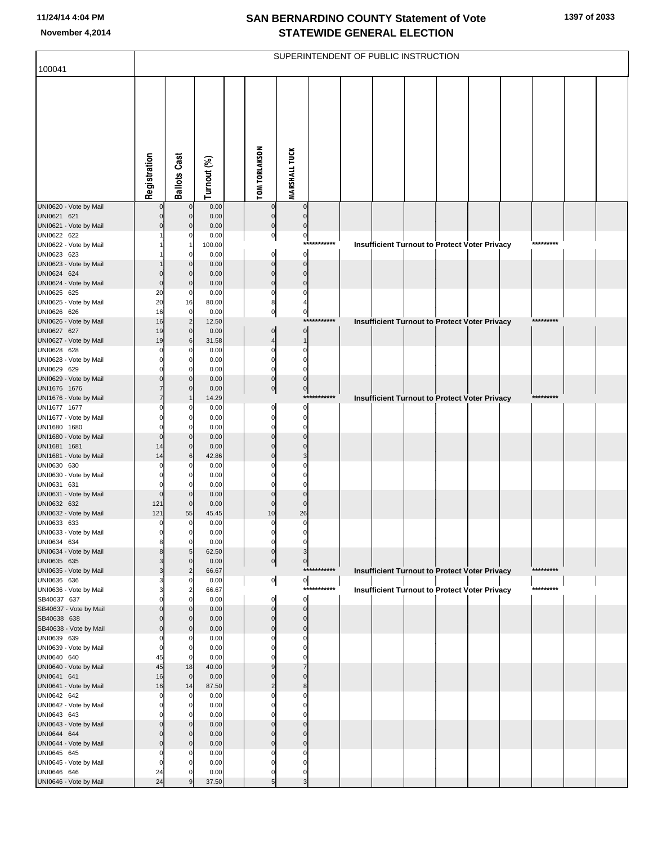| 100041                                 |                |                            |                |                             |                            |              | SUPERINTENDENT OF PUBLIC INSTRUCTION                 |  |  |           |  |
|----------------------------------------|----------------|----------------------------|----------------|-----------------------------|----------------------------|--------------|------------------------------------------------------|--|--|-----------|--|
|                                        |                |                            |                |                             |                            |              |                                                      |  |  |           |  |
|                                        |                |                            |                |                             |                            |              |                                                      |  |  |           |  |
|                                        |                |                            |                |                             |                            |              |                                                      |  |  |           |  |
|                                        |                |                            |                |                             |                            |              |                                                      |  |  |           |  |
|                                        |                |                            |                |                             |                            |              |                                                      |  |  |           |  |
|                                        |                |                            |                |                             |                            |              |                                                      |  |  |           |  |
|                                        |                |                            |                |                             |                            |              |                                                      |  |  |           |  |
|                                        |                |                            |                |                             |                            |              |                                                      |  |  |           |  |
|                                        |                |                            |                |                             |                            |              |                                                      |  |  |           |  |
|                                        | Registration   | <b>Ballots Cast</b>        | Turnout (%)    | <b>TOM TORLAKSON</b>        | <b>MARSHALL TUCK</b>       |              |                                                      |  |  |           |  |
|                                        |                |                            |                |                             |                            |              |                                                      |  |  |           |  |
| UNI0620 - Vote by Mail<br>UNI0621 621  | $\Omega$       | $\mathbf 0$<br>$\mathbf 0$ | 0.00<br>0.00   | $\mathbf 0$                 | $\mathbf 0$<br>$\mathbf 0$ |              |                                                      |  |  |           |  |
| UNI0621 - Vote by Mail                 | $\Omega$       | $\Omega$                   | 0.00           | $\mathbf 0$                 | $\mathbf 0$                |              |                                                      |  |  |           |  |
| UNI0622 622                            |                | O                          | 0.00           | $\pmb{0}$                   | $\pmb{0}$                  |              |                                                      |  |  |           |  |
| UNI0622 - Vote by Mail<br>UNI0623 623  |                | -1<br>$\Omega$             | 100.00<br>0.00 | $\mathbf 0$                 | $\mathbf 0$                | ***********  | <b>Insufficient Turnout to Protect Voter Privacy</b> |  |  | ********* |  |
| UNI0623 - Vote by Mail                 |                | $\mathbf{0}$               | 0.00           | $\mathbf 0$                 | $\pmb{0}$                  |              |                                                      |  |  |           |  |
| UNI0624 624                            | $\Omega$       | $\Omega$                   | 0.00           | $\mathbf 0$                 | $\mathbf 0$                |              |                                                      |  |  |           |  |
| UNI0624 - Vote by Mail                 | $\mathbf 0$    | $\mathbf 0$                | 0.00           | $\mathbf 0$                 | $\mathbf 0$                |              |                                                      |  |  |           |  |
| UNI0625 625<br>UNI0625 - Vote by Mail  | 20<br>20       | $\mathbf 0$<br>16          | 0.00<br>80.00  | $\Omega$<br>8               | $\Omega$                   |              |                                                      |  |  |           |  |
| UNI0626 626                            | 16             | $\mathbf 0$                | 0.00           | $\mathbf 0$                 | $\pmb{0}$                  |              |                                                      |  |  |           |  |
| UNI0626 - Vote by Mail                 | 16             | $\overline{c}$             | 12.50          |                             |                            | ***********  | Insufficient Turnout to Protect Voter Privacy        |  |  | ********* |  |
| UNI0627 627                            | 19             | $\mathbf 0$                | 0.00           | $\mathbf 0$                 | $\pmb{0}$                  |              |                                                      |  |  |           |  |
| UNI0627 - Vote by Mail<br>UNI0628 628  | 19<br>0        | 6<br>$\Omega$              | 31.58<br>0.00  | $\overline{4}$<br>0         | $\mathbf{1}$<br>$\Omega$   |              |                                                      |  |  |           |  |
| UNI0628 - Vote by Mail                 |                | $\mathbf 0$                | 0.00           | $\mathbf 0$                 | $\mathbf 0$                |              |                                                      |  |  |           |  |
| UNI0629 629                            | O              | $\Omega$                   | 0.00           | $\mathbf 0$                 | $\Omega$                   |              |                                                      |  |  |           |  |
| UNI0629 - Vote by Mail<br>UNI1676 1676 | $\Omega$       | $\mathbf{0}$<br>$\Omega$   | 0.00<br>0.00   | $\pmb{0}$<br> 0             | $\bf{0}$<br>$\overline{0}$ |              |                                                      |  |  |           |  |
| UNI1676 - Vote by Mail                 |                |                            | 14.29          |                             |                            | ************ | Insufficient Turnout to Protect Voter Privacy        |  |  | ********* |  |
| UNI1677 1677                           |                | $\Omega$                   | 0.00           | 0                           | $\mathbf 0$                |              |                                                      |  |  |           |  |
| UNI1677 - Vote by Mail                 |                | $\mathbf 0$                | 0.00           | $\mathbf 0$                 | 0                          |              |                                                      |  |  |           |  |
| UNI1680 1680<br>UNI1680 - Vote by Mail | $\Omega$<br>0  | $\Omega$<br>$\mathbf{0}$   | 0.00<br>0.00   | $\Omega$<br>$\mathbf 0$     | $\mathbf 0$<br>$\mathbf 0$ |              |                                                      |  |  |           |  |
| UNI1681 1681                           | 14             | $\mathbf{0}$               | 0.00           | $\Omega$                    | $\mathbf 0$                |              |                                                      |  |  |           |  |
| UNI1681 - Vote by Mail                 | 14             | 6                          | 42.86          | $\Omega$                    | 3                          |              |                                                      |  |  |           |  |
| UNI0630 630<br>UNI0630 - Vote by Mail  |                | C<br>$\mathbf 0$           | 0.00<br>0.00   |                             | O<br>0                     |              |                                                      |  |  |           |  |
| UNI0631 631                            | $\Omega$       | $\Omega$                   | 0.00           | O                           | $\Omega$                   |              |                                                      |  |  |           |  |
| UNI0631 - Vote by Mail                 | $\Omega$       | $\mathbf 0$                | 0.00           | $\Omega$                    | $\mathbf 0$                |              |                                                      |  |  |           |  |
| UNI0632 632<br>UNI0632 - Vote by Mail  | 121<br>121     | $\mathbf 0$<br>55          | 0.00<br>45.45  | $\mathbf 0$<br>10           | $\mathbf 0$<br>26          |              |                                                      |  |  |           |  |
| UNI0633 633                            | 0              | $\Omega$                   | 0.00           | $\Omega$                    | 0                          |              |                                                      |  |  |           |  |
| UNI0633 - Vote by Mail                 |                |                            | 0.00           |                             |                            |              |                                                      |  |  |           |  |
| UNI0634 634                            | 8              | $\mathbf 0$                | 0.00           | 0                           | 0                          |              |                                                      |  |  |           |  |
| UNI0634 - Vote by Mail<br>UNI0635 635  | 8              | 5<br>$\Omega$              | 62.50<br>0.00  | $\pmb{0}$<br>$\overline{0}$ | 3<br>$\overline{0}$        |              |                                                      |  |  |           |  |
| UNI0635 - Vote by Mail                 | 3              | $\overline{2}$             | 66.67          |                             |                            | ***********  | <b>Insufficient Turnout to Protect Voter Privacy</b> |  |  | ********* |  |
| UNI0636 636                            |                | $\Omega$                   | 0.00           | $\overline{0}$              | $\overline{0}$             |              |                                                      |  |  |           |  |
| UNI0636 - Vote by Mail<br>SB40637 637  | O              | $\overline{2}$<br>$\Omega$ | 66.67<br>0.00  | $\mathbf 0$                 | $\mathbf 0$                | ***********  | <b>Insufficient Turnout to Protect Voter Privacy</b> |  |  | ********* |  |
| SB40637 - Vote by Mail                 | $\Omega$       | $\mathbf{0}$               | 0.00           | $\mathbf 0$                 | $\pmb{0}$                  |              |                                                      |  |  |           |  |
| SB40638 638                            | $\Omega$       | $\Omega$                   | 0.00           | $\mathbf 0$                 | $\mathbf 0$                |              |                                                      |  |  |           |  |
| SB40638 - Vote by Mail                 | $\Omega$       | $\Omega$<br>$\Omega$       | 0.00           | $\mathbf{0}$<br>0           | $\mathbf 0$<br>$\Omega$    |              |                                                      |  |  |           |  |
| UNI0639 639<br>UNI0639 - Vote by Mail  | 0<br>0         | $\mathbf 0$                | 0.00<br>0.00   | O                           | $\mathbf 0$                |              |                                                      |  |  |           |  |
| UNI0640 640                            | 45             | $\Omega$                   | 0.00           | O                           | $\Omega$                   |              |                                                      |  |  |           |  |
| UNI0640 - Vote by Mail                 | 45             | 18                         | 40.00          | 9                           | $\overline{7}$             |              |                                                      |  |  |           |  |
| UNI0641 641<br>UNI0641 - Vote by Mail  | 16<br>16       | $\mathbf 0$<br>14          | 0.00<br>87.50  | $\Omega$<br>$\overline{2}$  | $\Omega$<br>8              |              |                                                      |  |  |           |  |
| UNI0642 642                            | $\Omega$       | $\Omega$                   | 0.00           | O                           | 0                          |              |                                                      |  |  |           |  |
| UNI0642 - Vote by Mail                 | $\Omega$       | $\mathbf 0$                | 0.00           | O                           | $\Omega$                   |              |                                                      |  |  |           |  |
| UNI0643 643                            | $\Omega$<br>0  | $\Omega$<br>$\mathbf{0}$   | 0.00<br>0.00   | O<br>$\Omega$               | $\Omega$<br>$\Omega$       |              |                                                      |  |  |           |  |
| UNI0643 - Vote by Mail<br>UNI0644 644  | $\Omega$       | $\Omega$                   | 0.00           | $\Omega$                    | $\mathbf 0$                |              |                                                      |  |  |           |  |
| UNI0644 - Vote by Mail                 | $\Omega$       | $\Omega$                   | 0.00           | $\mathbf 0$                 | $\mathbf 0$                |              |                                                      |  |  |           |  |
| UNI0645 645                            | $\Omega$       | C                          | 0.00           | 0                           | 0                          |              |                                                      |  |  |           |  |
| UNI0645 - Vote by Mail<br>UNI0646 646  | $\Omega$<br>24 | $\Omega$<br>C              | 0.00<br>0.00   | $\Omega$<br>$\mathbf 0$     | $\mathbf 0$<br>$\mathbf 0$ |              |                                                      |  |  |           |  |
| UNI0646 - Vote by Mail                 | 24             | $\mathbf{Q}$               | 37.50          | 5                           | 3                          |              |                                                      |  |  |           |  |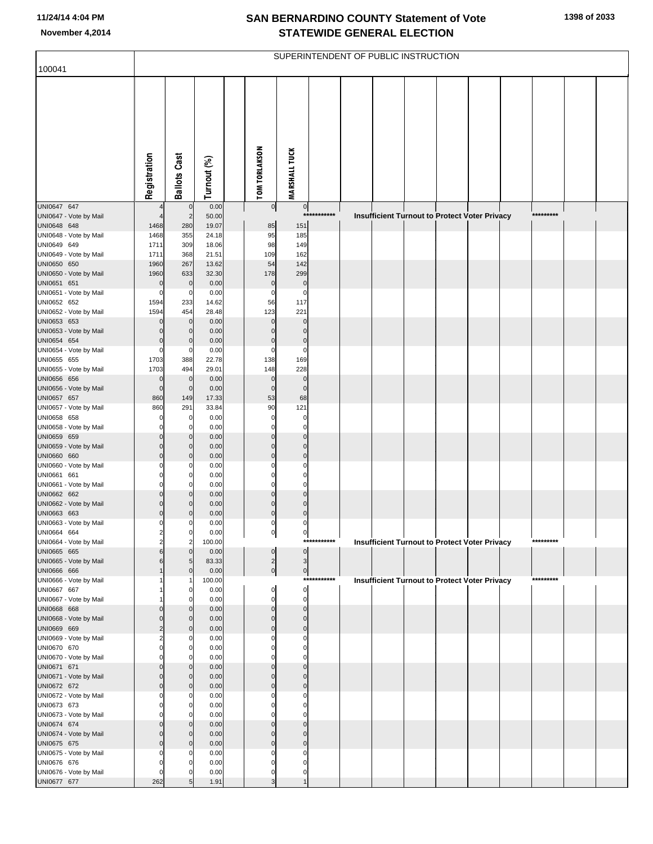| 100041                                |                            |                            |                |                            |                            |             | SUPERINTENDENT OF PUBLIC INSTRUCTION |  |                                                      |  |           |  |
|---------------------------------------|----------------------------|----------------------------|----------------|----------------------------|----------------------------|-------------|--------------------------------------|--|------------------------------------------------------|--|-----------|--|
|                                       |                            |                            |                |                            |                            |             |                                      |  |                                                      |  |           |  |
|                                       | Registration               | <b>Ballots Cast</b>        | Turnout (%)    | <b>TOM TORLAKSON</b>       | <b>MARSHALL TUCK</b>       |             |                                      |  |                                                      |  |           |  |
| UNI0647 647                           |                            | $\mathbf 0$                | 0.00           | $\overline{0}$             | $\overline{0}$             |             |                                      |  |                                                      |  |           |  |
| UNI0647 - Vote by Mail                |                            | $\overline{2}$             | 50.00          |                            |                            | *********** |                                      |  | Insufficient Turnout to Protect Voter Privacy        |  | ********* |  |
| UNI0648 648<br>UNI0648 - Vote by Mail | 1468<br>1468               | 280<br>355                 | 19.07<br>24.18 | 85<br>95                   | 151<br>185                 |             |                                      |  |                                                      |  |           |  |
| UNI0649 649                           | 1711                       | 309                        | 18.06          | 98                         | 149                        |             |                                      |  |                                                      |  |           |  |
| UNI0649 - Vote by Mail                | 1711                       | 368                        | 21.51          | 109                        | 162                        |             |                                      |  |                                                      |  |           |  |
| UNI0650 650                           | 1960                       | 267                        | 13.62          | 54                         | 142                        |             |                                      |  |                                                      |  |           |  |
| UNI0650 - Vote by Mail<br>UNI0651 651 | 1960<br>$\mathbf 0$        | 633<br>$\pmb{0}$           | 32.30<br>0.00  | 178<br>$\pmb{0}$           | 299<br>$\bf{0}$            |             |                                      |  |                                                      |  |           |  |
| UNI0651 - Vote by Mail                | 0                          | $\mathbf 0$                | 0.00           | $\mathbf 0$                | $\mathbf 0$                |             |                                      |  |                                                      |  |           |  |
| UNI0652 652                           | 1594                       | 233                        | 14.62          | 56                         | 117                        |             |                                      |  |                                                      |  |           |  |
| UNI0652 - Vote by Mail                | 1594                       | 454                        | 28.48          | 123                        | 221                        |             |                                      |  |                                                      |  |           |  |
| UNI0653 653<br>UNI0653 - Vote by Mail | $\mathbf 0$<br>$\mathbf 0$ | $\mathbf 0$<br>$\mathbf 0$ | 0.00<br>0.00   | $\mathbf 0$<br>$\mathbf 0$ | $\mathbf 0$<br>$\mathbf 0$ |             |                                      |  |                                                      |  |           |  |
| UNI0654 654                           | 0                          | $\mathbf 0$                | 0.00           | $\mathbf 0$                | $\pmb{0}$                  |             |                                      |  |                                                      |  |           |  |
| UNI0654 - Vote by Mail                | 0                          | $\mathbf 0$                | 0.00           | $\mathbf 0$                | $\mathbf 0$                |             |                                      |  |                                                      |  |           |  |
| UNI0655 655                           | 1703                       | 388                        | 22.78          | 138                        | 169                        |             |                                      |  |                                                      |  |           |  |
| UNI0655 - Vote by Mail<br>UNI0656 656 | 1703<br>$\mathbf 0$        | 494<br>$\mathbf 0$         | 29.01<br>0.00  | 148<br>$\mathbf 0$         | 228<br>$\mathbf 0$         |             |                                      |  |                                                      |  |           |  |
| UNI0656 - Vote by Mail                | $\mathbf 0$                | $\mathbf 0$                | 0.00           | $\mathbf 0$                | $\mathbf 0$                |             |                                      |  |                                                      |  |           |  |
| UNI0657 657                           | 860                        | 149                        | 17.33          | 53                         | 68                         |             |                                      |  |                                                      |  |           |  |
| UNI0657 - Vote by Mail<br>UNI0658 658 | 860<br>0                   | 291<br>$\mathbf 0$         | 33.84<br>0.00  | 90<br>$\mathbf 0$          | 121<br>$\pmb{0}$           |             |                                      |  |                                                      |  |           |  |
| UNI0658 - Vote by Mail                | 0                          | $\mathbf 0$                | 0.00           | $\mathbf 0$                | $\mathbf 0$                |             |                                      |  |                                                      |  |           |  |
| UNI0659 659                           | 0                          | $\mathbf 0$                | 0.00           | $\mathbf 0$                | $\mathbf 0$                |             |                                      |  |                                                      |  |           |  |
| UNI0659 - Vote by Mail<br>UNI0660 660 | $\mathbf 0$<br>$\mathbf 0$ | $\mathbf 0$<br>$\mathbf 0$ | 0.00<br>0.00   | $\mathbf 0$<br>$\mathbf 0$ | $\mathbf 0$<br>$\mathbf 0$ |             |                                      |  |                                                      |  |           |  |
| UNI0660 - Vote by Mail                | 0                          | 0                          | 0.00           | $\mathbf 0$                | $\mathbf 0$                |             |                                      |  |                                                      |  |           |  |
| UNI0661 661                           | 0                          | $\mathbf 0$                | 0.00           | $\mathbf 0$                | $\mathbf 0$                |             |                                      |  |                                                      |  |           |  |
| UNI0661 - Vote by Mail                | 0                          | $\Omega$                   | 0.00           | $\mathbf 0$                | $\mathbf 0$                |             |                                      |  |                                                      |  |           |  |
| UNI0662 662<br>UNI0662 - Vote by Mail | $\mathbf 0$<br>$\mathbf 0$ | $\mathbf 0$<br>0           | 0.00<br>0.00   | $\mathbf 0$<br>$\mathbf 0$ | $\mathbf 0$<br>$\mathbf 0$ |             |                                      |  |                                                      |  |           |  |
| UNI0663 663                           | $\mathbf 0$                | 0                          | 0.00           | $\mathbf 0$                | $\mathbf 0$                |             |                                      |  |                                                      |  |           |  |
| UNI0663 - Vote by Mail                | 0                          | 0                          | 0.00           | $\mathbf 0$                | 0                          |             |                                      |  |                                                      |  |           |  |
| UNI0664 664<br>UNI0664 - Vote by Mail | 2<br>$\overline{2}$        | 0<br>$\overline{2}$        | 0.00<br>100.00 | 이                          | 이                          | *********** |                                      |  | <b>Insufficient Turnout to Protect Voter Privacy</b> |  | ********* |  |
| UNI0665 665                           | 6                          | $\mathbf 0$                | 0.00           | $\pmb{0}$                  | $\mathbf 0$                |             |                                      |  |                                                      |  |           |  |
| UNI0665 - Vote by Mail                | 6                          | 5                          | 83.33          | $\mathbf{2}$               | $\mathsf 3$                |             |                                      |  |                                                      |  |           |  |
| UNI0666 666<br>UNI0666 - Vote by Mail | 1                          | $\mathbf 0$                | 0.00<br>100.00 | $\overline{0}$             | $\overline{0}$             | *********** |                                      |  | <b>Insufficient Turnout to Protect Voter Privacy</b> |  | ********* |  |
| UNI0667 667                           |                            | 0                          | 0.00           | $\mathbf 0$                | $\pmb{0}$                  |             |                                      |  |                                                      |  |           |  |
| UNI0667 - Vote by Mail                |                            | 0                          | 0.00           | $\mathbf 0$                | $\mathbf 0$                |             |                                      |  |                                                      |  |           |  |
| UNI0668 668<br>UNI0668 - Vote by Mail | 0<br>$\mathbf 0$           | 0<br>0                     | 0.00<br>0.00   | $\mathbf 0$<br>$\mathbf 0$ | $\mathbf 0$<br>$\mathbf 0$ |             |                                      |  |                                                      |  |           |  |
| UNI0669 669                           | $\overline{2}$             | $\mathbf 0$                | 0.00           | $\mathbf 0$                | $\mathbf 0$                |             |                                      |  |                                                      |  |           |  |
| UNI0669 - Vote by Mail                | $\overline{2}$             | 0                          | 0.00           | $\mathbf 0$                | 0                          |             |                                      |  |                                                      |  |           |  |
| UNI0670 670<br>UNI0670 - Vote by Mail | $\Omega$<br>0              | 0<br>0                     | 0.00<br>0.00   | $\mathbf 0$<br>$\mathbf 0$ | $\mathbf 0$<br>$\mathbf 0$ |             |                                      |  |                                                      |  |           |  |
| UNI0671 671                           | $\mathbf 0$                | $\mathbf 0$                | 0.00           | $\mathbf 0$                | $\mathbf 0$                |             |                                      |  |                                                      |  |           |  |
| UNI0671 - Vote by Mail                | $\mathbf 0$                | 0                          | 0.00           | $\mathbf 0$                | $\mathbf 0$                |             |                                      |  |                                                      |  |           |  |
| UNI0672 672                           | $\mathbf 0$                | $\mathbf 0$                | 0.00           | $\mathbf 0$                | $\mathbf 0$                |             |                                      |  |                                                      |  |           |  |
| UNI0672 - Vote by Mail<br>UNI0673 673 | 0<br>0                     | 0<br>0                     | 0.00<br>0.00   | $\mathbf 0$<br>$\mathbf 0$ | $\mathbf 0$<br>$\mathbf 0$ |             |                                      |  |                                                      |  |           |  |
| UNI0673 - Vote by Mail                | ŋ                          | 0                          | 0.00           | $\Omega$                   | $\Omega$                   |             |                                      |  |                                                      |  |           |  |
| UNI0674 674                           | $\mathbf 0$                | $\mathbf 0$                | 0.00           | $\mathbf 0$                | $\mathbf{0}$               |             |                                      |  |                                                      |  |           |  |
| UNI0674 - Vote by Mail                | $\mathbf 0$<br>$\Omega$    | $\mathbf 0$                | 0.00           | $\mathbf 0$<br>$\mathbf 0$ | $\mathbf 0$<br>$\mathbf 0$ |             |                                      |  |                                                      |  |           |  |
| UNI0675 675<br>UNI0675 - Vote by Mail | 0                          | $\mathbf 0$<br>0           | 0.00<br>0.00   | $\mathbf 0$                | 0                          |             |                                      |  |                                                      |  |           |  |
| UNI0676 676                           | ŋ                          | 0                          | 0.00           | $\mathbf 0$                | 0                          |             |                                      |  |                                                      |  |           |  |
| UNI0676 - Vote by Mail                | $\Omega$                   |                            | 0.00           | $\mathbf 0$                | 0                          |             |                                      |  |                                                      |  |           |  |
| UNI0677 677                           | 262                        |                            | 1.91           | 3                          |                            |             |                                      |  |                                                      |  |           |  |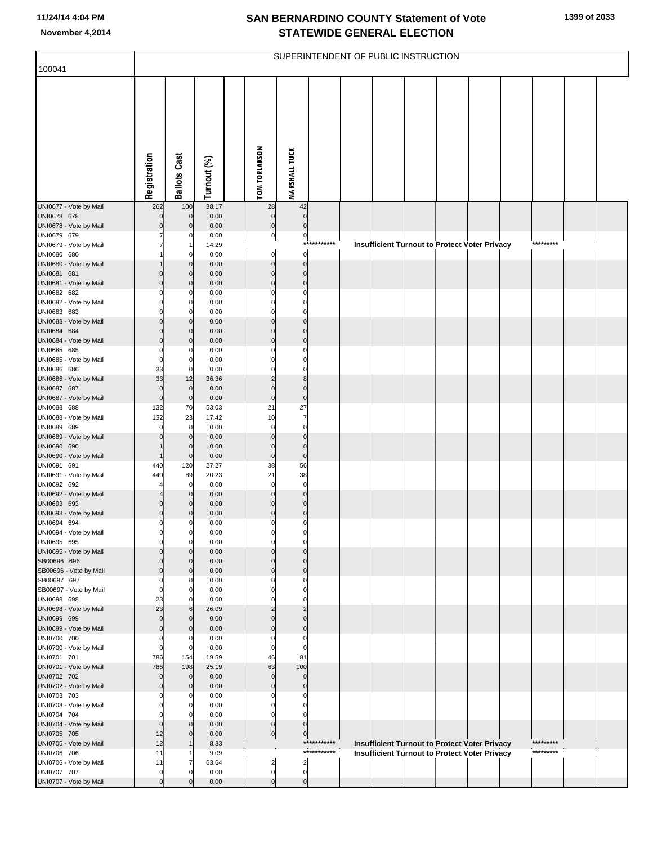| 100041                                |                            |                                |                |                            |                                 |             | SUPERINTENDENT OF PUBLIC INSTRUCTION |  |                                                                                                       |           |  |
|---------------------------------------|----------------------------|--------------------------------|----------------|----------------------------|---------------------------------|-------------|--------------------------------------|--|-------------------------------------------------------------------------------------------------------|-----------|--|
|                                       |                            |                                |                |                            |                                 |             |                                      |  |                                                                                                       |           |  |
|                                       |                            |                                |                |                            |                                 |             |                                      |  |                                                                                                       |           |  |
|                                       |                            |                                |                |                            |                                 |             |                                      |  |                                                                                                       |           |  |
|                                       |                            |                                |                |                            |                                 |             |                                      |  |                                                                                                       |           |  |
|                                       |                            |                                |                |                            |                                 |             |                                      |  |                                                                                                       |           |  |
|                                       |                            |                                |                |                            |                                 |             |                                      |  |                                                                                                       |           |  |
|                                       |                            |                                |                |                            |                                 |             |                                      |  |                                                                                                       |           |  |
|                                       |                            |                                |                |                            |                                 |             |                                      |  |                                                                                                       |           |  |
|                                       | Registration               | <b>Ballots Cast</b>            | Turnout (%)    | <b>TOM TORLAKSON</b>       | <b>MARSHALL TUCK</b>            |             |                                      |  |                                                                                                       |           |  |
| UNI0677 - Vote by Mail                | 262                        | 100                            | 38.17          | 28                         | 42                              |             |                                      |  |                                                                                                       |           |  |
| UNI0678 678                           | $\mathbf 0$                | $\mathbf 0$                    | 0.00           | $\mathbf 0$                | $\pmb{0}$                       |             |                                      |  |                                                                                                       |           |  |
| UNI0678 - Vote by Mail                | $\mathbf 0$                | $\mathbf{0}$                   | 0.00           | $\pmb{0}$                  | $\pmb{0}$                       |             |                                      |  |                                                                                                       |           |  |
| UNI0679 679<br>UNI0679 - Vote by Mail | 7                          | 0                              | 0.00<br>14.29  | $\overline{0}$             | $\pmb{0}$                       | *********** |                                      |  | <b>Insufficient Turnout to Protect Voter Privacy</b>                                                  | ********* |  |
| UNI0680 680                           |                            | $\Omega$                       | 0.00           | $\mathbf 0$                | $\mathbf 0$                     |             |                                      |  |                                                                                                       |           |  |
| UNI0680 - Vote by Mail<br>UNI0681 681 | $\mathbf 0$                | $\mathbf{0}$<br>$\mathbf{0}$   | 0.00<br>0.00   | $\mathbf 0$<br>$\mathbf 0$ | $\mathbf 0$<br>$\mathbf 0$      |             |                                      |  |                                                                                                       |           |  |
| UNI0681 - Vote by Mail                | $\mathbf 0$                | $\mathbf{0}$                   | 0.00           | $\mathbf 0$                | $\mathbf 0$                     |             |                                      |  |                                                                                                       |           |  |
| UNI0682 682                           | $\Omega$                   | $\Omega$                       | 0.00           | $\Omega$                   | $\Omega$                        |             |                                      |  |                                                                                                       |           |  |
| UNI0682 - Vote by Mail<br>UNI0683 683 | $\mathbf 0$<br>$\Omega$    | $\mathbf 0$<br>$\Omega$        | 0.00<br>0.00   | 0<br>$\Omega$              | $\mathbf 0$<br>$\Omega$         |             |                                      |  |                                                                                                       |           |  |
| UNI0683 - Vote by Mail                | $\mathbf 0$                | $\overline{0}$                 | 0.00           | $\mathbf 0$                | $\mathbf 0$                     |             |                                      |  |                                                                                                       |           |  |
| UNI0684 684<br>UNI0684 - Vote by Mail | $\Omega$<br>$\mathbf 0$    | $\overline{0}$<br>$\mathbf{0}$ | 0.00<br>0.00   | $\mathbf 0$<br>$\mathbf 0$ | $\Omega$<br>$\mathbf 0$         |             |                                      |  |                                                                                                       |           |  |
| UNI0685 685                           | 0                          | $\Omega$                       | 0.00           | $\Omega$                   | $\mathbf 0$                     |             |                                      |  |                                                                                                       |           |  |
| UNI0685 - Vote by Mail                | $\mathbf 0$                | 0                              | 0.00           | $\Omega$                   | $\mathbf 0$                     |             |                                      |  |                                                                                                       |           |  |
| UNI0686 686<br>UNI0686 - Vote by Mail | 33<br>33                   | $\mathbf 0$<br>12              | 0.00<br>36.36  | $\Omega$<br>$\overline{c}$ | $\Omega$<br>8                   |             |                                      |  |                                                                                                       |           |  |
| UNI0687 687                           | $\mathbf 0$                | $\overline{0}$                 | 0.00           | $\mathbf 0$                | $\mathbf 0$                     |             |                                      |  |                                                                                                       |           |  |
| UNI0687 - Vote by Mail                | $\mathbf 0$                | $\mathbf 0$                    | 0.00           | $\mathbf 0$<br>21          | $\pmb{0}$<br>27                 |             |                                      |  |                                                                                                       |           |  |
| UNI0688 688<br>UNI0688 - Vote by Mail | 132<br>132                 | 70<br>23                       | 53.03<br>17.42 | 10                         | $\overline{7}$                  |             |                                      |  |                                                                                                       |           |  |
| UNI0689 689                           | $\Omega$                   | $\mathbf 0$                    | 0.00           | $\mathbf 0$                | $\mathbf 0$                     |             |                                      |  |                                                                                                       |           |  |
| UNI0689 - Vote by Mail<br>UNI0690 690 |                            | $\mathbf{0}$<br>$\mathbf{0}$   | 0.00<br>0.00   | $\mathbf 0$<br>$\mathbf 0$ | $\mathbf 0$<br>$\mathbf 0$      |             |                                      |  |                                                                                                       |           |  |
| UNI0690 - Vote by Mail                |                            | $\mathbf 0$                    | 0.00           | $\pmb{0}$                  | $\pmb{0}$                       |             |                                      |  |                                                                                                       |           |  |
| UNI0691 691<br>UNI0691 - Vote by Mail | 440<br>440                 | 120<br>89                      | 27.27<br>20.23 | 38<br>21                   | 56<br>38                        |             |                                      |  |                                                                                                       |           |  |
| UNI0692 692                           |                            | $\mathbf 0$                    | 0.00           | $\mathbf 0$                | $\mathbf 0$                     |             |                                      |  |                                                                                                       |           |  |
| UNI0692 - Vote by Mail                |                            | $\mathbf{0}$                   | 0.00           | $\mathbf 0$                | $\mathbf 0$                     |             |                                      |  |                                                                                                       |           |  |
| UNI0693 693<br>UNI0693 - Vote by Mail | $\mathbf 0$<br>$\mathbf 0$ | 0<br>0                         | 0.00<br>0.00   | $\mathbf 0$<br>$\mathbf 0$ | $\mathbf 0$<br>$\mathbf 0$      |             |                                      |  |                                                                                                       |           |  |
| UNI0694 694                           | 0                          | 0                              | 0.00           | $\Omega$                   | $\Omega$                        |             |                                      |  |                                                                                                       |           |  |
| UNI0694 - Vote by Mail<br>UNI0695 695 | $\Omega$                   | 0<br>0                         | 0.00<br>0.00   | $\mathbf 0$                | $\mathbf 0$                     |             |                                      |  |                                                                                                       |           |  |
| UNI0695 - Vote by Mail                | $\mathbf 0$                | $\overline{0}$                 | 0.00           | $\mathbf 0$                | $\Omega$                        |             |                                      |  |                                                                                                       |           |  |
| SB00696 696                           | $\Omega$                   | 0                              | 0.00           | $\mathbf 0$                | $\Omega$                        |             |                                      |  |                                                                                                       |           |  |
| SB00696 - Vote by Mail<br>SB00697 697 | $\mathbf 0$<br>$\Omega$    | $\mathbf{0}$<br>$\Omega$       | 0.00<br>0.00   | $\mathbf 0$<br>0           | $\mathbf 0$<br>$\Omega$         |             |                                      |  |                                                                                                       |           |  |
| SB00697 - Vote by Mail                | $\mathbf 0$                | 0                              | 0.00           | $\Omega$                   | 0                               |             |                                      |  |                                                                                                       |           |  |
| UNI0698 698<br>UNI0698 - Vote by Mail | 23<br>23                   | 0<br>$6 \mid$                  | 0.00<br>26.09  | O<br>$\overline{2}$        | $\mathcal{C}$<br>$\overline{2}$ |             |                                      |  |                                                                                                       |           |  |
| UNI0699 699                           | $\mathbf 0$                | 0                              | 0.00           | $\mathbf 0$                | $\Omega$                        |             |                                      |  |                                                                                                       |           |  |
| UNI0699 - Vote by Mail                | $\mathbf 0$                | $\mathbf{0}$                   | 0.00           | $\mathbf 0$                | $\mathbf 0$                     |             |                                      |  |                                                                                                       |           |  |
| UNI0700 700<br>UNI0700 - Vote by Mail | 0<br>$\mathbf 0$           | $\Omega$<br>0                  | 0.00<br>0.00   | $\mathbf 0$<br>$\mathbf 0$ | 0<br>$\mathbf 0$                |             |                                      |  |                                                                                                       |           |  |
| UNI0701 701                           | 786                        | 154                            | 19.59          | 46                         | 81                              |             |                                      |  |                                                                                                       |           |  |
| UNI0701 - Vote by Mail<br>UNI0702 702 | 786<br>$\mathbf 0$         | 198<br>$\mathbf 0$             | 25.19<br>0.00  | 63<br>$\mathbf 0$          | 100<br>$\mathbf 0$              |             |                                      |  |                                                                                                       |           |  |
| UNI0702 - Vote by Mail                | $\mathbf 0$                | $\mathbf 0$                    | 0.00           | $\mathbf 0$                | $\mathbf 0$                     |             |                                      |  |                                                                                                       |           |  |
| UNI0703 703                           | $\Omega$                   | 0                              | 0.00           | $\Omega$                   | $\mathbf 0$                     |             |                                      |  |                                                                                                       |           |  |
| UNI0703 - Vote by Mail<br>UNI0704 704 | $\mathbf 0$<br>$\Omega$    | 0<br>0                         | 0.00<br>0.00   | 0<br>$\mathbf 0$           | 0<br>$\Omega$                   |             |                                      |  |                                                                                                       |           |  |
| UNI0704 - Vote by Mail                | $\mathbf 0$                | $\mathbf{0}$                   | 0.00           | $\pmb{0}$                  | $\mathbf 0$                     |             |                                      |  |                                                                                                       |           |  |
| UNI0705 705<br>UNI0705 - Vote by Mail | 12<br>12                   | $\Omega$                       | 0.00<br>8.33   | $\overline{0}$             | $\mathbf 0$                     | *********** |                                      |  |                                                                                                       | ********* |  |
| UNI0706 706                           | 11                         |                                | 9.09           |                            |                                 | *********** |                                      |  | Insufficient Turnout to Protect Voter Privacy<br><b>Insufficient Turnout to Protect Voter Privacy</b> | ********* |  |
| UNI0706 - Vote by Mail                | 11                         | 7                              | 63.64          | $\overline{a}$             | $\overline{2}$                  |             |                                      |  |                                                                                                       |           |  |
| UNI0707 707<br>UNI0707 - Vote by Mail | 0<br>$\mathbf 0$           | 0<br>$\mathbf 0$               | 0.00<br>0.00   | $\mathbf 0$<br>$\mathbf 0$ | $\mathbf 0$<br>$\mathbf 0$      |             |                                      |  |                                                                                                       |           |  |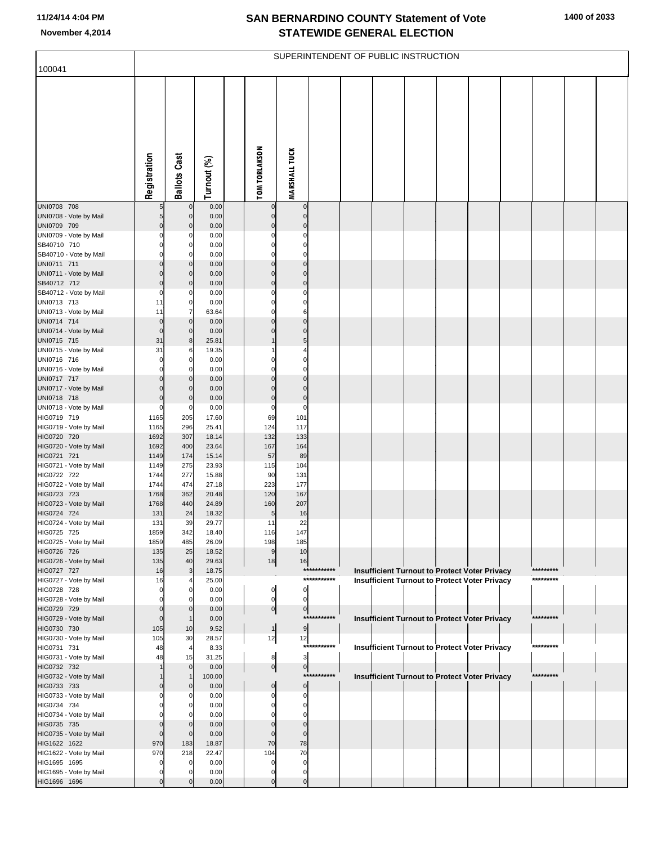| 100041                                 |                |                            |                |                      |                               |                            | SUPERINTENDENT OF PUBLIC INSTRUCTION |  |                                                      |                        |  |
|----------------------------------------|----------------|----------------------------|----------------|----------------------|-------------------------------|----------------------------|--------------------------------------|--|------------------------------------------------------|------------------------|--|
|                                        |                |                            |                |                      |                               |                            |                                      |  |                                                      |                        |  |
|                                        | Registration   | <b>Ballots Cast</b>        | Turnout (%)    | <b>TOM TORLAKSON</b> | <b>MARSHALL TUCK</b>          |                            |                                      |  |                                                      |                        |  |
| UNI0708 708                            |                | 0                          | 0.00           | $\mathbf 0$          | $\overline{0}$                |                            |                                      |  |                                                      |                        |  |
| UNI0708 - Vote by Mail                 | 5 <sub>5</sub> | $\mathbf 0$                | 0.00           | $\mathbf 0$          | $\overline{0}$                |                            |                                      |  |                                                      |                        |  |
| UNI0709 709                            | $\Omega$       | $\mathbf 0$                | 0.00           | $\Omega$             | $\mathbf 0$                   |                            |                                      |  |                                                      |                        |  |
| UNI0709 - Vote by Mail                 |                | 0                          | 0.00           | 0                    | $\mathbf{0}$                  |                            |                                      |  |                                                      |                        |  |
| SB40710 710                            |                | 0                          | 0.00           | ი                    | $\Omega$                      |                            |                                      |  |                                                      |                        |  |
| SB40710 - Vote by Mail                 |                | 0                          | 0.00           | 0                    | $\Omega$                      |                            |                                      |  |                                                      |                        |  |
| UNI0711 711<br>UNI0711 - Vote by Mail  |                | $\mathbf 0$<br>$\mathbf 0$ | 0.00<br>0.00   | $\Omega$<br>$\Omega$ | $\Omega$<br>$\overline{0}$    |                            |                                      |  |                                                      |                        |  |
| SB40712 712                            | 0              | $\mathbf 0$                | 0.00           | $\Omega$             | $\overline{0}$                |                            |                                      |  |                                                      |                        |  |
| SB40712 - Vote by Mail                 | O              | 0                          | 0.00           | 0                    | 0                             |                            |                                      |  |                                                      |                        |  |
| UNI0713 713                            | 11             | $\pmb{0}$                  | 0.00           | 0                    | οI                            |                            |                                      |  |                                                      |                        |  |
| UNI0713 - Vote by Mail                 | 11             | 7                          | 63.64          | በ                    | 6                             |                            |                                      |  |                                                      |                        |  |
| UNI0714 714                            | $\Omega$       | $\mathbf 0$                | 0.00           | $\Omega$             | $\Omega$                      |                            |                                      |  |                                                      |                        |  |
| UNI0714 - Vote by Mail                 | $\Omega$       | $\mathbf 0$                | 0.00           | $\Omega$             | $\overline{0}$                |                            |                                      |  |                                                      |                        |  |
| UNI0715 715<br>UNI0715 - Vote by Mail  | 31<br>31       | 8<br>6                     | 25.81<br>19.35 |                      | 5 <sub>l</sub><br>4           |                            |                                      |  |                                                      |                        |  |
| UNI0716 716                            |                | $\pmb{0}$                  | 0.00           | 0                    | $\Omega$                      |                            |                                      |  |                                                      |                        |  |
| UNI0716 - Vote by Mail                 |                | 0                          | 0.00           | 0                    | $\Omega$                      |                            |                                      |  |                                                      |                        |  |
| UNI0717 717                            |                | $\mathbf 0$                | 0.00           | 0                    | $\Omega$                      |                            |                                      |  |                                                      |                        |  |
| UNI0717 - Vote by Mail                 |                | $\mathbf 0$                | 0.00           | $\Omega$             | $\mathbf 0$                   |                            |                                      |  |                                                      |                        |  |
| UNI0718 718<br>UNI0718 - Vote by Mail  | O<br>O         | $\mathbf 0$<br>0           | 0.00<br>0.00   | $\Omega$<br>$\Omega$ | $\overline{0}$<br>$\mathbf 0$ |                            |                                      |  |                                                      |                        |  |
| HIG0719 719                            | 1165           | 205                        | 17.60          | 69                   | 101                           |                            |                                      |  |                                                      |                        |  |
| HIG0719 - Vote by Mail                 | 1165           | 296                        | 25.41          | 124                  | 117                           |                            |                                      |  |                                                      |                        |  |
| HIG0720 720                            | 1692           | 307                        | 18.14          | 132                  | 133                           |                            |                                      |  |                                                      |                        |  |
| HIG0720 - Vote by Mail                 | 1692           | 400                        | 23.64          | 167                  | 164                           |                            |                                      |  |                                                      |                        |  |
| HIG0721 721                            | 1149           | 174                        | 15.14          | 57                   | 89                            |                            |                                      |  |                                                      |                        |  |
| HIG0721 - Vote by Mail<br>HIG0722 722  | 1149<br>1744   | 275<br>277                 | 23.93<br>15.88 | 115<br>90            | 104<br>131                    |                            |                                      |  |                                                      |                        |  |
| HIG0722 - Vote by Mail                 | 1744           | 474                        | 27.18          | 223                  | 177                           |                            |                                      |  |                                                      |                        |  |
| HIG0723 723                            | 1768           | 362                        | 20.48          | 120                  | 167                           |                            |                                      |  |                                                      |                        |  |
| HIG0723 - Vote by Mail                 | 1768           | 440                        | 24.89          | 160                  | 207                           |                            |                                      |  |                                                      |                        |  |
| HIG0724 724                            | 131            | 24                         | 18.32          | 5                    | 16                            |                            |                                      |  |                                                      |                        |  |
| HIG0724 - Vote by Mail<br>HIG0725 725  | 131<br>1859    | 39<br>342                  | 29.77<br>18.40 | 11<br>116            | 22<br>147                     |                            |                                      |  |                                                      |                        |  |
| HIG0725 - Vote by Mail                 | 1859           | 485                        | 26.09          | 198                  | 185                           |                            |                                      |  |                                                      |                        |  |
| HIG0726 726                            | 135            | 25                         | 18.52          | 9                    | 10                            |                            |                                      |  |                                                      |                        |  |
| HIG0726 - Vote by Mail                 | 135            | 40                         | 29.63          | 18                   | 16                            |                            |                                      |  |                                                      |                        |  |
| HIG0727 727                            | 16             | 3                          | 18.75          |                      |                               | ***********<br>*********** |                                      |  | Insufficient Turnout to Protect Voter Privacy        | *********<br>********* |  |
| HIG0727 - Vote by Mail<br>HIG0728 728  | 16             | 4<br>0                     | 25.00<br>0.00  |                      | $\mathbf{0}$                  |                            |                                      |  | <b>Insufficient Turnout to Protect Voter Privacy</b> |                        |  |
| HIG0728 - Vote by Mail                 |                | 0                          | 0.00           | 0                    | $\mathbf{0}$                  |                            |                                      |  |                                                      |                        |  |
| HIG0729 729                            |                | 0                          | 0.00           | 이                    | $\overline{0}$                |                            |                                      |  |                                                      |                        |  |
| HIG0729 - Vote by Mail                 |                | $\mathbf{1}$               | 0.00           |                      |                               | ***********                |                                      |  | Insufficient Turnout to Protect Voter Privacy        | *********              |  |
| HIG0730 730                            | 105            | 10                         | 9.52           | $\mathbf{1}$         | 9                             |                            |                                      |  |                                                      |                        |  |
| HIG0730 - Vote by Mail<br>HIG0731 731  | 105<br>48      | 30<br>4                    | 28.57<br>8.33  | 12                   | 12                            | ***********                |                                      |  | Insufficient Turnout to Protect Voter Privacy        | *********              |  |
| HIG0731 - Vote by Mail                 | 48             | 15                         | 31.25          | 8                    | $\overline{\mathbf{3}}$       |                            |                                      |  |                                                      |                        |  |
| HIG0732 732                            |                | $\mathbf 0$                | 0.00           | 이                    | $\overline{0}$                |                            |                                      |  |                                                      |                        |  |
| HIG0732 - Vote by Mail                 |                | $\mathbf{1}$               | 100.00         |                      |                               | ***********                |                                      |  | <b>Insufficient Turnout to Protect Voter Privacy</b> | *********              |  |
| HIG0733 733                            |                | 0                          | 0.00           | 0                    | $\overline{0}$                |                            |                                      |  |                                                      |                        |  |
| HIG0733 - Vote by Mail                 |                | 0                          | 0.00           |                      | 0<br>0                        |                            |                                      |  |                                                      |                        |  |
| HIG0734 734<br>HIG0734 - Vote by Mail  |                | 0<br>0                     | 0.00<br>0.00   |                      | 0                             |                            |                                      |  |                                                      |                        |  |
| HIG0735 735                            |                | 0                          | 0.00           |                      | $\Omega$                      |                            |                                      |  |                                                      |                        |  |
| HIG0735 - Vote by Mail                 |                | 0                          | 0.00           |                      | $\Omega$                      |                            |                                      |  |                                                      |                        |  |
| HIG1622 1622                           | 970            | 183                        | 18.87          | 70                   | 78                            |                            |                                      |  |                                                      |                        |  |
| HIG1622 - Vote by Mail                 | 970            | 218                        | 22.47          | 104                  | 70                            |                            |                                      |  |                                                      |                        |  |
| HIG1695 1695<br>HIG1695 - Vote by Mail |                | 0<br>0                     | 0.00<br>0.00   |                      | 0<br>0                        |                            |                                      |  |                                                      |                        |  |
| HIG1696 1696                           |                | $\mathbf 0$                | 0.00           | $\Omega$             | $\mathbf{0}$                  |                            |                                      |  |                                                      |                        |  |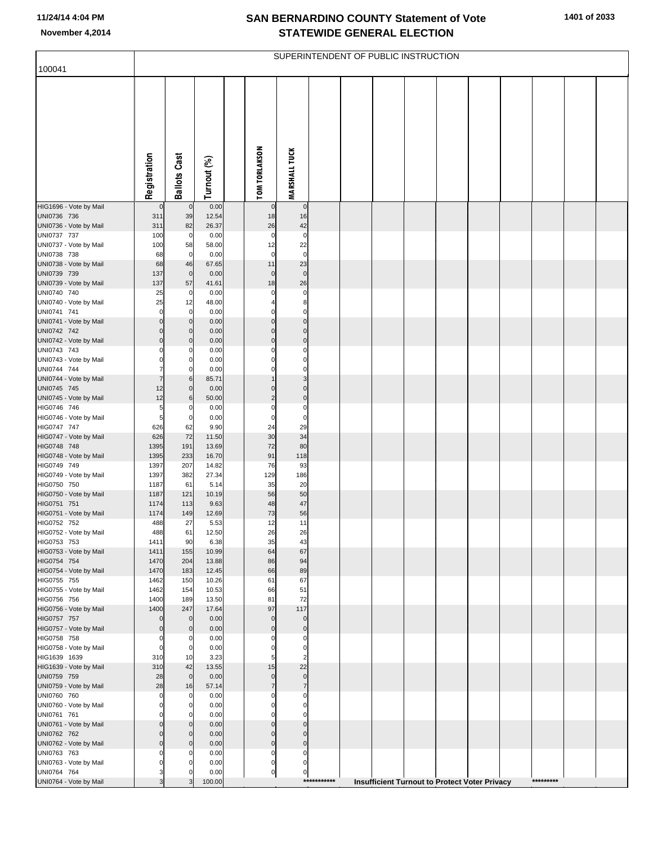| 100041                                |                   |                            |                |                               |                               |             | SUPERINTENDENT OF PUBLIC INSTRUCTION |  |                                               |  |           |  |
|---------------------------------------|-------------------|----------------------------|----------------|-------------------------------|-------------------------------|-------------|--------------------------------------|--|-----------------------------------------------|--|-----------|--|
|                                       |                   |                            |                |                               |                               |             |                                      |  |                                               |  |           |  |
|                                       | Registration      | <b>Ballots Cast</b>        | Turnout (%)    | <b>TOM TORLAKSON</b>          | <b>MARSHALL TUCK</b>          |             |                                      |  |                                               |  |           |  |
| HIG1696 - Vote by Mail                | $\mathbf 0$       | $\overline{0}$             | 0.00           | 0                             | $\mathbf 0$                   |             |                                      |  |                                               |  |           |  |
| UNI0736 736                           | 311               | 39                         | 12.54          | 18                            | 16                            |             |                                      |  |                                               |  |           |  |
| UNI0736 - Vote by Mail<br>UNI0737 737 | 311<br>100        | 82<br>$\overline{0}$       | 26.37<br>0.00  | 26<br>$\mathbf 0$             | 42<br>$\mathbf 0$             |             |                                      |  |                                               |  |           |  |
| UNI0737 - Vote by Mail                | 100               | 58                         | 58.00          | 12                            | 22                            |             |                                      |  |                                               |  |           |  |
| UNI0738 738                           | 68                | $\overline{0}$             | 0.00           | $\mathbf 0$                   | $\mathbf 0$                   |             |                                      |  |                                               |  |           |  |
| UNI0738 - Vote by Mail<br>UNI0739 739 | 68<br>137         | 46<br>$\mathbf 0$          | 67.65<br>0.00  | 11<br>$\mathbf 0$             | 23<br>$\mathbf 0$             |             |                                      |  |                                               |  |           |  |
| UNI0739 - Vote by Mail                | 137               | 57                         | 41.61          | 18                            | 26                            |             |                                      |  |                                               |  |           |  |
| UNI0740 740                           | 25                | $\overline{0}$             | 0.00           | $\mathbf 0$                   | $\mathbf 0$                   |             |                                      |  |                                               |  |           |  |
| UNI0740 - Vote by Mail<br>UNI0741 741 | 25<br>$\mathbf 0$ | 12<br>$\mathbf 0$          | 48.00<br>0.00  | 4<br>$\Omega$                 | 8<br>$\mathbf 0$              |             |                                      |  |                                               |  |           |  |
| UNI0741 - Vote by Mail                | 0                 | $\mathbf 0$                | 0.00           | $\mathbf 0$                   | $\mathbf 0$                   |             |                                      |  |                                               |  |           |  |
| UNI0742 742                           | 0                 | $\mathbf 0$                | 0.00           | $\mathbf 0$                   | $\mathbf 0$                   |             |                                      |  |                                               |  |           |  |
| UNI0742 - Vote by Mail                | 0                 | $\mathbf 0$                | 0.00           | $\mathbf 0$                   | $\mathbf 0$                   |             |                                      |  |                                               |  |           |  |
| UNI0743 743<br>UNI0743 - Vote by Mail | 0<br>0            | 0<br>0                     | 0.00<br>0.00   | $\Omega$<br>$\mathbf 0$       | 0<br>$\mathbf 0$              |             |                                      |  |                                               |  |           |  |
| UNI0744 744                           | $\overline{7}$    | 0                          | 0.00           | $\Omega$                      | $\mathbf 0$                   |             |                                      |  |                                               |  |           |  |
| UNI0744 - Vote by Mail                | 7                 | 6                          | 85.71          | $\mathbf{1}$                  | 3                             |             |                                      |  |                                               |  |           |  |
| UNI0745 745<br>UNI0745 - Vote by Mail | 12<br>12          | $\mathbf 0$<br>6           | 0.00<br>50.00  | $\mathbf 0$<br>$\overline{2}$ | $\mathbf 0$<br>$\mathbf 0$    |             |                                      |  |                                               |  |           |  |
| HIG0746 746                           | 5                 | 0                          | 0.00           | $\mathbf 0$                   | $\mathbf 0$                   |             |                                      |  |                                               |  |           |  |
| HIG0746 - Vote by Mail                | 5                 | $\mathbf 0$                | 0.00           | $\mathbf 0$                   | $\mathbf 0$                   |             |                                      |  |                                               |  |           |  |
| HIG0747 747                           | 626               | 62<br>72                   | 9.90           | 24<br>30                      | 29<br>34                      |             |                                      |  |                                               |  |           |  |
| HIG0747 - Vote by Mail<br>HIG0748 748 | 626<br>1395       | 191                        | 11.50<br>13.69 | 72                            | 80                            |             |                                      |  |                                               |  |           |  |
| HIG0748 - Vote by Mail                | 1395              | 233                        | 16.70          | 91                            | 118                           |             |                                      |  |                                               |  |           |  |
| HIG0749 749                           | 1397              | 207                        | 14.82          | 76                            | 93                            |             |                                      |  |                                               |  |           |  |
| HIG0749 - Vote by Mail<br>HIG0750 750 | 1397<br>1187      | 382<br>61                  | 27.34<br>5.14  | 129<br>35                     | 186<br>20                     |             |                                      |  |                                               |  |           |  |
| HIG0750 - Vote by Mail                | 1187              | 121                        | 10.19          | 56                            | 50                            |             |                                      |  |                                               |  |           |  |
| HIG0751 751                           | 1174              | 113                        | 9.63           | 48                            | 47                            |             |                                      |  |                                               |  |           |  |
| HIG0751 - Vote by Mail<br>HIG0752 752 | 1174<br>488       | 149<br>27                  | 12.69<br>5.53  | 73<br>12                      | 56<br>11                      |             |                                      |  |                                               |  |           |  |
| HIG0752 - Vote by Mail                | 488               | 61                         | 12.50          | 26                            | 26                            |             |                                      |  |                                               |  |           |  |
| HIG0753 753                           | 1411              | 90                         | 6.38           | 35                            | 43                            |             |                                      |  |                                               |  |           |  |
| HIG0753 - Vote by Mail                | 1411              | 155                        | 10.99          | 64                            | 67                            |             |                                      |  |                                               |  |           |  |
| HIG0754 754<br>HIG0754 - Vote by Mail | 1470<br>1470      | 204<br>183                 | 13.88<br>12.45 | 86<br>66                      | 94<br>89                      |             |                                      |  |                                               |  |           |  |
| HIG0755 755                           | 1462              | 150                        | 10.26          | 61                            | 67                            |             |                                      |  |                                               |  |           |  |
| HIG0755 - Vote by Mail                | 1462              | 154                        | 10.53          | 66                            | 51                            |             |                                      |  |                                               |  |           |  |
| HIG0756 756<br>HIG0756 - Vote by Mail | 1400<br>1400      | 189<br>247                 | 13.50<br>17.64 | 81<br>97                      | 72<br>117                     |             |                                      |  |                                               |  |           |  |
| HIG0757 757                           | $\mathbf 0$       | $\mathbf 0$                | 0.00           | $\mathbf 0$                   | $\mathbf 0$                   |             |                                      |  |                                               |  |           |  |
| HIG0757 - Vote by Mail                | $\mathbf 0$       | $\mathbf 0$                | 0.00           | $\mathbf 0$                   | $\mathbf 0$                   |             |                                      |  |                                               |  |           |  |
| HIG0758 758<br>HIG0758 - Vote by Mail | 0<br>0            | 0<br>$\mathbf 0$           | 0.00<br>0.00   | $\Omega$<br>$\mathbf 0$       | 0<br>$\mathbf 0$              |             |                                      |  |                                               |  |           |  |
| HIG1639 1639                          | 310               | 10                         | 3.23           | 5                             | $\overline{2}$                |             |                                      |  |                                               |  |           |  |
| HIG1639 - Vote by Mail                | 310               | 42                         | 13.55          | 15                            | 22                            |             |                                      |  |                                               |  |           |  |
| UNI0759 759                           | 28                | $\overline{0}$             | 0.00           | $\mathbf 0$<br>$\overline{7}$ | $\mathbf 0$<br>$\overline{7}$ |             |                                      |  |                                               |  |           |  |
| UNI0759 - Vote by Mail<br>UNI0760 760 | 28<br>0           | 16<br>0                    | 57.14<br>0.00  | $\Omega$                      | $\Omega$                      |             |                                      |  |                                               |  |           |  |
| UNI0760 - Vote by Mail                | 0                 | $\mathbf 0$                | 0.00           | $\mathbf 0$                   | 0                             |             |                                      |  |                                               |  |           |  |
| UNI0761 761                           | $\Omega$          | $\Omega$                   | 0.00           | $\Omega$                      | $\Omega$                      |             |                                      |  |                                               |  |           |  |
| UNI0761 - Vote by Mail<br>UNI0762 762 | 0<br>$\mathbf 0$  | $\mathbf 0$<br>$\mathbf 0$ | 0.00<br>0.00   | $\mathbf 0$<br>$\mathbf 0$    | $\mathbf 0$<br>$\mathbf{0}$   |             |                                      |  |                                               |  |           |  |
| UNI0762 - Vote by Mail                | 0                 | $\mathbf 0$                | 0.00           | $\mathbf 0$                   | $\mathbf 0$                   |             |                                      |  |                                               |  |           |  |
| UNI0763 763                           | $\Omega$          | 0                          | 0.00           | 0                             | $\mathbf 0$                   |             |                                      |  |                                               |  |           |  |
| UNI0763 - Vote by Mail<br>UNI0764 764 | 0<br>3            | 0<br>0                     | 0.00<br>0.00   | $\mathbf 0$<br>$\pmb{0}$      | 0<br>0                        |             |                                      |  |                                               |  |           |  |
| UNI0764 - Vote by Mail                | 3                 | 3                          | 100.00         |                               |                               | *********** |                                      |  | Insufficient Turnout to Protect Voter Privacy |  | ********* |  |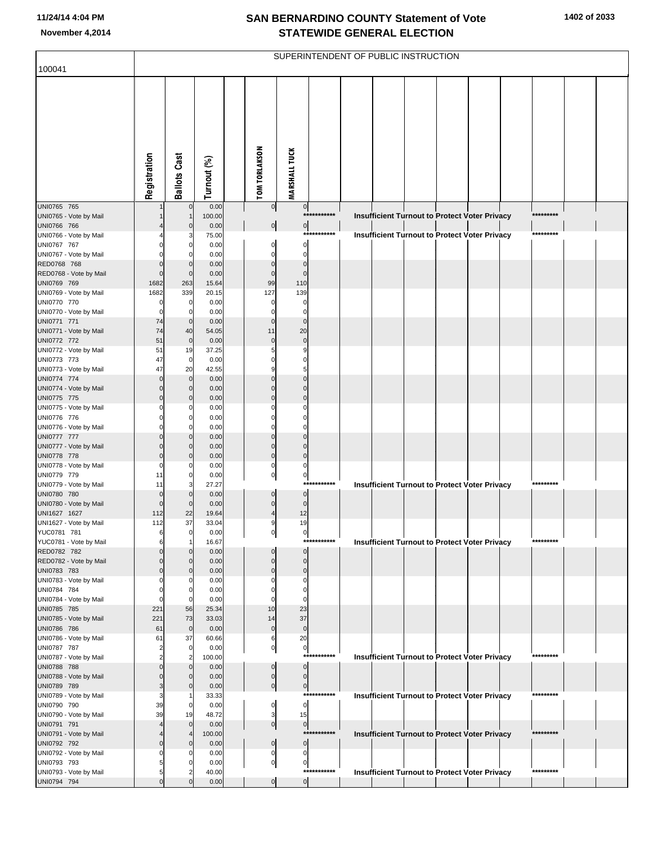| 100041                                |                            |                             |                |                      |                            |                            |             | SUPERINTENDENT OF PUBLIC INSTRUCTION |  |                                                      |           |  |
|---------------------------------------|----------------------------|-----------------------------|----------------|----------------------|----------------------------|----------------------------|-------------|--------------------------------------|--|------------------------------------------------------|-----------|--|
|                                       |                            |                             |                |                      |                            |                            |             |                                      |  |                                                      |           |  |
|                                       | Registration               | <b>Ballots Cast</b>         | Turnout (%)    | <b>TOM TORLAKSON</b> |                            | <b>MARSHALL TUCK</b>       |             |                                      |  |                                                      |           |  |
| UNI0765 765                           |                            | $\overline{0}$              | 0.00           |                      | $\overline{0}$             | $\mathbf{0}$               | *********** |                                      |  |                                                      | ********* |  |
| UNI0765 - Vote by Mail<br>UNI0766 766 |                            | $\mathbf 0$                 | 100.00<br>0.00 |                      | $\overline{0}$             | $\overline{0}$             |             |                                      |  | Insufficient Turnout to Protect Voter Privacy        |           |  |
| UNI0766 - Vote by Mail                |                            |                             | 75.00          |                      |                            |                            | *********** |                                      |  | <b>Insufficient Turnout to Protect Voter Privacy</b> | ********* |  |
| UNI0767 767                           |                            | $\Omega$                    | 0.00           |                      | 0                          | $\mathbf 0$                |             |                                      |  |                                                      |           |  |
| UNI0767 - Vote by Mail                |                            | 0                           | 0.00           |                      | $\Omega$                   | $\Omega$                   |             |                                      |  |                                                      |           |  |
| RED0768 768<br>RED0768 - Vote by Mail | $\mathbf 0$<br>$\mathbf 0$ | $\mathbf 0$<br>$\mathbf{0}$ | 0.00           |                      | $\mathbf 0$<br>$\mathbf 0$ | $\mathbf 0$<br>$\Omega$    |             |                                      |  |                                                      |           |  |
| UNI0769 769                           | 1682                       | 263                         | 0.00<br>15.64  |                      | 99                         | 110                        |             |                                      |  |                                                      |           |  |
| UNI0769 - Vote by Mail                | 1682                       | 339                         | 20.15          |                      | 127                        | 139                        |             |                                      |  |                                                      |           |  |
| UNI0770 770                           | 0                          | $\overline{0}$              | 0.00           |                      | 0                          | $\mathbf 0$                |             |                                      |  |                                                      |           |  |
| UNI0770 - Vote by Mail                | $\Omega$                   | 0                           | 0.00           |                      | $\Omega$                   | $\Omega$                   |             |                                      |  |                                                      |           |  |
| UNI0771 771                           | 74                         | $\mathbf 0$                 | 0.00           |                      | $\mathbf 0$                | $\mathbf 0$                |             |                                      |  |                                                      |           |  |
| UNI0771 - Vote by Mail<br>UNI0772 772 | 74<br>51                   | 40<br>$\mathbf 0$           | 54.05<br>0.00  |                      | 11<br>$\mathbf 0$          | 20<br>$\mathbf 0$          |             |                                      |  |                                                      |           |  |
| UNI0772 - Vote by Mail                | 51                         | 19                          | 37.25          |                      | 5                          | 9                          |             |                                      |  |                                                      |           |  |
| UNI0773 773                           | 47                         | $\mathbf 0$                 | 0.00           |                      | $\Omega$                   | $\mathbf 0$                |             |                                      |  |                                                      |           |  |
| UNI0773 - Vote by Mail                | 47                         | 20                          | 42.55          |                      | 9                          | 5                          |             |                                      |  |                                                      |           |  |
| UNI0774 774                           | $\mathbf 0$                | $\overline{0}$              | 0.00           |                      | $\mathbf 0$<br>$\mathbf 0$ | $\mathbf{0}$               |             |                                      |  |                                                      |           |  |
| UNI0774 - Vote by Mail<br>UNI0775 775 | $\Omega$<br>$\mathbf 0$    | $\mathbf{0}$<br>$\mathbf 0$ | 0.00<br>0.00   |                      | $\mathbf 0$                | $\Omega$<br>$\mathbf 0$    |             |                                      |  |                                                      |           |  |
| UNI0775 - Vote by Mail                |                            | $\Omega$                    | 0.00           |                      | $\Omega$                   |                            |             |                                      |  |                                                      |           |  |
| UNI0776 776                           | 0                          | $\mathbf 0$                 | 0.00           |                      | $\Omega$                   | $\Omega$                   |             |                                      |  |                                                      |           |  |
| UNI0776 - Vote by Mail                |                            | 0                           | 0.00           |                      | $\Omega$                   | O                          |             |                                      |  |                                                      |           |  |
| UNI0777 777<br>UNI0777 - Vote by Mail | $\Omega$                   | $\mathbf 0$<br>$\mathbf{0}$ | 0.00<br>0.00   |                      | $\mathbf 0$<br>$\mathbf 0$ | $\Omega$<br>$\Omega$       |             |                                      |  |                                                      |           |  |
| UNI0778 778                           | $\mathbf 0$                | $\mathbf{0}$                | 0.00           |                      | $\mathbf 0$                | $\mathbf 0$                |             |                                      |  |                                                      |           |  |
| UNI0778 - Vote by Mail                | $\Omega$                   | 0                           | 0.00           |                      | $\mathbf 0$                | 0                          |             |                                      |  |                                                      |           |  |
| UNI0779 779                           | 11                         | $\mathbf 0$                 | 0.00           |                      | $\overline{0}$             | $\mathbf{0}$               |             |                                      |  |                                                      |           |  |
| UNI0779 - Vote by Mail                | 11                         | 3<br>$\mathbf 0$            | 27.27          |                      | $\mathbf 0$                |                            | *********** |                                      |  | Insufficient Turnout to Protect Voter Privacy        | ********* |  |
| UNI0780 780<br>UNI0780 - Vote by Mail | $\mathbf 0$<br>$\Omega$    | $\mathbf 0$                 | 0.00<br>0.00   |                      | $\mathbf 0$                | $\mathbf 0$<br>$\mathbf 0$ |             |                                      |  |                                                      |           |  |
| UNI1627 1627                          | 112                        | 22                          | 19.64          |                      | $\overline{4}$             | 12                         |             |                                      |  |                                                      |           |  |
| UNI1627 - Vote by Mail                | 112                        | 37                          | 33.04          |                      |                            | 19                         |             |                                      |  |                                                      |           |  |
| YUC0781 781                           |                            | 0                           | 0.00           |                      | 이                          | 이                          | *********** |                                      |  |                                                      | ********* |  |
| YUC0781 - Vote by Mail<br>RED0782 782 | 6                          | $\mathbf{0}$                | 16.67<br>0.00  |                      |                            | $\Omega$                   |             |                                      |  | <b>Insufficient Turnout to Protect Voter Privacy</b> |           |  |
| RED0782 - Vote by Mail                |                            | $\Omega$                    | 0.00           |                      | $\mathbf 0$                | $\Omega$                   |             |                                      |  |                                                      |           |  |
| UNI0783 783                           | $\Omega$                   | $\mathbf{0}$                | 0.00           |                      | $\mathbf 0$                | $\mathbf 0$                |             |                                      |  |                                                      |           |  |
| UNI0783 - Vote by Mail                |                            | 0                           | 0.00           |                      |                            | 0                          |             |                                      |  |                                                      |           |  |
| UNI0784 784<br>UNI0784 - Vote by Mail |                            | $\mathbf 0$<br>$\Omega$     | 0.00<br>0.00   |                      | $\Omega$<br>$\Omega$       | $\Omega$<br>$\Omega$       |             |                                      |  |                                                      |           |  |
| UNI0785 785                           | 221                        | 56                          | 25.34          |                      | 10                         | 23                         |             |                                      |  |                                                      |           |  |
| UNI0785 - Vote by Mail                | 221                        | 73                          | 33.03          |                      | 14                         | 37                         |             |                                      |  |                                                      |           |  |
| UNI0786 786                           | 61                         | $\overline{0}$              | 0.00           |                      | $\mathbf 0$                | $\mathbf 0$                |             |                                      |  |                                                      |           |  |
| UNI0786 - Vote by Mail<br>UNI0787 787 | 61                         | 37<br>$\overline{0}$        | 60.66<br>0.00  |                      | 6<br>$\mathbf 0$           | 20                         |             |                                      |  |                                                      |           |  |
| UNI0787 - Vote by Mail                |                            | 2                           | 100.00         |                      |                            | $\mathbf{0}$<br>$****$     | *******     |                                      |  | <b>Insufficient Turnout to Protect Voter Privacy</b> | ********* |  |
| UNI0788 788                           | $\Omega$                   | $\mathbf 0$                 | 0.00           |                      | $\mathbf 0$                | $\mathbf 0$                |             |                                      |  |                                                      |           |  |
| UNI0788 - Vote by Mail                |                            | $\Omega$                    | 0.00           |                      | $\mathbf 0$                | $\mathbf 0$                |             |                                      |  |                                                      |           |  |
| UNI0789 789                           | 3                          | $\mathbf 0$                 | 0.00           |                      | $\overline{0}$             | $\overline{0}$             | *********** |                                      |  |                                                      | ********* |  |
| UNI0789 - Vote by Mail<br>UNI0790 790 | 39                         | $\mathbf 0$                 | 33.33<br>0.00  |                      | 0                          | $\mathbf 0$                |             |                                      |  | <b>Insufficient Turnout to Protect Voter Privacy</b> |           |  |
| UNI0790 - Vote by Mail                | 39                         | 19                          | 48.72          |                      | 3                          | 15                         |             |                                      |  |                                                      |           |  |
| UNI0791 791                           |                            | $\mathbf{0}$                | 0.00           |                      | $\overline{0}$             | $\mathbf{0}$               |             |                                      |  |                                                      |           |  |
| UNI0791 - Vote by Mail                |                            |                             | 100.00         |                      |                            |                            | *********** |                                      |  | Insufficient Turnout to Protect Voter Privacy        | ********* |  |
| UNI0792 792                           | $\Omega$                   | $\Omega$                    | 0.00           |                      | $\mathbf 0$                | $\mathbf 0$                |             |                                      |  |                                                      |           |  |
| UNI0792 - Vote by Mail<br>UNI0793 793 |                            | C<br>$\Omega$               | 0.00<br>0.00   |                      | 0<br>$\mathbf 0$           | $\Omega$<br>$\mathbf 0$    |             |                                      |  |                                                      |           |  |
| UNI0793 - Vote by Mail                | 5                          |                             | 40.00          |                      |                            |                            | *********** |                                      |  | Insufficient Turnout to Protect Voter Privacy        | ********* |  |
| UNI0794 794                           | $\mathbf 0$                | $\Omega$                    | 0.00           |                      | $\overline{0}$             | $\overline{0}$             |             |                                      |  |                                                      |           |  |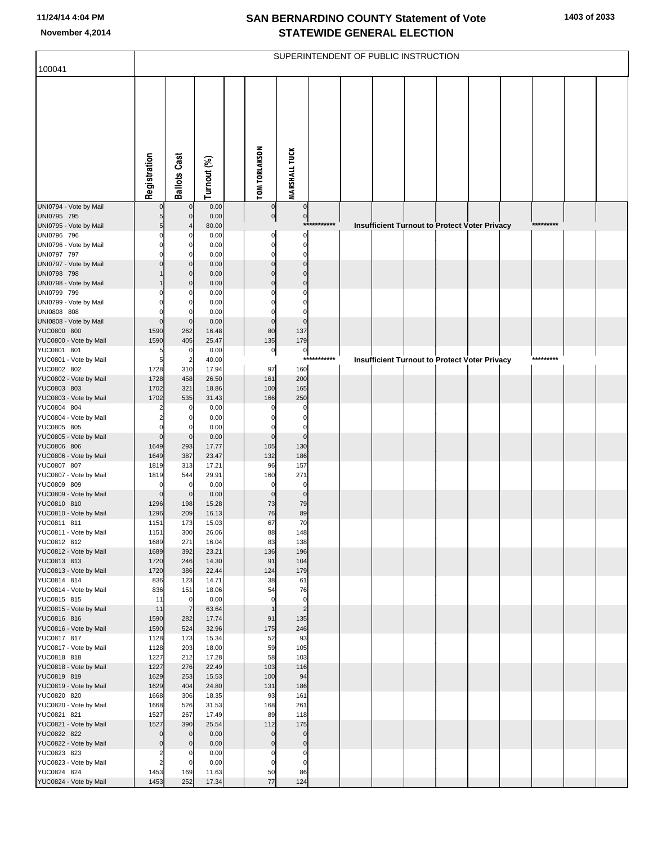|                                       |                                  |                       |                |                      |                          |             | SUPERINTENDENT OF PUBLIC INSTRUCTION |  |                                               |  |           |  |
|---------------------------------------|----------------------------------|-----------------------|----------------|----------------------|--------------------------|-------------|--------------------------------------|--|-----------------------------------------------|--|-----------|--|
| 100041                                |                                  |                       |                |                      |                          |             |                                      |  |                                               |  |           |  |
|                                       | Registration                     | <b>Ballots Cast</b>   | Turnout (%)    | <b>TOM TORLAKSON</b> | <b>MARSHALL TUCK</b>     |             |                                      |  |                                               |  |           |  |
| UNI0794 - Vote by Mail                |                                  | $\mathbf 0$           | 0.00           | $\mathbf 0$          | $\mathbf 0$              |             |                                      |  |                                               |  |           |  |
| UNI0795 795<br>UNI0795 - Vote by Mail |                                  | 0                     | 0.00<br>80.00  | $\pmb{0}$            | $\overline{0}$           | *********** |                                      |  |                                               |  | ********* |  |
| UNI0796 796                           |                                  | 0                     | 0.00           | C                    | $\Omega$                 |             |                                      |  | Insufficient Turnout to Protect Voter Privacy |  |           |  |
| UNI0796 - Vote by Mail                |                                  | O                     | 0.00           | C                    | O                        |             |                                      |  |                                               |  |           |  |
| UNI0797 797                           |                                  | 0                     | 0.00           |                      | $\Omega$                 |             |                                      |  |                                               |  |           |  |
| UNI0797 - Vote by Mail                |                                  | O                     | 0.00           |                      | $\Omega$<br>$\Omega$     |             |                                      |  |                                               |  |           |  |
| UNI0798 798<br>UNI0798 - Vote by Mail |                                  | $\mathbf{0}$<br>O     | 0.00<br>0.00   | ſ                    | $\Omega$                 |             |                                      |  |                                               |  |           |  |
| UNI0799 799                           |                                  | 0                     | 0.00           |                      | 0                        |             |                                      |  |                                               |  |           |  |
| UNI0799 - Vote by Mail                |                                  | O                     | 0.00           |                      |                          |             |                                      |  |                                               |  |           |  |
| UNI0808 808                           |                                  | O                     | 0.00           |                      | 0                        |             |                                      |  |                                               |  |           |  |
| UNI0808 - Vote by Mail<br>YUC0800 800 | $\mathbf 0$<br>1590              | $\mathbf 0$<br>262    | 0.00<br>16.48  | $\mathbf 0$<br>80    | $\mathbf 0$<br>137       |             |                                      |  |                                               |  |           |  |
| YUC0800 - Vote by Mail                | 1590                             | 405                   | 25.47          | 135                  | 179                      |             |                                      |  |                                               |  |           |  |
| YUC0801 801                           | 5                                | 0                     | 0.00           | $\pmb{0}$            | $\overline{0}$           |             |                                      |  |                                               |  |           |  |
| YUC0801 - Vote by Mail                | 5                                | $\overline{2}$        | 40.00          |                      | $***$                    | *******     |                                      |  | Insufficient Turnout to Protect Voter Privacy |  | ********* |  |
| YUC0802 802                           | 1728                             | 310                   | 17.94          | 97                   | 160                      |             |                                      |  |                                               |  |           |  |
| YUC0802 - Vote by Mail<br>YUC0803 803 | 1728<br>1702                     | 458                   | 26.50          | 161<br>100           | 200                      |             |                                      |  |                                               |  |           |  |
| YUC0803 - Vote by Mail                | 1702                             | 321<br>535            | 18.86<br>31.43 | 166                  | 165<br>250               |             |                                      |  |                                               |  |           |  |
| YUC0804 804                           |                                  | 0                     | 0.00           |                      | 0                        |             |                                      |  |                                               |  |           |  |
| YUC0804 - Vote by Mail                |                                  | 0                     | 0.00           |                      | 0                        |             |                                      |  |                                               |  |           |  |
| YUC0805 805                           | 0                                | 0                     | 0.00           |                      | 0                        |             |                                      |  |                                               |  |           |  |
| YUC0805 - Vote by Mail<br>YUC0806 806 | $\mathbf 0$<br>1649              | $\mathbf 0$<br>293    | 0.00<br>17.77  | $\mathbf 0$<br>105   | $\mathbf 0$<br>130       |             |                                      |  |                                               |  |           |  |
| YUC0806 - Vote by Mail                | 1649                             | 387                   | 23.47          | 132                  | 186                      |             |                                      |  |                                               |  |           |  |
| YUC0807 807                           | 1819                             | 313                   | 17.21          | 96                   | 157                      |             |                                      |  |                                               |  |           |  |
| YUC0807 - Vote by Mail                | 1819                             | 544                   | 29.91          | 160                  | 271                      |             |                                      |  |                                               |  |           |  |
| YUC0809 809<br>YUC0809 - Vote by Mail | 0                                | 0<br>$\mathbf 0$      | 0.00<br>0.00   | 0<br>$\Omega$        | $\Omega$<br>$\mathbf 0$  |             |                                      |  |                                               |  |           |  |
| YUC0810 810                           | $\mathbf 0$<br>1296              | 198                   | 15.28          | 73                   | 79                       |             |                                      |  |                                               |  |           |  |
| YUC0810 - Vote by Mail                | 1296                             | 209                   | 16.13          | 76                   | 89                       |             |                                      |  |                                               |  |           |  |
| YUC0811 811                           | 1151                             | 173                   | 15.03          | 67                   | 70                       |             |                                      |  |                                               |  |           |  |
| YUC0811 - Vote by Mail                | 1151                             | 300                   | 26.06          | 88                   | 148                      |             |                                      |  |                                               |  |           |  |
| YUC0812 812<br>YUC0812 - Vote by Mail | 1689<br>1689                     | 271<br>392            | 16.04<br>23.21 | 83<br>136            | 138<br>196               |             |                                      |  |                                               |  |           |  |
| YUC0813 813                           | 1720                             | 246                   | 14.30          | 91                   | 104                      |             |                                      |  |                                               |  |           |  |
| YUC0813 - Vote by Mail                | 1720                             | 386                   | 22.44          | 124                  | 179                      |             |                                      |  |                                               |  |           |  |
| YUC0814 814                           | 836                              | 123                   | 14.71          | 38                   | 61                       |             |                                      |  |                                               |  |           |  |
| YUC0814 - Vote by Mail<br>YUC0815 815 | 836<br>11                        | 151<br>$\overline{0}$ | 18.06<br>0.00  | 54<br>$\mathbf 0$    | 76<br>$\mathbf 0$        |             |                                      |  |                                               |  |           |  |
| YUC0815 - Vote by Mail                | 11                               | $\overline{7}$        | 63.64          | $\overline{1}$       | $\overline{2}$           |             |                                      |  |                                               |  |           |  |
| YUC0816 816                           | 1590                             | 282                   | 17.74          | 91                   | 135                      |             |                                      |  |                                               |  |           |  |
| YUC0816 - Vote by Mail                | 1590                             | 524                   | 32.96          | 175                  | 246                      |             |                                      |  |                                               |  |           |  |
| YUC0817 817                           | 1128                             | 173                   | 15.34          | 52                   | 93                       |             |                                      |  |                                               |  |           |  |
| YUC0817 - Vote by Mail<br>YUC0818 818 | 1128<br>1227                     | 203<br>212            | 18.00<br>17.28 | 59<br>58             | 105<br>103               |             |                                      |  |                                               |  |           |  |
| YUC0818 - Vote by Mail                | 1227                             | 276                   | 22.49          | 103                  | 116                      |             |                                      |  |                                               |  |           |  |
| YUC0819 819                           | 1629                             | 253                   | 15.53          | 100                  | 94                       |             |                                      |  |                                               |  |           |  |
| YUC0819 - Vote by Mail                | 1629                             | 404                   | 24.80          | 131                  | 186                      |             |                                      |  |                                               |  |           |  |
| YUC0820 820                           | 1668                             | 306                   | 18.35          | 93                   | 161                      |             |                                      |  |                                               |  |           |  |
| YUC0820 - Vote by Mail<br>YUC0821 821 | 1668<br>1527                     | 526<br>267            | 31.53<br>17.49 | 168<br>89            | 261<br>118               |             |                                      |  |                                               |  |           |  |
| YUC0821 - Vote by Mail                | 1527                             | 390                   | 25.54          | 112                  | 175                      |             |                                      |  |                                               |  |           |  |
| YUC0822 822                           | $\mathbf 0$                      | $\mathbf{0}$          | 0.00           | $\mathbf 0$          | $\mathbf 0$              |             |                                      |  |                                               |  |           |  |
| YUC0822 - Vote by Mail                | $\mathbf 0$                      | $\mathbf 0$           | 0.00           | $\mathbf 0$          | $\pmb{0}$                |             |                                      |  |                                               |  |           |  |
| YUC0823 823                           | $\overline{2}$<br>$\overline{2}$ | 0<br>$\Omega$         | 0.00<br>0.00   | 0                    | $\pmb{0}$<br>$\mathbf 0$ |             |                                      |  |                                               |  |           |  |
| YUC0823 - Vote by Mail<br>YUC0824 824 | 1453                             | 169                   | 11.63          | 0<br>50              | 86                       |             |                                      |  |                                               |  |           |  |
| YUC0824 - Vote by Mail                | 1453                             | 252                   | 17.34          | 77                   | 124                      |             |                                      |  |                                               |  |           |  |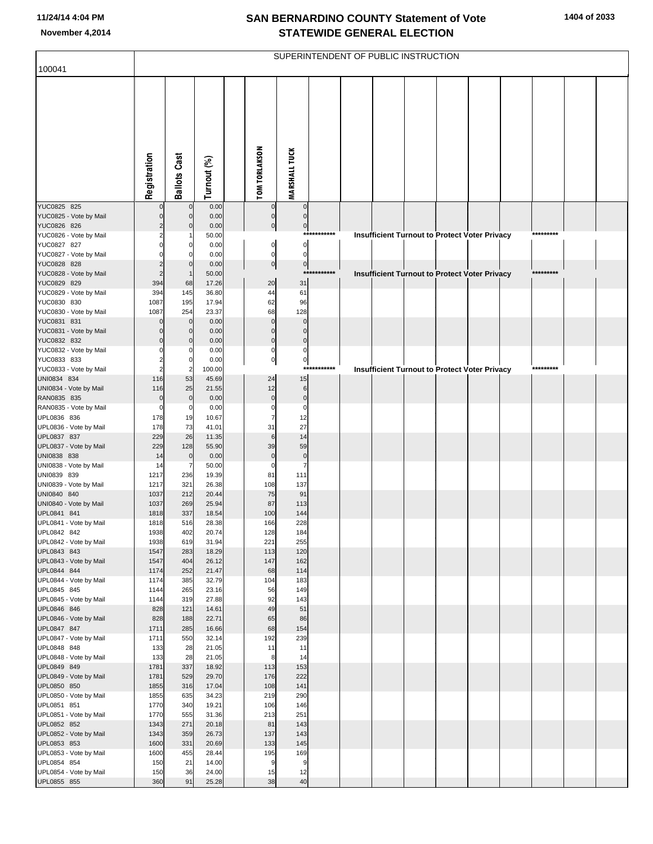|                                       |                       |                            |                 |                          |                          |             | SUPERINTENDENT OF PUBLIC INSTRUCTION |  |                                                      |  |           |  |
|---------------------------------------|-----------------------|----------------------------|-----------------|--------------------------|--------------------------|-------------|--------------------------------------|--|------------------------------------------------------|--|-----------|--|
| 100041                                |                       |                            |                 |                          |                          |             |                                      |  |                                                      |  |           |  |
|                                       | Registration          | <b>Ballots Cast</b>        | Turnout (%)     | <b>TOM TORLAKSON</b>     | <b>MARSHALL TUCK</b>     |             |                                      |  |                                                      |  |           |  |
| YUC0825 825                           |                       | $\mathbf 0$                | 0.00            | $\mathbf 0$              | $\mathbf 0$              |             |                                      |  |                                                      |  |           |  |
| YUC0825 - Vote by Mail<br>YUC0826 826 | $\Omega$              | $\Omega$<br>$\Omega$       | 0.00<br>0.00    | $\mathbf 0$<br>$\pmb{0}$ | $\mathbf 0$<br>$\pmb{0}$ |             |                                      |  |                                                      |  |           |  |
| YUC0826 - Vote by Mail                |                       |                            | 50.00           |                          |                          | *********** |                                      |  | <b>Insufficient Turnout to Protect Voter Privacy</b> |  | ********* |  |
| YUC0827 827                           |                       | 0                          | 0.00            | $\mathbf 0$              | $\mathbf 0$              |             |                                      |  |                                                      |  |           |  |
| YUC0827 - Vote by Mail                |                       | 0                          | 0.00            | $\pmb{0}$                | $\mathbf 0$              |             |                                      |  |                                                      |  |           |  |
| YUC0828 828<br>YUC0828 - Vote by Mail |                       | $\Omega$<br>$\mathbf 1$    | 0.00<br>50.00   | 0                        | $\pmb{0}$                | *********** |                                      |  | <b>Insufficient Turnout to Protect Voter Privacy</b> |  | ********* |  |
| YUC0829 829                           | 394                   | 68                         | 17.26           | 20                       | 31                       |             |                                      |  |                                                      |  |           |  |
| YUC0829 - Vote by Mail                | 394                   | 145                        | 36.80           | 44                       | 61                       |             |                                      |  |                                                      |  |           |  |
| YUC0830 830                           | 1087                  | 195                        | 17.94           | 62                       | 96                       |             |                                      |  |                                                      |  |           |  |
| YUC0830 - Vote by Mail                | 1087                  | 254                        | 23.37           | 68<br>$\overline{0}$     | 128                      |             |                                      |  |                                                      |  |           |  |
| YUC0831 831<br>YUC0831 - Vote by Mail | $\Omega$<br>$\Omega$  | $\mathbf 0$<br>$\mathbf 0$ | 0.00<br>0.00    | $\Omega$                 | $\mathbf 0$<br>$\Omega$  |             |                                      |  |                                                      |  |           |  |
| YUC0832 832                           | $\Omega$              | $\Omega$                   | 0.00            | $\overline{0}$           | $\mathbf 0$              |             |                                      |  |                                                      |  |           |  |
| YUC0832 - Vote by Mail                | 0                     | 0                          | 0.00            | 0                        | $\mathbf 0$              |             |                                      |  |                                                      |  |           |  |
| YUC0833 833                           |                       | $\mathbf 0$                | 0.00            | $\overline{0}$           | $\pmb{0}$                |             |                                      |  |                                                      |  |           |  |
| YUC0833 - Vote by Mail<br>UNI0834 834 | $\overline{2}$<br>116 | $\overline{2}$<br>53       | 100.00<br>45.69 | 24                       | $***$<br>15              | *******     |                                      |  | <b>Insufficient Turnout to Protect Voter Privacy</b> |  | ********* |  |
| UNI0834 - Vote by Mail                | 116                   | 25                         | 21.55           | 12                       | $\,$ 6                   |             |                                      |  |                                                      |  |           |  |
| RAN0835 835                           | $\mathbf 0$           | $\overline{0}$             | 0.00            | $\mathbf 0$              | $\mathbf 0$              |             |                                      |  |                                                      |  |           |  |
| RAN0835 - Vote by Mail                | $\mathbf 0$           | $\mathbf 0$                | 0.00            | $\mathbf 0$              | $\mathbf 0$              |             |                                      |  |                                                      |  |           |  |
| UPL0836 836                           | 178<br>178            | 19<br>73                   | 10.67<br>41.01  | 31                       | 12<br>27                 |             |                                      |  |                                                      |  |           |  |
| UPL0836 - Vote by Mail<br>UPL0837 837 | 229                   | 26                         | 11.35           | 6                        | 14                       |             |                                      |  |                                                      |  |           |  |
| UPL0837 - Vote by Mail                | 229                   | 128                        | 55.90           | 39                       | 59                       |             |                                      |  |                                                      |  |           |  |
| UNI0838 838                           | 14                    | $\mathbf 0$                | 0.00            | $\mathbf 0$              | $\pmb{0}$                |             |                                      |  |                                                      |  |           |  |
| UNI0838 - Vote by Mail                | 14                    | 7                          | 50.00           | $\Omega$                 | $\overline{7}$           |             |                                      |  |                                                      |  |           |  |
| UNI0839 839<br>UNI0839 - Vote by Mail | 1217<br>1217          | 236<br>321                 | 19.39<br>26.38  | 81<br>108                | 111<br>137               |             |                                      |  |                                                      |  |           |  |
| UNI0840 840                           | 1037                  | 212                        | 20.44           | 75                       | 91                       |             |                                      |  |                                                      |  |           |  |
| UNI0840 - Vote by Mail                | 1037                  | 269                        | 25.94           | 87                       | 113                      |             |                                      |  |                                                      |  |           |  |
| UPL0841 841                           | 1818                  | 337                        | 18.54           | 100                      | 144                      |             |                                      |  |                                                      |  |           |  |
| UPL0841 - Vote by Mail<br>UPL0842 842 | 1818<br>1938          | 516<br>402                 | 28.38<br>20.74  | 166<br>128               | 228<br>184               |             |                                      |  |                                                      |  |           |  |
| UPL0842 - Vote by Mail                | 1938                  | 619                        | 31.94           | 221                      | 255                      |             |                                      |  |                                                      |  |           |  |
| UPL0843 843                           | 1547                  | 283                        | 18.29           | 113                      | 120                      |             |                                      |  |                                                      |  |           |  |
| UPL0843 - Vote by Mail                | 1547                  | 404                        | 26.12           | 147                      | 162                      |             |                                      |  |                                                      |  |           |  |
| UPL0844 844<br>UPL0844 - Vote by Mail | 1174<br>1174          | 252<br>385                 | 21.47<br>32.79  | 68<br>104                | 114<br>183               |             |                                      |  |                                                      |  |           |  |
| UPL0845 845                           | 1144                  | 265                        | 23.16           | 56                       | 149                      |             |                                      |  |                                                      |  |           |  |
| UPL0845 - Vote by Mail                | 1144                  | 319                        | 27.88           | 92                       | 143                      |             |                                      |  |                                                      |  |           |  |
| UPL0846 846                           | 828                   | 121                        | 14.61           | 49                       | 51                       |             |                                      |  |                                                      |  |           |  |
| UPL0846 - Vote by Mail<br>UPL0847 847 | 828<br>1711           | 188<br>285                 | 22.71<br>16.66  | 65<br>68                 | 86<br>154                |             |                                      |  |                                                      |  |           |  |
| UPL0847 - Vote by Mail                | 1711                  | 550                        | 32.14           | 192                      | 239                      |             |                                      |  |                                                      |  |           |  |
| UPL0848 848                           | 133                   | 28                         | 21.05           | 11                       | 11                       |             |                                      |  |                                                      |  |           |  |
| UPL0848 - Vote by Mail                | 133                   | 28                         | 21.05           | 8                        | 14                       |             |                                      |  |                                                      |  |           |  |
| UPL0849 849                           | 1781                  | 337                        | 18.92           | 113                      | 153                      |             |                                      |  |                                                      |  |           |  |
| UPL0849 - Vote by Mail<br>UPL0850 850 | 1781<br>1855          | 529<br>316                 | 29.70<br>17.04  | 176<br>108               | 222<br>141               |             |                                      |  |                                                      |  |           |  |
| UPL0850 - Vote by Mail                | 1855                  | 635                        | 34.23           | 219                      | 290                      |             |                                      |  |                                                      |  |           |  |
| UPL0851 851                           | 1770                  | 340                        | 19.21           | 106                      | 146                      |             |                                      |  |                                                      |  |           |  |
| UPL0851 - Vote by Mail                | 1770                  | 555                        | 31.36           | 213                      | 251                      |             |                                      |  |                                                      |  |           |  |
| UPL0852 852<br>UPL0852 - Vote by Mail | 1343<br>1343          | 271<br>359                 | 20.18<br>26.73  | 81<br>137                | 143<br>143               |             |                                      |  |                                                      |  |           |  |
| UPL0853 853                           | 1600                  | 331                        | 20.69           | 133                      | 145                      |             |                                      |  |                                                      |  |           |  |
| UPL0853 - Vote by Mail                | 1600                  | 455                        | 28.44           | 195                      | 169                      |             |                                      |  |                                                      |  |           |  |
| UPL0854 854                           | 150                   | 21                         | 14.00           | 9                        | 9                        |             |                                      |  |                                                      |  |           |  |
| UPL0854 - Vote by Mail                | 150                   | 36                         | 24.00           | 15                       | 12                       |             |                                      |  |                                                      |  |           |  |
| UPL0855 855                           | 360                   | 91                         | 25.28           | 38                       | 40                       |             |                                      |  |                                                      |  |           |  |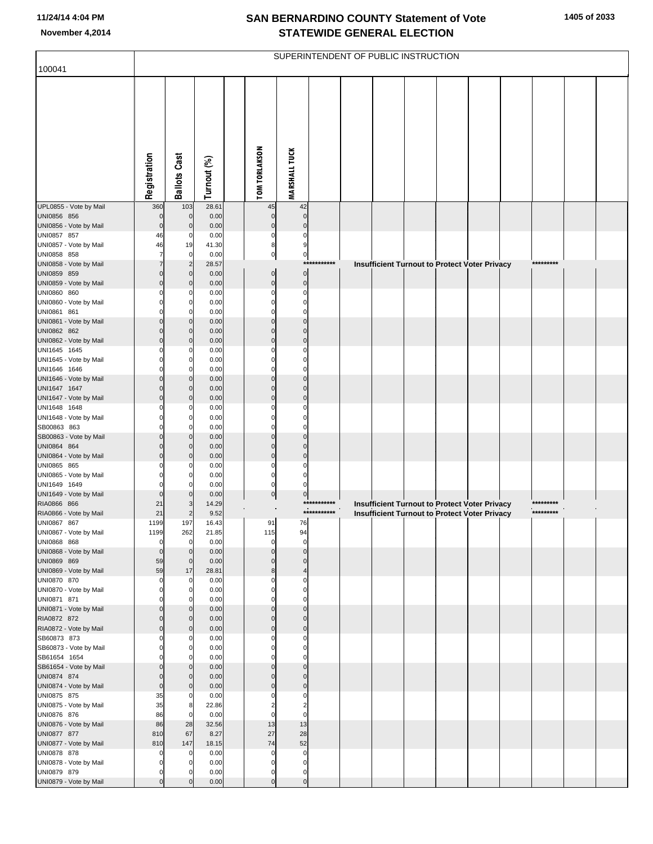|                                        |                            |                               |               |                         |                            |                            | SUPERINTENDENT OF PUBLIC INSTRUCTION |  |                                                                                                       |                        |  |
|----------------------------------------|----------------------------|-------------------------------|---------------|-------------------------|----------------------------|----------------------------|--------------------------------------|--|-------------------------------------------------------------------------------------------------------|------------------------|--|
| 100041                                 |                            |                               |               |                         |                            |                            |                                      |  |                                                                                                       |                        |  |
|                                        | Registration               | <b>Ballots Cast</b>           | Turnout (%)   | <b>TOM TORLAKSON</b>    | <b>MARSHALL TUCK</b>       |                            |                                      |  |                                                                                                       |                        |  |
| UPL0855 - Vote by Mail                 | 360                        | 103                           | 28.61         | 45                      | 42                         |                            |                                      |  |                                                                                                       |                        |  |
| UNI0856 856<br>UNI0856 - Vote by Mail  | $\Omega$<br>$\mathbf 0$    | $\mathbf 0$<br>C              | 0.00<br>0.00  | 0<br>$\mathbf 0$        | $\pmb{0}$<br>$\pmb{0}$     |                            |                                      |  |                                                                                                       |                        |  |
| UNI0857 857                            | 46                         | C                             | 0.00          | 0                       | $\mathbf 0$                |                            |                                      |  |                                                                                                       |                        |  |
| UNI0857 - Vote by Mail                 | 46                         | 19                            | 41.30         | 8                       | 9                          |                            |                                      |  |                                                                                                       |                        |  |
| UNI0858 858<br>UNI0858 - Vote by Mail  |                            | $\mathbf 0$<br>$\overline{2}$ | 0.00<br>28.57 | $\pmb{0}$               | $\overline{0}$<br>***      | *******                    |                                      |  | Insufficient Turnout to Protect Voter Privacy                                                         | **********             |  |
| UNI0859 859                            |                            | C                             | 0.00          | $\pmb{0}$               | $\overline{0}$             |                            |                                      |  |                                                                                                       |                        |  |
| UNI0859 - Vote by Mail                 | $\Omega$                   | C                             | 0.00          | $\pmb{0}$               | $\overline{0}$             |                            |                                      |  |                                                                                                       |                        |  |
| UNI0860 860<br>UNI0860 - Vote by Mail  |                            | C<br>C                        | 0.00<br>0.00  | 0<br>$\Omega$           | $\mathbf 0$<br>$\mathbf 0$ |                            |                                      |  |                                                                                                       |                        |  |
| UNI0861 861                            |                            |                               | 0.00          |                         | $\mathbf 0$                |                            |                                      |  |                                                                                                       |                        |  |
| UNI0861 - Vote by Mail                 |                            | C                             | 0.00          | $\mathbf 0$             | $\pmb{0}$                  |                            |                                      |  |                                                                                                       |                        |  |
| UNI0862 862<br>UNI0862 - Vote by Mail  | $\Omega$                   | C<br>C                        | 0.00<br>0.00  | $\Omega$<br>$\mathbf 0$ | $\pmb{0}$<br>$\pmb{0}$     |                            |                                      |  |                                                                                                       |                        |  |
| UNI1645 1645                           |                            | C                             | 0.00          |                         | $\pmb{0}$                  |                            |                                      |  |                                                                                                       |                        |  |
| UNI1645 - Vote by Mail                 |                            | C                             | 0.00          | $\Omega$                | $\mathbf 0$                |                            |                                      |  |                                                                                                       |                        |  |
| UNI1646 1646<br>UNI1646 - Vote by Mail |                            |                               | 0.00<br>0.00  | $\mathbf 0$             | $\pmb{0}$<br>$\pmb{0}$     |                            |                                      |  |                                                                                                       |                        |  |
| UNI1647 1647                           | $\Omega$                   | C                             | 0.00          | 0                       | $\pmb{0}$                  |                            |                                      |  |                                                                                                       |                        |  |
| UNI1647 - Vote by Mail                 | $\Omega$                   | C                             | 0.00          | $\pmb{0}$               | $\pmb{0}$                  |                            |                                      |  |                                                                                                       |                        |  |
| UNI1648 1648<br>UNI1648 - Vote by Mail |                            | C                             | 0.00<br>0.00  | $\Omega$                | $\pmb{0}$<br>$\mathbf 0$   |                            |                                      |  |                                                                                                       |                        |  |
| SB00863 863                            |                            |                               | 0.00          |                         | $\mathbf 0$                |                            |                                      |  |                                                                                                       |                        |  |
| SB00863 - Vote by Mail<br>UNI0864 864  |                            | C<br>C                        | 0.00<br>0.00  | $\mathbf 0$<br>$\Omega$ | $\pmb{0}$<br>$\mathbf 0$   |                            |                                      |  |                                                                                                       |                        |  |
| UNI0864 - Vote by Mail                 | $\Omega$                   |                               | 0.00          | $\pmb{0}$               | $\pmb{0}$                  |                            |                                      |  |                                                                                                       |                        |  |
| UNI0865 865                            |                            |                               | 0.00          | 0                       | $\pmb{0}$                  |                            |                                      |  |                                                                                                       |                        |  |
| UNI0865 - Vote by Mail<br>UNI1649 1649 |                            |                               | 0.00<br>0.00  | $\mathbf 0$<br>0        | $\mathbf 0$<br>$\mathbf 0$ |                            |                                      |  |                                                                                                       |                        |  |
| UNI1649 - Vote by Mail                 | $\Omega$                   |                               | 0.00          | $\overline{0}$          | $\mathbf 0$                |                            |                                      |  |                                                                                                       |                        |  |
| RIA0866 866<br>RIA0866 - Vote by Mail  | 21<br>21                   | Э<br>2                        | 14.29<br>9.52 |                         |                            | ***********<br>*********** |                                      |  | <b>Insufficient Turnout to Protect Voter Privacy</b><br>Insufficient Turnout to Protect Voter Privacy | *********<br>********* |  |
| UNI0867 867                            | 1199                       | 197                           | 16.43         | 91                      | 76                         |                            |                                      |  |                                                                                                       |                        |  |
| UNI0867 - Vote by Mail                 | 1199                       | 262                           | 21.85         | 115                     | 94                         |                            |                                      |  |                                                                                                       |                        |  |
| UNI0868 868<br>UNI0868 - Vote by Mail  | $\mathbf 0$<br>$\mathbf 0$ | $\mathbf 0$<br>$\epsilon$     | 0.00<br>0.00  | 0<br>$\pmb{0}$          | $\pmb{0}$<br>$\mathbf 0$   |                            |                                      |  |                                                                                                       |                        |  |
| UNI0869 869                            | 59                         | $\mathsf{C}$                  | 0.00          | $\mathbf 0$             | $\pmb{0}$                  |                            |                                      |  |                                                                                                       |                        |  |
| UNI0869 - Vote by Mail<br>UNI0870 870  | 59<br>$\mathbf 0$          | 17<br>$\mathbf 0$             | 28.81<br>0.00 | 8<br>$\Omega$           | $\sqrt{4}$<br>$\pmb{0}$    |                            |                                      |  |                                                                                                       |                        |  |
| UNI0870 - Vote by Mail                 | $\Omega$                   | C                             | 0.00          | $\Omega$                | $\mathbf 0$                |                            |                                      |  |                                                                                                       |                        |  |
| UNI0871 871                            |                            |                               | 0.00          |                         | $\mathbf 0$                |                            |                                      |  |                                                                                                       |                        |  |
| UNI0871 - Vote by Mail<br>RIA0872 872  | $\Omega$<br>$\Omega$       | C<br>C                        | 0.00<br>0.00  | $\pmb{0}$<br>$\pmb{0}$  | $\mathbf 0$<br>$\mathbf 0$ |                            |                                      |  |                                                                                                       |                        |  |
| RIA0872 - Vote by Mail                 | $\overline{0}$             | C                             | 0.00          | $\pmb{0}$               | $\pmb{0}$                  |                            |                                      |  |                                                                                                       |                        |  |
| SB60873 873                            | $\Omega$                   | C                             | 0.00          | $\Omega$                | $\mathbf 0$                |                            |                                      |  |                                                                                                       |                        |  |
| SB60873 - Vote by Mail<br>SB61654 1654 | $\Omega$<br>0              | C<br>C                        | 0.00<br>0.00  | $\Omega$<br>$\Omega$    | $\mathbf 0$<br>$\mathbf 0$ |                            |                                      |  |                                                                                                       |                        |  |
| SB61654 - Vote by Mail                 | $\Omega$                   |                               | 0.00          | $\pmb{0}$               | $\mathbf 0$                |                            |                                      |  |                                                                                                       |                        |  |
| UNI0874 874                            | $\Omega$                   | C                             | 0.00          | $\mathbf 0$             | $\pmb{0}$                  |                            |                                      |  |                                                                                                       |                        |  |
| UNI0874 - Vote by Mail<br>UNI0875 875  | $\overline{0}$<br>35       | C<br>C                        | 0.00<br>0.00  | $\pmb{0}$<br>$\Omega$   | $\pmb{0}$<br>$\mathbf 0$   |                            |                                      |  |                                                                                                       |                        |  |
| UNI0875 - Vote by Mail                 | 35                         | 8                             | 22.86         | $\overline{2}$          | $\overline{\mathbf{c}}$    |                            |                                      |  |                                                                                                       |                        |  |
| UNI0876 876                            | 86                         | $\mathcal{C}$                 | 0.00          | $\mathbf 0$             | $\mathbf 0$                |                            |                                      |  |                                                                                                       |                        |  |
| UNI0876 - Vote by Mail<br>UNI0877 877  | 86<br>810                  | 28<br>67                      | 32.56<br>8.27 | 13<br>27                | 13<br>28                   |                            |                                      |  |                                                                                                       |                        |  |
| UNI0877 - Vote by Mail                 | 810                        | 147                           | 18.15         | 74                      | 52                         |                            |                                      |  |                                                                                                       |                        |  |
| UNI0878 878                            | 0                          | C                             | 0.00          | 0                       | $\pmb{0}$                  |                            |                                      |  |                                                                                                       |                        |  |
| UNI0878 - Vote by Mail<br>UNI0879 879  | $\Omega$<br>$\Omega$       |                               | 0.00<br>0.00  | 0<br>0                  | $\mathbf 0$<br>$\pmb{0}$   |                            |                                      |  |                                                                                                       |                        |  |
| UNI0879 - Vote by Mail                 | $\Omega$                   |                               | 0.00          | $\pmb{0}$               | $\overline{0}$             |                            |                                      |  |                                                                                                       |                        |  |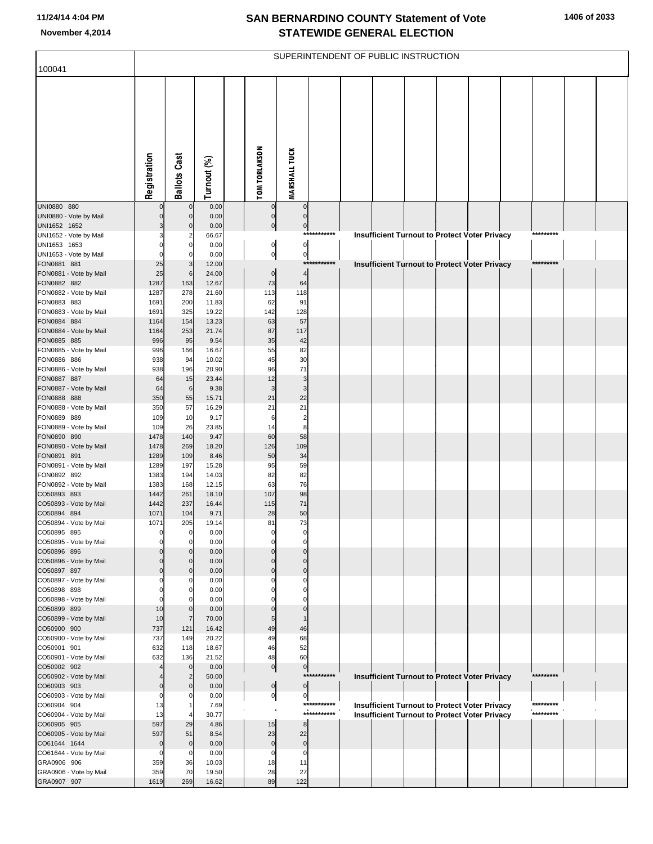| 100041                                 |               |                               |                |                                  |                                |                            | SUPERINTENDENT OF PUBLIC INSTRUCTION |  |                                                      |                        |  |
|----------------------------------------|---------------|-------------------------------|----------------|----------------------------------|--------------------------------|----------------------------|--------------------------------------|--|------------------------------------------------------|------------------------|--|
|                                        |               |                               |                |                                  |                                |                            |                                      |  |                                                      |                        |  |
|                                        | Registration  | <b>Ballots Cast</b>           | Turnout (%)    | <b>TOM TORLAKSON</b>             | <b>MARSHALL TUCK</b>           |                            |                                      |  |                                                      |                        |  |
| UNI0880 880                            |               | $\mathbf 0$                   | 0.00           | $\overline{0}$                   | $\pmb{0}$                      |                            |                                      |  |                                                      |                        |  |
| UNI0880 - Vote by Mail<br>UNI1652 1652 |               | $\pmb{0}$<br>$\pmb{0}$        | 0.00<br>0.00   | $\overline{0}$<br>$\overline{0}$ | $\mathbf 0$<br>$\overline{0}$  |                            |                                      |  |                                                      |                        |  |
| UNI1652 - Vote by Mail                 |               | $\overline{2}$                | 66.67          |                                  |                                | ***********                |                                      |  | Insufficient Turnout to Protect Voter Privacy        | *********              |  |
| UNI1653 1653<br>UNI1653 - Vote by Mail |               | $\pmb{0}$<br>$\mathbf 0$      | 0.00<br>0.00   | $\mathsf{Q}$<br>이                | $\mathbf{0}$<br>$\overline{0}$ |                            |                                      |  |                                                      |                        |  |
| FON0881 881                            | 25            | 3                             | 12.00          |                                  |                                | ***********                |                                      |  | <b>Insufficient Turnout to Protect Voter Privacy</b> | *********              |  |
| FON0881 - Vote by Mail                 | 25            | $\,6$                         | 24.00          | $\overline{0}$                   | $\overline{4}$                 |                            |                                      |  |                                                      |                        |  |
| FON0882 882<br>FON0882 - Vote by Mail  | 1287<br>1287  | 163<br>278                    | 12.67<br>21.60 | 73<br>113                        | 64<br>118                      |                            |                                      |  |                                                      |                        |  |
| FON0883 883                            | 1691          | 200                           | 11.83          | 62                               | 91                             |                            |                                      |  |                                                      |                        |  |
| FON0883 - Vote by Mail                 | 1691          | 325                           | 19.22          | 142                              | 128                            |                            |                                      |  |                                                      |                        |  |
| FON0884 884<br>FON0884 - Vote by Mail  | 1164<br>1164  | 154<br>253                    | 13.23<br>21.74 | 63<br>87                         | 57<br>117                      |                            |                                      |  |                                                      |                        |  |
| FON0885 885                            | 996           | 95                            | 9.54           | 35                               | 42                             |                            |                                      |  |                                                      |                        |  |
| FON0885 - Vote by Mail<br>FON0886 886  | 996<br>938    | 166<br>94                     | 16.67<br>10.02 | 55<br>45                         | 82<br>30                       |                            |                                      |  |                                                      |                        |  |
| FON0886 - Vote by Mail                 | 938           | 196                           | 20.90          | 96                               | 71                             |                            |                                      |  |                                                      |                        |  |
| FON0887 887                            | 64            | 15                            | 23.44          | 12                               | 3                              |                            |                                      |  |                                                      |                        |  |
| FON0887 - Vote by Mail<br>FON0888 888  | 64<br>350     | $6\phantom{1}6$<br>55         | 9.38<br>15.71  | 3<br>21                          | 3<br>22                        |                            |                                      |  |                                                      |                        |  |
| FON0888 - Vote by Mail                 | 350           | 57                            | 16.29          | 21                               | 21                             |                            |                                      |  |                                                      |                        |  |
| FON0889 889                            | 109           | 10                            | 9.17           | 6                                | $\overline{\mathbf{c}}$        |                            |                                      |  |                                                      |                        |  |
| FON0889 - Vote by Mail<br>FON0890 890  | 109<br>1478   | 26<br>140                     | 23.85<br>9.47  | 14<br>60                         | 8<br>58                        |                            |                                      |  |                                                      |                        |  |
| FON0890 - Vote by Mail                 | 1478          | 269                           | 18.20          | 126                              | 109                            |                            |                                      |  |                                                      |                        |  |
| FON0891 891                            | 1289          | 109<br>197                    | 8.46           | 50<br>95                         | 34<br>59                       |                            |                                      |  |                                                      |                        |  |
| FON0891 - Vote by Mail<br>FON0892 892  | 1289<br>1383  | 194                           | 15.28<br>14.03 | 82                               | 82                             |                            |                                      |  |                                                      |                        |  |
| FON0892 - Vote by Mail                 | 1383          | 168                           | 12.15          | 63                               | 76                             |                            |                                      |  |                                                      |                        |  |
| CO50893 893<br>CO50893 - Vote by Mail  | 1442<br>1442  | 261<br>237                    | 18.10<br>16.44 | 107<br>115                       | 98<br>71                       |                            |                                      |  |                                                      |                        |  |
| CO50894 894                            | 1071          | 104                           | 9.71           | 28                               | 50                             |                            |                                      |  |                                                      |                        |  |
| CO50894 - Vote by Mail                 | 1071          | 205                           | 19.14          | 81                               | 73                             |                            |                                      |  |                                                      |                        |  |
| CO50895 895<br>CO50895 - Vote by Mail  |               | $\mathbf 0$                   | 0.00<br>0.00   | 0                                | $\Omega$                       |                            |                                      |  |                                                      |                        |  |
| CO50896 896                            |               | $\mathbf 0$                   | 0.00           | $\Omega$                         | $\mathbf 0$                    |                            |                                      |  |                                                      |                        |  |
| CO50896 - Vote by Mail<br>CO50897 897  |               | $\mathbf 0$<br>$\mathbf 0$    | 0.00           | $\Omega$<br>$\Omega$             | $\Omega$<br>$\pmb{0}$          |                            |                                      |  |                                                      |                        |  |
| CO50897 - Vote by Mail                 |               | 0                             | 0.00<br>0.00   |                                  | $\Omega$                       |                            |                                      |  |                                                      |                        |  |
| CO50898 898                            |               | 0                             | 0.00           | O                                | 0                              |                            |                                      |  |                                                      |                        |  |
| CO50898 - Vote by Mail<br>CO50899 899  | 10            | 0<br>$\pmb{0}$                | 0.00<br>0.00   | $\Omega$                         | $\mathbf 0$                    |                            |                                      |  |                                                      |                        |  |
| CO50899 - Vote by Mail                 | 10            | $\overline{7}$                | 70.00          | 5                                |                                |                            |                                      |  |                                                      |                        |  |
| CO50900 900                            | 737           | 121                           | 16.42          | 49                               | 46                             |                            |                                      |  |                                                      |                        |  |
| CO50900 - Vote by Mail<br>CO50901 901  | 737<br>632    | 149<br>118                    | 20.22<br>18.67 | 49<br>46                         | 68<br>52                       |                            |                                      |  |                                                      |                        |  |
| CO50901 - Vote by Mail                 | 632           | 136                           | 21.52          | 48                               | 60                             |                            |                                      |  |                                                      |                        |  |
| CO50902 902                            |               | $\pmb{0}$                     | 0.00           | $\overline{0}$                   | $\overline{0}$                 | ***********                |                                      |  |                                                      | *********              |  |
| CO50902 - Vote by Mail<br>CO60903 903  | 0             | $\overline{2}$<br>$\mathbf 0$ | 50.00<br>0.00  | $\overline{0}$                   | $\overline{0}$                 |                            |                                      |  | Insufficient Turnout to Protect Voter Privacy        |                        |  |
| CO60903 - Vote by Mail                 | O             | 0                             | 0.00           | $\overline{0}$                   | 0                              |                            |                                      |  |                                                      |                        |  |
| CO60904 904                            | 13<br>13      | 1                             | 7.69<br>30.77  |                                  |                                | ***********<br>*********** |                                      |  | Insufficient Turnout to Protect Voter Privacy        | *********<br>********* |  |
| CO60904 - Vote by Mail<br>CO60905 905  | 597           | 29                            | 4.86           | 15                               | 8                              |                            |                                      |  | <b>Insufficient Turnout to Protect Voter Privacy</b> |                        |  |
| CO60905 - Vote by Mail                 | 597           | 51                            | 8.54           | 23                               | 22                             |                            |                                      |  |                                                      |                        |  |
| CO61644 1644<br>CO61644 - Vote by Mail | $\Omega$<br>n | $\pmb{0}$<br>0                | 0.00<br>0.00   | $\mathbf 0$<br>0                 | $\mathbf 0$<br>0               |                            |                                      |  |                                                      |                        |  |
| GRA0906 906                            | 359           | 36                            | 10.03          | 18                               | 11                             |                            |                                      |  |                                                      |                        |  |
| GRA0906 - Vote by Mail                 | 359           | 70                            | 19.50          | 28                               | 27                             |                            |                                      |  |                                                      |                        |  |
| GRA0907 907                            | 1619          | 269                           | 16.62          | 89                               | 122                            |                            |                                      |  |                                                      |                        |  |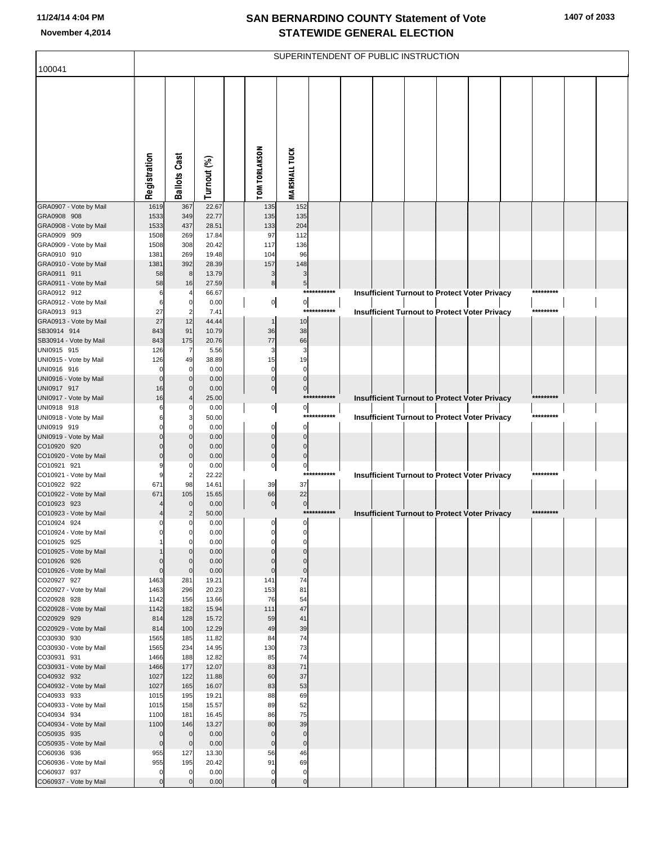| 100041                                |              |                         |                |                            |                            |              | SUPERINTENDENT OF PUBLIC INSTRUCTION |  |                                                      |           |  |
|---------------------------------------|--------------|-------------------------|----------------|----------------------------|----------------------------|--------------|--------------------------------------|--|------------------------------------------------------|-----------|--|
|                                       |              |                         |                |                            |                            |              |                                      |  |                                                      |           |  |
|                                       | Registration | <b>Ballots Cast</b>     | Turnout (%)    | <b>TOM TORLAKSON</b>       | <b>MARSHALL TUCK</b>       |              |                                      |  |                                                      |           |  |
| GRA0907 - Vote by Mail                | 1619         | 367                     | 22.67          | 135                        | 152                        |              |                                      |  |                                                      |           |  |
| GRA0908 908                           | 1533         | 349                     | 22.77          | 135                        | 135                        |              |                                      |  |                                                      |           |  |
| GRA0908 - Vote by Mail<br>GRA0909 909 | 1533<br>1508 | 437<br>269              | 28.51<br>17.84 | 133<br>97                  | 204                        |              |                                      |  |                                                      |           |  |
| GRA0909 - Vote by Mail                | 1508         | 308                     | 20.42          | 117                        | 112<br>136                 |              |                                      |  |                                                      |           |  |
| GRA0910 910                           | 1381         | 269                     | 19.48          | 104                        | 96                         |              |                                      |  |                                                      |           |  |
| GRA0910 - Vote by Mail                | 1381         | 392                     | 28.39          | 157                        | 148                        |              |                                      |  |                                                      |           |  |
| GRA0911 911                           | 58           | 8                       | 13.79          | 3                          | 3                          |              |                                      |  |                                                      |           |  |
| GRA0911 - Vote by Mail<br>GRA0912 912 | 58<br>6      | 16                      | 27.59<br>66.67 | $\bf8$                     | 5 <sub>5</sub>             | ************ |                                      |  |                                                      | ********* |  |
| GRA0912 - Vote by Mail                | 6            | 0                       | 0.00           | $\overline{0}$             | $\circ$                    |              |                                      |  | Insufficient Turnout to Protect Voter Privacy        |           |  |
| GRA0913 913                           | 27           | $\overline{2}$          | 7.41           |                            | $***$                      | *******      |                                      |  | <b>Insufficient Turnout to Protect Voter Privacy</b> | ********* |  |
| GRA0913 - Vote by Mail                | 27           | 12                      | 44.44          | $\mathbf{1}$               | 10                         |              |                                      |  |                                                      |           |  |
| SB30914 914                           | 843          | 91                      | 10.79          | 36                         | 38                         |              |                                      |  |                                                      |           |  |
| SB30914 - Vote by Mail<br>UNI0915 915 | 843<br>126   | 175<br>7                | 20.76<br>5.56  | 77<br>3                    | 66<br>3                    |              |                                      |  |                                                      |           |  |
| UNI0915 - Vote by Mail                | 126          | 49                      | 38.89          | 15                         | 19                         |              |                                      |  |                                                      |           |  |
| UNI0916 916                           | $\Omega$     | 0                       | 0.00           | $\mathbf 0$                | $\mathbf 0$                |              |                                      |  |                                                      |           |  |
| UNI0916 - Vote by Mail                | 0            | $\mathbf 0$             | 0.00           | $\pmb{0}$                  | $\pmb{0}$                  |              |                                      |  |                                                      |           |  |
| UNI0917 917                           | 16<br>16     | $\Omega$                | 0.00           | $\pmb{0}$                  | $\pmb{0}$                  | ***********  |                                      |  |                                                      | ********* |  |
| UNI0917 - Vote by Mail<br>UNI0918 918 | 6            | 0                       | 25.00<br>0.00  | $\overline{0}$             | $\overline{0}$             |              |                                      |  | Insufficient Turnout to Protect Voter Privacy        |           |  |
| UNI0918 - Vote by Mail                | 6            | 3                       | 50.00          |                            |                            | ************ |                                      |  | <b>Insufficient Turnout to Protect Voter Privacy</b> | ********* |  |
| UNI0919 919                           |              | O                       | 0.00           | $\mathbf 0$                | $\mathbf 0$                |              |                                      |  |                                                      |           |  |
| UNI0919 - Vote by Mail                | $\Omega$     | $\Omega$                | 0.00           | $\mathbf 0$                | $\mathbf 0$                |              |                                      |  |                                                      |           |  |
| CO10920 920<br>CO10920 - Vote by Mail |              | $\Omega$<br>$\Omega$    | 0.00<br>0.00   | $\mathbf 0$<br>$\mathbf 0$ | $\mathbf 0$<br>$\mathbf 0$ |              |                                      |  |                                                      |           |  |
| CO10921 921                           |              | 0                       | 0.00           | $\pmb{0}$                  | $\pmb{0}$                  |              |                                      |  |                                                      |           |  |
| CO10921 - Vote by Mail                | 9            | $\overline{a}$          | 22.22          |                            |                            | ***********  |                                      |  | Insufficient Turnout to Protect Voter Privacy        | ********* |  |
| CO10922 922                           | 671          | 98                      | 14.61          | 39                         | 37                         |              |                                      |  |                                                      |           |  |
| CO10922 - Vote by Mail<br>CO10923 923 | 671          | 105<br>$\mathbf 0$      | 15.65<br>0.00  | 66<br> 0                   | 22<br>$\overline{0}$       |              |                                      |  |                                                      |           |  |
| CO10923 - Vote by Mail                |              | 2                       | 50.00          |                            |                            | ***********  |                                      |  | Insufficient Turnout to Protect Voter Privacy        | ********* |  |
| CO10924 924                           |              | 0                       | 0.00           | 0                          | $\mathbf 0$                |              |                                      |  |                                                      |           |  |
| CO10924 - Vote by Mail                |              | 0                       | 0.00           |                            |                            |              |                                      |  |                                                      |           |  |
| CO10925 925                           |              | $\mathbf 0$<br>$\Omega$ | 0.00<br>0.00   | $\mathbf 0$<br>$\mathbf 0$ | 0<br>$\mathbf 0$           |              |                                      |  |                                                      |           |  |
| CO10925 - Vote by Mail<br>CO10926 926 | $\mathbf 0$  | $\Omega$                | 0.00           | $\Omega$                   | $\mathbf{0}$               |              |                                      |  |                                                      |           |  |
| CO10926 - Vote by Mail                | $\mathbf 0$  | $\mathbf 0$             | 0.00           | $\mathbf 0$                | $\mathbf 0$                |              |                                      |  |                                                      |           |  |
| CO20927 927                           | 1463         | 281                     | 19.21          | 141                        | 74                         |              |                                      |  |                                                      |           |  |
| CO20927 - Vote by Mail<br>CO20928 928 | 1463         | 296                     | 20.23          | 153<br>76                  | 81<br>54                   |              |                                      |  |                                                      |           |  |
| CO20928 - Vote by Mail                | 1142<br>1142 | 156<br>182              | 13.66<br>15.94 | 111                        | 47                         |              |                                      |  |                                                      |           |  |
| CO20929 929                           | 814          | 128                     | 15.72          | 59                         | 41                         |              |                                      |  |                                                      |           |  |
| CO20929 - Vote by Mail                | 814          | 100                     | 12.29          | 49                         | 39                         |              |                                      |  |                                                      |           |  |
| CO30930 930                           | 1565         | 185                     | 11.82          | 84                         | 74                         |              |                                      |  |                                                      |           |  |
| CO30930 - Vote by Mail<br>CO30931 931 | 1565<br>1466 | 234<br>188              | 14.95<br>12.82 | 130<br>85                  | 73<br>74                   |              |                                      |  |                                                      |           |  |
| CO30931 - Vote by Mail                | 1466         | 177                     | 12.07          | 83                         | 71                         |              |                                      |  |                                                      |           |  |
| CO40932 932                           | 1027         | 122                     | 11.88          | 60                         | 37                         |              |                                      |  |                                                      |           |  |
| CO40932 - Vote by Mail                | 1027         | 165                     | 16.07          | 83                         | 53                         |              |                                      |  |                                                      |           |  |
| CO40933 933                           | 1015         | 195                     | 19.21          | 88                         | 69                         |              |                                      |  |                                                      |           |  |
| CO40933 - Vote by Mail<br>CO40934 934 | 1015<br>1100 | 158<br>181              | 15.57<br>16.45 | 89<br>86                   | 52<br>75                   |              |                                      |  |                                                      |           |  |
| CO40934 - Vote by Mail                | 1100         | 146                     | 13.27          | 80                         | 39                         |              |                                      |  |                                                      |           |  |
| CO50935 935                           | $\mathbf 0$  | $\mathbf 0$             | 0.00           | $\mathbf 0$                | $\mathbf 0$                |              |                                      |  |                                                      |           |  |
| CO50935 - Vote by Mail                | $\mathbf 0$  | $\mathbf 0$             | 0.00           | $\mathbf 0$                | $\pmb{0}$                  |              |                                      |  |                                                      |           |  |
| CO60936 936                           | 955          | 127                     | 13.30<br>20.42 | 56<br>91                   | 46                         |              |                                      |  |                                                      |           |  |
| CO60936 - Vote by Mail<br>CO60937 937 | 955<br>0     | 195<br>$\mathbf 0$      | 0.00           | $\mathbf 0$                | 69<br>$\mathbf 0$          |              |                                      |  |                                                      |           |  |
| CO60937 - Vote by Mail                | $\mathbf 0$  | $\mathbf 0$             | 0.00           | $\mathbf 0$                | $\mathbf 0$                |              |                                      |  |                                                      |           |  |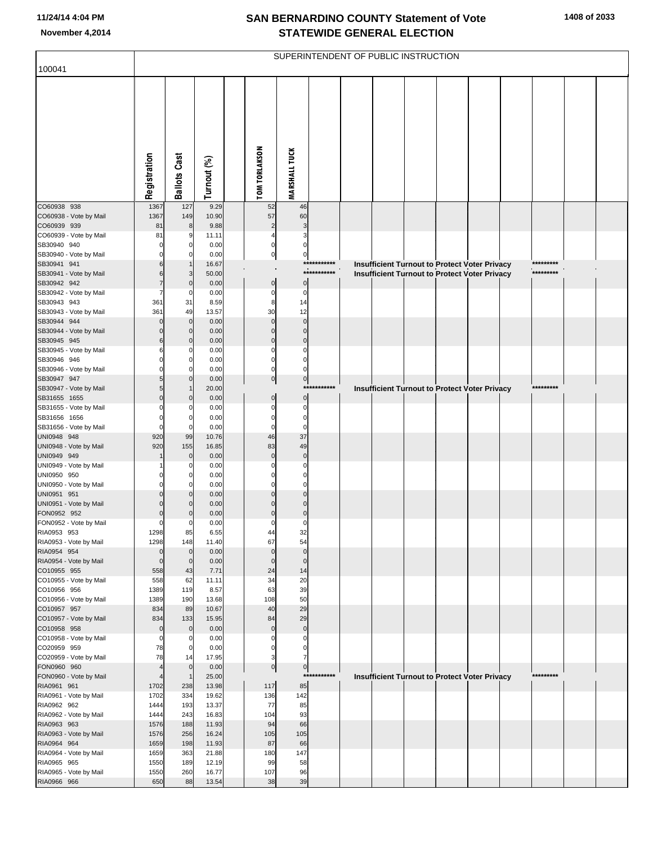|                                       |                 |                     |                |                      |                            |             | SUPERINTENDENT OF PUBLIC INSTRUCTION |  |                                                                                                              |  |            |  |
|---------------------------------------|-----------------|---------------------|----------------|----------------------|----------------------------|-------------|--------------------------------------|--|--------------------------------------------------------------------------------------------------------------|--|------------|--|
| 100041                                |                 |                     |                |                      |                            |             |                                      |  |                                                                                                              |  |            |  |
|                                       | Registration    | <b>Ballots Cast</b> | Turnout (%)    | <b>TOM TORLAKSON</b> | <b>MARSHALL TUCK</b>       |             |                                      |  |                                                                                                              |  |            |  |
| CO60938 938                           | 1367<br>1367    | 127<br>149          | 9.29<br>10.90  | 52<br>57             | 46<br>60                   |             |                                      |  |                                                                                                              |  |            |  |
| CO60938 - Vote by Mail<br>CO60939 939 | 81              | 8                   | 9.88           | $\overline{2}$       | 3                          |             |                                      |  |                                                                                                              |  |            |  |
| CO60939 - Vote by Mail                | 81              | 9                   | 11.11          | 4                    | 3                          |             |                                      |  |                                                                                                              |  |            |  |
| SB30940 940                           |                 | 0                   | 0.00           | 0                    | $\mathbf 0$                |             |                                      |  |                                                                                                              |  |            |  |
| SB30940 - Vote by Mail<br>SB30941 941 |                 | 0                   | 0.00           | $\pmb{0}$            | $\mathbf 0$                | *********** |                                      |  |                                                                                                              |  |            |  |
| SB30941 - Vote by Mail                | 6<br>6          | 3                   | 16.67<br>50.00 |                      |                            | *********** |                                      |  | <b>Insufficient Turnout to Protect Voter Privacy</b><br><b>Insufficient Turnout to Protect Voter Privacy</b> |  | *********  |  |
| SB30942 942                           | 7               | $\mathbf 0$         | 0.00           | $\pmb{0}$            | $\mathbf 0$                |             |                                      |  |                                                                                                              |  |            |  |
| SB30942 - Vote by Mail                | 7               | 0                   | 0.00           | $\mathbf 0$          | $\mathbf 0$                |             |                                      |  |                                                                                                              |  |            |  |
| SB30943 943                           | 361             | 31                  | 8.59           | 8                    | 14                         |             |                                      |  |                                                                                                              |  |            |  |
| SB30943 - Vote by Mail                | 361             | 49<br>$\mathbf 0$   | 13.57          | 30<br>$\Omega$       | 12<br>$\mathbf 0$          |             |                                      |  |                                                                                                              |  |            |  |
| SB30944 944<br>SB30944 - Vote by Mail | 0               | $\mathbf 0$         | 0.00<br>0.00   | $\Omega$             | $\Omega$                   |             |                                      |  |                                                                                                              |  |            |  |
| SB30945 945                           | 6               | $\mathbf 0$         | 0.00           | $\Omega$             | $\mathbf 0$                |             |                                      |  |                                                                                                              |  |            |  |
| SB30945 - Vote by Mail                | 6               | 0                   | 0.00           | 0                    | $\mathbf 0$                |             |                                      |  |                                                                                                              |  |            |  |
| SB30946 946                           |                 | 0                   | 0.00           | $\mathbf 0$          | $\mathbf 0$                |             |                                      |  |                                                                                                              |  |            |  |
| SB30946 - Vote by Mail                |                 | 0<br>$\mathbf 0$    | 0.00<br>0.00   | 0                    | $\Omega$<br>$\pmb{0}$      |             |                                      |  |                                                                                                              |  |            |  |
| SB30947 947<br>SB30947 - Vote by Mail |                 |                     | 20.00          | $\pmb{0}$            | ***                        | ********    |                                      |  | <b>Insufficient Turnout to Protect Voter Privacy</b>                                                         |  | *********  |  |
| SB31655 1655                          | $\Omega$        | $\mathbf 0$         | 0.00           | $\mathbf 0$          | $\pmb{0}$                  |             |                                      |  |                                                                                                              |  |            |  |
| SB31655 - Vote by Mail                |                 | 0                   | 0.00           | $\Omega$             | $\mathbf 0$                |             |                                      |  |                                                                                                              |  |            |  |
| SB31656 1656                          | $\Omega$        | 0                   | 0.00           | $\mathbf 0$          | $\pmb{0}$                  |             |                                      |  |                                                                                                              |  |            |  |
| SB31656 - Vote by Mail<br>UNI0948 948 | $\Omega$<br>920 | $\Omega$<br>99      | 0.00<br>10.76  | $\Omega$<br>46       | $\mathbf 0$<br>37          |             |                                      |  |                                                                                                              |  |            |  |
| UNI0948 - Vote by Mail                | 920             | 155                 | 16.85          | 83                   | 49                         |             |                                      |  |                                                                                                              |  |            |  |
| UNI0949 949                           |                 | $\mathbf 0$         | 0.00           | $\Omega$             | $\pmb{0}$                  |             |                                      |  |                                                                                                              |  |            |  |
| UNI0949 - Vote by Mail                |                 | 0                   | 0.00           |                      | 0                          |             |                                      |  |                                                                                                              |  |            |  |
| UNI0950 950                           |                 | 0                   | 0.00           |                      | $\Omega$                   |             |                                      |  |                                                                                                              |  |            |  |
| UNI0950 - Vote by Mail<br>UNI0951 951 |                 | 0<br>$\Omega$       | 0.00<br>0.00   | 0<br>$\Omega$        | $\mathbf 0$<br>$\Omega$    |             |                                      |  |                                                                                                              |  |            |  |
| UNI0951 - Vote by Mail                |                 | $\Omega$            | 0.00           |                      | $\mathbf 0$                |             |                                      |  |                                                                                                              |  |            |  |
| FON0952 952                           | $\Omega$        | $\Omega$            | 0.00           | $\Omega$             | $\mathbf 0$                |             |                                      |  |                                                                                                              |  |            |  |
| FON0952 - Vote by Mail                | 0               | 0                   | 0.00           | 0                    | $\mathbf 0$                |             |                                      |  |                                                                                                              |  |            |  |
| RIA0953 953<br>RIA0953 - Vote by Mail | 1298<br>1298    | 85<br>148           | 6.55<br>11.40  | 44<br>67             | 32<br>54                   |             |                                      |  |                                                                                                              |  |            |  |
| RIA0954 954                           | $\mathbf 0$     | $\mathbf 0$         | 0.00           | $\mathbf 0$          | $\mathbf 0$                |             |                                      |  |                                                                                                              |  |            |  |
| RIA0954 - Vote by Mail                | $\mathbf 0$     | $\mathbf 0$         | 0.00           | $\mathbf 0$          | $\mathbf 0$                |             |                                      |  |                                                                                                              |  |            |  |
| CO10955 955                           | 558             | 43                  | 7.71           | 24                   | 14                         |             |                                      |  |                                                                                                              |  |            |  |
| CO10955 - Vote by Mail                | 558             | 62                  | 11.11          | 34                   | 20                         |             |                                      |  |                                                                                                              |  |            |  |
| CO10956 956<br>CO10956 - Vote by Mail | 1389<br>1389    | 119<br>190          | 8.57<br>13.68  | 63<br>108            | 39<br>50                   |             |                                      |  |                                                                                                              |  |            |  |
| CO10957 957                           | 834             | 89                  | 10.67          | 40                   | 29                         |             |                                      |  |                                                                                                              |  |            |  |
| CO10957 - Vote by Mail                | 834             | 133                 | 15.95          | 84                   | 29                         |             |                                      |  |                                                                                                              |  |            |  |
| CO10958 958                           | 0               | $\mathbf 0$         | 0.00           | $\mathbf 0$          | $\pmb{0}$                  |             |                                      |  |                                                                                                              |  |            |  |
| CO10958 - Vote by Mail<br>CO20959 959 | $\Omega$<br>78  | 0<br>0              | 0.00<br>0.00   | 0<br>$\mathbf 0$     | $\mathbf 0$<br>$\mathbf 0$ |             |                                      |  |                                                                                                              |  |            |  |
| CO20959 - Vote by Mail                | 78              | 14                  | 17.95          | 3                    | $\overline{7}$             |             |                                      |  |                                                                                                              |  |            |  |
| FON0960 960                           | 4               | $\mathbf 0$         | 0.00           | $\pmb{0}$            | $\pmb{0}$                  |             |                                      |  |                                                                                                              |  |            |  |
| FON0960 - Vote by Mail                | 4               | $\overline{1}$      | 25.00          |                      |                            | *********** |                                      |  | <b>Insufficient Turnout to Protect Voter Privacy</b>                                                         |  | ********** |  |
| RIA0961 961                           | 1702            | 238                 | 13.98          | 117                  | 85                         |             |                                      |  |                                                                                                              |  |            |  |
| RIA0961 - Vote by Mail<br>RIA0962 962 | 1702<br>1444    | 334<br>193          | 19.62<br>13.37 | 136<br>77            | 142<br>85                  |             |                                      |  |                                                                                                              |  |            |  |
| RIA0962 - Vote by Mail                | 1444            | 243                 | 16.83          | 104                  | 93                         |             |                                      |  |                                                                                                              |  |            |  |
| RIA0963 963                           | 1576            | 188                 | 11.93          | 94                   | 66                         |             |                                      |  |                                                                                                              |  |            |  |
| RIA0963 - Vote by Mail                | 1576            | 256                 | 16.24          | 105                  | 105                        |             |                                      |  |                                                                                                              |  |            |  |
| RIA0964 964                           | 1659            | 198                 | 11.93          | 87                   | 66                         |             |                                      |  |                                                                                                              |  |            |  |
| RIA0964 - Vote by Mail<br>RIA0965 965 | 1659<br>1550    | 363<br>189          | 21.88<br>12.19 | 180<br>99            | 147<br>58                  |             |                                      |  |                                                                                                              |  |            |  |
| RIA0965 - Vote by Mail                | 1550            | 260                 | 16.77          | 107                  | 96                         |             |                                      |  |                                                                                                              |  |            |  |
| RIA0966 966                           | 650             | 88                  | 13.54          | 38                   | 39                         |             |                                      |  |                                                                                                              |  |            |  |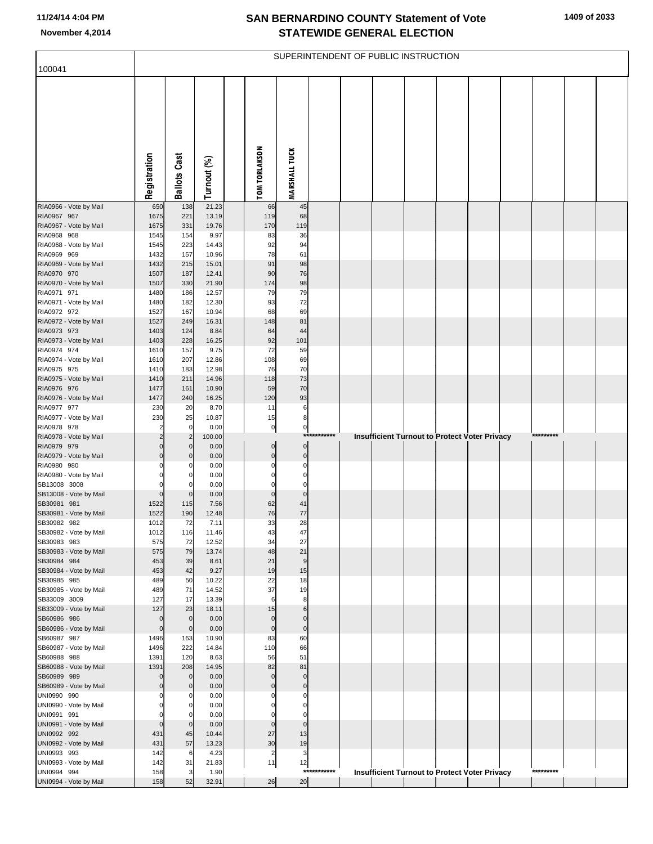| 100041                                 |                                  |                                  |                |                         | SUPERINTENDENT OF PUBLIC INSTRUCTION |             |  |  |                                                      |           |  |
|----------------------------------------|----------------------------------|----------------------------------|----------------|-------------------------|--------------------------------------|-------------|--|--|------------------------------------------------------|-----------|--|
|                                        |                                  |                                  |                |                         |                                      |             |  |  |                                                      |           |  |
|                                        |                                  |                                  |                |                         |                                      |             |  |  |                                                      |           |  |
|                                        |                                  |                                  |                |                         |                                      |             |  |  |                                                      |           |  |
|                                        |                                  |                                  |                |                         |                                      |             |  |  |                                                      |           |  |
|                                        |                                  |                                  |                |                         |                                      |             |  |  |                                                      |           |  |
|                                        |                                  |                                  |                |                         |                                      |             |  |  |                                                      |           |  |
|                                        | Registration                     | <b>Ballots Cast</b>              | Turnout (%)    | <b>TOM TORLAKSON</b>    | <b>MARSHALL TUCK</b>                 |             |  |  |                                                      |           |  |
|                                        |                                  |                                  |                |                         |                                      |             |  |  |                                                      |           |  |
| RIA0966 - Vote by Mail<br>RIA0967 967  | 650<br>1675                      | 138<br>221                       | 21.23<br>13.19 | 66<br>119               | 45<br>68                             |             |  |  |                                                      |           |  |
| RIA0967 - Vote by Mail                 | 1675                             | 331                              | 19.76          | 170                     | 119                                  |             |  |  |                                                      |           |  |
| RIA0968 968<br>RIA0968 - Vote by Mail  | 1545<br>1545                     | 154<br>223                       | 9.97<br>14.43  | 83<br>92                | 36<br>94                             |             |  |  |                                                      |           |  |
| RIA0969 969                            | 1432                             | 157                              | 10.96          | 78                      | 61                                   |             |  |  |                                                      |           |  |
| RIA0969 - Vote by Mail<br>RIA0970 970  | 1432<br>1507                     | 215<br>187                       | 15.01<br>12.41 | 91<br>90                | 98<br>76                             |             |  |  |                                                      |           |  |
| RIA0970 - Vote by Mail                 | 1507                             | 330                              | 21.90          | 174                     | 98                                   |             |  |  |                                                      |           |  |
| RIA0971 971<br>RIA0971 - Vote by Mail  | 1480<br>1480                     | 186<br>182                       | 12.57<br>12.30 | 79<br>93                | 79<br>72                             |             |  |  |                                                      |           |  |
| RIA0972 972                            | 1527                             | 167                              | 10.94          | 68                      | 69                                   |             |  |  |                                                      |           |  |
| RIA0972 - Vote by Mail<br>RIA0973 973  | 1527<br>1403                     | 249<br>124                       | 16.31<br>8.84  | 148<br>64               | 81<br>44                             |             |  |  |                                                      |           |  |
| RIA0973 - Vote by Mail                 | 1403                             | 228                              | 16.25          | 92                      | 101                                  |             |  |  |                                                      |           |  |
| RIA0974 974<br>RIA0974 - Vote by Mail  | 1610<br>1610                     | 157<br>207                       | 9.75<br>12.86  | 72<br>108               | 59<br>69                             |             |  |  |                                                      |           |  |
| RIA0975 975                            | 1410                             | 183                              | 12.98          | 76                      | 70                                   |             |  |  |                                                      |           |  |
| RIA0975 - Vote by Mail<br>RIA0976 976  | 1410<br>1477                     | 211<br>161                       | 14.96<br>10.90 | 118<br>59               | 73<br>70                             |             |  |  |                                                      |           |  |
| RIA0976 - Vote by Mail                 | 1477                             | 240                              | 16.25          | 120                     | 93                                   |             |  |  |                                                      |           |  |
| RIA0977 977<br>RIA0977 - Vote by Mail  | 230<br>230                       | 20<br>25                         | 8.70<br>10.87  | 11<br>15                | $\,6$<br>8                           |             |  |  |                                                      |           |  |
| RIA0978 978                            | $\overline{c}$<br>$\overline{2}$ | $\overline{0}$<br>$\overline{2}$ | 0.00<br>100.00 | $\pmb{0}$               | $\pmb{0}$                            | *********** |  |  |                                                      | ********* |  |
| RIA0978 - Vote by Mail<br>RIA0979 979  | $\Omega$                         | $\overline{0}$                   | 0.00           | $\mathbf 0$             | $\mathbf 0$                          |             |  |  | <b>Insufficient Turnout to Protect Voter Privacy</b> |           |  |
| RIA0979 - Vote by Mail<br>RIA0980 980  | $\mathbf 0$<br>0                 | $\overline{0}$<br>0              | 0.00<br>0.00   | $\mathbf 0$<br>$\Omega$ | $\pmb{0}$<br>0                       |             |  |  |                                                      |           |  |
| RIA0980 - Vote by Mail                 | 0                                | $\overline{0}$                   | 0.00           | $\Omega$                | $\mathbf 0$                          |             |  |  |                                                      |           |  |
| SB13008 3008<br>SB13008 - Vote by Mail | $\Omega$<br>$\mathbf 0$          | $\mathbf 0$<br>$\mathbf{0}$      | 0.00<br>0.00   | $\Omega$<br>$\mathbf 0$ | $\Omega$<br>$\mathbf 0$              |             |  |  |                                                      |           |  |
| SB30981 981                            | 1522                             | 115                              | 7.56           | 62                      | 41                                   |             |  |  |                                                      |           |  |
| SB30981 - Vote by Mail<br>SB30982 982  | 1522<br>1012                     | 190<br>72                        | 12.48<br>7.11  | 76<br>33                | 77<br>28                             |             |  |  |                                                      |           |  |
| SB30982 - Vote by Mail                 | 1012                             | 116                              | 11.46          | 43                      | 47                                   |             |  |  |                                                      |           |  |
| SB30983 983<br>SB30983 - Vote by Mail  | 575<br>575                       | 72<br>79                         | 12.52<br>13.74 | 34<br>48                | 27<br>21                             |             |  |  |                                                      |           |  |
| SB30984 984                            | 453                              | 39                               | 8.61           | 21                      | $9\,$                                |             |  |  |                                                      |           |  |
| SB30984 - Vote by Mail<br>SB30985 985  | 453<br>489                       | 42<br>50                         | 9.27<br>10.22  | 19<br>22                | 15<br>18                             |             |  |  |                                                      |           |  |
| SB30985 - Vote by Mail                 | 489                              | 71                               | 14.52          | 37                      | 19                                   |             |  |  |                                                      |           |  |
| SB33009 3009<br>SB33009 - Vote by Mail | 127<br>127                       | 17<br>23                         | 13.39<br>18.11 | 6<br>15                 | 8<br>$\,6$                           |             |  |  |                                                      |           |  |
| SB60986 986                            | $\mathbf 0$                      | $\mathbf 0$                      | 0.00           | $\mathbf 0$             | $\mathbf 0$                          |             |  |  |                                                      |           |  |
| SB60986 - Vote by Mail<br>SB60987 987  | $\mathbf 0$<br>1496              | $\mathbf{0}$<br>163              | 0.00<br>10.90  | $\mathbf 0$<br>83       | $\pmb{0}$<br>60                      |             |  |  |                                                      |           |  |
| SB60987 - Vote by Mail                 | 1496                             | 222                              | 14.84          | 110                     | 66                                   |             |  |  |                                                      |           |  |
| SB60988 988<br>SB60988 - Vote by Mail  | 1391<br>1391                     | 120<br>208                       | 8.63<br>14.95  | 56<br>82                | 51<br>81                             |             |  |  |                                                      |           |  |
| SB60989 989                            | $\mathbf 0$                      | $\mathbf 0$                      | 0.00           | $\mathbf 0$             | $\mathbf 0$                          |             |  |  |                                                      |           |  |
| SB60989 - Vote by Mail<br>UNI0990 990  | $\mathbf 0$<br>0                 | $\overline{0}$<br>0              | 0.00<br>0.00   | $\mathbf 0$             | $\mathbf 0$<br>$\Omega$              |             |  |  |                                                      |           |  |
| UNI0990 - Vote by Mail                 | 0                                | $\overline{0}$                   | 0.00           | 0<br>$\Omega$           | 0<br>$\Omega$                        |             |  |  |                                                      |           |  |
| UNI0991 991<br>UNI0991 - Vote by Mail  | 0<br>$\mathbf 0$                 | $\mathbf 0$<br>$\mathbf{0}$      | 0.00<br>0.00   | $\mathbf 0$             | $\mathbf 0$                          |             |  |  |                                                      |           |  |
| UNI0992 992                            | 431<br>431                       | 45<br>57                         | 10.44<br>13.23 | 27<br>30                | 13<br>19                             |             |  |  |                                                      |           |  |
| UNI0992 - Vote by Mail<br>UNI0993 993  | 142                              | 6                                | 4.23           | $\overline{\mathbf{c}}$ | 3                                    |             |  |  |                                                      |           |  |
| UNI0993 - Vote by Mail<br>UNI0994 994  | 142<br>158                       | 31<br>3                          | 21.83<br>1.90  | 11                      | 12<br>***                            | *******     |  |  |                                                      | ********* |  |
| UNI0994 - Vote by Mail                 | 158                              | 52                               | 32.91          | 26                      | 20                                   |             |  |  | <b>Insufficient Turnout to Protect Voter Privacy</b> |           |  |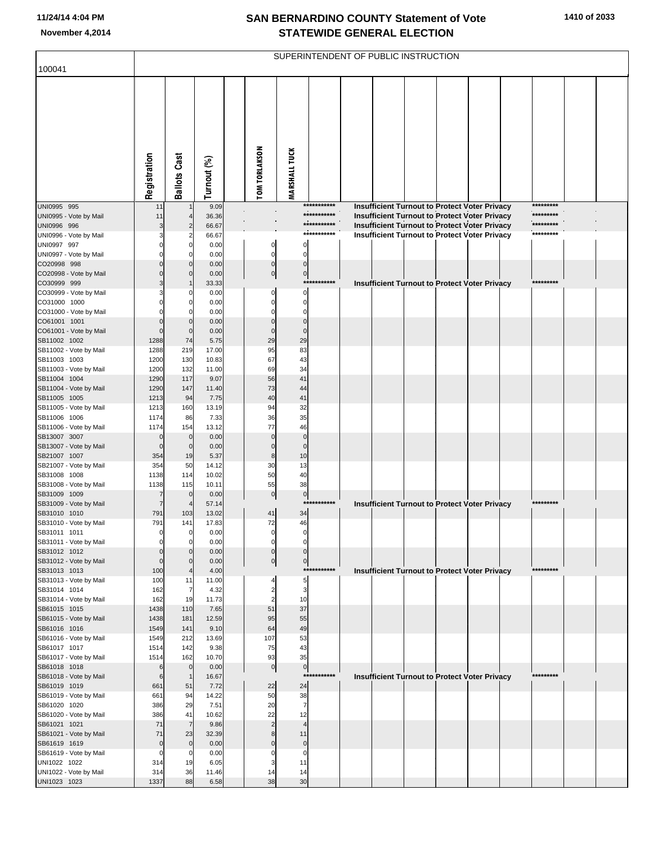| 100041                                 |                      |                             |                |                                  | SUPERINTENDENT OF PUBLIC INSTRUCTION |             |  |  |                                                      |           |  |
|----------------------------------------|----------------------|-----------------------------|----------------|----------------------------------|--------------------------------------|-------------|--|--|------------------------------------------------------|-----------|--|
|                                        |                      |                             |                |                                  |                                      |             |  |  |                                                      |           |  |
|                                        | Registration         | <b>Ballots Cast</b>         | Turnout (%)    | <b>TOM TORLAKSON</b>             | <b>MARSHALL TUCK</b>                 |             |  |  |                                                      |           |  |
| UNI0995 995                            | 11                   |                             | 9.09           |                                  |                                      | *********** |  |  | <b>Insufficient Turnout to Protect Voter Privacy</b> | ********* |  |
| UNI0995 - Vote by Mail                 | 11                   |                             | 36.36          |                                  |                                      | *********** |  |  | Insufficient Turnout to Protect Voter Privacy        | ********* |  |
| UNI0996 996                            |                      | $\overline{2}$              | 66.67          |                                  |                                      | *********** |  |  | Insufficient Turnout to Protect Voter Privacy        | ********* |  |
| UNI0996 - Vote by Mail                 |                      | 2                           | 66.67          |                                  |                                      | *********** |  |  | Insufficient Turnout to Protect Voter Privacy        | ********* |  |
| UNI0997 997                            |                      | $\mathbf 0$<br>0            | 0.00<br>0.00   | 0<br>$\mathbf 0$                 | $\mathbf 0$<br>$\Omega$              |             |  |  |                                                      |           |  |
| UNI0997 - Vote by Mail<br>CO20998 998  |                      | $\mathbf{0}$                | 0.00           | $\mathbf 0$                      | $\mathbf 0$                          |             |  |  |                                                      |           |  |
| CO20998 - Vote by Mail                 |                      | $\Omega$                    | 0.00           | $\overline{0}$                   | $\bf{0}$                             |             |  |  |                                                      |           |  |
| CO30999 999                            |                      |                             | 33.33          |                                  |                                      | *********** |  |  | Insufficient Turnout to Protect Voter Privacy        | ********* |  |
| CO30999 - Vote by Mail                 |                      | 0                           | 0.00           | $\Omega$                         | $\mathbf 0$                          |             |  |  |                                                      |           |  |
| CO31000 1000                           |                      | $\Omega$                    | 0.00           | 0                                | $\mathbf 0$                          |             |  |  |                                                      |           |  |
| CO31000 - Vote by Mail                 |                      | C                           | 0.00           | $\Omega$                         | $\Omega$                             |             |  |  |                                                      |           |  |
| CO61001 1001                           | $\Omega$<br>$\Omega$ | $\mathbf{0}$<br>$\mathbf 0$ | 0.00<br>0.00   | $\mathbf 0$<br>$\mathbf 0$       | $\mathbf 0$<br>$\Omega$              |             |  |  |                                                      |           |  |
| CO61001 - Vote by Mail<br>SB11002 1002 | 1288                 | 74                          | 5.75           | 29                               | 29                                   |             |  |  |                                                      |           |  |
| SB11002 - Vote by Mail                 | 1288                 | 219                         | 17.00          | 95                               | 83                                   |             |  |  |                                                      |           |  |
| SB11003 1003                           | 1200                 | 130                         | 10.83          | 67                               | 43                                   |             |  |  |                                                      |           |  |
| SB11003 - Vote by Mail                 | 1200                 | 132                         | 11.00          | 69                               | 34                                   |             |  |  |                                                      |           |  |
| SB11004 1004                           | 1290                 | 117                         | 9.07           | 56                               | 41                                   |             |  |  |                                                      |           |  |
| SB11004 - Vote by Mail                 | 1290                 | 147                         | 11.40          | 73                               | 44                                   |             |  |  |                                                      |           |  |
| SB11005 1005<br>SB11005 - Vote by Mail | 1213<br>1213         | 94<br>160                   | 7.75<br>13.19  | 40<br>94                         | 41<br>32                             |             |  |  |                                                      |           |  |
| SB11006 1006                           | 1174                 | 86                          | 7.33           | 36                               | 35                                   |             |  |  |                                                      |           |  |
| SB11006 - Vote by Mail                 | 1174                 | 154                         | 13.12          | 77                               | 46                                   |             |  |  |                                                      |           |  |
| SB13007 3007                           | $\mathbf 0$          | $\overline{0}$              | 0.00           | $\overline{0}$                   | $\mathbf 0$                          |             |  |  |                                                      |           |  |
| SB13007 - Vote by Mail                 | $\mathbf 0$          | $\overline{0}$              | 0.00           | $\Omega$                         | $\Omega$                             |             |  |  |                                                      |           |  |
| SB21007 1007                           | 354                  | 19                          | 5.37           | 8<br>30                          | 10                                   |             |  |  |                                                      |           |  |
| SB21007 - Vote by Mail<br>SB31008 1008 | 354<br>1138          | 50<br>114                   | 14.12<br>10.02 | 50                               | 13<br>40                             |             |  |  |                                                      |           |  |
| SB31008 - Vote by Mail                 | 1138                 | 115                         | 10.11          | 55                               | 38                                   |             |  |  |                                                      |           |  |
| SB31009 1009                           | 7                    | $\overline{0}$              | 0.00           | $\overline{0}$                   | $\boldsymbol{0}$                     |             |  |  |                                                      |           |  |
| SB31009 - Vote by Mail                 | 7                    |                             | 57.14          |                                  | $***$                                | *******     |  |  | Insufficient Turnout to Protect Voter Privacy        | ********* |  |
| SB31010 1010                           | 791                  | 103                         | 13.02          | 41                               | 34                                   |             |  |  |                                                      |           |  |
| SB31010 - Vote by Mail                 | 791                  | 141                         | 17.83          | 72                               | 46                                   |             |  |  |                                                      |           |  |
| SB31011 1011<br>SB31011 - Vote by Mail |                      | 0<br>$\mathbf 0$            | 0.00<br>0.00   | 0                                | $\Omega$                             |             |  |  |                                                      |           |  |
| SB31012 1012                           |                      | $\mathbf{0}$                | 0.00           | $\mathbf 0$                      | $\Omega$                             |             |  |  |                                                      |           |  |
| SB31012 - Vote by Mail                 | $\Omega$             | $\Omega$                    | 0.00           | $\overline{0}$                   | $\mathbf 0$                          |             |  |  |                                                      |           |  |
| SB31013 1013                           | 100                  |                             | 4.00           |                                  |                                      | *********** |  |  | <b>Insufficient Turnout to Protect Voter Privacy</b> | ********* |  |
| SB31013 - Vote by Mail                 | 100                  | 11                          | 11.00          | 4                                | 5                                    |             |  |  |                                                      |           |  |
| SB31014 1014<br>SB31014 - Vote by Mail | 162<br>162           | $\overline{7}$<br>19        | 4.32<br>11.73  | $\overline{c}$<br>$\overline{2}$ | 3<br>10                              |             |  |  |                                                      |           |  |
| SB61015 1015                           | 1438                 | 110                         | 7.65           | 51                               | 37                                   |             |  |  |                                                      |           |  |
| SB61015 - Vote by Mail                 | 1438                 | 181                         | 12.59          | 95                               | 55                                   |             |  |  |                                                      |           |  |
| SB61016 1016                           | 1549                 | 141                         | 9.10           | 64                               | 49                                   |             |  |  |                                                      |           |  |
| SB61016 - Vote by Mail                 | 1549                 | 212                         | 13.69          | 107                              | 53                                   |             |  |  |                                                      |           |  |
| SB61017 1017                           | 1514                 | 142                         | 9.38           | 75                               | 43<br>35                             |             |  |  |                                                      |           |  |
| SB61017 - Vote by Mail<br>SB61018 1018 | 1514<br>6            | 162<br>$\overline{0}$       | 10.70<br>0.00  | 93<br>$\overline{0}$             |                                      |             |  |  |                                                      |           |  |
| SB61018 - Vote by Mail                 | 6                    | $\overline{1}$              | 16.67          |                                  | $\overline{0}$<br>$***$              | *******     |  |  | Insufficient Turnout to Protect Voter Privacy        | ********* |  |
| SB61019 1019                           | 661                  | 51                          | 7.72           | 22                               | 24                                   |             |  |  |                                                      |           |  |
| SB61019 - Vote by Mail                 | 661                  | 94                          | 14.22          | 50                               | 38                                   |             |  |  |                                                      |           |  |
| SB61020 1020                           | 386                  | 29                          | 7.51           | 20                               | $\overline{7}$                       |             |  |  |                                                      |           |  |
| SB61020 - Vote by Mail                 | 386                  | 41                          | 10.62          | 22                               | 12                                   |             |  |  |                                                      |           |  |
| SB61021 1021<br>SB61021 - Vote by Mail | 71<br>71             | $\overline{7}$<br>23        | 9.86<br>32.39  | $\overline{c}$<br>8              | $\overline{4}$<br>11                 |             |  |  |                                                      |           |  |
| SB61619 1619                           | $\mathbf 0$          | $\mathbf 0$                 | 0.00           | $\mathbf 0$                      | $\mathbf 0$                          |             |  |  |                                                      |           |  |
| SB61619 - Vote by Mail                 | 0                    | 0                           | 0.00           | $\Omega$                         | $\mathbf 0$                          |             |  |  |                                                      |           |  |
| UNI1022 1022                           | 314                  | 19                          | 6.05           | 3                                | 11                                   |             |  |  |                                                      |           |  |
| UNI1022 - Vote by Mail                 | 314                  | 36                          | 11.46          | 14                               | 14                                   |             |  |  |                                                      |           |  |
| UNI1023 1023                           | 1337                 | 88                          | 6.58           | 38                               | 30                                   |             |  |  |                                                      |           |  |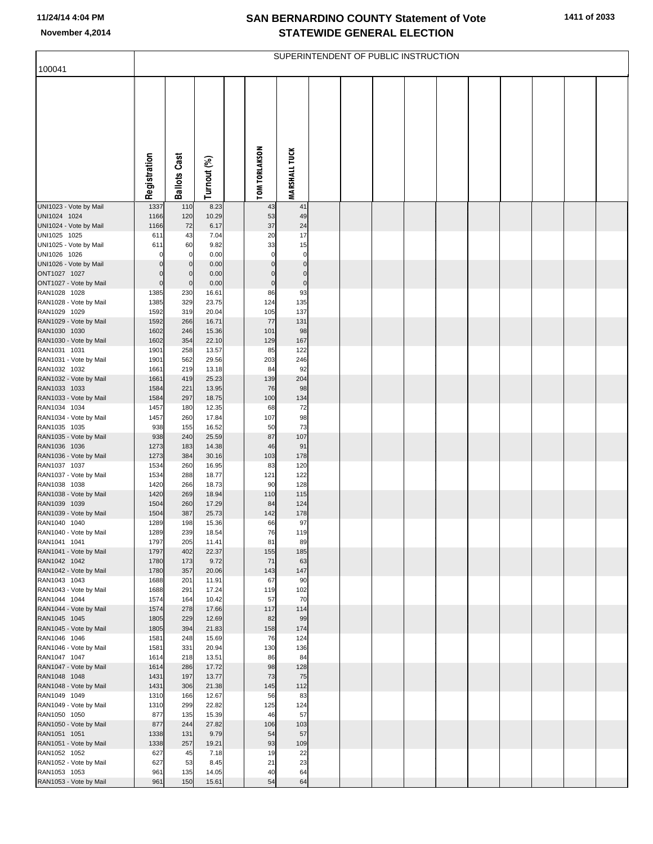| 100041                                 |                            |                            |                |                            |                        | SUPERINTENDENT OF PUBLIC INSTRUCTION |  |  |  |  |
|----------------------------------------|----------------------------|----------------------------|----------------|----------------------------|------------------------|--------------------------------------|--|--|--|--|
|                                        |                            |                            |                |                            |                        |                                      |  |  |  |  |
|                                        |                            |                            |                |                            |                        |                                      |  |  |  |  |
|                                        |                            |                            |                |                            |                        |                                      |  |  |  |  |
|                                        |                            |                            |                |                            |                        |                                      |  |  |  |  |
|                                        |                            |                            |                |                            |                        |                                      |  |  |  |  |
|                                        |                            |                            |                |                            |                        |                                      |  |  |  |  |
|                                        |                            |                            |                |                            |                        |                                      |  |  |  |  |
|                                        |                            |                            |                |                            |                        |                                      |  |  |  |  |
|                                        |                            |                            |                |                            |                        |                                      |  |  |  |  |
|                                        | Registration               | <b>Ballots Cast</b>        | Turnout (%)    | <b>TOM TORLAKSON</b>       | <b>MARSHALL TUCK</b>   |                                      |  |  |  |  |
|                                        |                            |                            |                |                            |                        |                                      |  |  |  |  |
| UNI1023 - Vote by Mail                 | 1337                       | 110                        | 8.23           | 43                         | 41                     |                                      |  |  |  |  |
| UNI1024 1024                           | 1166                       | 120                        | 10.29          | 53                         | 49                     |                                      |  |  |  |  |
| UNI1024 - Vote by Mail<br>UNI1025 1025 | 1166<br>611                | 72<br>43                   | 6.17<br>7.04   | 37<br>20                   | 24<br>17               |                                      |  |  |  |  |
| UNI1025 - Vote by Mail                 | 611                        | 60                         | 9.82           | 33                         | 15                     |                                      |  |  |  |  |
| UNI1026 1026                           | $\mathbf 0$                | 0                          | 0.00           | $\mathbf 0$                | $\mathbf 0$            |                                      |  |  |  |  |
| UNI1026 - Vote by Mail                 | $\mathbf 0$                | $\mathbf 0$                | 0.00           | $\mathbf 0$                | $\pmb{0}$              |                                      |  |  |  |  |
| ONT1027 1027<br>ONT1027 - Vote by Mail | $\mathbf 0$<br>$\mathbf 0$ | $\mathbf 0$<br>$\mathbf 0$ | 0.00<br>0.00   | $\mathbf 0$<br>$\mathbf 0$ | $\pmb{0}$<br>$\pmb{0}$ |                                      |  |  |  |  |
| RAN1028 1028                           | 1385                       | 230                        | 16.61          | 86                         | 93                     |                                      |  |  |  |  |
| RAN1028 - Vote by Mail                 | 1385                       | 329                        | 23.75          | 124                        | 135                    |                                      |  |  |  |  |
| RAN1029 1029                           | 1592                       | 319                        | 20.04          | 105                        | 137                    |                                      |  |  |  |  |
| RAN1029 - Vote by Mail                 | 1592                       | 266                        | 16.71          | 77                         | 131                    |                                      |  |  |  |  |
| RAN1030 1030<br>RAN1030 - Vote by Mail | 1602<br>1602               | 246<br>354                 | 15.36<br>22.10 | 101<br>129                 | 98<br>167              |                                      |  |  |  |  |
| RAN1031 1031                           | 1901                       | 258                        | 13.57          | 85                         | 122                    |                                      |  |  |  |  |
| RAN1031 - Vote by Mail                 | 1901                       | 562                        | 29.56          | 203                        | 246                    |                                      |  |  |  |  |
| RAN1032 1032                           | 1661                       | 219                        | 13.18          | 84                         | 92                     |                                      |  |  |  |  |
| RAN1032 - Vote by Mail<br>RAN1033 1033 | 1661<br>1584               | 419<br>221                 | 25.23<br>13.95 | 139<br>76                  | 204<br>98              |                                      |  |  |  |  |
| RAN1033 - Vote by Mail                 | 1584                       | 297                        | 18.75          | 100                        | 134                    |                                      |  |  |  |  |
| RAN1034 1034                           | 1457                       | 180                        | 12.35          | 68                         | 72                     |                                      |  |  |  |  |
| RAN1034 - Vote by Mail                 | 1457                       | 260                        | 17.84          | 107                        | 98                     |                                      |  |  |  |  |
| RAN1035 1035                           | 938                        | 155                        | 16.52          | 50                         | 73                     |                                      |  |  |  |  |
| RAN1035 - Vote by Mail<br>RAN1036 1036 | 938<br>1273                | 240<br>183                 | 25.59<br>14.38 | 87<br>46                   | 107<br>91              |                                      |  |  |  |  |
| RAN1036 - Vote by Mail                 | 1273                       | 384                        | 30.16          | 103                        | 178                    |                                      |  |  |  |  |
| RAN1037 1037                           | 1534                       | 260                        | 16.95          | 83                         | 120                    |                                      |  |  |  |  |
| RAN1037 - Vote by Mail                 | 1534                       | 288                        | 18.77          | 121                        | 122                    |                                      |  |  |  |  |
| RAN1038 1038<br>RAN1038 - Vote by Mail | 1420<br>1420               | 266<br>269                 | 18.73<br>18.94 | 90<br>110                  | 128<br>115             |                                      |  |  |  |  |
| RAN1039 1039                           | 1504                       | 260                        | 17.29          | 84                         | 124                    |                                      |  |  |  |  |
| RAN1039 - Vote by Mail                 | 1504                       | 387                        | 25.73          | 142                        | 178                    |                                      |  |  |  |  |
| RAN1040 1040                           | 1289                       | 198                        | 15.36          | 66                         | 97                     |                                      |  |  |  |  |
| RAN1040 - Vote by Mail<br>RAN1041 1041 | 1289<br>1797               | 239<br>205                 | 18.54<br>11.41 | 76<br>81                   | 119<br>89              |                                      |  |  |  |  |
| RAN1041 - Vote by Mail                 | 1797                       | 402                        | 22.37          | 155                        | 185                    |                                      |  |  |  |  |
| RAN1042 1042                           | 1780                       | 173                        | 9.72           | 71                         | 63                     |                                      |  |  |  |  |
| RAN1042 - Vote by Mail                 | 1780                       | 357                        | 20.06          | 143                        | 147                    |                                      |  |  |  |  |
| RAN1043 1043                           | 1688<br>1688               | 201<br>291                 | 11.91<br>17.24 | 67                         | 90<br>102              |                                      |  |  |  |  |
| RAN1043 - Vote by Mail<br>RAN1044 1044 | 1574                       | 164                        | 10.42          | 119<br>57                  | 70                     |                                      |  |  |  |  |
| RAN1044 - Vote by Mail                 | 1574                       | 278                        | 17.66          | 117                        | 114                    |                                      |  |  |  |  |
| RAN1045 1045                           | 1805                       | 229                        | 12.69          | 82                         | 99                     |                                      |  |  |  |  |
| RAN1045 - Vote by Mail<br>RAN1046 1046 | 1805                       | 394<br>248                 | 21.83<br>15.69 | 158<br>76                  | 174                    |                                      |  |  |  |  |
| RAN1046 - Vote by Mail                 | 1581<br>1581               | 331                        | 20.94          | 130                        | 124<br>136             |                                      |  |  |  |  |
| RAN1047 1047                           | 1614                       | 218                        | 13.51          | 86                         | 84                     |                                      |  |  |  |  |
| RAN1047 - Vote by Mail                 | 1614                       | 286                        | 17.72          | 98                         | 128                    |                                      |  |  |  |  |
| RAN1048 1048                           | 1431                       | 197                        | 13.77          | 73                         | 75                     |                                      |  |  |  |  |
| RAN1048 - Vote by Mail<br>RAN1049 1049 | 1431<br>1310               | 306<br>166                 | 21.38<br>12.67 | 145<br>56                  | 112<br>83              |                                      |  |  |  |  |
| RAN1049 - Vote by Mail                 | 1310                       | 299                        | 22.82          | 125                        | 124                    |                                      |  |  |  |  |
| RAN1050 1050                           | 877                        | 135                        | 15.39          | 46                         | 57                     |                                      |  |  |  |  |
| RAN1050 - Vote by Mail                 | 877                        | 244                        | 27.82          | 106                        | 103                    |                                      |  |  |  |  |
| RAN1051 1051                           | 1338                       | 131                        | 9.79           | 54                         | 57                     |                                      |  |  |  |  |
| RAN1051 - Vote by Mail<br>RAN1052 1052 | 1338<br>627                | 257<br>45                  | 19.21<br>7.18  | 93<br>19                   | 109<br>22              |                                      |  |  |  |  |
| RAN1052 - Vote by Mail                 | 627                        | 53                         | 8.45           | 21                         | 23                     |                                      |  |  |  |  |
| RAN1053 1053                           | 961                        | 135                        | 14.05          | 40                         | 64                     |                                      |  |  |  |  |
| RAN1053 - Vote by Mail                 | 961                        | 150                        | 15.61          | 54                         | 64                     |                                      |  |  |  |  |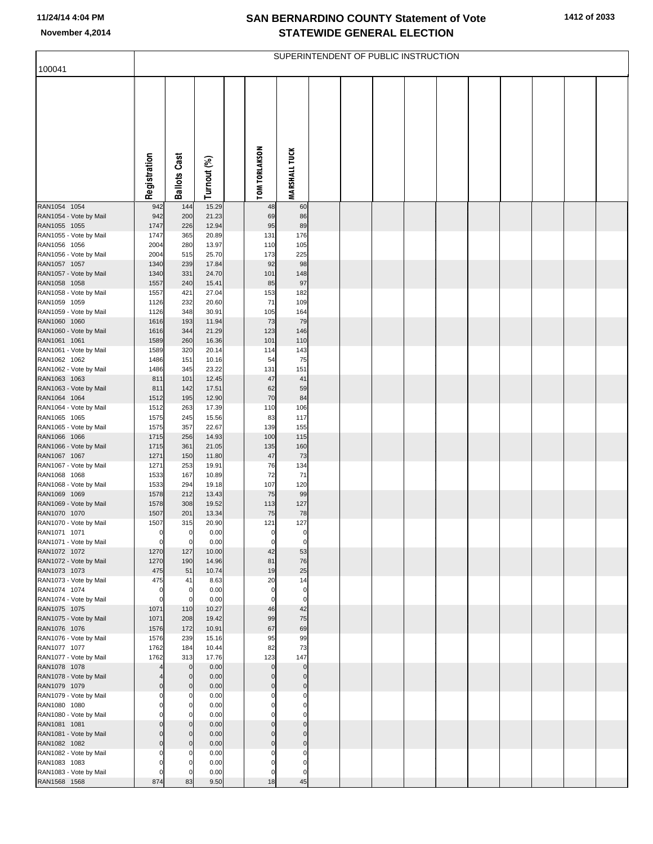| 100041                                 |              |                     |                |                      |                            | SUPERINTENDENT OF PUBLIC INSTRUCTION |  |  |  |  |
|----------------------------------------|--------------|---------------------|----------------|----------------------|----------------------------|--------------------------------------|--|--|--|--|
|                                        |              |                     |                |                      |                            |                                      |  |  |  |  |
|                                        | Registration | <b>Ballots Cast</b> | Turnout (%)    | <b>TOM TORLAKSON</b> | <b>MARSHALL TUCK</b>       |                                      |  |  |  |  |
| RAN1054 1054                           | 942          | 144                 | 15.29          | 48                   | 60                         |                                      |  |  |  |  |
| RAN1054 - Vote by Mail<br>RAN1055 1055 | 942<br>1747  | 200<br>226          | 21.23<br>12.94 | 69<br>95             | 86<br>89                   |                                      |  |  |  |  |
| RAN1055 - Vote by Mail                 | 1747         | 365                 | 20.89          | 131                  | 176                        |                                      |  |  |  |  |
| RAN1056 1056                           | 2004         | 280                 | 13.97          | 110                  | 105                        |                                      |  |  |  |  |
| RAN1056 - Vote by Mail                 | 2004         | 515                 | 25.70          | 173                  | 225                        |                                      |  |  |  |  |
| RAN1057 1057                           | 1340<br>1340 | 239<br>331          | 17.84<br>24.70 | 92<br>101            | 98                         |                                      |  |  |  |  |
| RAN1057 - Vote by Mail<br>RAN1058 1058 | 1557         | 240                 | 15.41          | 85                   | 148<br>97                  |                                      |  |  |  |  |
| RAN1058 - Vote by Mail                 | 1557         | 421                 | 27.04          | 153                  | 182                        |                                      |  |  |  |  |
| RAN1059 1059                           | 1126         | 232                 | 20.60          | 71                   | 109                        |                                      |  |  |  |  |
| RAN1059 - Vote by Mail                 | 1126         | 348                 | 30.91          | 105                  | 164                        |                                      |  |  |  |  |
| RAN1060 1060<br>RAN1060 - Vote by Mail | 1616<br>1616 | 193<br>344          | 11.94<br>21.29 | 73<br>123            | 79<br>146                  |                                      |  |  |  |  |
| RAN1061 1061                           | 1589         | 260                 | 16.36          | 101                  | 110                        |                                      |  |  |  |  |
| RAN1061 - Vote by Mail                 | 1589         | 320                 | 20.14          | 114                  | 143                        |                                      |  |  |  |  |
| RAN1062 1062                           | 1486         | 151                 | 10.16          | 54                   | 75                         |                                      |  |  |  |  |
| RAN1062 - Vote by Mail<br>RAN1063 1063 | 1486<br>811  | 345<br>101          | 23.22<br>12.45 | 131<br>47            | 151<br>41                  |                                      |  |  |  |  |
| RAN1063 - Vote by Mail                 | 811          | 142                 | 17.51          | 62                   | 59                         |                                      |  |  |  |  |
| RAN1064 1064                           | 1512         | 195                 | 12.90          | 70                   | 84                         |                                      |  |  |  |  |
| RAN1064 - Vote by Mail                 | 1512         | 263                 | 17.39          | 110                  | 106                        |                                      |  |  |  |  |
| RAN1065 1065                           | 1575         | 245                 | 15.56          | 83                   | 117                        |                                      |  |  |  |  |
| RAN1065 - Vote by Mail<br>RAN1066 1066 | 1575<br>1715 | 357<br>256          | 22.67<br>14.93 | 139<br>100           | 155<br>115                 |                                      |  |  |  |  |
| RAN1066 - Vote by Mail                 | 1715         | 361                 | 21.05          | 135                  | 160                        |                                      |  |  |  |  |
| RAN1067 1067                           | 1271         | 150                 | 11.80          | 47                   | 73                         |                                      |  |  |  |  |
| RAN1067 - Vote by Mail<br>RAN1068 1068 | 1271         | 253<br>167          | 19.91<br>10.89 | 76<br>72             | 134<br>71                  |                                      |  |  |  |  |
| RAN1068 - Vote by Mail                 | 1533<br>1533 | 294                 | 19.18          | 107                  | 120                        |                                      |  |  |  |  |
| RAN1069 1069                           | 1578         | 212                 | 13.43          | 75                   | 99                         |                                      |  |  |  |  |
| RAN1069 - Vote by Mail                 | 1578         | 308                 | 19.52          | 113                  | 127                        |                                      |  |  |  |  |
| RAN1070 1070<br>RAN1070 - Vote by Mail | 1507         | 201                 | 13.34          | 75                   | 78                         |                                      |  |  |  |  |
| RAN1071 1071                           | 1507<br>U    | 315                 | 20.90<br>0.00  | 121                  | 127                        |                                      |  |  |  |  |
| RAN1071 - Vote by Mail                 | $\mathbf 0$  | $\mathbf 0$         | 0.00           | 0                    | $\mathbf 0$                |                                      |  |  |  |  |
| RAN1072 1072                           | 1270         | 127                 | 10.00          | 42                   | 53                         |                                      |  |  |  |  |
| RAN1072 - Vote by Mail<br>RAN1073 1073 | 1270<br>475  | 190<br>51           | 14.96<br>10.74 | 81<br>19             | 76<br>25                   |                                      |  |  |  |  |
| RAN1073 - Vote by Mail                 | 475          | 41                  | 8.63           | 20                   | 14                         |                                      |  |  |  |  |
| RAN1074 1074                           | $\Omega$     | 0                   | 0.00           | $\Omega$             | $\pmb{0}$                  |                                      |  |  |  |  |
| RAN1074 - Vote by Mail                 | $\Omega$     | C                   | 0.00           | $\Omega$             | $\mathbf 0$                |                                      |  |  |  |  |
| RAN1075 1075                           | 1071         | 110                 | 10.27          | 46                   | 42                         |                                      |  |  |  |  |
| RAN1075 - Vote by Mail<br>RAN1076 1076 | 1071<br>1576 | 208<br>172          | 19.42<br>10.91 | 99<br>67             | 75<br>69                   |                                      |  |  |  |  |
| RAN1076 - Vote by Mail                 | 1576         | 239                 | 15.16          | 95                   | 99                         |                                      |  |  |  |  |
| RAN1077 1077                           | 1762         | 184                 | 10.44          | 82                   | 73                         |                                      |  |  |  |  |
| RAN1077 - Vote by Mail<br>RAN1078 1078 | 1762         | 313<br>$\mathbf{0}$ | 17.76<br>0.00  | 123<br>$\mathbf 0$   | 147<br>$\pmb{0}$           |                                      |  |  |  |  |
| RAN1078 - Vote by Mail                 |              | $\Omega$            | 0.00           | $\Omega$             | $\pmb{0}$                  |                                      |  |  |  |  |
| RAN1079 1079                           | $\Omega$     | $\Omega$            | 0.00           | $\mathbf 0$          | $\overline{0}$             |                                      |  |  |  |  |
| RAN1079 - Vote by Mail                 |              | $^{(1)}$            | 0.00           |                      | $\mathbf 0$                |                                      |  |  |  |  |
| RAN1080 1080                           |              |                     | 0.00           |                      | $\pmb{0}$                  |                                      |  |  |  |  |
| RAN1080 - Vote by Mail<br>RAN1081 1081 | $\Omega$     | 0                   | 0.00<br>0.00   | 0                    | $\mathbf 0$<br>$\pmb{0}$   |                                      |  |  |  |  |
| RAN1081 - Vote by Mail                 | $\Omega$     | O                   | 0.00           | $\Omega$             | $\mathbf 0$                |                                      |  |  |  |  |
| RAN1082 1082                           | $\Omega$     | O                   | 0.00           | $\Omega$             | $\pmb{0}$                  |                                      |  |  |  |  |
| RAN1082 - Vote by Mail                 |              |                     | 0.00           |                      | 0                          |                                      |  |  |  |  |
| RAN1083 1083<br>RAN1083 - Vote by Mail | O            |                     | 0.00<br>0.00   | $\Omega$             | $\mathbf 0$<br>$\mathbf 0$ |                                      |  |  |  |  |
| RAN1568 1568                           | 874          | 83                  | 9.50           | 18                   | 45                         |                                      |  |  |  |  |
|                                        |              |                     |                |                      |                            |                                      |  |  |  |  |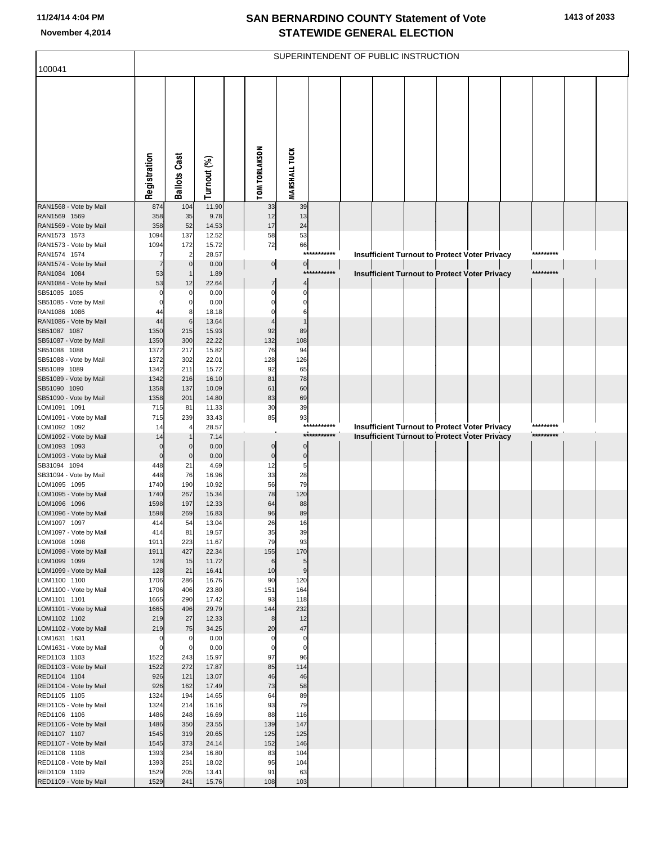| 100041                                 |                            |                                  |                |                            |                            |             | SUPERINTENDENT OF PUBLIC INSTRUCTION |  |                                                      |           |  |
|----------------------------------------|----------------------------|----------------------------------|----------------|----------------------------|----------------------------|-------------|--------------------------------------|--|------------------------------------------------------|-----------|--|
|                                        |                            |                                  |                |                            |                            |             |                                      |  |                                                      |           |  |
|                                        |                            |                                  |                |                            |                            |             |                                      |  |                                                      |           |  |
|                                        |                            |                                  |                |                            |                            |             |                                      |  |                                                      |           |  |
|                                        |                            |                                  |                |                            |                            |             |                                      |  |                                                      |           |  |
|                                        |                            |                                  |                |                            |                            |             |                                      |  |                                                      |           |  |
|                                        |                            |                                  |                |                            |                            |             |                                      |  |                                                      |           |  |
|                                        |                            |                                  |                |                            |                            |             |                                      |  |                                                      |           |  |
|                                        | Registration               | <b>Ballots Cast</b>              | Turnout (%)    | <b>TOM TORLAKSON</b>       | <b>MARSHALL TUCK</b>       |             |                                      |  |                                                      |           |  |
|                                        |                            |                                  |                |                            |                            |             |                                      |  |                                                      |           |  |
| RAN1568 - Vote by Mail                 | 874                        | 104                              | 11.90          | 33                         | 39                         |             |                                      |  |                                                      |           |  |
| RAN1569 1569<br>RAN1569 - Vote by Mail | 358<br>358                 | 35<br>52                         | 9.78<br>14.53  | 12<br>17                   | 13<br>24                   |             |                                      |  |                                                      |           |  |
| RAN1573 1573                           | 1094                       | 137                              | 12.52          | 58                         | 53                         |             |                                      |  |                                                      |           |  |
| RAN1573 - Vote by Mail<br>RAN1574 1574 | 1094<br>7                  | 172<br>$\overline{a}$            | 15.72<br>28.57 | 72                         | 66                         | *********** |                                      |  | Insufficient Turnout to Protect Voter Privacy        | ********* |  |
| RAN1574 - Vote by Mail                 | $\overline{7}$             | $\circ$                          | 0.00           | $\overline{0}$             | 0                          |             |                                      |  |                                                      |           |  |
| RAN1084 1084                           | 53                         | -1                               | 1.89           |                            |                            | *********** |                                      |  | <b>Insufficient Turnout to Protect Voter Privacy</b> | ********* |  |
| RAN1084 - Vote by Mail<br>SB51085 1085 | 53<br>$\overline{0}$       | 12<br>$\mathbf 0$                | 22.64<br>0.00  | $\overline{7}$<br>$\Omega$ | 4<br>$\Omega$              |             |                                      |  |                                                      |           |  |
| SB51085 - Vote by Mail                 | $\mathbf 0$                | $\overline{0}$                   | 0.00           | 0                          | $\Omega$                   |             |                                      |  |                                                      |           |  |
| RAN1086 1086                           | 44<br>44                   | 8<br>6                           | 18.18<br>13.64 | $\Omega$                   | 6                          |             |                                      |  |                                                      |           |  |
| RAN1086 - Vote by Mail<br>SB51087 1087 | 1350                       | 215                              | 15.93          | 92                         | 89                         |             |                                      |  |                                                      |           |  |
| SB51087 - Vote by Mail                 | 1350                       | 300                              | 22.22          | 132                        | 108                        |             |                                      |  |                                                      |           |  |
| SB51088 1088<br>SB51088 - Vote by Mail | 1372<br>1372               | 217<br>302                       | 15.82<br>22.01 | 76<br>128                  | 94<br>126                  |             |                                      |  |                                                      |           |  |
| SB51089 1089                           | 1342                       | 211                              | 15.72          | 92                         | 65                         |             |                                      |  |                                                      |           |  |
| SB51089 - Vote by Mail                 | 1342                       | 216                              | 16.10          | 81                         | 78                         |             |                                      |  |                                                      |           |  |
| SB51090 1090<br>SB51090 - Vote by Mail | 1358<br>1358               | 137<br>201                       | 10.09<br>14.80 | 61<br>83                   | 60<br>69                   |             |                                      |  |                                                      |           |  |
| LOM1091 1091                           | 715                        | 81                               | 11.33          | 30                         | 39                         |             |                                      |  |                                                      |           |  |
| LOM1091 - Vote by Mail<br>LOM1092 1092 | 715<br>14                  | 239<br>$\overline{4}$            | 33.43<br>28.57 | 85                         | 93                         | *********** |                                      |  | <b>Insufficient Turnout to Protect Voter Privacy</b> | ********* |  |
| LOM1092 - Vote by Mail                 | 14                         |                                  | 7.14           |                            |                            | *********** |                                      |  | <b>Insufficient Turnout to Protect Voter Privacy</b> | ********* |  |
| LOM1093 1093                           | $\mathbf 0$<br>$\mathbf 0$ | $\overline{0}$<br>$\overline{0}$ | 0.00<br>0.00   | $\mathbf 0$<br>$\bf 0$     | $\mathbf 0$<br>$\mathbf 0$ |             |                                      |  |                                                      |           |  |
| LOM1093 - Vote by Mail<br>SB31094 1094 | 448                        | 21                               | 4.69           | 12                         | 5                          |             |                                      |  |                                                      |           |  |
| SB31094 - Vote by Mail                 | 448                        | 76                               | 16.96          | 33                         | 28                         |             |                                      |  |                                                      |           |  |
| LOM1095 1095<br>LOM1095 - Vote by Mail | 1740<br>1740               | 190<br>267                       | 10.92<br>15.34 | 56<br>78                   | 79<br>120                  |             |                                      |  |                                                      |           |  |
| LOM1096 1096                           | 1598                       | 197                              | 12.33          | 64                         | 88                         |             |                                      |  |                                                      |           |  |
| LOM1096 - Vote by Mail<br>LOM1097 1097 | 1598<br>414                | 269<br>54                        | 16.83<br>13.04 | 96<br>26                   | 89<br>16                   |             |                                      |  |                                                      |           |  |
| LOM1097 - Vote by Mail                 | 414                        | 81                               | 19.57          | 35                         | 39                         |             |                                      |  |                                                      |           |  |
| LOM1098 1098                           | 1911                       | 223                              | 11.67          | 79                         | 93                         |             |                                      |  |                                                      |           |  |
| LOM1098 - Vote by Mail<br>LOM1099 1099 | 1911<br>128                | 427<br>15                        | 22.34<br>11.72 | 155<br>$\,6$               | 170<br>5                   |             |                                      |  |                                                      |           |  |
| LOM1099 - Vote by Mail                 | 128                        | 21                               | 16.41          | 10                         | $9\,$                      |             |                                      |  |                                                      |           |  |
| LOM1100 1100                           | 1706<br>1706               | 286<br>406                       | 16.76<br>23.80 | 90<br>151                  | 120<br>164                 |             |                                      |  |                                                      |           |  |
| LOM1100 - Vote by Mail<br>LOM1101 1101 | 1665                       | 290                              | 17.42          | 93                         | 118                        |             |                                      |  |                                                      |           |  |
| LOM1101 - Vote by Mail                 | 1665                       | 496                              | 29.79          | 144                        | 232                        |             |                                      |  |                                                      |           |  |
| LOM1102 1102<br>LOM1102 - Vote by Mail | 219<br>219                 | 27<br>75                         | 12.33<br>34.25 | 8<br>20                    | 12<br>47                   |             |                                      |  |                                                      |           |  |
| LOM1631 1631                           | $\pmb{0}$                  | $\mathbf{0}$                     | 0.00           | $\mathbf 0$                | $\pmb{0}$                  |             |                                      |  |                                                      |           |  |
| LOM1631 - Vote by Mail<br>RED1103 1103 | $\mathbf 0$<br>1522        | $\overline{0}$<br>243            | 0.00<br>15.97  | $\mathbf 0$<br>97          | $\mathbf 0$<br>96          |             |                                      |  |                                                      |           |  |
| RED1103 - Vote by Mail                 | 1522                       | 272                              | 17.87          | 85                         | 114                        |             |                                      |  |                                                      |           |  |
| RED1104 1104                           | 926                        | 121                              | 13.07          | 46                         | 46                         |             |                                      |  |                                                      |           |  |
| RED1104 - Vote by Mail<br>RED1105 1105 | 926<br>1324                | 162<br>194                       | 17.49<br>14.65 | 73<br>64                   | 58<br>89                   |             |                                      |  |                                                      |           |  |
| RED1105 - Vote by Mail                 | 1324                       | 214                              | 16.16          | 93                         | 79                         |             |                                      |  |                                                      |           |  |
| RED1106 1106                           | 1486                       | 248                              | 16.69          | 88                         | 116                        |             |                                      |  |                                                      |           |  |
| RED1106 - Vote by Mail<br>RED1107 1107 | 1486<br>1545               | 350<br>319                       | 23.55<br>20.65 | 139<br>125                 | 147<br>125                 |             |                                      |  |                                                      |           |  |
| RED1107 - Vote by Mail                 | 1545                       | 373                              | 24.14          | 152                        | 146                        |             |                                      |  |                                                      |           |  |
| RED1108 1108<br>RED1108 - Vote by Mail | 1393<br>1393               | 234<br>251                       | 16.80<br>18.02 | 83<br>95                   | 104<br>104                 |             |                                      |  |                                                      |           |  |
| RED1109 1109                           | 1529                       | 205                              | 13.41          | 91                         | 63                         |             |                                      |  |                                                      |           |  |
| RED1109 - Vote by Mail                 | 1529                       | 241                              | 15.76          | 108                        | 103                        |             |                                      |  |                                                      |           |  |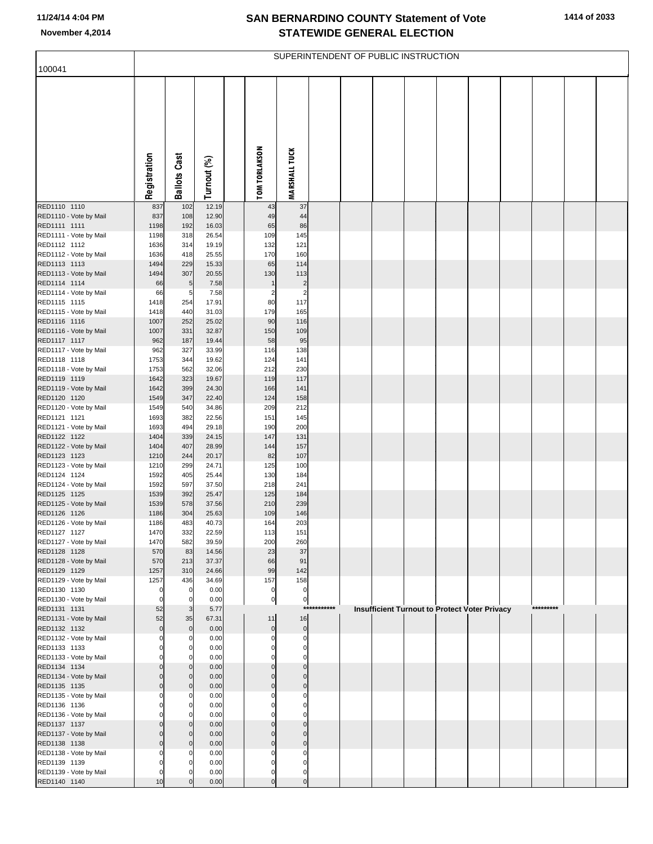| 100041                                 |                      |                     |                |                            |                               |        | SUPERINTENDENT OF PUBLIC INSTRUCTION |  |                                               |  |           |  |
|----------------------------------------|----------------------|---------------------|----------------|----------------------------|-------------------------------|--------|--------------------------------------|--|-----------------------------------------------|--|-----------|--|
|                                        |                      |                     |                |                            |                               |        |                                      |  |                                               |  |           |  |
|                                        | Registration         | <b>Ballots Cast</b> | Turnout (%)    | <b>TOM TORLAKSON</b>       | <b>MARSHALL TUCK</b>          |        |                                      |  |                                               |  |           |  |
| RED1110 1110                           | 837                  | 102                 | 12.19          | 43                         | 37                            |        |                                      |  |                                               |  |           |  |
| RED1110 - Vote by Mail                 | 837                  | 108                 | 12.90          | 49                         | 44                            |        |                                      |  |                                               |  |           |  |
| RED1111 1111                           | 1198                 | 192                 | 16.03          | 65                         | 86                            |        |                                      |  |                                               |  |           |  |
| RED1111 - Vote by Mail<br>RED1112 1112 | 1198<br>1636         | 318<br>314          | 26.54<br>19.19 | 109<br>132                 | 145<br>121                    |        |                                      |  |                                               |  |           |  |
| RED1112 - Vote by Mail                 | 1636                 | 418                 | 25.55          | 170                        | 160                           |        |                                      |  |                                               |  |           |  |
| RED1113 1113                           | 1494                 | 229                 | 15.33          | 65                         | 114                           |        |                                      |  |                                               |  |           |  |
| RED1113 - Vote by Mail                 | 1494                 | 307                 | 20.55          | 130                        | 113                           |        |                                      |  |                                               |  |           |  |
| RED1114 1114                           | 66                   | $\overline{5}$      | 7.58           | $\mathbf{1}$               | $\overline{c}$                |        |                                      |  |                                               |  |           |  |
| RED1114 - Vote by Mail                 | 66                   | 5                   | 7.58           | $\overline{2}$             | $\overline{a}$                |        |                                      |  |                                               |  |           |  |
| RED1115 1115                           | 1418<br>1418         | 254<br>440          | 17.91<br>31.03 | 80<br>179                  | 117<br>165                    |        |                                      |  |                                               |  |           |  |
| RED1115 - Vote by Mail<br>RED1116 1116 | 1007                 | 252                 | 25.02          | 90                         | 116                           |        |                                      |  |                                               |  |           |  |
| RED1116 - Vote by Mail                 | 1007                 | 331                 | 32.87          | 150                        | 109                           |        |                                      |  |                                               |  |           |  |
| RED1117 1117                           | 962                  | 187                 | 19.44          | 58                         | 95                            |        |                                      |  |                                               |  |           |  |
| RED1117 - Vote by Mail                 | 962                  | 327                 | 33.99          | 116                        | 138                           |        |                                      |  |                                               |  |           |  |
| RED1118 1118                           | 1753                 | 344                 | 19.62          | 124                        | 141                           |        |                                      |  |                                               |  |           |  |
| RED1118 - Vote by Mail<br>RED1119 1119 | 1753                 | 562<br>323          | 32.06          | 212<br>119                 | 230                           |        |                                      |  |                                               |  |           |  |
| RED1119 - Vote by Mail                 | 1642<br>1642         | 399                 | 19.67<br>24.30 | 166                        | 117<br>141                    |        |                                      |  |                                               |  |           |  |
| RED1120 1120                           | 1549                 | 347                 | 22.40          | 124                        | 158                           |        |                                      |  |                                               |  |           |  |
| RED1120 - Vote by Mail                 | 1549                 | 540                 | 34.86          | 209                        | 212                           |        |                                      |  |                                               |  |           |  |
| RED1121 1121                           | 1693                 | 382                 | 22.56          | 151                        | 145                           |        |                                      |  |                                               |  |           |  |
| RED1121 - Vote by Mail                 | 1693                 | 494                 | 29.18          | 190                        | 200                           |        |                                      |  |                                               |  |           |  |
| RED1122 1122<br>RED1122 - Vote by Mail | 1404<br>1404         | 339<br>407          | 24.15<br>28.99 | 147<br>144                 | 131<br>157                    |        |                                      |  |                                               |  |           |  |
| RED1123 1123                           | 1210                 | 244                 | 20.17          | 82                         | 107                           |        |                                      |  |                                               |  |           |  |
| RED1123 - Vote by Mail                 | 1210                 | 299                 | 24.71          | 125                        | 100                           |        |                                      |  |                                               |  |           |  |
| RED1124 1124                           | 1592                 | 405                 | 25.44          | 130                        | 184                           |        |                                      |  |                                               |  |           |  |
| RED1124 - Vote by Mail                 | 1592                 | 597                 | 37.50          | 218                        | 241                           |        |                                      |  |                                               |  |           |  |
| RED1125 1125<br>RED1125 - Vote by Mail | 1539<br>1539         | 392<br>578          | 25.47<br>37.56 | 125<br>210                 | 184<br>239                    |        |                                      |  |                                               |  |           |  |
| RED1126 1126                           | 1186                 | 304                 | 25.63          | 109                        | 146                           |        |                                      |  |                                               |  |           |  |
| RED1126 - Vote by Mail                 | 1186                 | 483                 | 40.73          | 164                        | 203                           |        |                                      |  |                                               |  |           |  |
| RED1127 1127                           | 1470                 | 332                 | 22.59          | 113                        | 151                           |        |                                      |  |                                               |  |           |  |
| RED1127 - Vote by Mail                 | 1470                 | 582                 | 39.59          | 200                        | 260                           |        |                                      |  |                                               |  |           |  |
| RED1128 1128<br>RED1128 - Vote by Mail | 570<br>570           | 83<br>213           | 14.56<br>37.37 | 23<br>66                   | 37<br>91                      |        |                                      |  |                                               |  |           |  |
| RED1129 1129                           | 1257                 | 310                 | 24.66          | 99                         | 142                           |        |                                      |  |                                               |  |           |  |
| RED1129 - Vote by Mail                 | 1257                 | 436                 | 34.69          | 157                        | 158                           |        |                                      |  |                                               |  |           |  |
| RED1130 1130                           | $\mathbf 0$          | $\mathbf 0$         | 0.00           | 0                          | $\overline{0}$                |        |                                      |  |                                               |  |           |  |
| RED1130 - Vote by Mail                 | $\Omega$             | 0                   | 0.00           | $\mathbf 0$                | $\overline{0}$                | ****** |                                      |  |                                               |  | ********* |  |
| RED1131 1131<br>RED1131 - Vote by Mail | 52<br>52             | 3<br>35             | 5.77<br>67.31  | 11                         | $***$<br>16                   |        |                                      |  | Insufficient Turnout to Protect Voter Privacy |  |           |  |
| RED1132 1132                           | $\mathbf 0$          | $\mathbf 0$         | 0.00           | $\overline{0}$             | 0                             |        |                                      |  |                                               |  |           |  |
| RED1132 - Vote by Mail                 |                      | 0                   | 0.00           | $\Omega$                   | $\overline{0}$                |        |                                      |  |                                               |  |           |  |
| RED1133 1133                           |                      | 0                   | 0.00           | 0                          | $\overline{0}$                |        |                                      |  |                                               |  |           |  |
| RED1133 - Vote by Mail                 |                      |                     | 0.00           | 0                          | $\mathbf 0$                   |        |                                      |  |                                               |  |           |  |
| RED1134 1134                           | $\Omega$             | 0                   | 0.00           | $\mathbf 0$<br>$\mathbf 0$ | $\overline{0}$<br>$\mathbf 0$ |        |                                      |  |                                               |  |           |  |
| RED1134 - Vote by Mail<br>RED1135 1135 | $\Omega$             | $\Omega$            | 0.00<br>0.00   | $\pmb{0}$                  | $\mathbf 0$                   |        |                                      |  |                                               |  |           |  |
| RED1135 - Vote by Mail                 |                      |                     | 0.00           |                            | $\mathbf 0$                   |        |                                      |  |                                               |  |           |  |
| RED1136 1136                           |                      |                     | 0.00           |                            | $\mathbf 0$                   |        |                                      |  |                                               |  |           |  |
| RED1136 - Vote by Mail                 |                      |                     | 0.00           |                            | $\mathbf 0$                   |        |                                      |  |                                               |  |           |  |
| RED1137 1137                           |                      | 0                   | 0.00           | 0                          | $\mathbf 0$                   |        |                                      |  |                                               |  |           |  |
| RED1137 - Vote by Mail<br>RED1138 1138 | $\Omega$<br>$\Omega$ | C                   | 0.00<br>0.00   | $\Omega$<br>$\mathbf 0$    | $\mathbf 0$<br>$\mathbf 0$    |        |                                      |  |                                               |  |           |  |
| RED1138 - Vote by Mail                 | $\Omega$             |                     | 0.00           | $\Omega$                   | $\mathbf 0$                   |        |                                      |  |                                               |  |           |  |
| RED1139 1139                           |                      |                     | 0.00           | $\Omega$                   | $\mathbf 0$                   |        |                                      |  |                                               |  |           |  |
| RED1139 - Vote by Mail                 | 0                    |                     | 0.00           | $\mathbf 0$                | $\mathbf{0}$                  |        |                                      |  |                                               |  |           |  |
| RED1140 1140                           | 10                   |                     | 0.00           | $\overline{0}$             | $\overline{0}$                |        |                                      |  |                                               |  |           |  |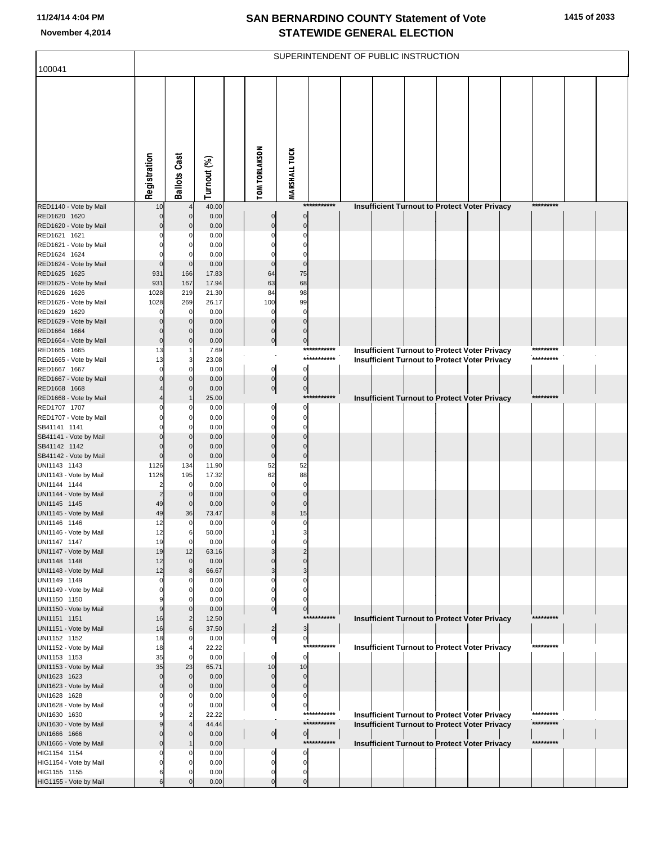| 100041                                 |                |                               |                |                      |                                                           |                            | SUPERINTENDENT OF PUBLIC INSTRUCTION |  |                                                      |                        |  |
|----------------------------------------|----------------|-------------------------------|----------------|----------------------|-----------------------------------------------------------|----------------------------|--------------------------------------|--|------------------------------------------------------|------------------------|--|
|                                        |                |                               |                |                      |                                                           |                            |                                      |  |                                                      |                        |  |
|                                        | Registration   | <b>Ballots Cast</b>           | Turnout (%)    | <b>TOM TORLAKSON</b> | <b>MARSHALL TUCK</b>                                      |                            |                                      |  |                                                      |                        |  |
| RED1140 - Vote by Mail                 | 10             |                               | 40.00          |                      |                                                           | ***********                |                                      |  | Insufficient Turnout to Protect Voter Privacy        | *********              |  |
| RED1620 1620<br>RED1620 - Vote by Mail | $\Omega$       | $\mathbf 0$<br>$\mathbf 0$    | 0.00<br>0.00   |                      | $\overline{0}$<br>$\pmb{0}$<br>$\overline{0}$<br>$\Omega$ |                            |                                      |  |                                                      |                        |  |
| RED1621 1621                           |                |                               | 0.00           |                      | $\Omega$                                                  |                            |                                      |  |                                                      |                        |  |
| RED1621 - Vote by Mail                 |                | 0                             | 0.00           |                      | $\Omega$                                                  |                            |                                      |  |                                                      |                        |  |
| RED1624 1624                           |                | C                             | 0.00           |                      | $\mathbf 0$                                               |                            |                                      |  |                                                      |                        |  |
| RED1624 - Vote by Mail                 | $\Omega$       | $\Omega$                      | 0.00           |                      | $\overline{0}$<br>$\Omega$                                |                            |                                      |  |                                                      |                        |  |
| RED1625 1625<br>RED1625 - Vote by Mail | 931<br>931     | 166<br>167                    | 17.83<br>17.94 | 64<br>63             | 75<br>68                                                  |                            |                                      |  |                                                      |                        |  |
| RED1626 1626                           | 1028           | 219                           | 21.30          | 84                   | 98                                                        |                            |                                      |  |                                                      |                        |  |
| RED1626 - Vote by Mail                 | 1028           | 269                           | 26.17          | 100                  | 99                                                        |                            |                                      |  |                                                      |                        |  |
| RED1629 1629                           | $\Omega$       | $\mathbf 0$                   | 0.00           |                      | $\mathbf 0$<br>$\Omega$                                   |                            |                                      |  |                                                      |                        |  |
| RED1629 - Vote by Mail                 | 0              | $\mathbf 0$                   | 0.00           |                      | $\overline{0}$<br>$\mathbf 0$                             |                            |                                      |  |                                                      |                        |  |
| RED1664 1664                           | 0<br>$\Omega$  | $\mathbf 0$<br>$\mathbf 0$    | 0.00<br>0.00   |                      | $\overline{0}$<br>$\overline{0}$<br>$\overline{0}$        |                            |                                      |  |                                                      |                        |  |
| RED1664 - Vote by Mail<br>RED1665 1665 | 13             |                               | 7.69           |                      | $\overline{0}$                                            | ****<br>*******            |                                      |  | <b>Insufficient Turnout to Protect Voter Privacy</b> | ****                   |  |
| RED1665 - Vote by Mail                 | 13             | 3                             | 23.08          |                      |                                                           | ***********                |                                      |  | <b>Insufficient Turnout to Protect Voter Privacy</b> | *********              |  |
| RED1667 1667                           | $\Omega$       | $\Omega$                      | 0.00           |                      | $\mathbf{0}$<br>$\mathbf{0}$                              |                            |                                      |  |                                                      |                        |  |
| RED1667 - Vote by Mail                 |                | $\mathbf 0$                   | 0.00           |                      | $\overline{0}$<br>$\overline{0}$                          |                            |                                      |  |                                                      |                        |  |
| RED1668 1668                           |                | $\Omega$                      | 0.00           |                      | $\overline{0}$<br>$\overline{0}$                          | ************               |                                      |  |                                                      | *********              |  |
| RED1668 - Vote by Mail<br>RED1707 1707 |                | C                             | 25.00<br>0.00  |                      | $\Omega$<br>0                                             |                            |                                      |  | Insufficient Turnout to Protect Voter Privacy        |                        |  |
| RED1707 - Vote by Mail                 |                | 0                             | 0.00           |                      | $\overline{0}$<br>$\Omega$                                |                            |                                      |  |                                                      |                        |  |
| SB41141 1141                           |                | $\Omega$                      | 0.00           |                      | $\Omega$                                                  |                            |                                      |  |                                                      |                        |  |
| SB41141 - Vote by Mail                 | 0              | $\mathbf 0$                   | 0.00           |                      | $\mathbf 0$<br>$\Omega$                                   |                            |                                      |  |                                                      |                        |  |
| SB41142 1142<br>SB41142 - Vote by Mail | O<br>0         | $\Omega$<br>$\mathbf 0$       | 0.00<br>0.00   |                      | $\mathbf 0$<br>$\Omega$<br>$\mathbf 0$<br>$\Omega$        |                            |                                      |  |                                                      |                        |  |
| UNI1143 1143                           | 1126           | 134                           | 11.90          | 52                   | 52                                                        |                            |                                      |  |                                                      |                        |  |
| UNI1143 - Vote by Mail                 | 1126           | 195                           | 17.32          | 62                   | 88                                                        |                            |                                      |  |                                                      |                        |  |
| UNI1144 1144                           | $\overline{2}$ | $\mathbf 0$                   | 0.00           |                      | $\mathbf 0$<br>$\Omega$                                   |                            |                                      |  |                                                      |                        |  |
| UNI1144 - Vote by Mail                 | $\overline{2}$ | $\mathbf 0$                   | 0.00           |                      | $\mathbf 0$                                               |                            |                                      |  |                                                      |                        |  |
| UNI1145 1145<br>UNI1145 - Vote by Mail | 49<br>49       | 0<br>36                       | 0.00<br>73.47  |                      | $\mathbf 0$<br>$\Omega$<br>15<br>8                        |                            |                                      |  |                                                      |                        |  |
| UNI1146 1146                           | 12             | 0                             | 0.00           |                      | 0                                                         |                            |                                      |  |                                                      |                        |  |
| UNI1146 - Vote by Mail                 | 12             | 6                             | 50.00          |                      |                                                           |                            |                                      |  |                                                      |                        |  |
| UNI1147 1147                           | 19             | $\mathbf 0$                   | 0.00           |                      | 0                                                         |                            |                                      |  |                                                      |                        |  |
| UNI1147 - Vote by Mail                 | 19             | 12                            | 63.16          |                      | $\overline{2}$                                            |                            |                                      |  |                                                      |                        |  |
| UNI1148 1148<br>UNI1148 - Vote by Mail | 12<br>12       | $\mathbf 0$<br>8              | 0.00<br>66.67  |                      | $\Omega$<br>$\Omega$<br>3<br>3                            |                            |                                      |  |                                                      |                        |  |
| UNI1149 1149                           | $\Omega$       | C                             | 0.00           |                      | 0                                                         |                            |                                      |  |                                                      |                        |  |
| UNI1149 - Vote by Mail                 | 0              | 0                             | 0.00           |                      | 0<br>0                                                    |                            |                                      |  |                                                      |                        |  |
| UNI1150 1150                           |                | C                             | 0.00           |                      | $\Omega$<br>$\Omega$                                      |                            |                                      |  |                                                      |                        |  |
| UNI1150 - Vote by Mail<br>UNI1151 1151 | 9<br>16        | $\mathbf 0$<br>$\overline{2}$ | 0.00<br>12.50  |                      | $\overline{0}$<br>$\overline{0}$                          | ***********                |                                      |  | Insufficient Turnout to Protect Voter Privacy        | *********              |  |
| UNI1151 - Vote by Mail                 | 16             | 6                             | 37.50          |                      | $\overline{\mathbf{3}}$<br>$\mathbf{2}$                   |                            |                                      |  |                                                      |                        |  |
| UNI1152 1152                           | 18             | 0                             | 0.00           |                      | $\overline{0}$<br>$\mathbf{0}$                            |                            |                                      |  |                                                      |                        |  |
| UNI1152 - Vote by Mail                 | 18             |                               | 22.22          |                      |                                                           | ***********                |                                      |  | Insufficient Turnout to Protect Voter Privacy        | *********              |  |
| UNI1153 1153                           | 35             | 0                             | 0.00           |                      | $\mathbf{0}$<br>0                                         |                            |                                      |  |                                                      |                        |  |
| UNI1153 - Vote by Mail<br>UNI1623 1623 | 35<br>0        | 23<br>$\mathbf 0$             | 65.71<br>0.00  | 10                   | 10<br>$\mathbf 0$<br>$\overline{0}$                       |                            |                                      |  |                                                      |                        |  |
| UNI1623 - Vote by Mail                 | $\overline{0}$ | 0                             | 0.00           |                      | $\overline{0}$<br>$\overline{0}$                          |                            |                                      |  |                                                      |                        |  |
| UNI1628 1628                           |                | C                             | 0.00           |                      | 0<br>0                                                    |                            |                                      |  |                                                      |                        |  |
| UNI1628 - Vote by Mail                 |                | 0                             | 0.00           |                      | $\overline{0}$<br>$\overline{0}$                          |                            |                                      |  |                                                      |                        |  |
| UNI1630 1630                           |                | 2                             | 22.22          |                      |                                                           | ***********<br>*********** |                                      |  | <b>Insufficient Turnout to Protect Voter Privacy</b> | *********<br>********* |  |
| UNI1630 - Vote by Mail<br>UNI1666 1666 | 0              | $\Omega$                      | 44.44<br>0.00  |                      | $\overline{0}$                                            |                            |                                      |  | <b>Insufficient Turnout to Protect Voter Privacy</b> |                        |  |
| UNI1666 - Vote by Mail                 | 0              |                               | 0.00           |                      | $\overline{0}$                                            | ***********                |                                      |  | Insufficient Turnout to Protect Voter Privacy        | *********              |  |
| HIG1154 1154                           |                |                               | 0.00           |                      | $\Omega$<br>0                                             |                            |                                      |  |                                                      |                        |  |
| HIG1154 - Vote by Mail                 |                | 0                             | 0.00           |                      | 0<br>0                                                    |                            |                                      |  |                                                      |                        |  |
| HIG1155 1155                           | 6              | C                             | 0.00           |                      | 0<br>$\overline{0}$                                       |                            |                                      |  |                                                      |                        |  |
| HIG1155 - Vote by Mail                 | 6              | $\Omega$                      | 0.00           |                      | $\overline{0}$<br>$\overline{0}$                          |                            |                                      |  |                                                      |                        |  |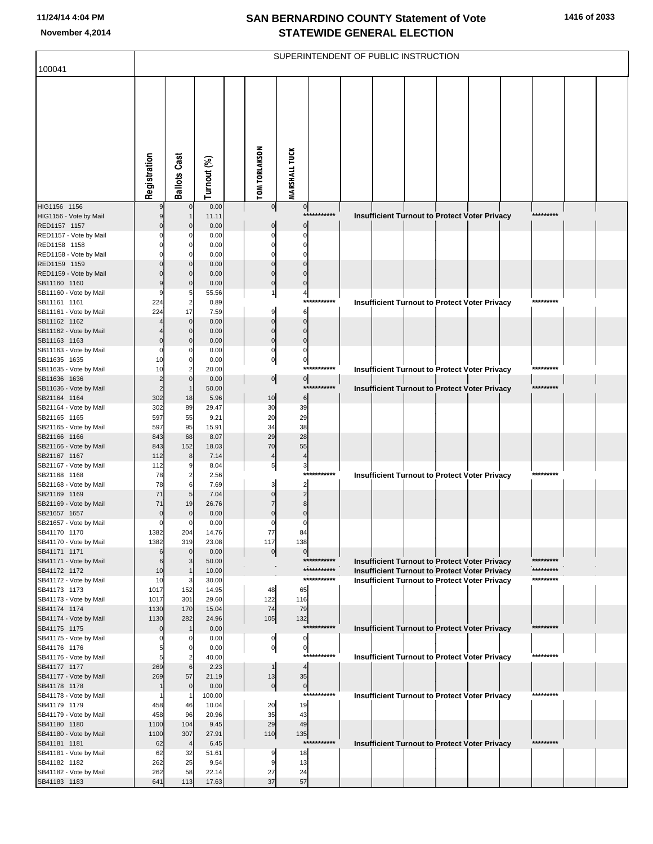| 100041                                 |                      |                               |                |                      |                            | SUPERINTENDENT OF PUBLIC INSTRUCTION |                                                      |  |  |            |  |
|----------------------------------------|----------------------|-------------------------------|----------------|----------------------|----------------------------|--------------------------------------|------------------------------------------------------|--|--|------------|--|
|                                        | Registration         | <b>Ballots Cast</b>           | Turnout (%)    | <b>TOM TORLAKSON</b> | <b>MARSHALL TUCK</b>       |                                      |                                                      |  |  |            |  |
| HIG1156 1156<br>HIG1156 - Vote by Mail | 9                    | $\mathbf 0$                   | 0.00<br>11.11  |                      | 0                          | $\overline{0}$<br>*******<br>***     | Insufficient Turnout to Protect Voter Privacy        |  |  | *********  |  |
| RED1157 1157                           | $\Omega$             | $\Omega$                      | 0.00           |                      |                            | $\mathbf 0$                          |                                                      |  |  |            |  |
| RED1157 - Vote by Mail<br>RED1158 1158 |                      | $\Omega$                      | 0.00<br>0.00   |                      | $\Omega$                   | $\Omega$<br>$\Omega$                 |                                                      |  |  |            |  |
| RED1158 - Vote by Mail                 |                      |                               | 0.00           |                      |                            | $\sqrt{ }$                           |                                                      |  |  |            |  |
| RED1159 1159                           |                      | $\Omega$                      | 0.00           |                      | $\Omega$                   | $\Omega$                             |                                                      |  |  |            |  |
| RED1159 - Vote by Mail                 |                      | $\Omega$                      | 0.00           |                      | $\Omega$                   | $\Omega$                             |                                                      |  |  |            |  |
| SB11160 1160<br>SB11160 - Vote by Mail |                      | $\Omega$<br>5                 | 0.00<br>55.56  |                      | $\Omega$                   | $\Omega$<br>4                        |                                                      |  |  |            |  |
| SB11161 1161                           | 224                  | $\overline{2}$                | 0.89           |                      |                            | ***********                          | Insufficient Turnout to Protect Voter Privacy        |  |  | *********  |  |
| SB11161 - Vote by Mail                 | 224                  | 17                            | 7.59           |                      | 9                          | 6                                    |                                                      |  |  |            |  |
| SB11162 1162                           |                      | $\mathbf 0$<br>$\Omega$       | 0.00<br>0.00   |                      | $\mathbf 0$<br>$\Omega$    | $\mathbf 0$<br>$\Omega$              |                                                      |  |  |            |  |
| SB11162 - Vote by Mail<br>SB11163 1163 |                      | $\Omega$                      | 0.00           |                      | $\mathbf 0$                | $\mathbf 0$                          |                                                      |  |  |            |  |
| SB11163 - Vote by Mail                 | $\Omega$             | Ω                             | 0.00           |                      | $\mathbf 0$                | $\Omega$                             |                                                      |  |  |            |  |
| SB11635 1635                           | 10                   | $\mathbf 0$                   | 0.00           |                      | $\overline{0}$             | $\pmb{0}$                            |                                                      |  |  | *********  |  |
| SB11635 - Vote by Mail<br>SB11636 1636 | 10<br>$\overline{2}$ | $\overline{2}$<br>$\mathbf 0$ | 20.00<br>0.00  |                      | $\overline{0}$             | ********<br>***<br>$\overline{0}$    | Insufficient Turnout to Protect Voter Privacy        |  |  |            |  |
| SB11636 - Vote by Mail                 | $\overline{c}$       | $\mathbf 1$                   | 50.00          |                      |                            | *******<br>***                       | <b>Insufficient Turnout to Protect Voter Privacy</b> |  |  | *********  |  |
| SB21164 1164                           | 302                  | 18                            | 5.96           |                      | 10                         | $\,6$                                |                                                      |  |  |            |  |
| SB21164 - Vote by Mail                 | 302<br>597           | 89<br>55                      | 29.47          |                      | 30<br>20                   | 39<br>29                             |                                                      |  |  |            |  |
| SB21165 1165<br>SB21165 - Vote by Mail | 597                  | 95                            | 9.21<br>15.91  |                      | 34                         | 38                                   |                                                      |  |  |            |  |
| SB21166 1166                           | 843                  | 68                            | 8.07           |                      | 29                         | 28                                   |                                                      |  |  |            |  |
| SB21166 - Vote by Mail                 | 843                  | 152                           | 18.03          |                      | 70                         | 55                                   |                                                      |  |  |            |  |
| SB21167 1167<br>SB21167 - Vote by Mail | 112<br>112           | 8                             | 7.14<br>8.04   |                      | $\overline{4}$<br>$5 \mid$ | $\overline{4}$<br>3                  |                                                      |  |  |            |  |
| SB21168 1168                           | 78                   | $\overline{a}$                | 2.56           |                      |                            | ***********                          | <b>Insufficient Turnout to Protect Voter Privacy</b> |  |  | *********  |  |
| SB21168 - Vote by Mail                 | 78                   | 6                             | 7.69           |                      | 3                          | $\overline{2}$                       |                                                      |  |  |            |  |
| SB21169 1169                           | 71<br>71             | 5                             | 7.04<br>26.76  |                      | $\Omega$                   | $\overline{2}$<br>8                  |                                                      |  |  |            |  |
| SB21169 - Vote by Mail<br>SB21657 1657 | $\mathbf 0$          | 19<br>$\mathbf 0$             | 0.00           |                      | $\Omega$                   | $\mathbf 0$                          |                                                      |  |  |            |  |
| SB21657 - Vote by Mail                 | $\mathbf 0$          | $\Omega$                      | 0.00           |                      | 0                          | ſ                                    |                                                      |  |  |            |  |
| SB41170 1170                           | 1382                 | 204                           | 14.76          |                      | 77                         | 84                                   |                                                      |  |  |            |  |
| SB41170 - Vote by Mail<br>SB41171 1171 | 1382<br>6            | 319<br>$\mathbf 0$            | 23.08<br>0.00  |                      | 117<br>$\overline{0}$      | 138<br>$\mathbf 0$                   |                                                      |  |  |            |  |
| SB41171 - Vote by Mail                 | 6                    | 3                             | 50.00          |                      |                            | ***********                          | <b>Insufficient Turnout to Protect Voter Privacy</b> |  |  | *********  |  |
| SB41172 1172                           | 10                   | -1                            | 10.00          |                      |                            | ***********                          | Insufficient Turnout to Protect Voter Privacy        |  |  | *********  |  |
| SB41172 - Vote by Mail<br>SB41173 1173 | 10<br>1017           | 3<br>152                      | 30.00<br>14.95 |                      | 48                         | ***********<br>65                    | Insufficient Turnout to Protect Voter Privacy        |  |  | *********  |  |
| SB41173 - Vote by Mail                 | 1017                 | 301                           | 29.60          |                      | 122                        | 116                                  |                                                      |  |  |            |  |
| SB41174 1174                           | 1130                 | 170                           | 15.04          |                      | 74                         | 79                                   |                                                      |  |  |            |  |
| SB41174 - Vote by Mail                 | 1130                 | 282                           | 24.96          |                      | 105                        | 132<br>***********                   |                                                      |  |  | ********** |  |
| SB41175 1175<br>SB41175 - Vote by Mail | $\Omega$<br>0        | 0                             | 0.00<br>0.00   |                      | 0                          | 0                                    | Insufficient Turnout to Protect Voter Privacy        |  |  |            |  |
| SB41176 1176                           |                      | 0                             | 0.00           |                      | $\overline{0}$             | $\mathbf 0$                          |                                                      |  |  |            |  |
| SB41176 - Vote by Mail                 | 5                    | 2                             | 40.00          |                      |                            | ********<br>$***$                    | Insufficient Turnout to Protect Voter Privacy        |  |  | *********  |  |
| SB41177 1177<br>SB41177 - Vote by Mail | 269<br>269           | 6<br>57                       | 2.23<br>21.19  |                      | $\mathbf{1}$               | 4<br>35                              |                                                      |  |  |            |  |
| SB41178 1178                           |                      | $\mathbf 0$                   | 0.00           |                      | 13<br>$\overline{0}$       | $\overline{0}$                       |                                                      |  |  |            |  |
| SB41178 - Vote by Mail                 |                      | -1                            | 100.00         |                      |                            | *******<br>$***$                     | Insufficient Turnout to Protect Voter Privacy        |  |  | *********  |  |
| SB41179 1179                           | 458                  | 46                            | 10.04          |                      | 20                         | 19                                   |                                                      |  |  |            |  |
| SB41179 - Vote by Mail<br>SB41180 1180 | 458<br>1100          | 96<br>104                     | 20.96<br>9.45  |                      | 35<br>29                   | 43<br>49                             |                                                      |  |  |            |  |
| SB41180 - Vote by Mail                 | 1100                 | 307                           | 27.91          |                      | 110                        | 135                                  |                                                      |  |  |            |  |
| SB41181 1181                           | 62                   | $\overline{4}$                | 6.45           |                      |                            | ***********                          | Insufficient Turnout to Protect Voter Privacy        |  |  | *********  |  |
| SB41181 - Vote by Mail                 | 62                   | 32                            | 51.61          |                      | 9                          | 18                                   |                                                      |  |  |            |  |
| SB41182 1182<br>SB41182 - Vote by Mail | 262<br>262           | 25<br>58                      | 9.54<br>22.14  |                      | 27                         | 13<br>24                             |                                                      |  |  |            |  |
| SB41183 1183                           | 641                  | 113                           | 17.63          |                      | 37                         | 57                                   |                                                      |  |  |            |  |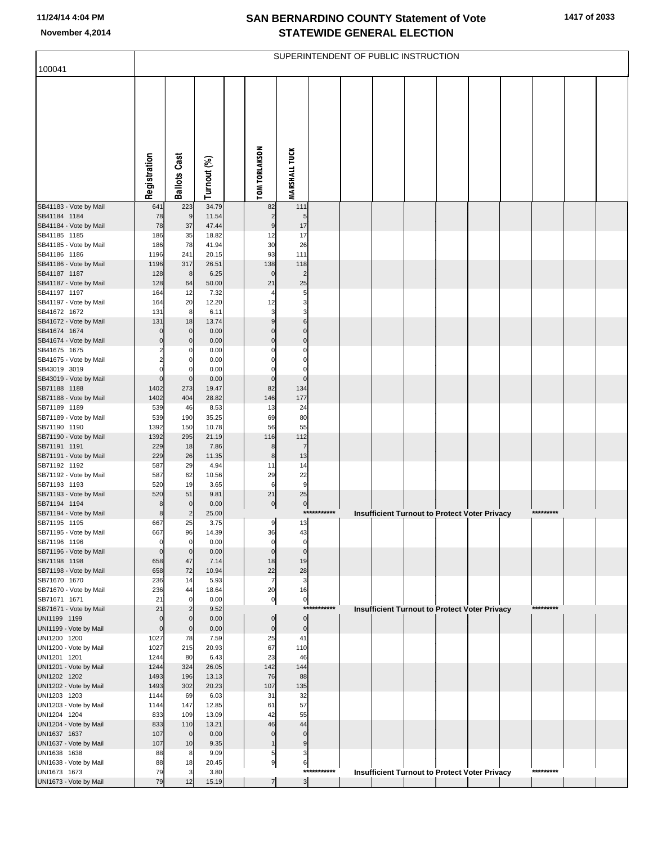| <b>TOM TORLAKSON</b><br><b>MARSHALL TUCK</b><br><b>Ballots Cast</b><br>Registration<br>Turnout (%)<br>223<br>34.79<br>SB41183 - Vote by Mail<br>641<br>82<br>111<br>SB41184 1184<br>78<br>9<br>11.54<br>$\overline{c}$<br>5<br>SB41184 - Vote by Mail<br>78<br>37<br>47.44<br>17<br>9<br>186<br>35<br>18.82<br>17<br>12<br>186<br>78<br>41.94<br>30<br>26<br>93<br>1196<br>241<br>20.15<br>111<br>SB41186 - Vote by Mail<br>317<br>26.51<br>138<br>118<br>1196<br>SB41187 1187<br>128<br>8<br>6.25<br>$\mathbf 0$<br>$\overline{c}$<br>SB41187 - Vote by Mail<br>128<br>50.00<br>21<br>25<br>64<br>164<br>12<br>7.32<br>5<br>20<br>12.20<br>164<br>12<br>3<br>131<br>6.11<br>8<br>3<br>3<br>SB41672 - Vote by Mail<br>131<br>13.74<br>18<br>9<br>6<br>SB41674 1674<br>0.00<br>$\mathbf 0$<br>$\Omega$<br>$\Omega$<br>$\Omega$<br>SB41674 - Vote by Mail<br>0.00<br>$\Omega$<br>0<br>$\mathbf 0$<br>$\Omega$<br>2<br>0.00<br>$\Omega$<br>0<br>0<br>0.00<br>$\overline{2}$<br>$\Omega$<br>0<br>0.00<br>$\Omega$<br>$\Omega$<br>0<br>SB43019 - Vote by Mail<br>0.00<br>$\pmb{0}$<br>$\Omega$<br>$\mathbf 0$<br>$\mathbf 0$<br>SB71188 1188<br>19.47<br>134<br>1402<br>273<br>82<br>177<br>SB71188 - Vote by Mail<br>1402<br>404<br>28.82<br>146<br>539<br>46<br>8.53<br>24<br>13<br>539<br>35.25<br>69<br>80<br>190<br>1392<br>10.78<br>56<br>55<br>150<br>SB71190 - Vote by Mail<br>1392<br>295<br>21.19<br>112<br>116<br>SB71191 1191<br>229<br>18<br>7.86<br>8<br>$\overline{7}$<br>SB71191 - Vote by Mail<br>229<br>11.35<br>26<br>13<br>8<br>587<br>29<br>4.94<br>11<br>14<br>587<br>62<br>29<br>22<br>10.56<br>SB71193 1193<br>520<br>9<br>19<br>3.65<br>6<br>SB71193 - Vote by Mail<br>520<br>51<br>9.81<br>25<br>21<br>SB71194 1194<br>0.00<br>$\overline{0}$<br>$\overline{0}$<br>8<br>$\mathbf 0$<br>*********<br>***********<br><b>Insufficient Turnout to Protect Voter Privacy</b><br>25.00<br>8<br>$\overline{2}$<br>25<br>3.75<br>9<br>13<br>667<br>667<br>96<br>14.39<br>36<br>43<br>SB71196 1196<br>0.00<br>0<br>$\mathbf 0$<br>$\mathbf 0$<br>$\mathbf 0$<br>SB71196 - Vote by Mail<br>0.00<br>$\mathbf 0$<br>$\Omega$<br>$\mathbf{0}$<br>$\mathbf 0$<br>47<br>7.14<br>19<br>658<br>18<br>658<br>72<br>10.94<br>22<br>28<br>$\overline{7}$<br>236<br>5.93<br>3<br>14<br>SB71670 - Vote by Mail<br>236<br>20<br>16<br>44<br>18.64<br>SB71671 1671<br>21<br>0.00<br>$\overline{0}$<br>$\overline{0}$<br>0<br>***********<br>*********<br>SB71671 - Vote by Mail<br>21<br>9.52<br><b>Insufficient Turnout to Protect Voter Privacy</b><br>$\overline{2}$<br>0.00<br>$\overline{0}$<br>$\Omega$<br>$\mathbf 0$<br>$\mathbf 0$<br>0.00<br>$\Omega$<br>$\mathbf 0$<br>$\mathbf 0$<br>$\mathbf{0}$<br>UNI1200 1200<br>1027<br>78<br>7.59<br>25<br>41<br>UNI1200 - Vote by Mail<br>1027<br>215<br>20.93<br>67<br>110<br>UNI1201 1201<br>80<br>6.43<br>23<br>46<br>1244<br>1244<br>324<br>26.05<br>142<br>144<br>13.13<br>76<br>88<br>1493<br>196<br>20.23<br>302<br>107<br>135<br>1493<br>32<br>UNI1203 1203<br>69<br>6.03<br>31<br>1144<br>UNI1203 - Vote by Mail<br>147<br>12.85<br>57<br>1144<br>61<br>UNI1204 1204<br>55<br>833<br>109<br>13.09<br>42<br>833<br>110<br>13.21<br>46<br>44<br>107<br>0.00<br>$\mathbf 0$<br>$\mathbf{0}$<br>$\mathbf{0}$<br>107<br>9.35<br>10<br>9<br>UNI1638 1638<br>9.09<br>88<br>8<br>5<br>3<br>UNI1638 - Vote by Mail<br>88<br>20.45<br>9<br>18<br>$6 \mid$<br>***********<br>*********<br>UNI1673 1673<br>79<br>3.80<br>Insufficient Turnout to Protect Voter Privacy<br>3<br>3 <sup>1</sup><br>79<br>15.19<br>12<br>$\overline{7}$ | 100041                 |  |  |  |  | SUPERINTENDENT OF PUBLIC INSTRUCTION |  |  |  |  |
|-----------------------------------------------------------------------------------------------------------------------------------------------------------------------------------------------------------------------------------------------------------------------------------------------------------------------------------------------------------------------------------------------------------------------------------------------------------------------------------------------------------------------------------------------------------------------------------------------------------------------------------------------------------------------------------------------------------------------------------------------------------------------------------------------------------------------------------------------------------------------------------------------------------------------------------------------------------------------------------------------------------------------------------------------------------------------------------------------------------------------------------------------------------------------------------------------------------------------------------------------------------------------------------------------------------------------------------------------------------------------------------------------------------------------------------------------------------------------------------------------------------------------------------------------------------------------------------------------------------------------------------------------------------------------------------------------------------------------------------------------------------------------------------------------------------------------------------------------------------------------------------------------------------------------------------------------------------------------------------------------------------------------------------------------------------------------------------------------------------------------------------------------------------------------------------------------------------------------------------------------------------------------------------------------------------------------------------------------------------------------------------------------------------------------------------------------------------------------------------------------------------------------------------------------------------------------------------------------------------------------------------------------------------------------------------------------------------------------------------------------------------------------------------------------------------------------------------------------------------------------------------------------------------------------------------------------------------------------------------------------------------------------------------------------------------------------------------------------------------------------------------------------------------------------------------------------------------------------------------------------------------------------------------------------------------------------------------------------------------------------------------------------------------------------------------------------------------------------------------------------------------------------------------------------------------------------------------|------------------------|--|--|--|--|--------------------------------------|--|--|--|--|
|                                                                                                                                                                                                                                                                                                                                                                                                                                                                                                                                                                                                                                                                                                                                                                                                                                                                                                                                                                                                                                                                                                                                                                                                                                                                                                                                                                                                                                                                                                                                                                                                                                                                                                                                                                                                                                                                                                                                                                                                                                                                                                                                                                                                                                                                                                                                                                                                                                                                                                                                                                                                                                                                                                                                                                                                                                                                                                                                                                                                                                                                                                                                                                                                                                                                                                                                                                                                                                                                                                                                                                                   |                        |  |  |  |  |                                      |  |  |  |  |
|                                                                                                                                                                                                                                                                                                                                                                                                                                                                                                                                                                                                                                                                                                                                                                                                                                                                                                                                                                                                                                                                                                                                                                                                                                                                                                                                                                                                                                                                                                                                                                                                                                                                                                                                                                                                                                                                                                                                                                                                                                                                                                                                                                                                                                                                                                                                                                                                                                                                                                                                                                                                                                                                                                                                                                                                                                                                                                                                                                                                                                                                                                                                                                                                                                                                                                                                                                                                                                                                                                                                                                                   |                        |  |  |  |  |                                      |  |  |  |  |
|                                                                                                                                                                                                                                                                                                                                                                                                                                                                                                                                                                                                                                                                                                                                                                                                                                                                                                                                                                                                                                                                                                                                                                                                                                                                                                                                                                                                                                                                                                                                                                                                                                                                                                                                                                                                                                                                                                                                                                                                                                                                                                                                                                                                                                                                                                                                                                                                                                                                                                                                                                                                                                                                                                                                                                                                                                                                                                                                                                                                                                                                                                                                                                                                                                                                                                                                                                                                                                                                                                                                                                                   |                        |  |  |  |  |                                      |  |  |  |  |
|                                                                                                                                                                                                                                                                                                                                                                                                                                                                                                                                                                                                                                                                                                                                                                                                                                                                                                                                                                                                                                                                                                                                                                                                                                                                                                                                                                                                                                                                                                                                                                                                                                                                                                                                                                                                                                                                                                                                                                                                                                                                                                                                                                                                                                                                                                                                                                                                                                                                                                                                                                                                                                                                                                                                                                                                                                                                                                                                                                                                                                                                                                                                                                                                                                                                                                                                                                                                                                                                                                                                                                                   |                        |  |  |  |  |                                      |  |  |  |  |
|                                                                                                                                                                                                                                                                                                                                                                                                                                                                                                                                                                                                                                                                                                                                                                                                                                                                                                                                                                                                                                                                                                                                                                                                                                                                                                                                                                                                                                                                                                                                                                                                                                                                                                                                                                                                                                                                                                                                                                                                                                                                                                                                                                                                                                                                                                                                                                                                                                                                                                                                                                                                                                                                                                                                                                                                                                                                                                                                                                                                                                                                                                                                                                                                                                                                                                                                                                                                                                                                                                                                                                                   |                        |  |  |  |  |                                      |  |  |  |  |
|                                                                                                                                                                                                                                                                                                                                                                                                                                                                                                                                                                                                                                                                                                                                                                                                                                                                                                                                                                                                                                                                                                                                                                                                                                                                                                                                                                                                                                                                                                                                                                                                                                                                                                                                                                                                                                                                                                                                                                                                                                                                                                                                                                                                                                                                                                                                                                                                                                                                                                                                                                                                                                                                                                                                                                                                                                                                                                                                                                                                                                                                                                                                                                                                                                                                                                                                                                                                                                                                                                                                                                                   | SB41185 1185           |  |  |  |  |                                      |  |  |  |  |
|                                                                                                                                                                                                                                                                                                                                                                                                                                                                                                                                                                                                                                                                                                                                                                                                                                                                                                                                                                                                                                                                                                                                                                                                                                                                                                                                                                                                                                                                                                                                                                                                                                                                                                                                                                                                                                                                                                                                                                                                                                                                                                                                                                                                                                                                                                                                                                                                                                                                                                                                                                                                                                                                                                                                                                                                                                                                                                                                                                                                                                                                                                                                                                                                                                                                                                                                                                                                                                                                                                                                                                                   | SB41185 - Vote by Mail |  |  |  |  |                                      |  |  |  |  |
|                                                                                                                                                                                                                                                                                                                                                                                                                                                                                                                                                                                                                                                                                                                                                                                                                                                                                                                                                                                                                                                                                                                                                                                                                                                                                                                                                                                                                                                                                                                                                                                                                                                                                                                                                                                                                                                                                                                                                                                                                                                                                                                                                                                                                                                                                                                                                                                                                                                                                                                                                                                                                                                                                                                                                                                                                                                                                                                                                                                                                                                                                                                                                                                                                                                                                                                                                                                                                                                                                                                                                                                   | SB41186 1186           |  |  |  |  |                                      |  |  |  |  |
|                                                                                                                                                                                                                                                                                                                                                                                                                                                                                                                                                                                                                                                                                                                                                                                                                                                                                                                                                                                                                                                                                                                                                                                                                                                                                                                                                                                                                                                                                                                                                                                                                                                                                                                                                                                                                                                                                                                                                                                                                                                                                                                                                                                                                                                                                                                                                                                                                                                                                                                                                                                                                                                                                                                                                                                                                                                                                                                                                                                                                                                                                                                                                                                                                                                                                                                                                                                                                                                                                                                                                                                   |                        |  |  |  |  |                                      |  |  |  |  |
|                                                                                                                                                                                                                                                                                                                                                                                                                                                                                                                                                                                                                                                                                                                                                                                                                                                                                                                                                                                                                                                                                                                                                                                                                                                                                                                                                                                                                                                                                                                                                                                                                                                                                                                                                                                                                                                                                                                                                                                                                                                                                                                                                                                                                                                                                                                                                                                                                                                                                                                                                                                                                                                                                                                                                                                                                                                                                                                                                                                                                                                                                                                                                                                                                                                                                                                                                                                                                                                                                                                                                                                   |                        |  |  |  |  |                                      |  |  |  |  |
|                                                                                                                                                                                                                                                                                                                                                                                                                                                                                                                                                                                                                                                                                                                                                                                                                                                                                                                                                                                                                                                                                                                                                                                                                                                                                                                                                                                                                                                                                                                                                                                                                                                                                                                                                                                                                                                                                                                                                                                                                                                                                                                                                                                                                                                                                                                                                                                                                                                                                                                                                                                                                                                                                                                                                                                                                                                                                                                                                                                                                                                                                                                                                                                                                                                                                                                                                                                                                                                                                                                                                                                   | SB41197 1197           |  |  |  |  |                                      |  |  |  |  |
|                                                                                                                                                                                                                                                                                                                                                                                                                                                                                                                                                                                                                                                                                                                                                                                                                                                                                                                                                                                                                                                                                                                                                                                                                                                                                                                                                                                                                                                                                                                                                                                                                                                                                                                                                                                                                                                                                                                                                                                                                                                                                                                                                                                                                                                                                                                                                                                                                                                                                                                                                                                                                                                                                                                                                                                                                                                                                                                                                                                                                                                                                                                                                                                                                                                                                                                                                                                                                                                                                                                                                                                   | SB41197 - Vote by Mail |  |  |  |  |                                      |  |  |  |  |
|                                                                                                                                                                                                                                                                                                                                                                                                                                                                                                                                                                                                                                                                                                                                                                                                                                                                                                                                                                                                                                                                                                                                                                                                                                                                                                                                                                                                                                                                                                                                                                                                                                                                                                                                                                                                                                                                                                                                                                                                                                                                                                                                                                                                                                                                                                                                                                                                                                                                                                                                                                                                                                                                                                                                                                                                                                                                                                                                                                                                                                                                                                                                                                                                                                                                                                                                                                                                                                                                                                                                                                                   | SB41672 1672           |  |  |  |  |                                      |  |  |  |  |
|                                                                                                                                                                                                                                                                                                                                                                                                                                                                                                                                                                                                                                                                                                                                                                                                                                                                                                                                                                                                                                                                                                                                                                                                                                                                                                                                                                                                                                                                                                                                                                                                                                                                                                                                                                                                                                                                                                                                                                                                                                                                                                                                                                                                                                                                                                                                                                                                                                                                                                                                                                                                                                                                                                                                                                                                                                                                                                                                                                                                                                                                                                                                                                                                                                                                                                                                                                                                                                                                                                                                                                                   |                        |  |  |  |  |                                      |  |  |  |  |
|                                                                                                                                                                                                                                                                                                                                                                                                                                                                                                                                                                                                                                                                                                                                                                                                                                                                                                                                                                                                                                                                                                                                                                                                                                                                                                                                                                                                                                                                                                                                                                                                                                                                                                                                                                                                                                                                                                                                                                                                                                                                                                                                                                                                                                                                                                                                                                                                                                                                                                                                                                                                                                                                                                                                                                                                                                                                                                                                                                                                                                                                                                                                                                                                                                                                                                                                                                                                                                                                                                                                                                                   |                        |  |  |  |  |                                      |  |  |  |  |
|                                                                                                                                                                                                                                                                                                                                                                                                                                                                                                                                                                                                                                                                                                                                                                                                                                                                                                                                                                                                                                                                                                                                                                                                                                                                                                                                                                                                                                                                                                                                                                                                                                                                                                                                                                                                                                                                                                                                                                                                                                                                                                                                                                                                                                                                                                                                                                                                                                                                                                                                                                                                                                                                                                                                                                                                                                                                                                                                                                                                                                                                                                                                                                                                                                                                                                                                                                                                                                                                                                                                                                                   | SB41675 1675           |  |  |  |  |                                      |  |  |  |  |
|                                                                                                                                                                                                                                                                                                                                                                                                                                                                                                                                                                                                                                                                                                                                                                                                                                                                                                                                                                                                                                                                                                                                                                                                                                                                                                                                                                                                                                                                                                                                                                                                                                                                                                                                                                                                                                                                                                                                                                                                                                                                                                                                                                                                                                                                                                                                                                                                                                                                                                                                                                                                                                                                                                                                                                                                                                                                                                                                                                                                                                                                                                                                                                                                                                                                                                                                                                                                                                                                                                                                                                                   | SB41675 - Vote by Mail |  |  |  |  |                                      |  |  |  |  |
|                                                                                                                                                                                                                                                                                                                                                                                                                                                                                                                                                                                                                                                                                                                                                                                                                                                                                                                                                                                                                                                                                                                                                                                                                                                                                                                                                                                                                                                                                                                                                                                                                                                                                                                                                                                                                                                                                                                                                                                                                                                                                                                                                                                                                                                                                                                                                                                                                                                                                                                                                                                                                                                                                                                                                                                                                                                                                                                                                                                                                                                                                                                                                                                                                                                                                                                                                                                                                                                                                                                                                                                   | SB43019 3019           |  |  |  |  |                                      |  |  |  |  |
|                                                                                                                                                                                                                                                                                                                                                                                                                                                                                                                                                                                                                                                                                                                                                                                                                                                                                                                                                                                                                                                                                                                                                                                                                                                                                                                                                                                                                                                                                                                                                                                                                                                                                                                                                                                                                                                                                                                                                                                                                                                                                                                                                                                                                                                                                                                                                                                                                                                                                                                                                                                                                                                                                                                                                                                                                                                                                                                                                                                                                                                                                                                                                                                                                                                                                                                                                                                                                                                                                                                                                                                   |                        |  |  |  |  |                                      |  |  |  |  |
|                                                                                                                                                                                                                                                                                                                                                                                                                                                                                                                                                                                                                                                                                                                                                                                                                                                                                                                                                                                                                                                                                                                                                                                                                                                                                                                                                                                                                                                                                                                                                                                                                                                                                                                                                                                                                                                                                                                                                                                                                                                                                                                                                                                                                                                                                                                                                                                                                                                                                                                                                                                                                                                                                                                                                                                                                                                                                                                                                                                                                                                                                                                                                                                                                                                                                                                                                                                                                                                                                                                                                                                   |                        |  |  |  |  |                                      |  |  |  |  |
|                                                                                                                                                                                                                                                                                                                                                                                                                                                                                                                                                                                                                                                                                                                                                                                                                                                                                                                                                                                                                                                                                                                                                                                                                                                                                                                                                                                                                                                                                                                                                                                                                                                                                                                                                                                                                                                                                                                                                                                                                                                                                                                                                                                                                                                                                                                                                                                                                                                                                                                                                                                                                                                                                                                                                                                                                                                                                                                                                                                                                                                                                                                                                                                                                                                                                                                                                                                                                                                                                                                                                                                   | SB71189 1189           |  |  |  |  |                                      |  |  |  |  |
|                                                                                                                                                                                                                                                                                                                                                                                                                                                                                                                                                                                                                                                                                                                                                                                                                                                                                                                                                                                                                                                                                                                                                                                                                                                                                                                                                                                                                                                                                                                                                                                                                                                                                                                                                                                                                                                                                                                                                                                                                                                                                                                                                                                                                                                                                                                                                                                                                                                                                                                                                                                                                                                                                                                                                                                                                                                                                                                                                                                                                                                                                                                                                                                                                                                                                                                                                                                                                                                                                                                                                                                   | SB71189 - Vote by Mail |  |  |  |  |                                      |  |  |  |  |
|                                                                                                                                                                                                                                                                                                                                                                                                                                                                                                                                                                                                                                                                                                                                                                                                                                                                                                                                                                                                                                                                                                                                                                                                                                                                                                                                                                                                                                                                                                                                                                                                                                                                                                                                                                                                                                                                                                                                                                                                                                                                                                                                                                                                                                                                                                                                                                                                                                                                                                                                                                                                                                                                                                                                                                                                                                                                                                                                                                                                                                                                                                                                                                                                                                                                                                                                                                                                                                                                                                                                                                                   | SB71190 1190           |  |  |  |  |                                      |  |  |  |  |
|                                                                                                                                                                                                                                                                                                                                                                                                                                                                                                                                                                                                                                                                                                                                                                                                                                                                                                                                                                                                                                                                                                                                                                                                                                                                                                                                                                                                                                                                                                                                                                                                                                                                                                                                                                                                                                                                                                                                                                                                                                                                                                                                                                                                                                                                                                                                                                                                                                                                                                                                                                                                                                                                                                                                                                                                                                                                                                                                                                                                                                                                                                                                                                                                                                                                                                                                                                                                                                                                                                                                                                                   |                        |  |  |  |  |                                      |  |  |  |  |
|                                                                                                                                                                                                                                                                                                                                                                                                                                                                                                                                                                                                                                                                                                                                                                                                                                                                                                                                                                                                                                                                                                                                                                                                                                                                                                                                                                                                                                                                                                                                                                                                                                                                                                                                                                                                                                                                                                                                                                                                                                                                                                                                                                                                                                                                                                                                                                                                                                                                                                                                                                                                                                                                                                                                                                                                                                                                                                                                                                                                                                                                                                                                                                                                                                                                                                                                                                                                                                                                                                                                                                                   |                        |  |  |  |  |                                      |  |  |  |  |
|                                                                                                                                                                                                                                                                                                                                                                                                                                                                                                                                                                                                                                                                                                                                                                                                                                                                                                                                                                                                                                                                                                                                                                                                                                                                                                                                                                                                                                                                                                                                                                                                                                                                                                                                                                                                                                                                                                                                                                                                                                                                                                                                                                                                                                                                                                                                                                                                                                                                                                                                                                                                                                                                                                                                                                                                                                                                                                                                                                                                                                                                                                                                                                                                                                                                                                                                                                                                                                                                                                                                                                                   | SB71192 1192           |  |  |  |  |                                      |  |  |  |  |
|                                                                                                                                                                                                                                                                                                                                                                                                                                                                                                                                                                                                                                                                                                                                                                                                                                                                                                                                                                                                                                                                                                                                                                                                                                                                                                                                                                                                                                                                                                                                                                                                                                                                                                                                                                                                                                                                                                                                                                                                                                                                                                                                                                                                                                                                                                                                                                                                                                                                                                                                                                                                                                                                                                                                                                                                                                                                                                                                                                                                                                                                                                                                                                                                                                                                                                                                                                                                                                                                                                                                                                                   | SB71192 - Vote by Mail |  |  |  |  |                                      |  |  |  |  |
|                                                                                                                                                                                                                                                                                                                                                                                                                                                                                                                                                                                                                                                                                                                                                                                                                                                                                                                                                                                                                                                                                                                                                                                                                                                                                                                                                                                                                                                                                                                                                                                                                                                                                                                                                                                                                                                                                                                                                                                                                                                                                                                                                                                                                                                                                                                                                                                                                                                                                                                                                                                                                                                                                                                                                                                                                                                                                                                                                                                                                                                                                                                                                                                                                                                                                                                                                                                                                                                                                                                                                                                   |                        |  |  |  |  |                                      |  |  |  |  |
|                                                                                                                                                                                                                                                                                                                                                                                                                                                                                                                                                                                                                                                                                                                                                                                                                                                                                                                                                                                                                                                                                                                                                                                                                                                                                                                                                                                                                                                                                                                                                                                                                                                                                                                                                                                                                                                                                                                                                                                                                                                                                                                                                                                                                                                                                                                                                                                                                                                                                                                                                                                                                                                                                                                                                                                                                                                                                                                                                                                                                                                                                                                                                                                                                                                                                                                                                                                                                                                                                                                                                                                   |                        |  |  |  |  |                                      |  |  |  |  |
|                                                                                                                                                                                                                                                                                                                                                                                                                                                                                                                                                                                                                                                                                                                                                                                                                                                                                                                                                                                                                                                                                                                                                                                                                                                                                                                                                                                                                                                                                                                                                                                                                                                                                                                                                                                                                                                                                                                                                                                                                                                                                                                                                                                                                                                                                                                                                                                                                                                                                                                                                                                                                                                                                                                                                                                                                                                                                                                                                                                                                                                                                                                                                                                                                                                                                                                                                                                                                                                                                                                                                                                   | SB71194 - Vote by Mail |  |  |  |  |                                      |  |  |  |  |
|                                                                                                                                                                                                                                                                                                                                                                                                                                                                                                                                                                                                                                                                                                                                                                                                                                                                                                                                                                                                                                                                                                                                                                                                                                                                                                                                                                                                                                                                                                                                                                                                                                                                                                                                                                                                                                                                                                                                                                                                                                                                                                                                                                                                                                                                                                                                                                                                                                                                                                                                                                                                                                                                                                                                                                                                                                                                                                                                                                                                                                                                                                                                                                                                                                                                                                                                                                                                                                                                                                                                                                                   | SB71195 1195           |  |  |  |  |                                      |  |  |  |  |
|                                                                                                                                                                                                                                                                                                                                                                                                                                                                                                                                                                                                                                                                                                                                                                                                                                                                                                                                                                                                                                                                                                                                                                                                                                                                                                                                                                                                                                                                                                                                                                                                                                                                                                                                                                                                                                                                                                                                                                                                                                                                                                                                                                                                                                                                                                                                                                                                                                                                                                                                                                                                                                                                                                                                                                                                                                                                                                                                                                                                                                                                                                                                                                                                                                                                                                                                                                                                                                                                                                                                                                                   | SB71195 - Vote by Mail |  |  |  |  |                                      |  |  |  |  |
|                                                                                                                                                                                                                                                                                                                                                                                                                                                                                                                                                                                                                                                                                                                                                                                                                                                                                                                                                                                                                                                                                                                                                                                                                                                                                                                                                                                                                                                                                                                                                                                                                                                                                                                                                                                                                                                                                                                                                                                                                                                                                                                                                                                                                                                                                                                                                                                                                                                                                                                                                                                                                                                                                                                                                                                                                                                                                                                                                                                                                                                                                                                                                                                                                                                                                                                                                                                                                                                                                                                                                                                   |                        |  |  |  |  |                                      |  |  |  |  |
|                                                                                                                                                                                                                                                                                                                                                                                                                                                                                                                                                                                                                                                                                                                                                                                                                                                                                                                                                                                                                                                                                                                                                                                                                                                                                                                                                                                                                                                                                                                                                                                                                                                                                                                                                                                                                                                                                                                                                                                                                                                                                                                                                                                                                                                                                                                                                                                                                                                                                                                                                                                                                                                                                                                                                                                                                                                                                                                                                                                                                                                                                                                                                                                                                                                                                                                                                                                                                                                                                                                                                                                   | SB71198 1198           |  |  |  |  |                                      |  |  |  |  |
|                                                                                                                                                                                                                                                                                                                                                                                                                                                                                                                                                                                                                                                                                                                                                                                                                                                                                                                                                                                                                                                                                                                                                                                                                                                                                                                                                                                                                                                                                                                                                                                                                                                                                                                                                                                                                                                                                                                                                                                                                                                                                                                                                                                                                                                                                                                                                                                                                                                                                                                                                                                                                                                                                                                                                                                                                                                                                                                                                                                                                                                                                                                                                                                                                                                                                                                                                                                                                                                                                                                                                                                   | SB71198 - Vote by Mail |  |  |  |  |                                      |  |  |  |  |
|                                                                                                                                                                                                                                                                                                                                                                                                                                                                                                                                                                                                                                                                                                                                                                                                                                                                                                                                                                                                                                                                                                                                                                                                                                                                                                                                                                                                                                                                                                                                                                                                                                                                                                                                                                                                                                                                                                                                                                                                                                                                                                                                                                                                                                                                                                                                                                                                                                                                                                                                                                                                                                                                                                                                                                                                                                                                                                                                                                                                                                                                                                                                                                                                                                                                                                                                                                                                                                                                                                                                                                                   | SB71670 1670           |  |  |  |  |                                      |  |  |  |  |
|                                                                                                                                                                                                                                                                                                                                                                                                                                                                                                                                                                                                                                                                                                                                                                                                                                                                                                                                                                                                                                                                                                                                                                                                                                                                                                                                                                                                                                                                                                                                                                                                                                                                                                                                                                                                                                                                                                                                                                                                                                                                                                                                                                                                                                                                                                                                                                                                                                                                                                                                                                                                                                                                                                                                                                                                                                                                                                                                                                                                                                                                                                                                                                                                                                                                                                                                                                                                                                                                                                                                                                                   |                        |  |  |  |  |                                      |  |  |  |  |
|                                                                                                                                                                                                                                                                                                                                                                                                                                                                                                                                                                                                                                                                                                                                                                                                                                                                                                                                                                                                                                                                                                                                                                                                                                                                                                                                                                                                                                                                                                                                                                                                                                                                                                                                                                                                                                                                                                                                                                                                                                                                                                                                                                                                                                                                                                                                                                                                                                                                                                                                                                                                                                                                                                                                                                                                                                                                                                                                                                                                                                                                                                                                                                                                                                                                                                                                                                                                                                                                                                                                                                                   |                        |  |  |  |  |                                      |  |  |  |  |
|                                                                                                                                                                                                                                                                                                                                                                                                                                                                                                                                                                                                                                                                                                                                                                                                                                                                                                                                                                                                                                                                                                                                                                                                                                                                                                                                                                                                                                                                                                                                                                                                                                                                                                                                                                                                                                                                                                                                                                                                                                                                                                                                                                                                                                                                                                                                                                                                                                                                                                                                                                                                                                                                                                                                                                                                                                                                                                                                                                                                                                                                                                                                                                                                                                                                                                                                                                                                                                                                                                                                                                                   | UNI1199 1199           |  |  |  |  |                                      |  |  |  |  |
|                                                                                                                                                                                                                                                                                                                                                                                                                                                                                                                                                                                                                                                                                                                                                                                                                                                                                                                                                                                                                                                                                                                                                                                                                                                                                                                                                                                                                                                                                                                                                                                                                                                                                                                                                                                                                                                                                                                                                                                                                                                                                                                                                                                                                                                                                                                                                                                                                                                                                                                                                                                                                                                                                                                                                                                                                                                                                                                                                                                                                                                                                                                                                                                                                                                                                                                                                                                                                                                                                                                                                                                   | UNI1199 - Vote by Mail |  |  |  |  |                                      |  |  |  |  |
|                                                                                                                                                                                                                                                                                                                                                                                                                                                                                                                                                                                                                                                                                                                                                                                                                                                                                                                                                                                                                                                                                                                                                                                                                                                                                                                                                                                                                                                                                                                                                                                                                                                                                                                                                                                                                                                                                                                                                                                                                                                                                                                                                                                                                                                                                                                                                                                                                                                                                                                                                                                                                                                                                                                                                                                                                                                                                                                                                                                                                                                                                                                                                                                                                                                                                                                                                                                                                                                                                                                                                                                   |                        |  |  |  |  |                                      |  |  |  |  |
|                                                                                                                                                                                                                                                                                                                                                                                                                                                                                                                                                                                                                                                                                                                                                                                                                                                                                                                                                                                                                                                                                                                                                                                                                                                                                                                                                                                                                                                                                                                                                                                                                                                                                                                                                                                                                                                                                                                                                                                                                                                                                                                                                                                                                                                                                                                                                                                                                                                                                                                                                                                                                                                                                                                                                                                                                                                                                                                                                                                                                                                                                                                                                                                                                                                                                                                                                                                                                                                                                                                                                                                   |                        |  |  |  |  |                                      |  |  |  |  |
|                                                                                                                                                                                                                                                                                                                                                                                                                                                                                                                                                                                                                                                                                                                                                                                                                                                                                                                                                                                                                                                                                                                                                                                                                                                                                                                                                                                                                                                                                                                                                                                                                                                                                                                                                                                                                                                                                                                                                                                                                                                                                                                                                                                                                                                                                                                                                                                                                                                                                                                                                                                                                                                                                                                                                                                                                                                                                                                                                                                                                                                                                                                                                                                                                                                                                                                                                                                                                                                                                                                                                                                   | UNI1201 - Vote by Mail |  |  |  |  |                                      |  |  |  |  |
|                                                                                                                                                                                                                                                                                                                                                                                                                                                                                                                                                                                                                                                                                                                                                                                                                                                                                                                                                                                                                                                                                                                                                                                                                                                                                                                                                                                                                                                                                                                                                                                                                                                                                                                                                                                                                                                                                                                                                                                                                                                                                                                                                                                                                                                                                                                                                                                                                                                                                                                                                                                                                                                                                                                                                                                                                                                                                                                                                                                                                                                                                                                                                                                                                                                                                                                                                                                                                                                                                                                                                                                   | UNI1202 1202           |  |  |  |  |                                      |  |  |  |  |
|                                                                                                                                                                                                                                                                                                                                                                                                                                                                                                                                                                                                                                                                                                                                                                                                                                                                                                                                                                                                                                                                                                                                                                                                                                                                                                                                                                                                                                                                                                                                                                                                                                                                                                                                                                                                                                                                                                                                                                                                                                                                                                                                                                                                                                                                                                                                                                                                                                                                                                                                                                                                                                                                                                                                                                                                                                                                                                                                                                                                                                                                                                                                                                                                                                                                                                                                                                                                                                                                                                                                                                                   | UNI1202 - Vote by Mail |  |  |  |  |                                      |  |  |  |  |
|                                                                                                                                                                                                                                                                                                                                                                                                                                                                                                                                                                                                                                                                                                                                                                                                                                                                                                                                                                                                                                                                                                                                                                                                                                                                                                                                                                                                                                                                                                                                                                                                                                                                                                                                                                                                                                                                                                                                                                                                                                                                                                                                                                                                                                                                                                                                                                                                                                                                                                                                                                                                                                                                                                                                                                                                                                                                                                                                                                                                                                                                                                                                                                                                                                                                                                                                                                                                                                                                                                                                                                                   |                        |  |  |  |  |                                      |  |  |  |  |
|                                                                                                                                                                                                                                                                                                                                                                                                                                                                                                                                                                                                                                                                                                                                                                                                                                                                                                                                                                                                                                                                                                                                                                                                                                                                                                                                                                                                                                                                                                                                                                                                                                                                                                                                                                                                                                                                                                                                                                                                                                                                                                                                                                                                                                                                                                                                                                                                                                                                                                                                                                                                                                                                                                                                                                                                                                                                                                                                                                                                                                                                                                                                                                                                                                                                                                                                                                                                                                                                                                                                                                                   |                        |  |  |  |  |                                      |  |  |  |  |
|                                                                                                                                                                                                                                                                                                                                                                                                                                                                                                                                                                                                                                                                                                                                                                                                                                                                                                                                                                                                                                                                                                                                                                                                                                                                                                                                                                                                                                                                                                                                                                                                                                                                                                                                                                                                                                                                                                                                                                                                                                                                                                                                                                                                                                                                                                                                                                                                                                                                                                                                                                                                                                                                                                                                                                                                                                                                                                                                                                                                                                                                                                                                                                                                                                                                                                                                                                                                                                                                                                                                                                                   | UNI1204 - Vote by Mail |  |  |  |  |                                      |  |  |  |  |
|                                                                                                                                                                                                                                                                                                                                                                                                                                                                                                                                                                                                                                                                                                                                                                                                                                                                                                                                                                                                                                                                                                                                                                                                                                                                                                                                                                                                                                                                                                                                                                                                                                                                                                                                                                                                                                                                                                                                                                                                                                                                                                                                                                                                                                                                                                                                                                                                                                                                                                                                                                                                                                                                                                                                                                                                                                                                                                                                                                                                                                                                                                                                                                                                                                                                                                                                                                                                                                                                                                                                                                                   | UNI1637 1637           |  |  |  |  |                                      |  |  |  |  |
|                                                                                                                                                                                                                                                                                                                                                                                                                                                                                                                                                                                                                                                                                                                                                                                                                                                                                                                                                                                                                                                                                                                                                                                                                                                                                                                                                                                                                                                                                                                                                                                                                                                                                                                                                                                                                                                                                                                                                                                                                                                                                                                                                                                                                                                                                                                                                                                                                                                                                                                                                                                                                                                                                                                                                                                                                                                                                                                                                                                                                                                                                                                                                                                                                                                                                                                                                                                                                                                                                                                                                                                   | UNI1637 - Vote by Mail |  |  |  |  |                                      |  |  |  |  |
|                                                                                                                                                                                                                                                                                                                                                                                                                                                                                                                                                                                                                                                                                                                                                                                                                                                                                                                                                                                                                                                                                                                                                                                                                                                                                                                                                                                                                                                                                                                                                                                                                                                                                                                                                                                                                                                                                                                                                                                                                                                                                                                                                                                                                                                                                                                                                                                                                                                                                                                                                                                                                                                                                                                                                                                                                                                                                                                                                                                                                                                                                                                                                                                                                                                                                                                                                                                                                                                                                                                                                                                   |                        |  |  |  |  |                                      |  |  |  |  |
|                                                                                                                                                                                                                                                                                                                                                                                                                                                                                                                                                                                                                                                                                                                                                                                                                                                                                                                                                                                                                                                                                                                                                                                                                                                                                                                                                                                                                                                                                                                                                                                                                                                                                                                                                                                                                                                                                                                                                                                                                                                                                                                                                                                                                                                                                                                                                                                                                                                                                                                                                                                                                                                                                                                                                                                                                                                                                                                                                                                                                                                                                                                                                                                                                                                                                                                                                                                                                                                                                                                                                                                   |                        |  |  |  |  |                                      |  |  |  |  |
|                                                                                                                                                                                                                                                                                                                                                                                                                                                                                                                                                                                                                                                                                                                                                                                                                                                                                                                                                                                                                                                                                                                                                                                                                                                                                                                                                                                                                                                                                                                                                                                                                                                                                                                                                                                                                                                                                                                                                                                                                                                                                                                                                                                                                                                                                                                                                                                                                                                                                                                                                                                                                                                                                                                                                                                                                                                                                                                                                                                                                                                                                                                                                                                                                                                                                                                                                                                                                                                                                                                                                                                   | UNI1673 - Vote by Mail |  |  |  |  |                                      |  |  |  |  |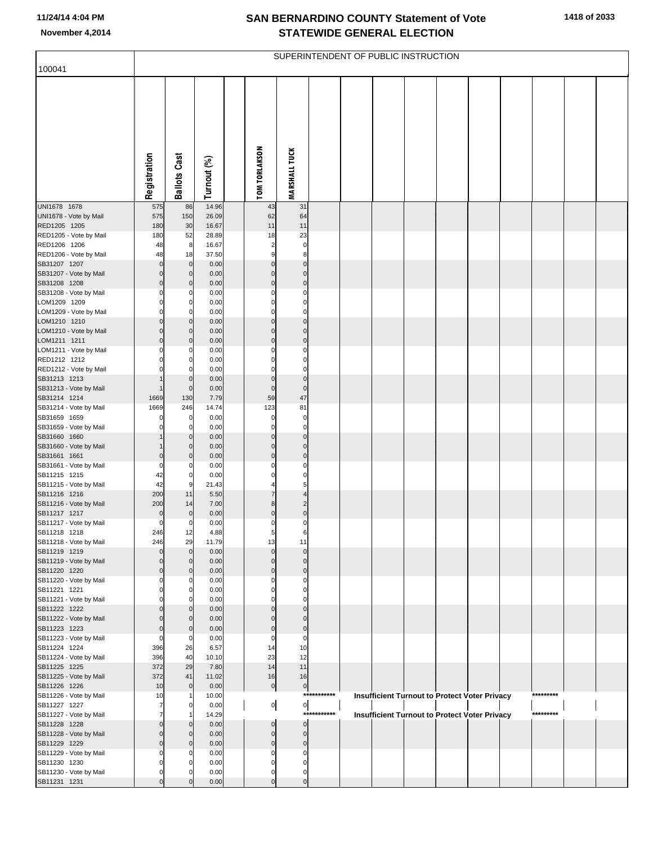| 100041                                 |              |                            |                |                            |                                  |             | SUPERINTENDENT OF PUBLIC INSTRUCTION |  |                                                      |           |  |
|----------------------------------------|--------------|----------------------------|----------------|----------------------------|----------------------------------|-------------|--------------------------------------|--|------------------------------------------------------|-----------|--|
|                                        | Registration | <b>Ballots Cast</b>        | Turnout (%)    | <b>TOM TORLAKSON</b>       | <b>MARSHALL TUCK</b>             |             |                                      |  |                                                      |           |  |
| UNI1678 1678<br>UNI1678 - Vote by Mail | 575<br>575   | 86<br>150                  | 14.96<br>26.09 | 43<br>62                   | 31<br>64                         |             |                                      |  |                                                      |           |  |
| RED1205 1205                           | 180          | 30                         | 16.67          | 11                         | 11                               |             |                                      |  |                                                      |           |  |
| RED1205 - Vote by Mail<br>RED1206 1206 | 180<br>48    | 52<br>8                    | 28.89<br>16.67 | 18<br>2                    | 23<br>$\pmb{0}$                  |             |                                      |  |                                                      |           |  |
| RED1206 - Vote by Mail                 | 48           | 18                         | 37.50          | 9                          | 8 <sup>1</sup>                   |             |                                      |  |                                                      |           |  |
| SB31207 1207                           | $\Omega$     | $\pmb{0}$                  | 0.00           | $\pmb{0}$                  | $\overline{0}$                   |             |                                      |  |                                                      |           |  |
| SB31207 - Vote by Mail<br>SB31208 1208 | 0<br>0       | $\mathbf 0$<br>$\pmb{0}$   | 0.00<br>0.00   | $\mathbf 0$<br>$\mathbf 0$ | $\overline{0}$<br>$\overline{0}$ |             |                                      |  |                                                      |           |  |
| SB31208 - Vote by Mail                 |              | 0                          | 0.00           | $\Omega$                   | $\mathbf 0$                      |             |                                      |  |                                                      |           |  |
| LOM1209 1209                           |              | $\mathbf 0$                | 0.00           | $\Omega$<br>$\Omega$       | $\pmb{0}$                        |             |                                      |  |                                                      |           |  |
| LOM1209 - Vote by Mail<br>LOM1210 1210 | 0            | $\mathbf 0$<br>$\pmb{0}$   | 0.00<br>0.00   | $\mathbf 0$                | $\mathbf 0$<br>$\overline{0}$    |             |                                      |  |                                                      |           |  |
| LOM1210 - Vote by Mail                 | ŋ            | $\mathbf 0$                | 0.00           | $\Omega$                   | $\overline{0}$                   |             |                                      |  |                                                      |           |  |
| LOM1211 1211<br>LOM1211 - Vote by Mail | ŋ            | $\pmb{0}$<br>0             | 0.00<br>0.00   | $\Omega$<br>0              | $\overline{0}$<br>$\pmb{0}$      |             |                                      |  |                                                      |           |  |
| RED1212 1212                           |              | $\mathbf 0$                | 0.00           | $\Omega$                   | $\mathbf{0}$                     |             |                                      |  |                                                      |           |  |
| RED1212 - Vote by Mail                 |              | $\mathbf 0$                | 0.00           | $\Omega$                   | $\mathbf 0$                      |             |                                      |  |                                                      |           |  |
| SB31213 1213<br>SB31213 - Vote by Mail |              | $\pmb{0}$<br>$\mathbf 0$   | 0.00<br>0.00   | $\pmb{0}$<br>$\pmb{0}$     | $\overline{0}$<br>$\mathbf 0$    |             |                                      |  |                                                      |           |  |
| SB31214 1214                           | 1669         | 130                        | 7.79           | 59                         | 47                               |             |                                      |  |                                                      |           |  |
| SB31214 - Vote by Mail                 | 1669         | 246                        | 14.74          | 123                        | 81                               |             |                                      |  |                                                      |           |  |
| SB31659 1659<br>SB31659 - Vote by Mail |              | $\mathbf 0$<br>$\mathbf 0$ | 0.00<br>0.00   | 0<br>$\Omega$              | $\pmb{0}$<br>$\mathbf{0}$        |             |                                      |  |                                                      |           |  |
| SB31660 1660                           |              | $\pmb{0}$                  | 0.00           | $\mathbf 0$                | $\overline{0}$                   |             |                                      |  |                                                      |           |  |
| SB31660 - Vote by Mail                 |              | $\mathbf 0$                | 0.00           | $\mathbf 0$                | $\overline{0}$                   |             |                                      |  |                                                      |           |  |
| SB31661 1661<br>SB31661 - Vote by Mail | 0<br>ŋ       | $\mathbf 0$<br>0           | 0.00<br>0.00   | $\mathbf 0$                | $\overline{0}$<br>0              |             |                                      |  |                                                      |           |  |
| SB11215 1215                           | 42           | $\mathbf 0$                | 0.00           |                            | 0                                |             |                                      |  |                                                      |           |  |
| SB11215 - Vote by Mail                 | 42           | 9                          | 21.43          |                            | 5<br>$\overline{4}$              |             |                                      |  |                                                      |           |  |
| SB11216 1216<br>SB11216 - Vote by Mail | 200<br>200   | 11<br>14                   | 5.50<br>7.00   | 8                          | $\overline{2}$                   |             |                                      |  |                                                      |           |  |
| SB11217 1217                           | $\mathbf 0$  | $\mathbf 0$                | 0.00           | $\mathbf 0$                | $\overline{0}$                   |             |                                      |  |                                                      |           |  |
| SB11217 - Vote by Mail                 | $\mathbf 0$  | 0                          | 0.00           | $\Omega$                   | 0                                |             |                                      |  |                                                      |           |  |
| SB11218 1218<br>SB11218 - Vote by Mail | 246<br>246   | 12<br>29                   | 4.88<br>11.79  | 13                         | 11                               |             |                                      |  |                                                      |           |  |
| SB11219 1219                           | O            | $\mathbf{0}$               | 0.00           | $\Omega$                   | $\pmb{0}$                        |             |                                      |  |                                                      |           |  |
| SB11219 - Vote by Mail<br>SB11220 1220 |              | $\mathbf 0$<br>$\mathbf 0$ | 0.00<br>0.00   | $\Omega$<br>$\Omega$       | $\pmb{0}$<br>$\overline{0}$      |             |                                      |  |                                                      |           |  |
| SB11220 - Vote by Mail                 |              | 0                          | 0.00           |                            | 0                                |             |                                      |  |                                                      |           |  |
| SB11221 1221                           |              | $\mathbf 0$                | 0.00           |                            | 0                                |             |                                      |  |                                                      |           |  |
| SB11221 - Vote by Mail<br>SB11222 1222 |              | $\Omega$<br>$\mathbf 0$    | 0.00<br>0.00   |                            | $\Omega$<br>$\overline{0}$       |             |                                      |  |                                                      |           |  |
| SB11222 - Vote by Mail                 |              | $\mathbf 0$                | 0.00           |                            | $\mathbf 0$                      |             |                                      |  |                                                      |           |  |
| SB11223 1223                           |              | $\mathbf 0$                | 0.00           | $\Omega$                   | $\overline{0}$                   |             |                                      |  |                                                      |           |  |
| SB11223 - Vote by Mail<br>SB11224 1224 | 0<br>396     | 0<br>26                    | 0.00<br>6.57   | $\mathbf 0$<br>14          | $\mathbf 0$<br>10                |             |                                      |  |                                                      |           |  |
| SB11224 - Vote by Mail                 | 396          | 40                         | 10.10          | 23                         | 12                               |             |                                      |  |                                                      |           |  |
| SB11225 1225                           | 372          | 29<br>41                   | 7.80           | 14                         | 11<br>16                         |             |                                      |  |                                                      |           |  |
| SB11225 - Vote by Mail<br>SB11226 1226 | 372<br>10    | $\mathbf 0$                | 11.02<br>0.00  | 16<br>$\overline{0}$       | $\overline{0}$                   |             |                                      |  |                                                      |           |  |
| SB11226 - Vote by Mail                 | 10           |                            | 10.00          |                            |                                  | *********** |                                      |  | <b>Insufficient Turnout to Protect Voter Privacy</b> | ********* |  |
| SB11227 1227<br>SB11227 - Vote by Mail |              | 0                          | 0.00<br>14.29  | $\overline{0}$             | $\circ$<br>****                  | *******     |                                      |  | <b>Insufficient Turnout to Protect Voter Privacy</b> | ********* |  |
| SB11228 1228                           |              | $\mathbf 0$                | 0.00           | $\overline{0}$             | $\overline{0}$                   |             |                                      |  |                                                      |           |  |
| SB11228 - Vote by Mail                 |              | $\mathbf 0$                | 0.00           | $\pmb{0}$                  | $\overline{0}$                   |             |                                      |  |                                                      |           |  |
| SB11229 1229<br>SB11229 - Vote by Mail | ŋ            | $\mathbf 0$<br>0           | 0.00<br>0.00   | $\overline{0}$             | $\overline{0}$<br>0              |             |                                      |  |                                                      |           |  |
| SB11230 1230                           |              | 0                          | 0.00           | $\Omega$                   | $\Omega$                         |             |                                      |  |                                                      |           |  |
| SB11230 - Vote by Mail                 |              | 0                          | 0.00           | $\Omega$                   | $\overline{0}$                   |             |                                      |  |                                                      |           |  |
| SB11231 1231                           | n            | $\Omega$                   | 0.00           | $\overline{0}$             | $\overline{0}$                   |             |                                      |  |                                                      |           |  |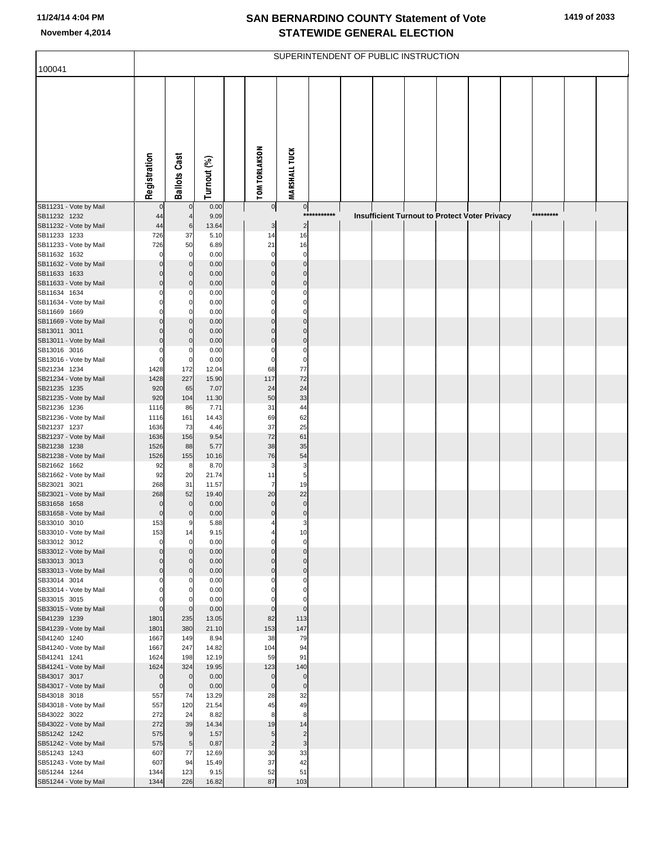| <b>TOM TORLAKSON</b><br><b>MARSHALL TUCK</b><br>Registration<br><b>Ballots Cast</b><br>Turnout (%)<br>SB11231 - Vote by Mail<br>0.00<br> 0 <br>$\mathbf 0$<br>$\overline{0}$<br>SB11232 1232<br>9.09<br>***********<br><b>Insufficient Turnout to Protect Voter Privacy</b><br>*********<br>44<br>$\overline{4}$<br>$\overline{2}$<br>SB11232 - Vote by Mail<br>44<br>6<br>13.64<br>3<br>SB11233 1233<br>726<br>37<br>5.10<br>14<br>16<br>SB11233 - Vote by Mail<br>50<br>21<br>16<br>726<br>6.89<br>SB11632 1632<br>0.00<br>$\mathbf 0$<br>$\mathbf 0$<br>$\mathbf 0$<br>0<br>$\mathbf 0$<br>SB11632 - Vote by Mail<br>0.00<br>$\Omega$<br>$\Omega$<br>$\mathbf 0$<br>SB11633 1633<br>0.00<br>$\mathbf 0$<br>0<br>0<br>$\mathbf 0$<br>SB11633 - Vote by Mail<br>$\mathbf 0$<br>0.00<br>$\mathbf 0$<br>$\Omega$<br>SB11634 1634<br>0.00<br>0<br>0<br>0<br>SB11634 - Vote by Mail<br>0.00<br>$\mathbf 0$<br>$\Omega$<br>$\Omega$<br>$\Omega$<br>SB11669 1669<br>0.00<br>$\mathbf 0$<br>0<br>$\mathbf 0$<br>SB11669 - Vote by Mail<br>0.00<br>$\Omega$<br>$\Omega$<br>$\Omega$<br>SB13011 3011<br>0.00<br>$\mathbf 0$<br>0<br>$\Omega$<br>$\mathbf 0$<br>SB13011 - Vote by Mail<br>0.00<br>$\Omega$<br>$\Omega$<br>$\Omega$<br>SB13016 3016<br>$\mathbf 0$<br>0.00<br>0<br>0<br>0<br>$\mathbf 0$<br>SB13016 - Vote by Mail<br>$\Omega$<br>$\mathbf 0$<br>0.00<br>$\mathbf 0$<br>77<br>SB21234 1234<br>1428<br>172<br>12.04<br>68<br>72<br>1428<br>227<br>117<br>SB21234 - Vote by Mail<br>15.90<br>24<br>SB21235 1235<br>7.07<br>920<br>65<br>24<br>33<br>SB21235 - Vote by Mail<br>50<br>920<br>104<br>11.30<br>SB21236 1236<br>7.71<br>31<br>44<br>86<br>1116<br>SB21236 - Vote by Mail<br>69<br>62<br>161<br>14.43<br>1116<br>25<br>SB21237 1237<br>37<br>1636<br>73<br>4.46<br>72<br>61<br>SB21237 - Vote by Mail<br>1636<br>156<br>9.54<br>SB21238 1238<br>38<br>35<br>1526<br>88<br>5.77<br>SB21238 - Vote by Mail<br>76<br>1526<br>155<br>10.16<br>54<br>SB21662 1662<br>92<br>8<br>8.70<br>3<br>3<br>5<br>92<br>20<br>11<br>SB21662 - Vote by Mail<br>21.74<br>19<br>SB23021 3021<br>11.57<br>$\overline{7}$<br>268<br>31<br>20<br>22<br>SB23021 - Vote by Mail<br>268<br>52<br>19.40<br>$\mathbf 0$<br>SB31658 1658<br>0.00<br>$\Omega$<br>$\mathbf 0$<br>$\mathbf 0$<br>$\mathbf 0$<br>SB31658 - Vote by Mail<br>0.00<br>$\mathbf 0$<br>$\mathbf 0$<br>0<br>SB33010 3010<br>153<br>5.88<br>3<br>9<br>4<br>SB33010 - Vote by Mail<br>9.15<br>153<br>14<br>10<br>4<br>$\mathbf 0$<br>$\mathbf 0$<br>SB33012 3012<br>0.00<br>$\mathbf 0$<br>$\mathbf 0$<br>$\mathbf 0$<br>0.00<br>SB33012 - Vote by Mail<br>$\Omega$<br>$\Omega$<br>$\Omega$<br>SB33013 3013<br>0.00<br>$\mathbf 0$<br>$\mathbf 0$<br>0<br>$\mathbf 0$<br>$\mathbf 0$<br>0.00<br>SB33013 - Vote by Mail<br>$\mathbf 0$<br>$\mathbf 0$<br>$\Omega$<br>0.00<br>SB33014 3014<br>$\mathbf 0$<br>0<br>0<br>0<br>0.00<br>$\mathbf 0$<br>SB33014 - Vote by Mail<br>$\Omega$<br>0<br>SB33015 3015<br>0.00<br>$\mathbf 0$<br>$\Omega$<br>0<br>$\mathbf 0$<br>0.00<br>SB33015 - Vote by Mail<br>$\Omega$<br>$\mathbf 0$<br>$\mathbf 0$<br>SB41239 1239<br>235<br>13.05<br>82<br>113<br>1801<br>380<br>153<br>147<br>SB41239 - Vote by Mail<br>1801<br>21.10<br>SB41240 1240<br>8.94<br>38<br>79<br>1667<br>149<br>247<br>94<br>SB41240 - Vote by Mail<br>1667<br>14.82<br>104<br>198<br>12.19<br>59<br>91<br>SB41241 1241<br>1624<br>324<br>19.95<br>123<br>140<br>SB41241 - Vote by Mail<br>1624<br>SB43017 3017<br>$\mathbf 0$<br>0.00<br>$\bf 0$<br>$\mathbf 0$<br>$\mathbf 0$<br>$\mathbf 0$<br>0.00<br>$\mathbf 0$<br>SB43017 - Vote by Mail<br>$\mathbf 0$<br>$\mathbf 0$<br>13.29<br>28<br>32<br>SB43018 3018<br>557<br>74<br>120<br>45<br>49<br>SB43018 - Vote by Mail<br>557<br>21.54<br>8<br>SB43022 3022<br>272<br>8.82<br>8<br>24<br>14<br>39<br>19<br>SB43022 - Vote by Mail<br>272<br>14.34<br>$\overline{9}$<br>1.57<br>$\overline{c}$<br>SB51242 1242<br>5<br>575 |                        |      |                |       |                | SUPERINTENDENT OF PUBLIC INSTRUCTION |  |  |  |  |  |
|----------------------------------------------------------------------------------------------------------------------------------------------------------------------------------------------------------------------------------------------------------------------------------------------------------------------------------------------------------------------------------------------------------------------------------------------------------------------------------------------------------------------------------------------------------------------------------------------------------------------------------------------------------------------------------------------------------------------------------------------------------------------------------------------------------------------------------------------------------------------------------------------------------------------------------------------------------------------------------------------------------------------------------------------------------------------------------------------------------------------------------------------------------------------------------------------------------------------------------------------------------------------------------------------------------------------------------------------------------------------------------------------------------------------------------------------------------------------------------------------------------------------------------------------------------------------------------------------------------------------------------------------------------------------------------------------------------------------------------------------------------------------------------------------------------------------------------------------------------------------------------------------------------------------------------------------------------------------------------------------------------------------------------------------------------------------------------------------------------------------------------------------------------------------------------------------------------------------------------------------------------------------------------------------------------------------------------------------------------------------------------------------------------------------------------------------------------------------------------------------------------------------------------------------------------------------------------------------------------------------------------------------------------------------------------------------------------------------------------------------------------------------------------------------------------------------------------------------------------------------------------------------------------------------------------------------------------------------------------------------------------------------------------------------------------------------------------------------------------------------------------------------------------------------------------------------------------------------------------------------------------------------------------------------------------------------------------------------------------------------------------------------------------------------------------------------------------------------------------------------------------------------------------------------------------------------------------------------------------------------------------------------------------------------------------------------------------------------------------------------------------------------------------------------------------------------------------------------------------------------------------------------------------------------------------------------|------------------------|------|----------------|-------|----------------|--------------------------------------|--|--|--|--|--|
|                                                                                                                                                                                                                                                                                                                                                                                                                                                                                                                                                                                                                                                                                                                                                                                                                                                                                                                                                                                                                                                                                                                                                                                                                                                                                                                                                                                                                                                                                                                                                                                                                                                                                                                                                                                                                                                                                                                                                                                                                                                                                                                                                                                                                                                                                                                                                                                                                                                                                                                                                                                                                                                                                                                                                                                                                                                                                                                                                                                                                                                                                                                                                                                                                                                                                                                                                                                                                                                                                                                                                                                                                                                                                                                                                                                                                                                                                                                                              | 100041                 |      |                |       |                |                                      |  |  |  |  |  |
|                                                                                                                                                                                                                                                                                                                                                                                                                                                                                                                                                                                                                                                                                                                                                                                                                                                                                                                                                                                                                                                                                                                                                                                                                                                                                                                                                                                                                                                                                                                                                                                                                                                                                                                                                                                                                                                                                                                                                                                                                                                                                                                                                                                                                                                                                                                                                                                                                                                                                                                                                                                                                                                                                                                                                                                                                                                                                                                                                                                                                                                                                                                                                                                                                                                                                                                                                                                                                                                                                                                                                                                                                                                                                                                                                                                                                                                                                                                                              |                        |      |                |       |                |                                      |  |  |  |  |  |
|                                                                                                                                                                                                                                                                                                                                                                                                                                                                                                                                                                                                                                                                                                                                                                                                                                                                                                                                                                                                                                                                                                                                                                                                                                                                                                                                                                                                                                                                                                                                                                                                                                                                                                                                                                                                                                                                                                                                                                                                                                                                                                                                                                                                                                                                                                                                                                                                                                                                                                                                                                                                                                                                                                                                                                                                                                                                                                                                                                                                                                                                                                                                                                                                                                                                                                                                                                                                                                                                                                                                                                                                                                                                                                                                                                                                                                                                                                                                              |                        |      |                |       |                |                                      |  |  |  |  |  |
|                                                                                                                                                                                                                                                                                                                                                                                                                                                                                                                                                                                                                                                                                                                                                                                                                                                                                                                                                                                                                                                                                                                                                                                                                                                                                                                                                                                                                                                                                                                                                                                                                                                                                                                                                                                                                                                                                                                                                                                                                                                                                                                                                                                                                                                                                                                                                                                                                                                                                                                                                                                                                                                                                                                                                                                                                                                                                                                                                                                                                                                                                                                                                                                                                                                                                                                                                                                                                                                                                                                                                                                                                                                                                                                                                                                                                                                                                                                                              |                        |      |                |       |                |                                      |  |  |  |  |  |
|                                                                                                                                                                                                                                                                                                                                                                                                                                                                                                                                                                                                                                                                                                                                                                                                                                                                                                                                                                                                                                                                                                                                                                                                                                                                                                                                                                                                                                                                                                                                                                                                                                                                                                                                                                                                                                                                                                                                                                                                                                                                                                                                                                                                                                                                                                                                                                                                                                                                                                                                                                                                                                                                                                                                                                                                                                                                                                                                                                                                                                                                                                                                                                                                                                                                                                                                                                                                                                                                                                                                                                                                                                                                                                                                                                                                                                                                                                                                              |                        |      |                |       |                |                                      |  |  |  |  |  |
|                                                                                                                                                                                                                                                                                                                                                                                                                                                                                                                                                                                                                                                                                                                                                                                                                                                                                                                                                                                                                                                                                                                                                                                                                                                                                                                                                                                                                                                                                                                                                                                                                                                                                                                                                                                                                                                                                                                                                                                                                                                                                                                                                                                                                                                                                                                                                                                                                                                                                                                                                                                                                                                                                                                                                                                                                                                                                                                                                                                                                                                                                                                                                                                                                                                                                                                                                                                                                                                                                                                                                                                                                                                                                                                                                                                                                                                                                                                                              |                        |      |                |       |                |                                      |  |  |  |  |  |
|                                                                                                                                                                                                                                                                                                                                                                                                                                                                                                                                                                                                                                                                                                                                                                                                                                                                                                                                                                                                                                                                                                                                                                                                                                                                                                                                                                                                                                                                                                                                                                                                                                                                                                                                                                                                                                                                                                                                                                                                                                                                                                                                                                                                                                                                                                                                                                                                                                                                                                                                                                                                                                                                                                                                                                                                                                                                                                                                                                                                                                                                                                                                                                                                                                                                                                                                                                                                                                                                                                                                                                                                                                                                                                                                                                                                                                                                                                                                              |                        |      |                |       |                |                                      |  |  |  |  |  |
|                                                                                                                                                                                                                                                                                                                                                                                                                                                                                                                                                                                                                                                                                                                                                                                                                                                                                                                                                                                                                                                                                                                                                                                                                                                                                                                                                                                                                                                                                                                                                                                                                                                                                                                                                                                                                                                                                                                                                                                                                                                                                                                                                                                                                                                                                                                                                                                                                                                                                                                                                                                                                                                                                                                                                                                                                                                                                                                                                                                                                                                                                                                                                                                                                                                                                                                                                                                                                                                                                                                                                                                                                                                                                                                                                                                                                                                                                                                                              |                        |      |                |       |                |                                      |  |  |  |  |  |
|                                                                                                                                                                                                                                                                                                                                                                                                                                                                                                                                                                                                                                                                                                                                                                                                                                                                                                                                                                                                                                                                                                                                                                                                                                                                                                                                                                                                                                                                                                                                                                                                                                                                                                                                                                                                                                                                                                                                                                                                                                                                                                                                                                                                                                                                                                                                                                                                                                                                                                                                                                                                                                                                                                                                                                                                                                                                                                                                                                                                                                                                                                                                                                                                                                                                                                                                                                                                                                                                                                                                                                                                                                                                                                                                                                                                                                                                                                                                              |                        |      |                |       |                |                                      |  |  |  |  |  |
|                                                                                                                                                                                                                                                                                                                                                                                                                                                                                                                                                                                                                                                                                                                                                                                                                                                                                                                                                                                                                                                                                                                                                                                                                                                                                                                                                                                                                                                                                                                                                                                                                                                                                                                                                                                                                                                                                                                                                                                                                                                                                                                                                                                                                                                                                                                                                                                                                                                                                                                                                                                                                                                                                                                                                                                                                                                                                                                                                                                                                                                                                                                                                                                                                                                                                                                                                                                                                                                                                                                                                                                                                                                                                                                                                                                                                                                                                                                                              |                        |      |                |       |                |                                      |  |  |  |  |  |
|                                                                                                                                                                                                                                                                                                                                                                                                                                                                                                                                                                                                                                                                                                                                                                                                                                                                                                                                                                                                                                                                                                                                                                                                                                                                                                                                                                                                                                                                                                                                                                                                                                                                                                                                                                                                                                                                                                                                                                                                                                                                                                                                                                                                                                                                                                                                                                                                                                                                                                                                                                                                                                                                                                                                                                                                                                                                                                                                                                                                                                                                                                                                                                                                                                                                                                                                                                                                                                                                                                                                                                                                                                                                                                                                                                                                                                                                                                                                              |                        |      |                |       |                |                                      |  |  |  |  |  |
|                                                                                                                                                                                                                                                                                                                                                                                                                                                                                                                                                                                                                                                                                                                                                                                                                                                                                                                                                                                                                                                                                                                                                                                                                                                                                                                                                                                                                                                                                                                                                                                                                                                                                                                                                                                                                                                                                                                                                                                                                                                                                                                                                                                                                                                                                                                                                                                                                                                                                                                                                                                                                                                                                                                                                                                                                                                                                                                                                                                                                                                                                                                                                                                                                                                                                                                                                                                                                                                                                                                                                                                                                                                                                                                                                                                                                                                                                                                                              |                        |      |                |       |                |                                      |  |  |  |  |  |
|                                                                                                                                                                                                                                                                                                                                                                                                                                                                                                                                                                                                                                                                                                                                                                                                                                                                                                                                                                                                                                                                                                                                                                                                                                                                                                                                                                                                                                                                                                                                                                                                                                                                                                                                                                                                                                                                                                                                                                                                                                                                                                                                                                                                                                                                                                                                                                                                                                                                                                                                                                                                                                                                                                                                                                                                                                                                                                                                                                                                                                                                                                                                                                                                                                                                                                                                                                                                                                                                                                                                                                                                                                                                                                                                                                                                                                                                                                                                              |                        |      |                |       |                |                                      |  |  |  |  |  |
|                                                                                                                                                                                                                                                                                                                                                                                                                                                                                                                                                                                                                                                                                                                                                                                                                                                                                                                                                                                                                                                                                                                                                                                                                                                                                                                                                                                                                                                                                                                                                                                                                                                                                                                                                                                                                                                                                                                                                                                                                                                                                                                                                                                                                                                                                                                                                                                                                                                                                                                                                                                                                                                                                                                                                                                                                                                                                                                                                                                                                                                                                                                                                                                                                                                                                                                                                                                                                                                                                                                                                                                                                                                                                                                                                                                                                                                                                                                                              |                        |      |                |       |                |                                      |  |  |  |  |  |
|                                                                                                                                                                                                                                                                                                                                                                                                                                                                                                                                                                                                                                                                                                                                                                                                                                                                                                                                                                                                                                                                                                                                                                                                                                                                                                                                                                                                                                                                                                                                                                                                                                                                                                                                                                                                                                                                                                                                                                                                                                                                                                                                                                                                                                                                                                                                                                                                                                                                                                                                                                                                                                                                                                                                                                                                                                                                                                                                                                                                                                                                                                                                                                                                                                                                                                                                                                                                                                                                                                                                                                                                                                                                                                                                                                                                                                                                                                                                              |                        |      |                |       |                |                                      |  |  |  |  |  |
|                                                                                                                                                                                                                                                                                                                                                                                                                                                                                                                                                                                                                                                                                                                                                                                                                                                                                                                                                                                                                                                                                                                                                                                                                                                                                                                                                                                                                                                                                                                                                                                                                                                                                                                                                                                                                                                                                                                                                                                                                                                                                                                                                                                                                                                                                                                                                                                                                                                                                                                                                                                                                                                                                                                                                                                                                                                                                                                                                                                                                                                                                                                                                                                                                                                                                                                                                                                                                                                                                                                                                                                                                                                                                                                                                                                                                                                                                                                                              |                        |      |                |       |                |                                      |  |  |  |  |  |
|                                                                                                                                                                                                                                                                                                                                                                                                                                                                                                                                                                                                                                                                                                                                                                                                                                                                                                                                                                                                                                                                                                                                                                                                                                                                                                                                                                                                                                                                                                                                                                                                                                                                                                                                                                                                                                                                                                                                                                                                                                                                                                                                                                                                                                                                                                                                                                                                                                                                                                                                                                                                                                                                                                                                                                                                                                                                                                                                                                                                                                                                                                                                                                                                                                                                                                                                                                                                                                                                                                                                                                                                                                                                                                                                                                                                                                                                                                                                              |                        |      |                |       |                |                                      |  |  |  |  |  |
|                                                                                                                                                                                                                                                                                                                                                                                                                                                                                                                                                                                                                                                                                                                                                                                                                                                                                                                                                                                                                                                                                                                                                                                                                                                                                                                                                                                                                                                                                                                                                                                                                                                                                                                                                                                                                                                                                                                                                                                                                                                                                                                                                                                                                                                                                                                                                                                                                                                                                                                                                                                                                                                                                                                                                                                                                                                                                                                                                                                                                                                                                                                                                                                                                                                                                                                                                                                                                                                                                                                                                                                                                                                                                                                                                                                                                                                                                                                                              |                        |      |                |       |                |                                      |  |  |  |  |  |
|                                                                                                                                                                                                                                                                                                                                                                                                                                                                                                                                                                                                                                                                                                                                                                                                                                                                                                                                                                                                                                                                                                                                                                                                                                                                                                                                                                                                                                                                                                                                                                                                                                                                                                                                                                                                                                                                                                                                                                                                                                                                                                                                                                                                                                                                                                                                                                                                                                                                                                                                                                                                                                                                                                                                                                                                                                                                                                                                                                                                                                                                                                                                                                                                                                                                                                                                                                                                                                                                                                                                                                                                                                                                                                                                                                                                                                                                                                                                              |                        |      |                |       |                |                                      |  |  |  |  |  |
|                                                                                                                                                                                                                                                                                                                                                                                                                                                                                                                                                                                                                                                                                                                                                                                                                                                                                                                                                                                                                                                                                                                                                                                                                                                                                                                                                                                                                                                                                                                                                                                                                                                                                                                                                                                                                                                                                                                                                                                                                                                                                                                                                                                                                                                                                                                                                                                                                                                                                                                                                                                                                                                                                                                                                                                                                                                                                                                                                                                                                                                                                                                                                                                                                                                                                                                                                                                                                                                                                                                                                                                                                                                                                                                                                                                                                                                                                                                                              |                        |      |                |       |                |                                      |  |  |  |  |  |
|                                                                                                                                                                                                                                                                                                                                                                                                                                                                                                                                                                                                                                                                                                                                                                                                                                                                                                                                                                                                                                                                                                                                                                                                                                                                                                                                                                                                                                                                                                                                                                                                                                                                                                                                                                                                                                                                                                                                                                                                                                                                                                                                                                                                                                                                                                                                                                                                                                                                                                                                                                                                                                                                                                                                                                                                                                                                                                                                                                                                                                                                                                                                                                                                                                                                                                                                                                                                                                                                                                                                                                                                                                                                                                                                                                                                                                                                                                                                              |                        |      |                |       |                |                                      |  |  |  |  |  |
|                                                                                                                                                                                                                                                                                                                                                                                                                                                                                                                                                                                                                                                                                                                                                                                                                                                                                                                                                                                                                                                                                                                                                                                                                                                                                                                                                                                                                                                                                                                                                                                                                                                                                                                                                                                                                                                                                                                                                                                                                                                                                                                                                                                                                                                                                                                                                                                                                                                                                                                                                                                                                                                                                                                                                                                                                                                                                                                                                                                                                                                                                                                                                                                                                                                                                                                                                                                                                                                                                                                                                                                                                                                                                                                                                                                                                                                                                                                                              |                        |      |                |       |                |                                      |  |  |  |  |  |
|                                                                                                                                                                                                                                                                                                                                                                                                                                                                                                                                                                                                                                                                                                                                                                                                                                                                                                                                                                                                                                                                                                                                                                                                                                                                                                                                                                                                                                                                                                                                                                                                                                                                                                                                                                                                                                                                                                                                                                                                                                                                                                                                                                                                                                                                                                                                                                                                                                                                                                                                                                                                                                                                                                                                                                                                                                                                                                                                                                                                                                                                                                                                                                                                                                                                                                                                                                                                                                                                                                                                                                                                                                                                                                                                                                                                                                                                                                                                              |                        |      |                |       |                |                                      |  |  |  |  |  |
|                                                                                                                                                                                                                                                                                                                                                                                                                                                                                                                                                                                                                                                                                                                                                                                                                                                                                                                                                                                                                                                                                                                                                                                                                                                                                                                                                                                                                                                                                                                                                                                                                                                                                                                                                                                                                                                                                                                                                                                                                                                                                                                                                                                                                                                                                                                                                                                                                                                                                                                                                                                                                                                                                                                                                                                                                                                                                                                                                                                                                                                                                                                                                                                                                                                                                                                                                                                                                                                                                                                                                                                                                                                                                                                                                                                                                                                                                                                                              |                        |      |                |       |                |                                      |  |  |  |  |  |
|                                                                                                                                                                                                                                                                                                                                                                                                                                                                                                                                                                                                                                                                                                                                                                                                                                                                                                                                                                                                                                                                                                                                                                                                                                                                                                                                                                                                                                                                                                                                                                                                                                                                                                                                                                                                                                                                                                                                                                                                                                                                                                                                                                                                                                                                                                                                                                                                                                                                                                                                                                                                                                                                                                                                                                                                                                                                                                                                                                                                                                                                                                                                                                                                                                                                                                                                                                                                                                                                                                                                                                                                                                                                                                                                                                                                                                                                                                                                              |                        |      |                |       |                |                                      |  |  |  |  |  |
|                                                                                                                                                                                                                                                                                                                                                                                                                                                                                                                                                                                                                                                                                                                                                                                                                                                                                                                                                                                                                                                                                                                                                                                                                                                                                                                                                                                                                                                                                                                                                                                                                                                                                                                                                                                                                                                                                                                                                                                                                                                                                                                                                                                                                                                                                                                                                                                                                                                                                                                                                                                                                                                                                                                                                                                                                                                                                                                                                                                                                                                                                                                                                                                                                                                                                                                                                                                                                                                                                                                                                                                                                                                                                                                                                                                                                                                                                                                                              |                        |      |                |       |                |                                      |  |  |  |  |  |
|                                                                                                                                                                                                                                                                                                                                                                                                                                                                                                                                                                                                                                                                                                                                                                                                                                                                                                                                                                                                                                                                                                                                                                                                                                                                                                                                                                                                                                                                                                                                                                                                                                                                                                                                                                                                                                                                                                                                                                                                                                                                                                                                                                                                                                                                                                                                                                                                                                                                                                                                                                                                                                                                                                                                                                                                                                                                                                                                                                                                                                                                                                                                                                                                                                                                                                                                                                                                                                                                                                                                                                                                                                                                                                                                                                                                                                                                                                                                              |                        |      |                |       |                |                                      |  |  |  |  |  |
|                                                                                                                                                                                                                                                                                                                                                                                                                                                                                                                                                                                                                                                                                                                                                                                                                                                                                                                                                                                                                                                                                                                                                                                                                                                                                                                                                                                                                                                                                                                                                                                                                                                                                                                                                                                                                                                                                                                                                                                                                                                                                                                                                                                                                                                                                                                                                                                                                                                                                                                                                                                                                                                                                                                                                                                                                                                                                                                                                                                                                                                                                                                                                                                                                                                                                                                                                                                                                                                                                                                                                                                                                                                                                                                                                                                                                                                                                                                                              |                        |      |                |       |                |                                      |  |  |  |  |  |
|                                                                                                                                                                                                                                                                                                                                                                                                                                                                                                                                                                                                                                                                                                                                                                                                                                                                                                                                                                                                                                                                                                                                                                                                                                                                                                                                                                                                                                                                                                                                                                                                                                                                                                                                                                                                                                                                                                                                                                                                                                                                                                                                                                                                                                                                                                                                                                                                                                                                                                                                                                                                                                                                                                                                                                                                                                                                                                                                                                                                                                                                                                                                                                                                                                                                                                                                                                                                                                                                                                                                                                                                                                                                                                                                                                                                                                                                                                                                              |                        |      |                |       |                |                                      |  |  |  |  |  |
|                                                                                                                                                                                                                                                                                                                                                                                                                                                                                                                                                                                                                                                                                                                                                                                                                                                                                                                                                                                                                                                                                                                                                                                                                                                                                                                                                                                                                                                                                                                                                                                                                                                                                                                                                                                                                                                                                                                                                                                                                                                                                                                                                                                                                                                                                                                                                                                                                                                                                                                                                                                                                                                                                                                                                                                                                                                                                                                                                                                                                                                                                                                                                                                                                                                                                                                                                                                                                                                                                                                                                                                                                                                                                                                                                                                                                                                                                                                                              |                        |      |                |       |                |                                      |  |  |  |  |  |
|                                                                                                                                                                                                                                                                                                                                                                                                                                                                                                                                                                                                                                                                                                                                                                                                                                                                                                                                                                                                                                                                                                                                                                                                                                                                                                                                                                                                                                                                                                                                                                                                                                                                                                                                                                                                                                                                                                                                                                                                                                                                                                                                                                                                                                                                                                                                                                                                                                                                                                                                                                                                                                                                                                                                                                                                                                                                                                                                                                                                                                                                                                                                                                                                                                                                                                                                                                                                                                                                                                                                                                                                                                                                                                                                                                                                                                                                                                                                              |                        |      |                |       |                |                                      |  |  |  |  |  |
|                                                                                                                                                                                                                                                                                                                                                                                                                                                                                                                                                                                                                                                                                                                                                                                                                                                                                                                                                                                                                                                                                                                                                                                                                                                                                                                                                                                                                                                                                                                                                                                                                                                                                                                                                                                                                                                                                                                                                                                                                                                                                                                                                                                                                                                                                                                                                                                                                                                                                                                                                                                                                                                                                                                                                                                                                                                                                                                                                                                                                                                                                                                                                                                                                                                                                                                                                                                                                                                                                                                                                                                                                                                                                                                                                                                                                                                                                                                                              |                        |      |                |       |                |                                      |  |  |  |  |  |
|                                                                                                                                                                                                                                                                                                                                                                                                                                                                                                                                                                                                                                                                                                                                                                                                                                                                                                                                                                                                                                                                                                                                                                                                                                                                                                                                                                                                                                                                                                                                                                                                                                                                                                                                                                                                                                                                                                                                                                                                                                                                                                                                                                                                                                                                                                                                                                                                                                                                                                                                                                                                                                                                                                                                                                                                                                                                                                                                                                                                                                                                                                                                                                                                                                                                                                                                                                                                                                                                                                                                                                                                                                                                                                                                                                                                                                                                                                                                              |                        |      |                |       |                |                                      |  |  |  |  |  |
|                                                                                                                                                                                                                                                                                                                                                                                                                                                                                                                                                                                                                                                                                                                                                                                                                                                                                                                                                                                                                                                                                                                                                                                                                                                                                                                                                                                                                                                                                                                                                                                                                                                                                                                                                                                                                                                                                                                                                                                                                                                                                                                                                                                                                                                                                                                                                                                                                                                                                                                                                                                                                                                                                                                                                                                                                                                                                                                                                                                                                                                                                                                                                                                                                                                                                                                                                                                                                                                                                                                                                                                                                                                                                                                                                                                                                                                                                                                                              |                        |      |                |       |                |                                      |  |  |  |  |  |
|                                                                                                                                                                                                                                                                                                                                                                                                                                                                                                                                                                                                                                                                                                                                                                                                                                                                                                                                                                                                                                                                                                                                                                                                                                                                                                                                                                                                                                                                                                                                                                                                                                                                                                                                                                                                                                                                                                                                                                                                                                                                                                                                                                                                                                                                                                                                                                                                                                                                                                                                                                                                                                                                                                                                                                                                                                                                                                                                                                                                                                                                                                                                                                                                                                                                                                                                                                                                                                                                                                                                                                                                                                                                                                                                                                                                                                                                                                                                              |                        |      |                |       |                |                                      |  |  |  |  |  |
|                                                                                                                                                                                                                                                                                                                                                                                                                                                                                                                                                                                                                                                                                                                                                                                                                                                                                                                                                                                                                                                                                                                                                                                                                                                                                                                                                                                                                                                                                                                                                                                                                                                                                                                                                                                                                                                                                                                                                                                                                                                                                                                                                                                                                                                                                                                                                                                                                                                                                                                                                                                                                                                                                                                                                                                                                                                                                                                                                                                                                                                                                                                                                                                                                                                                                                                                                                                                                                                                                                                                                                                                                                                                                                                                                                                                                                                                                                                                              |                        |      |                |       |                |                                      |  |  |  |  |  |
|                                                                                                                                                                                                                                                                                                                                                                                                                                                                                                                                                                                                                                                                                                                                                                                                                                                                                                                                                                                                                                                                                                                                                                                                                                                                                                                                                                                                                                                                                                                                                                                                                                                                                                                                                                                                                                                                                                                                                                                                                                                                                                                                                                                                                                                                                                                                                                                                                                                                                                                                                                                                                                                                                                                                                                                                                                                                                                                                                                                                                                                                                                                                                                                                                                                                                                                                                                                                                                                                                                                                                                                                                                                                                                                                                                                                                                                                                                                                              |                        |      |                |       |                |                                      |  |  |  |  |  |
|                                                                                                                                                                                                                                                                                                                                                                                                                                                                                                                                                                                                                                                                                                                                                                                                                                                                                                                                                                                                                                                                                                                                                                                                                                                                                                                                                                                                                                                                                                                                                                                                                                                                                                                                                                                                                                                                                                                                                                                                                                                                                                                                                                                                                                                                                                                                                                                                                                                                                                                                                                                                                                                                                                                                                                                                                                                                                                                                                                                                                                                                                                                                                                                                                                                                                                                                                                                                                                                                                                                                                                                                                                                                                                                                                                                                                                                                                                                                              |                        |      |                |       |                |                                      |  |  |  |  |  |
|                                                                                                                                                                                                                                                                                                                                                                                                                                                                                                                                                                                                                                                                                                                                                                                                                                                                                                                                                                                                                                                                                                                                                                                                                                                                                                                                                                                                                                                                                                                                                                                                                                                                                                                                                                                                                                                                                                                                                                                                                                                                                                                                                                                                                                                                                                                                                                                                                                                                                                                                                                                                                                                                                                                                                                                                                                                                                                                                                                                                                                                                                                                                                                                                                                                                                                                                                                                                                                                                                                                                                                                                                                                                                                                                                                                                                                                                                                                                              |                        |      |                |       |                |                                      |  |  |  |  |  |
|                                                                                                                                                                                                                                                                                                                                                                                                                                                                                                                                                                                                                                                                                                                                                                                                                                                                                                                                                                                                                                                                                                                                                                                                                                                                                                                                                                                                                                                                                                                                                                                                                                                                                                                                                                                                                                                                                                                                                                                                                                                                                                                                                                                                                                                                                                                                                                                                                                                                                                                                                                                                                                                                                                                                                                                                                                                                                                                                                                                                                                                                                                                                                                                                                                                                                                                                                                                                                                                                                                                                                                                                                                                                                                                                                                                                                                                                                                                                              |                        |      |                |       |                |                                      |  |  |  |  |  |
|                                                                                                                                                                                                                                                                                                                                                                                                                                                                                                                                                                                                                                                                                                                                                                                                                                                                                                                                                                                                                                                                                                                                                                                                                                                                                                                                                                                                                                                                                                                                                                                                                                                                                                                                                                                                                                                                                                                                                                                                                                                                                                                                                                                                                                                                                                                                                                                                                                                                                                                                                                                                                                                                                                                                                                                                                                                                                                                                                                                                                                                                                                                                                                                                                                                                                                                                                                                                                                                                                                                                                                                                                                                                                                                                                                                                                                                                                                                                              |                        |      |                |       |                |                                      |  |  |  |  |  |
|                                                                                                                                                                                                                                                                                                                                                                                                                                                                                                                                                                                                                                                                                                                                                                                                                                                                                                                                                                                                                                                                                                                                                                                                                                                                                                                                                                                                                                                                                                                                                                                                                                                                                                                                                                                                                                                                                                                                                                                                                                                                                                                                                                                                                                                                                                                                                                                                                                                                                                                                                                                                                                                                                                                                                                                                                                                                                                                                                                                                                                                                                                                                                                                                                                                                                                                                                                                                                                                                                                                                                                                                                                                                                                                                                                                                                                                                                                                                              |                        |      |                |       |                |                                      |  |  |  |  |  |
|                                                                                                                                                                                                                                                                                                                                                                                                                                                                                                                                                                                                                                                                                                                                                                                                                                                                                                                                                                                                                                                                                                                                                                                                                                                                                                                                                                                                                                                                                                                                                                                                                                                                                                                                                                                                                                                                                                                                                                                                                                                                                                                                                                                                                                                                                                                                                                                                                                                                                                                                                                                                                                                                                                                                                                                                                                                                                                                                                                                                                                                                                                                                                                                                                                                                                                                                                                                                                                                                                                                                                                                                                                                                                                                                                                                                                                                                                                                                              |                        |      |                |       |                |                                      |  |  |  |  |  |
|                                                                                                                                                                                                                                                                                                                                                                                                                                                                                                                                                                                                                                                                                                                                                                                                                                                                                                                                                                                                                                                                                                                                                                                                                                                                                                                                                                                                                                                                                                                                                                                                                                                                                                                                                                                                                                                                                                                                                                                                                                                                                                                                                                                                                                                                                                                                                                                                                                                                                                                                                                                                                                                                                                                                                                                                                                                                                                                                                                                                                                                                                                                                                                                                                                                                                                                                                                                                                                                                                                                                                                                                                                                                                                                                                                                                                                                                                                                                              |                        |      |                |       |                |                                      |  |  |  |  |  |
|                                                                                                                                                                                                                                                                                                                                                                                                                                                                                                                                                                                                                                                                                                                                                                                                                                                                                                                                                                                                                                                                                                                                                                                                                                                                                                                                                                                                                                                                                                                                                                                                                                                                                                                                                                                                                                                                                                                                                                                                                                                                                                                                                                                                                                                                                                                                                                                                                                                                                                                                                                                                                                                                                                                                                                                                                                                                                                                                                                                                                                                                                                                                                                                                                                                                                                                                                                                                                                                                                                                                                                                                                                                                                                                                                                                                                                                                                                                                              |                        |      |                |       |                |                                      |  |  |  |  |  |
|                                                                                                                                                                                                                                                                                                                                                                                                                                                                                                                                                                                                                                                                                                                                                                                                                                                                                                                                                                                                                                                                                                                                                                                                                                                                                                                                                                                                                                                                                                                                                                                                                                                                                                                                                                                                                                                                                                                                                                                                                                                                                                                                                                                                                                                                                                                                                                                                                                                                                                                                                                                                                                                                                                                                                                                                                                                                                                                                                                                                                                                                                                                                                                                                                                                                                                                                                                                                                                                                                                                                                                                                                                                                                                                                                                                                                                                                                                                                              |                        |      |                |       |                |                                      |  |  |  |  |  |
|                                                                                                                                                                                                                                                                                                                                                                                                                                                                                                                                                                                                                                                                                                                                                                                                                                                                                                                                                                                                                                                                                                                                                                                                                                                                                                                                                                                                                                                                                                                                                                                                                                                                                                                                                                                                                                                                                                                                                                                                                                                                                                                                                                                                                                                                                                                                                                                                                                                                                                                                                                                                                                                                                                                                                                                                                                                                                                                                                                                                                                                                                                                                                                                                                                                                                                                                                                                                                                                                                                                                                                                                                                                                                                                                                                                                                                                                                                                                              |                        |      |                |       |                |                                      |  |  |  |  |  |
|                                                                                                                                                                                                                                                                                                                                                                                                                                                                                                                                                                                                                                                                                                                                                                                                                                                                                                                                                                                                                                                                                                                                                                                                                                                                                                                                                                                                                                                                                                                                                                                                                                                                                                                                                                                                                                                                                                                                                                                                                                                                                                                                                                                                                                                                                                                                                                                                                                                                                                                                                                                                                                                                                                                                                                                                                                                                                                                                                                                                                                                                                                                                                                                                                                                                                                                                                                                                                                                                                                                                                                                                                                                                                                                                                                                                                                                                                                                                              |                        |      |                |       |                |                                      |  |  |  |  |  |
|                                                                                                                                                                                                                                                                                                                                                                                                                                                                                                                                                                                                                                                                                                                                                                                                                                                                                                                                                                                                                                                                                                                                                                                                                                                                                                                                                                                                                                                                                                                                                                                                                                                                                                                                                                                                                                                                                                                                                                                                                                                                                                                                                                                                                                                                                                                                                                                                                                                                                                                                                                                                                                                                                                                                                                                                                                                                                                                                                                                                                                                                                                                                                                                                                                                                                                                                                                                                                                                                                                                                                                                                                                                                                                                                                                                                                                                                                                                                              | SB51242 - Vote by Mail | 575  | $\overline{5}$ | 0.87  | $\overline{2}$ | $\mathbf{3}$                         |  |  |  |  |  |
| SB51243 1243<br>30<br>33<br>607<br>77<br>12.69                                                                                                                                                                                                                                                                                                                                                                                                                                                                                                                                                                                                                                                                                                                                                                                                                                                                                                                                                                                                                                                                                                                                                                                                                                                                                                                                                                                                                                                                                                                                                                                                                                                                                                                                                                                                                                                                                                                                                                                                                                                                                                                                                                                                                                                                                                                                                                                                                                                                                                                                                                                                                                                                                                                                                                                                                                                                                                                                                                                                                                                                                                                                                                                                                                                                                                                                                                                                                                                                                                                                                                                                                                                                                                                                                                                                                                                                                               |                        |      |                |       |                |                                      |  |  |  |  |  |
| 607<br>37<br>42<br>SB51243 - Vote by Mail<br>94<br>15.49                                                                                                                                                                                                                                                                                                                                                                                                                                                                                                                                                                                                                                                                                                                                                                                                                                                                                                                                                                                                                                                                                                                                                                                                                                                                                                                                                                                                                                                                                                                                                                                                                                                                                                                                                                                                                                                                                                                                                                                                                                                                                                                                                                                                                                                                                                                                                                                                                                                                                                                                                                                                                                                                                                                                                                                                                                                                                                                                                                                                                                                                                                                                                                                                                                                                                                                                                                                                                                                                                                                                                                                                                                                                                                                                                                                                                                                                                     |                        |      |                |       |                |                                      |  |  |  |  |  |
| SB51244 1244<br>123<br>9.15<br>52<br>51<br>1344                                                                                                                                                                                                                                                                                                                                                                                                                                                                                                                                                                                                                                                                                                                                                                                                                                                                                                                                                                                                                                                                                                                                                                                                                                                                                                                                                                                                                                                                                                                                                                                                                                                                                                                                                                                                                                                                                                                                                                                                                                                                                                                                                                                                                                                                                                                                                                                                                                                                                                                                                                                                                                                                                                                                                                                                                                                                                                                                                                                                                                                                                                                                                                                                                                                                                                                                                                                                                                                                                                                                                                                                                                                                                                                                                                                                                                                                                              | SB51244 - Vote by Mail | 1344 | 226            | 16.82 | 87             | 103                                  |  |  |  |  |  |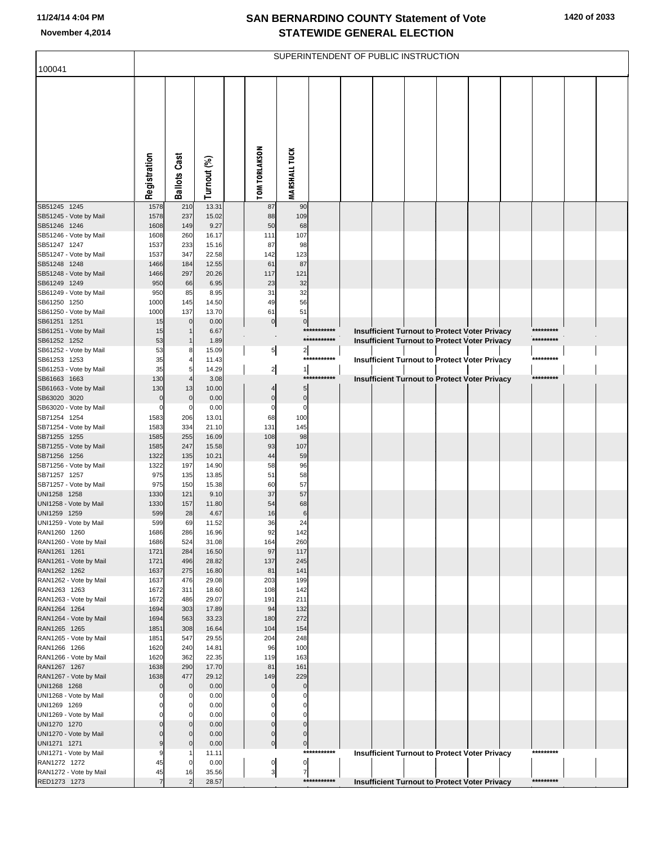| 100041                                 |                |                             |                |                                 |                      |             |  | SUPERINTENDENT OF PUBLIC INSTRUCTION |                                                                                                       |           |  |
|----------------------------------------|----------------|-----------------------------|----------------|---------------------------------|----------------------|-------------|--|--------------------------------------|-------------------------------------------------------------------------------------------------------|-----------|--|
|                                        |                |                             |                |                                 |                      |             |  |                                      |                                                                                                       |           |  |
|                                        | Registration   | <b>Ballots Cast</b>         | Turnout (%)    | <b>TOM TORLAKSON</b>            | <b>MARSHALL TUCK</b> |             |  |                                      |                                                                                                       |           |  |
| SB51245 1245<br>SB51245 - Vote by Mail | 1578<br>1578   | 210<br>237                  | 13.31<br>15.02 | 87<br>88                        | 90<br>109            |             |  |                                      |                                                                                                       |           |  |
| SB51246 1246                           | 1608           | 149                         | 9.27           | 50                              | 68                   |             |  |                                      |                                                                                                       |           |  |
| SB51246 - Vote by Mail                 | 1608           | 260                         | 16.17          | 111                             | 107                  |             |  |                                      |                                                                                                       |           |  |
| SB51247 1247<br>SB51247 - Vote by Mail | 1537<br>1537   | 233<br>347                  | 15.16<br>22.58 | 87<br>142                       | 98<br>123            |             |  |                                      |                                                                                                       |           |  |
| SB51248 1248                           | 1466           | 184                         | 12.55          | 61                              | 87                   |             |  |                                      |                                                                                                       |           |  |
| SB51248 - Vote by Mail                 | 1466           | 297                         | 20.26          | 117                             | 121                  |             |  |                                      |                                                                                                       |           |  |
| SB61249 1249                           | 950            | 66<br>85                    | 6.95<br>8.95   | 23<br>31                        | 32<br>32             |             |  |                                      |                                                                                                       |           |  |
| SB61249 - Vote by Mail<br>SB61250 1250 | 950<br>1000    | 145                         | 14.50          | 49                              | 56                   |             |  |                                      |                                                                                                       |           |  |
| SB61250 - Vote by Mail                 | 1000           | 137                         | 13.70          | 61                              | 51                   |             |  |                                      |                                                                                                       |           |  |
| SB61251 1251                           | 15             | $\overline{0}$              | 0.00           | $\circ$                         | $\mathbf 0$          | *********** |  |                                      |                                                                                                       | ********* |  |
| SB61251 - Vote by Mail<br>SB61252 1252 | 15<br>53       |                             | 6.67<br>1.89   |                                 |                      | *********** |  |                                      | <b>Insufficient Turnout to Protect Voter Privacy</b><br>Insufficient Turnout to Protect Voter Privacy | ********* |  |
| SB61252 - Vote by Mail                 | 53             | 8                           | 15.09          | $\overline{5}$                  | 2                    |             |  |                                      |                                                                                                       |           |  |
| SB61253 1253                           | 35             |                             | 11.43          |                                 |                      | *********** |  |                                      | <b>Insufficient Turnout to Protect Voter Privacy</b>                                                  | ********* |  |
| SB61253 - Vote by Mail                 | 35             | 5                           | 14.29          | $\frac{2}{ }$                   | $\mathbf{1}$         | *********** |  |                                      |                                                                                                       | ********* |  |
| SB61663 1663<br>SB61663 - Vote by Mail | 130<br>130     | 13                          | 3.08<br>10.00  | 4                               | 5                    |             |  |                                      | <b>Insufficient Turnout to Protect Voter Privacy</b>                                                  |           |  |
| SB63020 3020                           | $\mathbf 0$    | $\mathbf 0$                 | 0.00           | $\mathbf 0$                     | $\mathbf 0$          |             |  |                                      |                                                                                                       |           |  |
| SB63020 - Vote by Mail                 | $\Omega$       | $\mathbf 0$                 | 0.00           | $\Omega$                        | $\mathsf{C}$         |             |  |                                      |                                                                                                       |           |  |
| SB71254 1254                           | 1583           | 206                         | 13.01          | 68                              | 100                  |             |  |                                      |                                                                                                       |           |  |
| SB71254 - Vote by Mail<br>SB71255 1255 | 1583<br>1585   | 334<br>255                  | 21.10<br>16.09 | 131<br>108                      | 145<br>98            |             |  |                                      |                                                                                                       |           |  |
| SB71255 - Vote by Mail                 | 1585           | 247                         | 15.58          | 93                              | 107                  |             |  |                                      |                                                                                                       |           |  |
| SB71256 1256                           | 1322           | 135                         | 10.21          | 44                              | 59                   |             |  |                                      |                                                                                                       |           |  |
| SB71256 - Vote by Mail                 | 1322           | 197                         | 14.90          | 58                              | 96                   |             |  |                                      |                                                                                                       |           |  |
| SB71257 1257<br>SB71257 - Vote by Mail | 975<br>975     | 135<br>150                  | 13.85<br>15.38 | 51<br>60                        | 58<br>57             |             |  |                                      |                                                                                                       |           |  |
| UNI1258 1258                           | 1330           | 121                         | 9.10           | 37                              | 57                   |             |  |                                      |                                                                                                       |           |  |
| UNI1258 - Vote by Mail                 | 1330           | 157                         | 11.80          | 54                              | 68                   |             |  |                                      |                                                                                                       |           |  |
| UNI1259 1259                           | 599            | 28                          | 4.67           | 16                              | 6                    |             |  |                                      |                                                                                                       |           |  |
| UNI1259 - Vote by Mail<br>RAN1260 1260 | 599<br>1686    | 69<br>286                   | 11.52<br>16.96 | 36<br>92                        | 24<br>142            |             |  |                                      |                                                                                                       |           |  |
| RAN1260 - Vote by Mail                 | 1686           | 524                         | 31.08          | 164                             | 260                  |             |  |                                      |                                                                                                       |           |  |
| RAN1261 1261                           | 1721           | 284                         | 16.50          | 97                              | 117                  |             |  |                                      |                                                                                                       |           |  |
| RAN1261 - Vote by Mail                 | 1721           | 496                         | 28.82          | 137                             | 245                  |             |  |                                      |                                                                                                       |           |  |
| RAN1262 1262<br>RAN1262 - Vote by Mail | 1637<br>1637   | 275<br>476                  | 16.80<br>29.08 | 81<br>203                       | 141<br>199           |             |  |                                      |                                                                                                       |           |  |
| RAN1263 1263                           | 1672           | 311                         | 18.60          | 108                             | 142                  |             |  |                                      |                                                                                                       |           |  |
| RAN1263 - Vote by Mail                 | 1672           | 486                         | 29.07          | 191                             | 211                  |             |  |                                      |                                                                                                       |           |  |
| RAN1264 1264                           | 1694           | 303                         | 17.89          | 94                              | 132                  |             |  |                                      |                                                                                                       |           |  |
| RAN1264 - Vote by Mail<br>RAN1265 1265 | 1694<br>1851   | 563<br>308                  | 33.23<br>16.64 | 180<br>104                      | 272<br>154           |             |  |                                      |                                                                                                       |           |  |
| RAN1265 - Vote by Mail                 | 1851           | 547                         | 29.55          | 204                             | 248                  |             |  |                                      |                                                                                                       |           |  |
| RAN1266 1266                           | 1620           | 240                         | 14.81          | 96                              | 100                  |             |  |                                      |                                                                                                       |           |  |
| RAN1266 - Vote by Mail                 | 1620           | 362                         | 22.35          | 119                             | 163                  |             |  |                                      |                                                                                                       |           |  |
| RAN1267 1267<br>RAN1267 - Vote by Mail | 1638<br>1638   | 290<br>477                  | 17.70<br>29.12 | 81<br>149                       | 161<br>229           |             |  |                                      |                                                                                                       |           |  |
| UNI1268 1268                           | $\Omega$       | $\mathbf{0}$                | 0.00           | $\mathbf 0$                     | $\mathcal{C}$        |             |  |                                      |                                                                                                       |           |  |
| UNI1268 - Vote by Mail                 |                | 0                           | 0.00           | 0                               | 0                    |             |  |                                      |                                                                                                       |           |  |
| UNI1269 1269                           |                | $\mathbf 0$                 | 0.00           |                                 |                      |             |  |                                      |                                                                                                       |           |  |
| UNI1269 - Vote by Mail<br>UNI1270 1270 | $\Omega$       | $\mathbf 0$<br>$\mathbf{0}$ | 0.00<br>0.00   | 0<br>0                          | $\mathbf 0$          |             |  |                                      |                                                                                                       |           |  |
| UNI1270 - Vote by Mail                 | $\Omega$       | $\mathbf{0}$                | 0.00           | $\mathbf 0$                     | $\Omega$             |             |  |                                      |                                                                                                       |           |  |
| UNI1271 1271                           | 9              | $\mathbf 0$                 | 0.00           | $\overline{0}$                  | $\mathbf 0$          |             |  |                                      |                                                                                                       |           |  |
| UNI1271 - Vote by Mail                 | 9              |                             | 11.11          |                                 |                      | *********** |  |                                      | Insufficient Turnout to Protect Voter Privacy                                                         | ********* |  |
| RAN1272 1272<br>RAN1272 - Vote by Mail | 45<br>45       | $\mathbf 0$<br>16           | 0.00<br>35.56  | $\overline{0}$<br>$\frac{3}{2}$ | 0<br>$\overline{7}$  |             |  |                                      |                                                                                                       |           |  |
| RED1273 1273                           | $\overline{7}$ | $\overline{2}$              | 28.57          |                                 |                      | *********** |  |                                      | <b>Insufficient Turnout to Protect Voter Privacy</b>                                                  | ********* |  |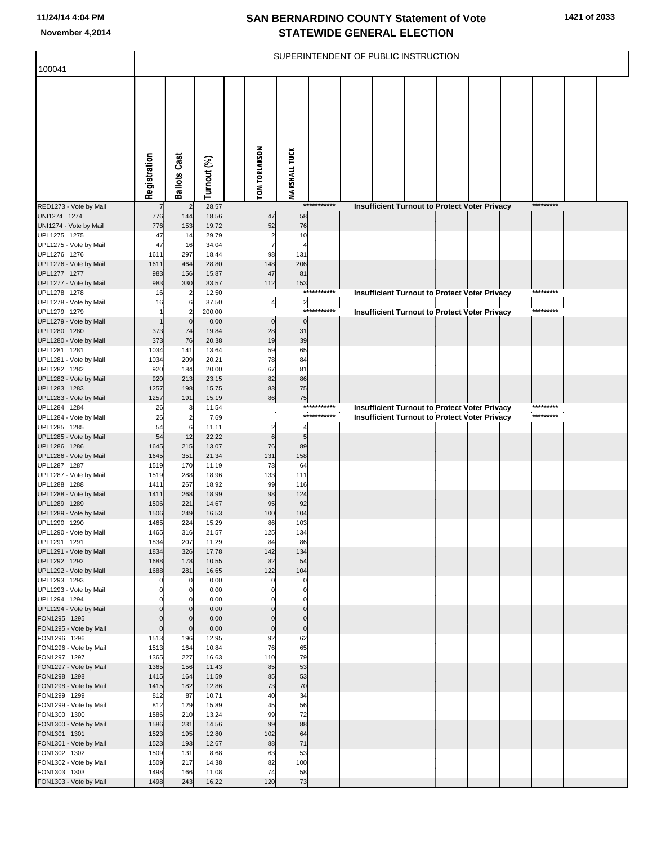| 100041                                 |              |                     |                 |                      |                                |             | SUPERINTENDENT OF PUBLIC INSTRUCTION |  |                                                      |           |  |
|----------------------------------------|--------------|---------------------|-----------------|----------------------|--------------------------------|-------------|--------------------------------------|--|------------------------------------------------------|-----------|--|
|                                        |              |                     |                 |                      |                                |             |                                      |  |                                                      |           |  |
|                                        |              |                     |                 |                      |                                |             |                                      |  |                                                      |           |  |
|                                        |              |                     |                 |                      |                                |             |                                      |  |                                                      |           |  |
|                                        |              |                     |                 |                      |                                |             |                                      |  |                                                      |           |  |
|                                        |              |                     |                 |                      |                                |             |                                      |  |                                                      |           |  |
|                                        |              |                     |                 |                      |                                |             |                                      |  |                                                      |           |  |
|                                        |              |                     |                 |                      |                                |             |                                      |  |                                                      |           |  |
|                                        |              |                     |                 |                      |                                |             |                                      |  |                                                      |           |  |
|                                        |              |                     |                 |                      |                                |             |                                      |  |                                                      |           |  |
|                                        | Registration | <b>Ballots Cast</b> | Turnout (%)     | <b>TOM TORLAKSON</b> | <b>MARSHALL TUCK</b>           |             |                                      |  |                                                      |           |  |
|                                        |              |                     |                 |                      |                                |             |                                      |  |                                                      |           |  |
| RED1273 - Vote by Mail<br>UNI1274 1274 | 776          | 144                 | 28.57<br>18.56  | 47                   | 58                             | *********** |                                      |  | <b>Insufficient Turnout to Protect Voter Privacy</b> | ********* |  |
| UNI1274 - Vote by Mail                 | 776          | 153                 | 19.72           | 52                   | 76                             |             |                                      |  |                                                      |           |  |
| UPL1275 1275                           | 47           | 14                  | 29.79           | 2                    | 10                             |             |                                      |  |                                                      |           |  |
| UPL1275 - Vote by Mail                 | 47           | 16                  | 34.04           | $\overline{7}$       |                                |             |                                      |  |                                                      |           |  |
| UPL1276 1276<br>UPL1276 - Vote by Mail | 1611<br>1611 | 297<br>464          | 18.44<br>28.80  | 98<br>148            | 131<br>206                     |             |                                      |  |                                                      |           |  |
| UPL1277 1277                           | 983          | 156                 | 15.87           | 47                   | 81                             |             |                                      |  |                                                      |           |  |
| UPL1277 - Vote by Mail                 | 983          | 330                 | 33.57           | 112                  | 153                            |             |                                      |  |                                                      |           |  |
| UPL1278 1278                           | 16           |                     | 12.50           |                      |                                | *********** |                                      |  | Insufficient Turnout to Protect Voter Privacy        | ********* |  |
| UPL1278 - Vote by Mail<br>UPL1279 1279 | 16           | 6                   | 37.50<br>200.00 | $\overline{4}$       | $\overline{\mathbf{c}}$<br>*** | *******     |                                      |  | <b>Insufficient Turnout to Protect Voter Privacy</b> | ********* |  |
| UPL1279 - Vote by Mail                 |              | 0                   | 0.00            | $\pmb{0}$            | $\Omega$                       |             |                                      |  |                                                      |           |  |
| UPL1280 1280                           | 373          | 74                  | 19.84           | 28                   | 31                             |             |                                      |  |                                                      |           |  |
| UPL1280 - Vote by Mail<br>UPL1281 1281 | 373<br>1034  | 76<br>141           | 20.38<br>13.64  | 19<br>59             | 39<br>65                       |             |                                      |  |                                                      |           |  |
| UPL1281 - Vote by Mail                 | 1034         | 209                 | 20.21           | 78                   | 84                             |             |                                      |  |                                                      |           |  |
| UPL1282 1282                           | 920          | 184                 | 20.00           | 67                   | 81                             |             |                                      |  |                                                      |           |  |
| UPL1282 - Vote by Mail                 | 920          | 213                 | 23.15           | 82                   | 86                             |             |                                      |  |                                                      |           |  |
| UPL1283 1283<br>UPL1283 - Vote by Mail | 1257<br>1257 | 198<br>191          | 15.75<br>15.19  | 83<br>86             | 75<br>75                       |             |                                      |  |                                                      |           |  |
| UPL1284 1284                           | 26           | 3                   | 11.54           |                      |                                | *********** |                                      |  | Insufficient Turnout to Protect Voter Privacy        | ********* |  |
| UPL1284 - Vote by Mail                 | 26           |                     | 7.69            |                      |                                | *********** |                                      |  | Insufficient Turnout to Protect Voter Privacy        | ********* |  |
| UPL1285 1285                           | 54           | 6                   | 11.11           | $\overline{2}$       |                                |             |                                      |  |                                                      |           |  |
| UPL1285 - Vote by Mail<br>UPL1286 1286 | 54<br>1645   | 12<br>215           | 22.22<br>13.07  | 6<br>76              | 5<br>89                        |             |                                      |  |                                                      |           |  |
| UPL1286 - Vote by Mail                 | 1645         | 351                 | 21.34           | 131                  | 158                            |             |                                      |  |                                                      |           |  |
| UPL1287 1287                           | 1519         | 170                 | 11.19           | 73                   | 64                             |             |                                      |  |                                                      |           |  |
| UPL1287 - Vote by Mail<br>UPL1288 1288 | 1519<br>1411 | 288<br>267          | 18.96<br>18.92  | 133<br>99            | 111<br>116                     |             |                                      |  |                                                      |           |  |
| UPL1288 - Vote by Mail                 | 1411         | 268                 | 18.99           | 98                   | 124                            |             |                                      |  |                                                      |           |  |
| UPL1289 1289                           | 1506         | 221                 | 14.67           | 95                   | 92                             |             |                                      |  |                                                      |           |  |
| UPL1289 - Vote by Mail<br>UPL1290 1290 | 1506<br>1465 | 249<br>224          | 16.53<br>15.29  | 100<br>86            | 104<br>103                     |             |                                      |  |                                                      |           |  |
| UPL1290 - Vote by Mail                 | 1465         | 316                 | 21.57           | 125                  | 134                            |             |                                      |  |                                                      |           |  |
| UPL1291 1291                           | 1834         | 207                 | 11.29           | 84                   | 86                             |             |                                      |  |                                                      |           |  |
| UPL1291 - Vote by Mail<br>UPL1292 1292 | 1834<br>1688 | 326<br>178          | 17.78<br>10.55  | 142<br>82            | 134<br>54                      |             |                                      |  |                                                      |           |  |
| UPL1292 - Vote by Mail                 | 1688         | 281                 | 16.65           | 122                  | 104                            |             |                                      |  |                                                      |           |  |
| UPL1293 1293                           | 0            | $\mathbf{0}$        | 0.00            | $\Omega$             | $\mathbf 0$                    |             |                                      |  |                                                      |           |  |
| UPL1293 - Vote by Mail<br>UPL1294 1294 |              | 0<br>O              | 0.00<br>0.00    |                      | $\mathbf 0$<br>$\Omega$        |             |                                      |  |                                                      |           |  |
| UPL1294 - Vote by Mail                 | $\mathbf 0$  | 0                   | 0.00            | $\Omega$             | $\mathbf 0$                    |             |                                      |  |                                                      |           |  |
| FON1295 1295                           | $\mathbf 0$  | $\Omega$            | 0.00            | $\Omega$             | $\Omega$                       |             |                                      |  |                                                      |           |  |
| FON1295 - Vote by Mail                 | $\pmb{0}$    | $\mathbf{0}$        | 0.00            | $\mathbf 0$          | $\mathbf 0$                    |             |                                      |  |                                                      |           |  |
| FON1296 1296<br>FON1296 - Vote by Mail | 1513<br>1513 | 196<br>164          | 12.95<br>10.84  | 92<br>76             | 62<br>65                       |             |                                      |  |                                                      |           |  |
| FON1297 1297                           | 1365         | 227                 | 16.63           | 110                  | 79                             |             |                                      |  |                                                      |           |  |
| FON1297 - Vote by Mail                 | 1365         | 156                 | 11.43           | 85                   | 53                             |             |                                      |  |                                                      |           |  |
| FON1298 1298                           | 1415<br>1415 | 164<br>182          | 11.59<br>12.86  | 85<br>73             | 53<br>70                       |             |                                      |  |                                                      |           |  |
| FON1298 - Vote by Mail<br>FON1299 1299 | 812          | 87                  | 10.71           | 40                   | 34                             |             |                                      |  |                                                      |           |  |
| FON1299 - Vote by Mail                 | 812          | 129                 | 15.89           | 45                   | 56                             |             |                                      |  |                                                      |           |  |
| FON1300 1300                           | 1586         | 210                 | 13.24           | 99                   | 72                             |             |                                      |  |                                                      |           |  |
| FON1300 - Vote by Mail<br>FON1301 1301 | 1586<br>1523 | 231<br>195          | 14.56<br>12.80  | 99<br>102            | 88<br>64                       |             |                                      |  |                                                      |           |  |
| FON1301 - Vote by Mail                 | 1523         | 193                 | 12.67           | 88                   | 71                             |             |                                      |  |                                                      |           |  |
| FON1302 1302                           | 1509         | 131                 | 8.68            | 63                   | 53                             |             |                                      |  |                                                      |           |  |
| FON1302 - Vote by Mail<br>FON1303 1303 | 1509<br>1498 | 217<br>166          | 14.38<br>11.08  | 82<br>74             | 100<br>58                      |             |                                      |  |                                                      |           |  |
| FON1303 - Vote by Mail                 | 1498         | 243                 | 16.22           | 120                  | 73                             |             |                                      |  |                                                      |           |  |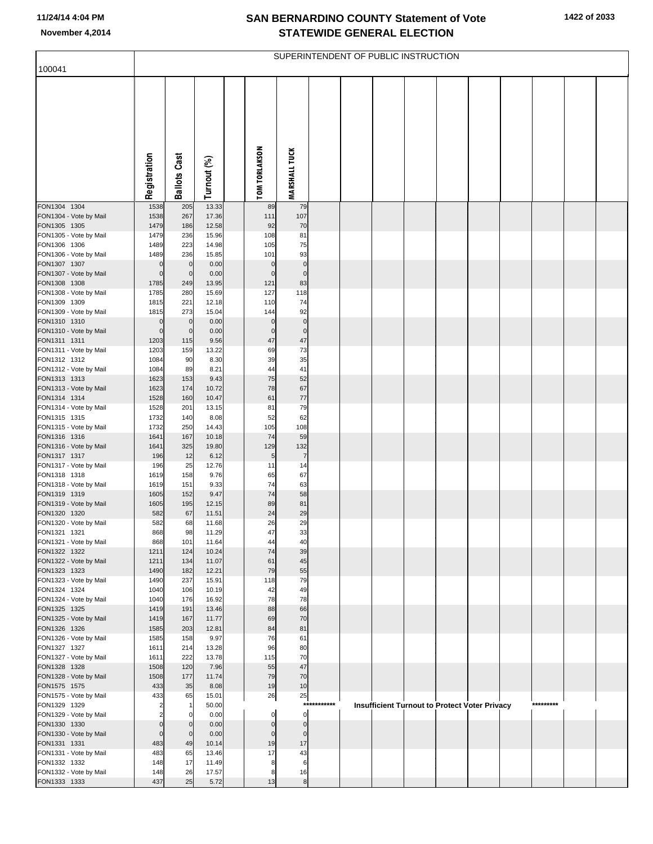| 100041                                 |                            |                            |                |                            |                          |             | SUPERINTENDENT OF PUBLIC INSTRUCTION |  |                                               |           |  |
|----------------------------------------|----------------------------|----------------------------|----------------|----------------------------|--------------------------|-------------|--------------------------------------|--|-----------------------------------------------|-----------|--|
|                                        |                            |                            |                |                            |                          |             |                                      |  |                                               |           |  |
|                                        |                            |                            |                |                            |                          |             |                                      |  |                                               |           |  |
|                                        | Registration               | <b>Ballots Cast</b>        | Turnout (%)    | <b>TOM TORLAKSON</b>       | <b>MARSHALL TUCK</b>     |             |                                      |  |                                               |           |  |
| FON1304 1304                           | 1538                       | 205                        | 13.33          | 89                         | 79                       |             |                                      |  |                                               |           |  |
| FON1304 - Vote by Mail                 | 1538<br>1479               | 267<br>186                 | 17.36<br>12.58 | 111<br>92                  | 107<br>70                |             |                                      |  |                                               |           |  |
| FON1305 1305<br>FON1305 - Vote by Mail | 1479                       | 236                        | 15.96          | 108                        | 81                       |             |                                      |  |                                               |           |  |
| FON1306 1306                           | 1489                       | 223                        | 14.98          | 105                        | 75                       |             |                                      |  |                                               |           |  |
| FON1306 - Vote by Mail                 | 1489                       | 236                        | 15.85          | 101                        | 93                       |             |                                      |  |                                               |           |  |
| FON1307 1307<br>FON1307 - Vote by Mail | $\mathbf 0$<br>$\mathbf 0$ | $\mathbf 0$<br>$\mathbf 0$ | 0.00<br>0.00   | $\mathbf 0$<br>$\mathbf 0$ | $\pmb{0}$<br>$\mathbf 0$ |             |                                      |  |                                               |           |  |
| FON1308 1308                           | 1785                       | 249                        | 13.95          | 121                        | 83                       |             |                                      |  |                                               |           |  |
| FON1308 - Vote by Mail                 | 1785                       | 280                        | 15.69          | 127                        | 118                      |             |                                      |  |                                               |           |  |
| FON1309 1309                           | 1815                       | 221                        | 12.18<br>15.04 | 110<br>144                 | 74<br>92                 |             |                                      |  |                                               |           |  |
| FON1309 - Vote by Mail<br>FON1310 1310 | 1815<br>$\mathbf 0$        | 273<br>$\mathbf 0$         | 0.00           | $\mathbf 0$                | $\pmb{0}$                |             |                                      |  |                                               |           |  |
| FON1310 - Vote by Mail                 | $\mathbf 0$                | $\mathbf 0$                | 0.00           | $\mathbf 0$                | $\mathbf 0$              |             |                                      |  |                                               |           |  |
| FON1311 1311                           | 1203                       | 115                        | 9.56           | 47                         | 47                       |             |                                      |  |                                               |           |  |
| FON1311 - Vote by Mail<br>FON1312 1312 | 1203<br>1084               | 159<br>90                  | 13.22<br>8.30  | 69<br>39                   | 73<br>35                 |             |                                      |  |                                               |           |  |
| FON1312 - Vote by Mail                 | 1084                       | 89                         | 8.21           | 44                         | 41                       |             |                                      |  |                                               |           |  |
| FON1313 1313                           | 1623                       | 153                        | 9.43           | 75                         | 52                       |             |                                      |  |                                               |           |  |
| FON1313 - Vote by Mail                 | 1623                       | 174                        | 10.72          | 78                         | 67                       |             |                                      |  |                                               |           |  |
| FON1314 1314<br>FON1314 - Vote by Mail | 1528<br>1528               | 160<br>201                 | 10.47<br>13.15 | 61<br>81                   | $77 \,$<br>79            |             |                                      |  |                                               |           |  |
| FON1315 1315                           | 1732                       | 140                        | 8.08           | 52                         | 62                       |             |                                      |  |                                               |           |  |
| FON1315 - Vote by Mail                 | 1732                       | 250                        | 14.43          | 105                        | 108                      |             |                                      |  |                                               |           |  |
| FON1316 1316<br>FON1316 - Vote by Mail | 1641<br>1641               | 167<br>325                 | 10.18<br>19.80 | 74<br>129                  | 59<br>132                |             |                                      |  |                                               |           |  |
| FON1317 1317                           | 196                        | 12                         | 6.12           | 5 <sub>5</sub>             | $\overline{7}$           |             |                                      |  |                                               |           |  |
| FON1317 - Vote by Mail                 | 196                        | 25                         | 12.76          | 11                         | 14                       |             |                                      |  |                                               |           |  |
| FON1318 1318                           | 1619                       | 158                        | 9.76           | 65<br>74                   | 67                       |             |                                      |  |                                               |           |  |
| FON1318 - Vote by Mail<br>FON1319 1319 | 1619<br>1605               | 151<br>152                 | 9.33<br>9.47   | 74                         | 63<br>58                 |             |                                      |  |                                               |           |  |
| FON1319 - Vote by Mail                 | 1605                       | 195                        | 12.15          | 89                         | 81                       |             |                                      |  |                                               |           |  |
| FON1320 1320                           | 582                        | 67                         | 11.51          | 24                         | 29                       |             |                                      |  |                                               |           |  |
| FON1320 - Vote by Mail<br>FON1321 1321 | 582<br>868                 | 68<br>98                   | 11.68<br>11.29 | 26<br>47                   | 29<br>33                 |             |                                      |  |                                               |           |  |
| FON1321 - Vote by Mail                 | 868                        | 101                        | 11.64          | 44                         | 40                       |             |                                      |  |                                               |           |  |
| FON1322 1322                           | 1211                       | 124                        | 10.24          | 74                         | 39                       |             |                                      |  |                                               |           |  |
| FON1322 - Vote by Mail<br>FON1323 1323 | 1211<br>1490               | 134<br>182                 | 11.07<br>12.21 | 61<br>79                   | 45<br>55                 |             |                                      |  |                                               |           |  |
| FON1323 - Vote by Mail                 | 1490                       | 237                        | 15.91          | 118                        | 79                       |             |                                      |  |                                               |           |  |
| FON1324 1324                           | 1040                       | 106                        | 10.19          | 42                         | 49                       |             |                                      |  |                                               |           |  |
| FON1324 - Vote by Mail                 | 1040                       | 176                        | 16.92          | 78<br>88                   | 78<br>66                 |             |                                      |  |                                               |           |  |
| FON1325 1325<br>FON1325 - Vote by Mail | 1419<br>1419               | 191<br>167                 | 13.46<br>11.77 | 69                         | 70                       |             |                                      |  |                                               |           |  |
| FON1326 1326                           | 1585                       | 203                        | 12.81          | 84                         | 81                       |             |                                      |  |                                               |           |  |
| FON1326 - Vote by Mail                 | 1585                       | 158                        | 9.97           | 76                         | 61                       |             |                                      |  |                                               |           |  |
| FON1327 1327<br>FON1327 - Vote by Mail | 1611<br>1611               | 214<br>222                 | 13.28<br>13.78 | 96<br>115                  | 80<br>70                 |             |                                      |  |                                               |           |  |
| FON1328 1328                           | 1508                       | 120                        | 7.96           | 55                         | 47                       |             |                                      |  |                                               |           |  |
| FON1328 - Vote by Mail                 | 1508                       | 177                        | 11.74          | 79                         | 70                       |             |                                      |  |                                               |           |  |
| FON1575 1575<br>FON1575 - Vote by Mail | 433<br>433                 | 35<br>65                   | 8.08<br>15.01  | 19                         | 10                       |             |                                      |  |                                               |           |  |
| FON1329 1329                           | 2                          | -1                         | 50.00          | 26                         | 25                       | *********** |                                      |  | Insufficient Turnout to Protect Voter Privacy | ********* |  |
| FON1329 - Vote by Mail                 |                            | 0                          | 0.00           | $\Omega$                   | $\Omega$                 |             |                                      |  |                                               |           |  |
| FON1330 1330                           | $\mathbf 0$                | $\mathbf 0$                | 0.00           | $\mathbf 0$                | 0                        |             |                                      |  |                                               |           |  |
| FON1330 - Vote by Mail<br>FON1331 1331 | $\mathbf 0$<br>483         | $\mathbf 0$<br>49          | 0.00<br>10.14  | $\overline{0}$<br>19       | 0<br>17                  |             |                                      |  |                                               |           |  |
| FON1331 - Vote by Mail                 | 483                        | 65                         | 13.46          | 17                         | 43                       |             |                                      |  |                                               |           |  |
| FON1332 1332                           | 148                        | 17                         | 11.49          | 8                          | 6                        |             |                                      |  |                                               |           |  |
| FON1332 - Vote by Mail                 | 148                        | 26                         | 17.57          | 8                          | 16                       |             |                                      |  |                                               |           |  |
| FON1333 1333                           | 437                        | 25                         | 5.72           | 13                         | $\boldsymbol{8}$         |             |                                      |  |                                               |           |  |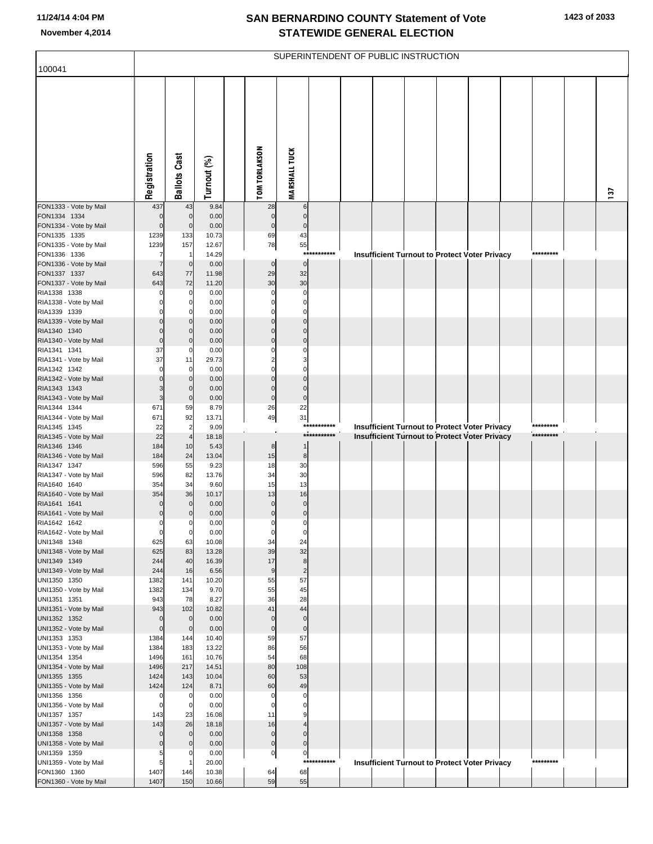|                                        |                               |                                  |                |                             |                             |                       | SUPERINTENDENT OF PUBLIC INSTRUCTION |  |                                                      |                        |     |
|----------------------------------------|-------------------------------|----------------------------------|----------------|-----------------------------|-----------------------------|-----------------------|--------------------------------------|--|------------------------------------------------------|------------------------|-----|
| 100041                                 |                               |                                  |                |                             |                             |                       |                                      |  |                                                      |                        |     |
|                                        | Registration                  | <b>Ballots Cast</b>              | Turnout (%)    | <b>TOM TORLAKSON</b>        | <b>MARSHALL TUCK</b>        |                       |                                      |  |                                                      |                        | 137 |
| FON1333 - Vote by Mail                 | 437                           | 43                               | 9.84           | 28                          | $6\phantom{1}6$             |                       |                                      |  |                                                      |                        |     |
| FON1334 1334<br>FON1334 - Vote by Mail | $\mathbf 0$<br>$\mathbf 0$    | $\overline{0}$<br>$\overline{0}$ | 0.00<br>0.00   | $\mathbf 0$<br>$\pmb{0}$    | $\Omega$<br>$\mathsf{C}$    |                       |                                      |  |                                                      |                        |     |
| FON1335 1335                           | 1239                          | 133                              | 10.73          | 69                          | 43                          |                       |                                      |  |                                                      |                        |     |
| FON1335 - Vote by Mail                 | 1239                          | 157                              | 12.67          | 78                          | 55                          |                       |                                      |  |                                                      |                        |     |
| FON1336 1336<br>FON1336 - Vote by Mail | 7<br>$\overline{7}$           | $\mathbf{1}$<br>$\mathbf{0}$     | 14.29<br>0.00  | $\mathbf 0$                 | ***<br>$\mathbf 0$          |                       |                                      |  | <b>Insufficient Turnout to Protect Voter Privacy</b> | *********              |     |
| FON1337 1337                           | 643                           | $77 \,$                          | 11.98          | 29                          | 32                          |                       |                                      |  |                                                      |                        |     |
| FON1337 - Vote by Mail                 | 643                           | 72                               | 11.20          | 30                          | 30                          |                       |                                      |  |                                                      |                        |     |
| RIA1338 1338                           |                               | $\mathbf 0$                      | 0.00           | $\mathbf 0$                 | $\mathsf{C}$                |                       |                                      |  |                                                      |                        |     |
| RIA1338 - Vote by Mail<br>RIA1339 1339 | $\Omega$                      | $\mathbf 0$<br>$\mathbf 0$       | 0.00<br>0.00   | $\Omega$                    | $\mathcal{C}$               |                       |                                      |  |                                                      |                        |     |
| RIA1339 - Vote by Mail                 | $\Omega$                      | $\overline{0}$                   | 0.00           | $\Omega$                    | $\mathcal{C}$               |                       |                                      |  |                                                      |                        |     |
| RIA1340 1340                           | $\Omega$                      | $\overline{0}$                   | 0.00           | $\Omega$                    | $\sqrt{ }$                  |                       |                                      |  |                                                      |                        |     |
| RIA1340 - Vote by Mail<br>RIA1341 1341 | $\mathbf 0$<br>37             | $\overline{0}$<br>$\mathbf 0$    | 0.00<br>0.00   | $\Omega$                    | $\sqrt{ }$                  |                       |                                      |  |                                                      |                        |     |
| RIA1341 - Vote by Mail                 | 37                            | 11                               | 29.73          |                             |                             |                       |                                      |  |                                                      |                        |     |
| RIA1342 1342                           | $\Omega$                      | $\overline{0}$                   | 0.00           |                             |                             |                       |                                      |  |                                                      |                        |     |
| RIA1342 - Vote by Mail                 | $\Omega$                      | $\mathbf 0$                      | 0.00           | $\Omega$                    |                             |                       |                                      |  |                                                      |                        |     |
| RIA1343 1343<br>RIA1343 - Vote by Mail | 3<br>3                        | $\overline{0}$<br>$\overline{0}$ | 0.00<br>0.00   | $\mathbf 0$<br>$\pmb{0}$    | $\mathsf{C}$<br>$\mathbf 0$ |                       |                                      |  |                                                      |                        |     |
| RIA1344 1344                           | 671                           | 59                               | 8.79           | 26                          | 22                          |                       |                                      |  |                                                      |                        |     |
| RIA1344 - Vote by Mail                 | 671                           | 92                               | 13.71          | 49                          | 31                          |                       |                                      |  |                                                      |                        |     |
| RIA1345 1345                           | 22<br>22                      | $\overline{a}$                   | 9.09           |                             |                             | ******<br>*********** |                                      |  | <b>Insufficient Turnout to Protect Voter Privacy</b> | *********<br>********* |     |
| RIA1345 - Vote by Mail<br>RIA1346 1346 | 184                           | $\overline{4}$<br>10             | 18.18<br>5.43  | 8                           | 1                           |                       |                                      |  | Insufficient Turnout to Protect Voter Privacy        |                        |     |
| RIA1346 - Vote by Mail                 | 184                           | 24                               | 13.04          | 15                          | 8                           |                       |                                      |  |                                                      |                        |     |
| RIA1347 1347                           | 596                           | 55                               | 9.23           | 18                          | 30                          |                       |                                      |  |                                                      |                        |     |
| RIA1347 - Vote by Mail<br>RIA1640 1640 | 596<br>354                    | 82<br>34                         | 13.76<br>9.60  | 34<br>15                    | 30<br>13                    |                       |                                      |  |                                                      |                        |     |
| RIA1640 - Vote by Mail                 | 354                           | 36                               | 10.17          | 13                          | 16                          |                       |                                      |  |                                                      |                        |     |
| RIA1641 1641                           | $\mathbf 0$                   | $\overline{0}$                   | 0.00           | $\mathbf 0$                 | $\mathbf 0$                 |                       |                                      |  |                                                      |                        |     |
| RIA1641 - Vote by Mail                 | $\mathbf 0$                   | $\mathbf 0$                      | 0.00           | $\mathbf 0$                 | $\mathbf 0$                 |                       |                                      |  |                                                      |                        |     |
| RIA1642 1642<br>RIA1642 - Vote by Mail | $\mathbf 0$<br>$\overline{0}$ | $\overline{0}$<br>$\circ$        | 0.00<br>0.00   | $\mathbf 0$<br>$\mathbf 0$  | 0<br>0                      |                       |                                      |  |                                                      |                        |     |
| UNI1348 1348                           | 625                           | 63                               | 10.08          | 34                          | 24                          |                       |                                      |  |                                                      |                        |     |
| UNI1348 - Vote by Mail                 | 625                           | 83                               | 13.28          | 39                          | 32                          |                       |                                      |  |                                                      |                        |     |
| UNI1349 1349<br>UNI1349 - Vote by Mail | 244<br>244                    | 40<br>16                         | 16.39<br>6.56  | 17<br>9                     | 8<br>$\overline{2}$         |                       |                                      |  |                                                      |                        |     |
| UNI1350 1350                           | 1382                          | 141                              | 10.20          | 55                          | 57                          |                       |                                      |  |                                                      |                        |     |
| UNI1350 - Vote by Mail                 | 1382                          | 134                              | 9.70           | 55                          | 45                          |                       |                                      |  |                                                      |                        |     |
| UNI1351 1351<br>UNI1351 - Vote by Mail | 943<br>943                    | 78<br>102                        | 8.27<br>10.82  | 36<br>41                    | 28<br>44                    |                       |                                      |  |                                                      |                        |     |
| UNI1352 1352                           | $\mathbf 0$                   | $\mathbf 0$                      | 0.00           | $\mathbf 0$                 | $\mathbf 0$                 |                       |                                      |  |                                                      |                        |     |
| UNI1352 - Vote by Mail                 | $\mathbf 0$                   | $\mathbf 0$                      | 0.00           | $\mathbf 0$                 | $\pmb{0}$                   |                       |                                      |  |                                                      |                        |     |
| UNI1353 1353                           | 1384                          | 144                              | 10.40          | 59                          | 57                          |                       |                                      |  |                                                      |                        |     |
| UNI1353 - Vote by Mail<br>UNI1354 1354 | 1384<br>1496                  | 183<br>161                       | 13.22<br>10.76 | 86<br>54                    | 56<br>68                    |                       |                                      |  |                                                      |                        |     |
| UNI1354 - Vote by Mail                 | 1496                          | 217                              | 14.51          | 80                          | 108                         |                       |                                      |  |                                                      |                        |     |
| UNI1355 1355                           | 1424                          | 143                              | 10.04          | 60                          | 53                          |                       |                                      |  |                                                      |                        |     |
| UNI1355 - Vote by Mail<br>UNI1356 1356 | 1424<br>0                     | 124                              | 8.71           | 60<br>$\mathbf 0$           | 49<br>$\mathsf{C}$          |                       |                                      |  |                                                      |                        |     |
| UNI1356 - Vote by Mail                 | $\mathbf 0$                   | 0<br>$\overline{0}$              | 0.00<br>0.00   | $\mathbf 0$                 | C                           |                       |                                      |  |                                                      |                        |     |
| UNI1357 1357                           | 143                           | 23                               | 16.08          | 11                          |                             |                       |                                      |  |                                                      |                        |     |
| UNI1357 - Vote by Mail                 | 143                           | 26                               | 18.18          | 16                          | $\overline{4}$              |                       |                                      |  |                                                      |                        |     |
| UNI1358 1358                           | $\Omega$<br>$\mathbf 0$       | $\overline{0}$<br>$\mathbf 0$    | 0.00<br>0.00   | $\mathbf 0$                 | $\Omega$<br>$\mathbf 0$     |                       |                                      |  |                                                      |                        |     |
| UNI1358 - Vote by Mail<br>UNI1359 1359 | 5                             | 0                                | 0.00           | $\pmb{0}$<br>$\overline{0}$ | $\pmb{0}$                   |                       |                                      |  |                                                      |                        |     |
| UNI1359 - Vote by Mail                 | 5                             |                                  | 20.00          |                             |                             | ***********           |                                      |  | <b>Insufficient Turnout to Protect Voter Privacy</b> | *********              |     |
| FON1360 1360                           | 1407                          | 146                              | 10.38          | 64                          | 68                          |                       |                                      |  |                                                      |                        |     |
| FON1360 - Vote by Mail                 | 1407                          | 150                              | 10.66          | 59                          | 55                          |                       |                                      |  |                                                      |                        |     |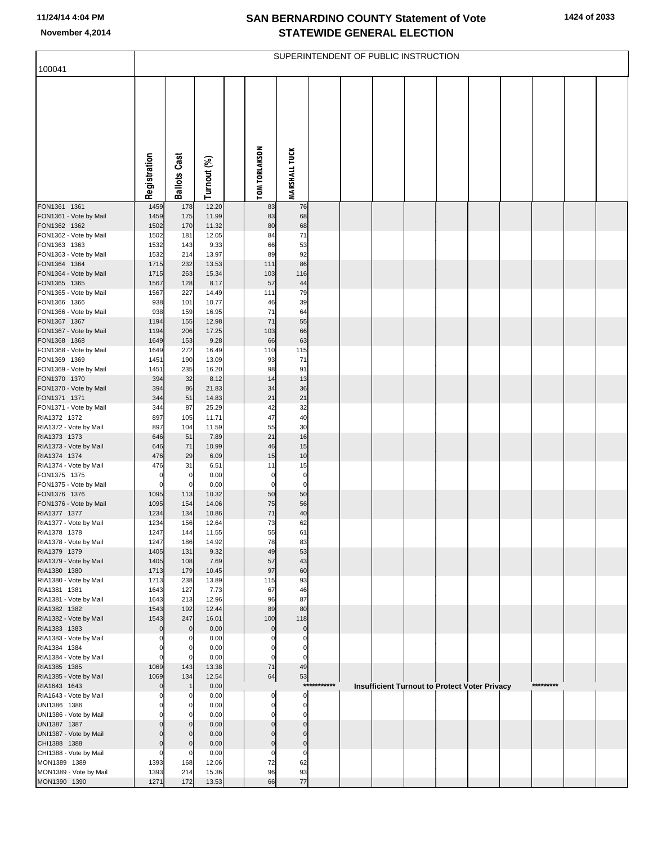|                                        |                     |                     |                |                            |                            |             | SUPERINTENDENT OF PUBLIC INSTRUCTION |  |                                               |           |  |
|----------------------------------------|---------------------|---------------------|----------------|----------------------------|----------------------------|-------------|--------------------------------------|--|-----------------------------------------------|-----------|--|
| 100041                                 |                     |                     |                |                            |                            |             |                                      |  |                                               |           |  |
|                                        | Registration        | <b>Ballots Cast</b> | Turnout (%)    | <b>TOM TORLAKSON</b>       | <b>MARSHALL TUCK</b>       |             |                                      |  |                                               |           |  |
| FON1361 1361                           | 1459                | 178                 | 12.20          | 83                         | 76                         |             |                                      |  |                                               |           |  |
| FON1361 - Vote by Mail                 | 1459                | 175                 | 11.99          | 83                         | 68                         |             |                                      |  |                                               |           |  |
| FON1362 1362                           | 1502                | 170                 | 11.32          | 80                         | 68                         |             |                                      |  |                                               |           |  |
| FON1362 - Vote by Mail                 | 1502                | 181                 | 12.05          | 84                         | 71                         |             |                                      |  |                                               |           |  |
| FON1363 1363                           | 1532                | 143<br>214          | 9.33<br>13.97  | 66<br>89                   | 53<br>92                   |             |                                      |  |                                               |           |  |
| FON1363 - Vote by Mail<br>FON1364 1364 | 1532<br>1715        | 232                 | 13.53          | 111                        | 86                         |             |                                      |  |                                               |           |  |
| FON1364 - Vote by Mail                 | 1715                | 263                 | 15.34          | 103                        | 116                        |             |                                      |  |                                               |           |  |
| FON1365 1365                           | 1567                | 128                 | 8.17           | 57                         | 44                         |             |                                      |  |                                               |           |  |
| FON1365 - Vote by Mail                 | 1567                | 227                 | 14.49          | 111                        | 79                         |             |                                      |  |                                               |           |  |
| FON1366 1366                           | 938                 | 101                 | 10.77          | 46                         | 39                         |             |                                      |  |                                               |           |  |
| FON1366 - Vote by Mail<br>FON1367 1367 | 938<br>1194         | 159<br>155          | 16.95<br>12.98 | 71<br>71                   | 64<br>55                   |             |                                      |  |                                               |           |  |
| FON1367 - Vote by Mail                 | 1194                | 206                 | 17.25          | 103                        | 66                         |             |                                      |  |                                               |           |  |
| FON1368 1368                           | 1649                | 153                 | 9.28           | 66                         | 63                         |             |                                      |  |                                               |           |  |
| FON1368 - Vote by Mail                 | 1649                | 272                 | 16.49          | 110                        | 115                        |             |                                      |  |                                               |           |  |
| FON1369 1369                           | 1451                | 190                 | 13.09          | 93                         | 71                         |             |                                      |  |                                               |           |  |
| FON1369 - Vote by Mail<br>FON1370 1370 | 1451<br>394         | 235<br>32           | 16.20<br>8.12  | 98<br>14                   | 91<br>13                   |             |                                      |  |                                               |           |  |
| FON1370 - Vote by Mail                 | 394                 | 86                  | 21.83          | 34                         | 36                         |             |                                      |  |                                               |           |  |
| FON1371 1371                           | 344                 | 51                  | 14.83          | 21                         | 21                         |             |                                      |  |                                               |           |  |
| FON1371 - Vote by Mail                 | 344                 | 87                  | 25.29          | 42                         | 32                         |             |                                      |  |                                               |           |  |
| RIA1372 1372                           | 897                 | 105                 | 11.71          | 47                         | 40                         |             |                                      |  |                                               |           |  |
| RIA1372 - Vote by Mail<br>RIA1373 1373 | 897<br>646          | 104<br>51           | 11.59<br>7.89  | 55<br>21                   | 30<br>16                   |             |                                      |  |                                               |           |  |
| RIA1373 - Vote by Mail                 | 646                 | 71                  | 10.99          | 46                         | 15                         |             |                                      |  |                                               |           |  |
| RIA1374 1374                           | 476                 | 29                  | 6.09           | 15                         | 10                         |             |                                      |  |                                               |           |  |
| RIA1374 - Vote by Mail                 | 476                 | 31                  | 6.51           | 11                         | 15                         |             |                                      |  |                                               |           |  |
| FON1375 1375                           | $\mathbf 0$         | $\overline{0}$      | 0.00           | 0                          | $\pmb{0}$                  |             |                                      |  |                                               |           |  |
| FON1375 - Vote by Mail<br>FON1376 1376 | $\mathbf 0$<br>1095 | $\mathbf 0$<br>113  | 0.00<br>10.32  | $\mathbf 0$<br>50          | $\mathbf 0$<br>50          |             |                                      |  |                                               |           |  |
| FON1376 - Vote by Mail                 | 1095                | 154                 | 14.06          | 75                         | 56                         |             |                                      |  |                                               |           |  |
| RIA1377 1377                           | 1234                | 134                 | 10.86          | 71                         | 40                         |             |                                      |  |                                               |           |  |
| RIA1377 - Vote by Mail                 | 1234                | 156                 | 12.64          | 73                         | 62                         |             |                                      |  |                                               |           |  |
| RIA1378 1378                           | 1247                | 144                 | 11.55          | 55                         | 61                         |             |                                      |  |                                               |           |  |
| RIA1378 - Vote by Mail<br>RIA1379 1379 | 1247<br>1405        | 186<br>131          | 14.92<br>9.32  | 78<br>49                   | 83<br>53                   |             |                                      |  |                                               |           |  |
| RIA1379 - Vote by Mail                 | 1405                | 108                 | 7.69           | 57                         | 43                         |             |                                      |  |                                               |           |  |
| RIA1380 1380                           | 1713                | 179                 | 10.45          | 97                         | 60                         |             |                                      |  |                                               |           |  |
| RIA1380 - Vote by Mail                 | 1713                | 238                 | 13.89          | 115                        | 93                         |             |                                      |  |                                               |           |  |
| RIA1381 1381                           | 1643                | 127                 | 7.73           | 67                         | 46                         |             |                                      |  |                                               |           |  |
| RIA1381 - Vote by Mail<br>RIA1382 1382 | 1643<br>1543        | 213<br>192          | 12.96<br>12.44 | 96<br>89                   | 87<br>80                   |             |                                      |  |                                               |           |  |
| RIA1382 - Vote by Mail                 | 1543                | 247                 | 16.01          | 100                        | 118                        |             |                                      |  |                                               |           |  |
| RIA1383 1383                           | $\mathbf 0$         | $\overline{0}$      | 0.00           | $\mathbf 0$                | $\mathbf 0$                |             |                                      |  |                                               |           |  |
| RIA1383 - Vote by Mail                 | 0                   | 0                   | 0.00           | $\Omega$                   | 0                          |             |                                      |  |                                               |           |  |
| RIA1384 1384                           | 0                   | 0                   | 0.00           | $\Omega$                   | $\overline{0}$             |             |                                      |  |                                               |           |  |
| RIA1384 - Vote by Mail<br>RIA1385 1385 | $\mathbf 0$<br>1069 | 0<br>143            | 0.00<br>13.38  | $\mathbf 0$<br>$71\,$      | $\mathbf 0$<br>49          |             |                                      |  |                                               |           |  |
| RIA1385 - Vote by Mail                 | 1069                | 134                 | 12.54          | 64                         | 53                         |             |                                      |  |                                               |           |  |
| RIA1643 1643                           | $\Omega$            | $\mathbf{1}$        | 0.00           |                            |                            | *********** |                                      |  | Insufficient Turnout to Protect Voter Privacy | ********* |  |
| RIA1643 - Vote by Mail                 | 0                   | 0                   | 0.00           | 0                          | 0                          |             |                                      |  |                                               |           |  |
| UNI1386 1386                           | 0                   | 0                   | 0.00           | 0                          | $\overline{0}$             |             |                                      |  |                                               |           |  |
| UNI1386 - Vote by Mail<br>UNI1387 1387 | 0<br>$\mathbf 0$    | 0<br>$\mathbf 0$    | 0.00<br>0.00   | $\Omega$<br>$\overline{0}$ | $\Omega$<br>$\overline{0}$ |             |                                      |  |                                               |           |  |
| UNI1387 - Vote by Mail                 | $\Omega$            | 0                   | 0.00           | $\Omega$                   | $\mathbf 0$                |             |                                      |  |                                               |           |  |
| CHI1388 1388                           | $\Omega$            | $\mathbf 0$         | 0.00           | $\overline{0}$             | $\overline{0}$             |             |                                      |  |                                               |           |  |
| CHI1388 - Vote by Mail                 | $\mathbf 0$         | 0                   | 0.00           | 0                          | 0                          |             |                                      |  |                                               |           |  |
| MON1389 1389                           | 1393                | 168                 | 12.06          | 72                         | 62                         |             |                                      |  |                                               |           |  |
| MON1389 - Vote by Mail<br>MON1390 1390 | 1393<br>1271        | 214<br>172          | 15.36<br>13.53 | 96<br>66                   | 93<br>77                   |             |                                      |  |                                               |           |  |
|                                        |                     |                     |                |                            |                            |             |                                      |  |                                               |           |  |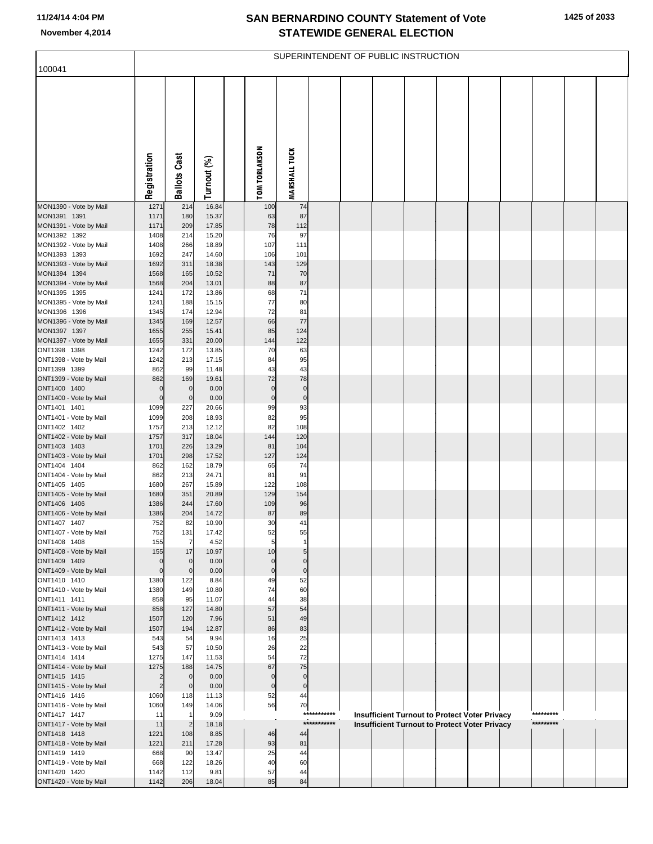|                                        |                        |                       |                |                 |                      |             | SUPERINTENDENT OF PUBLIC INSTRUCTION |  |                                                                                                              |           |  |
|----------------------------------------|------------------------|-----------------------|----------------|-----------------|----------------------|-------------|--------------------------------------|--|--------------------------------------------------------------------------------------------------------------|-----------|--|
| 100041                                 |                        |                       |                |                 |                      |             |                                      |  |                                                                                                              |           |  |
|                                        | Registration           | <b>Ballots Cast</b>   | Turnout (%)    | TOM TORLAKSON   | <b>MARSHALL TUCK</b> |             |                                      |  |                                                                                                              |           |  |
| MON1390 - Vote by Mail                 | 1271                   | 214                   | 16.84          | 100             | 74                   |             |                                      |  |                                                                                                              |           |  |
| MON1391 1391<br>MON1391 - Vote by Mail | 1171<br>1171           | 180<br>209            | 15.37<br>17.85 | 63<br>78        | 87<br>112            |             |                                      |  |                                                                                                              |           |  |
| MON1392 1392                           | 1408                   | 214                   | 15.20          | 76              | 97                   |             |                                      |  |                                                                                                              |           |  |
| MON1392 - Vote by Mail                 | 1408                   | 266                   | 18.89          | 107             | 111                  |             |                                      |  |                                                                                                              |           |  |
| MON1393 1393<br>MON1393 - Vote by Mail | 1692<br>1692           | 247<br>311            | 14.60<br>18.38 | 106<br>143      | 101<br>129           |             |                                      |  |                                                                                                              |           |  |
| MON1394 1394                           | 1568                   | 165                   | 10.52          | 71              | 70                   |             |                                      |  |                                                                                                              |           |  |
| MON1394 - Vote by Mail                 | 1568                   | 204                   | 13.01          | 88              | 87                   |             |                                      |  |                                                                                                              |           |  |
| MON1395 1395                           | 1241                   | 172                   | 13.86          | 68              | 71                   |             |                                      |  |                                                                                                              |           |  |
| MON1395 - Vote by Mail<br>MON1396 1396 | 1241<br>1345           | 188<br>174            | 15.15<br>12.94 | 77<br>72        | 80<br>81             |             |                                      |  |                                                                                                              |           |  |
| MON1396 - Vote by Mail                 | 1345                   | 169                   | 12.57          | 66              | 77                   |             |                                      |  |                                                                                                              |           |  |
| MON1397 1397                           | 1655                   | 255                   | 15.41          | 85              | 124                  |             |                                      |  |                                                                                                              |           |  |
| MON1397 - Vote by Mail<br>ONT1398 1398 | 1655<br>1242           | 331<br>172            | 20.00<br>13.85 | 144<br>70       | 122<br>63            |             |                                      |  |                                                                                                              |           |  |
| ONT1398 - Vote by Mail                 | 1242                   | 213                   | 17.15          | 84              | 95                   |             |                                      |  |                                                                                                              |           |  |
| ONT1399 1399                           | 862                    | 99                    | 11.48          | 43              | 43                   |             |                                      |  |                                                                                                              |           |  |
| ONT1399 - Vote by Mail<br>ONT1400 1400 | 862<br>0               | 169<br>$\overline{0}$ | 19.61<br>0.00  | 72<br>$\pmb{0}$ | 78<br>$\pmb{0}$      |             |                                      |  |                                                                                                              |           |  |
| ONT1400 - Vote by Mail                 | $\mathbf 0$            | $\overline{0}$        | 0.00           | $\pmb{0}$       | $\pmb{0}$            |             |                                      |  |                                                                                                              |           |  |
| ONT1401 1401                           | 1099                   | 227                   | 20.66          | 99              | 93                   |             |                                      |  |                                                                                                              |           |  |
| ONT1401 - Vote by Mail                 | 1099                   | 208                   | 18.93          | 82              | 95                   |             |                                      |  |                                                                                                              |           |  |
| ONT1402 1402<br>ONT1402 - Vote by Mail | 1757<br>1757           | 213<br>317            | 12.12<br>18.04 | 82<br>144       | 108<br>120           |             |                                      |  |                                                                                                              |           |  |
| ONT1403 1403                           | 1701                   | 226                   | 13.29          | 81              | 104                  |             |                                      |  |                                                                                                              |           |  |
| ONT1403 - Vote by Mail                 | 1701                   | 298                   | 17.52          | 127             | 124                  |             |                                      |  |                                                                                                              |           |  |
| ONT1404 1404<br>ONT1404 - Vote by Mail | 862<br>862             | 162<br>213            | 18.79<br>24.71 | 65<br>81        | 74<br>91             |             |                                      |  |                                                                                                              |           |  |
| ONT1405 1405                           | 1680                   | 267                   | 15.89          | 122             | 108                  |             |                                      |  |                                                                                                              |           |  |
| ONT1405 - Vote by Mail                 | 1680                   | 351                   | 20.89          | 129             | 154                  |             |                                      |  |                                                                                                              |           |  |
| ONT1406 1406<br>ONT1406 - Vote by Mail | 1386<br>1386           | 244<br>204            | 17.60<br>14.72 | 109<br>87       | 96<br>89             |             |                                      |  |                                                                                                              |           |  |
| ONT1407 1407                           | 752                    | 82                    | 10.90          | 30              | 41                   |             |                                      |  |                                                                                                              |           |  |
| ONT1407 - Vote by Mail                 | 752                    | 131                   | 17.42          | 52              | 55                   |             |                                      |  |                                                                                                              |           |  |
| ONT1408 1408<br>ONT1408 - Vote by Mail | 155<br>155             | $\overline{7}$<br>17  | 4.52<br>10.97  | 5<br>10         | $\mathbf{1}$<br>5    |             |                                      |  |                                                                                                              |           |  |
| ONT1409 1409                           | 0                      | $\mathbf 0$           | 0.00           | $\pmb{0}$       | $\mathbf 0$          |             |                                      |  |                                                                                                              |           |  |
| ONT1409 - Vote by Mail                 | $\pmb{0}$              | $\mathbf 0$           | 0.00           | $\pmb{0}$       | $\pmb{0}$            |             |                                      |  |                                                                                                              |           |  |
| ONT1410 1410<br>ONT1410 - Vote by Mail | 1380<br>1380           | 122<br>149            | 8.84<br>10.80  | 49<br>74        | 52<br>60             |             |                                      |  |                                                                                                              |           |  |
| ONT1411 1411                           | 858                    | 95                    | 11.07          | 44              | 38                   |             |                                      |  |                                                                                                              |           |  |
| ONT1411 - Vote by Mail                 | 858                    | 127                   | 14.80          | 57              | 54                   |             |                                      |  |                                                                                                              |           |  |
| ONT1412 1412                           | 1507                   | 120                   | 7.96           | 51              | 49                   |             |                                      |  |                                                                                                              |           |  |
| ONT1412 - Vote by Mail<br>ONT1413 1413 | 1507<br>543            | 194<br>54             | 12.87<br>9.94  | 86<br>16        | 83<br>25             |             |                                      |  |                                                                                                              |           |  |
| ONT1413 - Vote by Mail                 | 543                    | 57                    | 10.50          | 26              | 22                   |             |                                      |  |                                                                                                              |           |  |
| ONT1414 1414                           | 1275                   | 147                   | 11.53          | 54              | 72                   |             |                                      |  |                                                                                                              |           |  |
| ONT1414 - Vote by Mail<br>ONT1415 1415 | 1275<br>$\overline{2}$ | 188<br>$\mathbf 0$    | 14.75<br>0.00  | 67<br>$\pmb{0}$ | 75<br>$\pmb{0}$      |             |                                      |  |                                                                                                              |           |  |
| ONT1415 - Vote by Mail                 | $\overline{c}$         | $\overline{0}$        | 0.00           | $\pmb{0}$       | $\overline{0}$       |             |                                      |  |                                                                                                              |           |  |
| ONT1416 1416                           | 1060                   | 118                   | 11.13          | 52              | 44                   |             |                                      |  |                                                                                                              |           |  |
| ONT1416 - Vote by Mail<br>ONT1417 1417 | 1060<br>11             | 149                   | 14.06<br>9.09  | 56              | 70                   | *********** |                                      |  |                                                                                                              | ********* |  |
| ONT1417 - Vote by Mail                 | 11                     | $\overline{2}$        | 18.18          |                 |                      | *********** |                                      |  | <b>Insufficient Turnout to Protect Voter Privacy</b><br><b>Insufficient Turnout to Protect Voter Privacy</b> | ********* |  |
| ONT1418 1418                           | 1221                   | 108                   | 8.85           | 46              | 44                   |             |                                      |  |                                                                                                              |           |  |
| ONT1418 - Vote by Mail                 | 1221                   | 211                   | 17.28          | 93              | 81                   |             |                                      |  |                                                                                                              |           |  |
| ONT1419 1419<br>ONT1419 - Vote by Mail | 668<br>668             | 90<br>122             | 13.47<br>18.26 | 25<br>40        | 44<br>60             |             |                                      |  |                                                                                                              |           |  |
| ONT1420 1420                           | 1142                   | 112                   | 9.81           | 57              | 44                   |             |                                      |  |                                                                                                              |           |  |
| ONT1420 - Vote by Mail                 | 1142                   | 206                   | 18.04          | 85              | 84                   |             |                                      |  |                                                                                                              |           |  |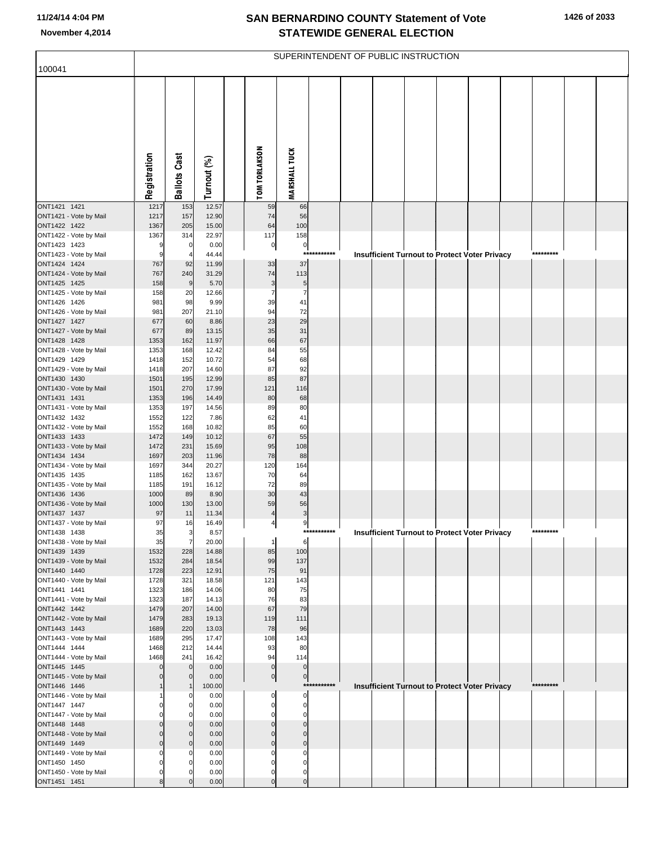|                                        |              |                            |                |                          |                            |             | SUPERINTENDENT OF PUBLIC INSTRUCTION                 |  |  |           |  |
|----------------------------------------|--------------|----------------------------|----------------|--------------------------|----------------------------|-------------|------------------------------------------------------|--|--|-----------|--|
| 100041                                 |              |                            |                |                          |                            |             |                                                      |  |  |           |  |
|                                        | Registration | <b>Ballots Cast</b>        | Turnout (%)    | <b>TOM TORLAKSON</b>     | <b>MARSHALL TUCK</b>       |             |                                                      |  |  |           |  |
| ONT1421 1421                           | 1217         | 153                        | 12.57          | 59                       | 66                         |             |                                                      |  |  |           |  |
| ONT1421 - Vote by Mail                 | 1217         | 157                        | 12.90          | 74                       | 56                         |             |                                                      |  |  |           |  |
| ONT1422 1422                           | 1367         | 205                        | 15.00          | 64                       | 100                        |             |                                                      |  |  |           |  |
| ONT1422 - Vote by Mail<br>ONT1423 1423 | 1367<br>9    | 314<br>$\overline{0}$      | 22.97<br>0.00  | 117<br>$\overline{0}$    | 158<br>$\mathbf{0}$        |             |                                                      |  |  |           |  |
| ONT1423 - Vote by Mail                 | 9            | $\overline{4}$             | 44.44          |                          | ***                        |             | <b>Insufficient Turnout to Protect Voter Privacy</b> |  |  | ********* |  |
| ONT1424 1424                           | 767          | 92                         | 11.99          | 33                       | 37                         |             |                                                      |  |  |           |  |
| ONT1424 - Vote by Mail                 | 767          | 240                        | 31.29          | 74                       | 113                        |             |                                                      |  |  |           |  |
| ONT1425 1425<br>ONT1425 - Vote by Mail | 158<br>158   | 9<br>20                    | 5.70<br>12.66  | 3<br>$\overline{7}$      | 5<br>$\overline{7}$        |             |                                                      |  |  |           |  |
| ONT1426 1426                           | 981          | 98                         | 9.99           | 39                       | 41                         |             |                                                      |  |  |           |  |
| ONT1426 - Vote by Mail                 | 981          | 207                        | 21.10          | 94                       | 72                         |             |                                                      |  |  |           |  |
| ONT1427 1427                           | 677          | 60                         | 8.86           | 23                       | 29                         |             |                                                      |  |  |           |  |
| ONT1427 - Vote by Mail                 | 677<br>1353  | 89<br>162                  | 13.15<br>11.97 | 35<br>66                 | 31<br>67                   |             |                                                      |  |  |           |  |
| ONT1428 1428<br>ONT1428 - Vote by Mail | 1353         | 168                        | 12.42          | 84                       | 55                         |             |                                                      |  |  |           |  |
| ONT1429 1429                           | 1418         | 152                        | 10.72          | 54                       | 68                         |             |                                                      |  |  |           |  |
| ONT1429 - Vote by Mail                 | 1418         | 207                        | 14.60          | 87                       | 92                         |             |                                                      |  |  |           |  |
| ONT1430 1430                           | 1501         | 195                        | 12.99          | 85                       | 87                         |             |                                                      |  |  |           |  |
| ONT1430 - Vote by Mail<br>ONT1431 1431 | 1501<br>1353 | 270<br>196                 | 17.99<br>14.49 | 121<br>80                | 116<br>68                  |             |                                                      |  |  |           |  |
| ONT1431 - Vote by Mail                 | 1353         | 197                        | 14.56          | 89                       | 80                         |             |                                                      |  |  |           |  |
| ONT1432 1432                           | 1552         | 122                        | 7.86           | 62                       | 41                         |             |                                                      |  |  |           |  |
| ONT1432 - Vote by Mail                 | 1552         | 168                        | 10.82          | 85                       | 60                         |             |                                                      |  |  |           |  |
| ONT1433 1433<br>ONT1433 - Vote by Mail | 1472<br>1472 | 149<br>231                 | 10.12<br>15.69 | 67<br>95                 | 55<br>108                  |             |                                                      |  |  |           |  |
| ONT1434 1434                           | 1697         | 203                        | 11.96          | 78                       | 88                         |             |                                                      |  |  |           |  |
| ONT1434 - Vote by Mail                 | 1697         | 344                        | 20.27          | 120                      | 164                        |             |                                                      |  |  |           |  |
| ONT1435 1435                           | 1185         | 162                        | 13.67          | 70                       | 64                         |             |                                                      |  |  |           |  |
| ONT1435 - Vote by Mail<br>ONT1436 1436 | 1185<br>1000 | 191<br>89                  | 16.12<br>8.90  | 72<br>30                 | 89<br>43                   |             |                                                      |  |  |           |  |
| ONT1436 - Vote by Mail                 | 1000         | 130                        | 13.00          | 59                       | 56                         |             |                                                      |  |  |           |  |
| ONT1437 1437                           | 97           | 11                         | 11.34          | $\overline{4}$           | 3                          |             |                                                      |  |  |           |  |
| ONT1437 - Vote by Mail                 | 97           | 16                         | 16.49          | 4                        | 9                          |             |                                                      |  |  |           |  |
| ONT1438 1438<br>ONT1438 - Vote by Mail | 35<br>35     | 3<br>$\overline{7}$        | 8.57<br>20.00  | $\mathbf{1}$             | $\,6$                      | *********** | Insufficient Turnout to Protect Voter Privacy        |  |  | ********  |  |
| ONT1439 1439                           | 1532         | 228                        | 14.88          | 85                       | 100                        |             |                                                      |  |  |           |  |
| ONT1439 - Vote by Mail                 | 1532         | 284                        | 18.54          | 99                       | 137                        |             |                                                      |  |  |           |  |
| ONT1440 1440                           | 1728         | 223                        | 12.91          | 75                       | 91                         |             |                                                      |  |  |           |  |
| ONT1440 - Vote by Mail                 | 1728         | 321<br>186                 | 18.58<br>14.06 | 121<br>80                | 143                        |             |                                                      |  |  |           |  |
| ONT1441 1441<br>ONT1441 - Vote by Mail | 1323<br>1323 | 187                        | 14.13          | 76                       | 75<br>83                   |             |                                                      |  |  |           |  |
| ONT1442 1442                           | 1479         | 207                        | 14.00          | 67                       | 79                         |             |                                                      |  |  |           |  |
| ONT1442 - Vote by Mail                 | 1479         | 283                        | 19.13          | 119                      | 111                        |             |                                                      |  |  |           |  |
| ONT1443 1443                           | 1689         | 220                        | 13.03          | 78                       | 96                         |             |                                                      |  |  |           |  |
| ONT1443 - Vote by Mail<br>ONT1444 1444 | 1689<br>1468 | 295<br>212                 | 17.47<br>14.44 | 108<br>93                | 143<br>80                  |             |                                                      |  |  |           |  |
| ONT1444 - Vote by Mail                 | 1468         | 241                        | 16.42          | 94                       | 114                        |             |                                                      |  |  |           |  |
| ONT1445 1445                           | $\Omega$     | $\Omega$                   | 0.00           | $\pmb{0}$                | $\pmb{0}$                  |             |                                                      |  |  |           |  |
| ONT1445 - Vote by Mail                 |              | $\Omega$                   | 0.00           | 0                        | $\mathbf 0$                | *********** |                                                      |  |  | ********* |  |
| ONT1446 1446<br>ONT1446 - Vote by Mail |              | n                          | 100.00<br>0.00 | 0                        | 0                          |             | <b>Insufficient Turnout to Protect Voter Privacy</b> |  |  |           |  |
| ONT1447 1447                           |              | 0                          | 0.00           | $\mathbf 0$              | $\pmb{0}$                  |             |                                                      |  |  |           |  |
| ONT1447 - Vote by Mail                 |              | C                          | 0.00           | $\mathbf 0$              | $\mathbf 0$                |             |                                                      |  |  |           |  |
| ONT1448 1448                           |              | $\mathbf 0$                | 0.00           | $\pmb{0}$                | $\mathbf 0$                |             |                                                      |  |  |           |  |
| ONT1448 - Vote by Mail<br>ONT1449 1449 | O<br>O       | $\mathbf 0$<br>$\mathbf 0$ | 0.00<br>0.00   | $\mathbf 0$<br>$\pmb{0}$ | $\mathbf 0$<br>$\mathbf 0$ |             |                                                      |  |  |           |  |
| ONT1449 - Vote by Mail                 |              | O                          | 0.00           | 0                        | 0                          |             |                                                      |  |  |           |  |
| ONT1450 1450                           |              | $\Omega$                   | 0.00           | $\mathbf 0$              | 0                          |             |                                                      |  |  |           |  |
| ONT1450 - Vote by Mail                 | ŋ            |                            | 0.00           | $\mathbf 0$              | 0                          |             |                                                      |  |  |           |  |
| ONT1451 1451                           |              |                            | 0.00           | $\mathbf 0$              | $\mathbf 0$                |             |                                                      |  |  |           |  |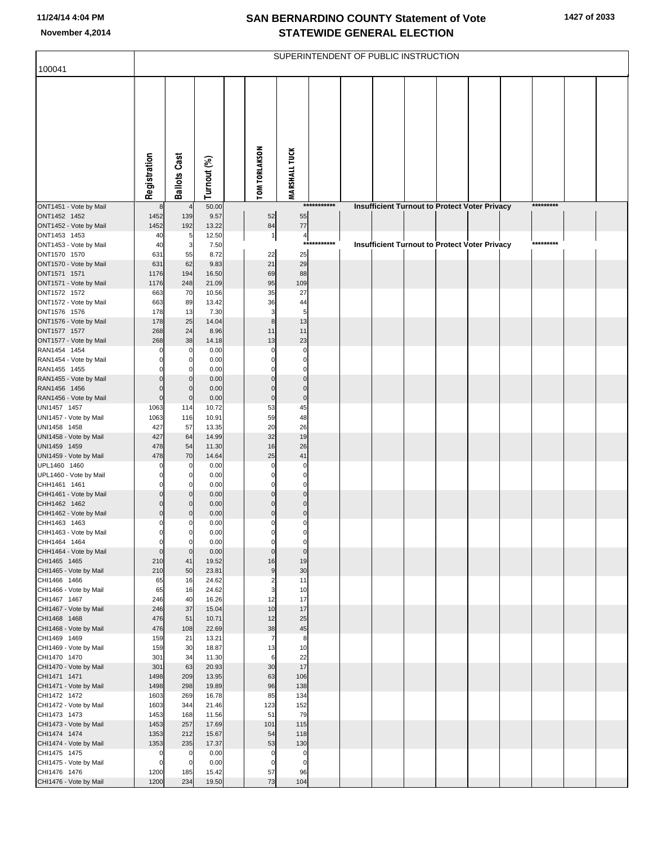|                                        |                            |                         |                |                         |                         |             | SUPERINTENDENT OF PUBLIC INSTRUCTION                 |  |  |           |  |
|----------------------------------------|----------------------------|-------------------------|----------------|-------------------------|-------------------------|-------------|------------------------------------------------------|--|--|-----------|--|
| 100041                                 |                            |                         |                |                         |                         |             |                                                      |  |  |           |  |
|                                        | Registration               | <b>Ballots Cast</b>     | Turnout (%)    | <b>TOM TORLAKSON</b>    | <b>MARSHALL TUCK</b>    |             |                                                      |  |  |           |  |
| ONT1451 - Vote by Mail                 | 8                          | $\overline{4}$          | 50.00          |                         |                         | *********** | <b>Insufficient Turnout to Protect Voter Privacy</b> |  |  | ********* |  |
| ONT1452 1452<br>ONT1452 - Vote by Mail | 1452<br>1452               | 139<br>192              | 9.57<br>13.22  | 52<br>84                | 55<br>77                |             |                                                      |  |  |           |  |
| ONT1453 1453                           | 40                         | 5                       | 12.50          | 1                       | 4                       |             |                                                      |  |  |           |  |
| ONT1453 - Vote by Mail                 | 40                         | 3                       | 7.50           |                         |                         | *********** | <b>Insufficient Turnout to Protect Voter Privacy</b> |  |  | ********* |  |
| ONT1570 1570                           | 631                        | 55                      | 8.72           | 22                      | 25                      |             |                                                      |  |  |           |  |
| ONT1570 - Vote by Mail                 | 631                        | 62                      | 9.83           | 21                      | 29                      |             |                                                      |  |  |           |  |
| ONT1571 1571                           | 1176                       | 194                     | 16.50          | 69<br>95                | 88<br>109               |             |                                                      |  |  |           |  |
| ONT1571 - Vote by Mail<br>ONT1572 1572 | 1176<br>663                | 248<br>70               | 21.09<br>10.56 | 35                      | 27                      |             |                                                      |  |  |           |  |
| ONT1572 - Vote by Mail                 | 663                        | 89                      | 13.42          | 36                      | 44                      |             |                                                      |  |  |           |  |
| ONT1576 1576                           | 178                        | 13                      | 7.30           | 3                       | 5                       |             |                                                      |  |  |           |  |
| ONT1576 - Vote by Mail                 | 178                        | 25                      | 14.04          | $\bf8$                  | 13                      |             |                                                      |  |  |           |  |
| ONT1577 1577                           | 268                        | 24                      | 8.96           | 11                      | 11                      |             |                                                      |  |  |           |  |
| ONT1577 - Vote by Mail<br>RAN1454 1454 | 268                        | 38<br>0                 | 14.18<br>0.00  | 13<br>$\Omega$          | 23<br>$\mathbf 0$       |             |                                                      |  |  |           |  |
| RAN1454 - Vote by Mail                 |                            | $\mathbf 0$             | 0.00           | $\Omega$                | $\mathbf 0$             |             |                                                      |  |  |           |  |
| RAN1455 1455                           |                            | $\Omega$                | 0.00           | $\Omega$                | $\mathbf 0$             |             |                                                      |  |  |           |  |
| RAN1455 - Vote by Mail                 | $\Omega$                   | $\mathbf 0$             | 0.00           | $\Omega$                | $\Omega$                |             |                                                      |  |  |           |  |
| RAN1456 1456                           | $\Omega$                   | $\mathbf 0$             | 0.00           | $\Omega$                | $\Omega$                |             |                                                      |  |  |           |  |
| RAN1456 - Vote by Mail<br>UNI1457 1457 | $\overline{0}$<br>1063     | $\mathbf 0$<br>114      | 0.00<br>10.72  | $\pmb{0}$<br>53         | $\pmb{0}$<br>45         |             |                                                      |  |  |           |  |
| UNI1457 - Vote by Mail                 | 1063                       | 116                     | 10.91          | 59                      | 48                      |             |                                                      |  |  |           |  |
| UNI1458 1458                           | 427                        | 57                      | 13.35          | 20                      | 26                      |             |                                                      |  |  |           |  |
| UNI1458 - Vote by Mail                 | 427                        | 64                      | 14.99          | 32                      | 19                      |             |                                                      |  |  |           |  |
| UNI1459 1459                           | 478                        | 54                      | 11.30          | 16                      | 26                      |             |                                                      |  |  |           |  |
| UNI1459 - Vote by Mail<br>UPL1460 1460 | 478                        | 70<br>0                 | 14.64<br>0.00  | 25<br>$\Omega$          | 41<br>0                 |             |                                                      |  |  |           |  |
| UPL1460 - Vote by Mail                 | $\Omega$                   | $\mathbf 0$             | 0.00           | $\Omega$                | $\mathbf 0$             |             |                                                      |  |  |           |  |
| CHH1461 1461                           | $\Omega$                   | $\Omega$                | 0.00           | $\Omega$                | $\Omega$                |             |                                                      |  |  |           |  |
| CHH1461 - Vote by Mail                 | $\overline{0}$             | $\mathbf 0$             | 0.00           | $\Omega$                | $\Omega$                |             |                                                      |  |  |           |  |
| CHH1462 1462                           | 0                          | $\mathbf 0$             | 0.00           | $\Omega$                | $\Omega$                |             |                                                      |  |  |           |  |
| CHH1462 - Vote by Mail<br>CHH1463 1463 | $\overline{0}$<br>$\Omega$ | $\mathbf 0$<br>$\Omega$ | 0.00<br>0.00   | $\mathbf 0$<br>$\Omega$ | $\mathbf 0$<br>$\Omega$ |             |                                                      |  |  |           |  |
| CHH1463 - Vote by Mail                 | 0                          | 0                       | 0.00           |                         | 0                       |             |                                                      |  |  |           |  |
| CHH1464 1464                           | 0                          | $\mathbf 0$             | 0.00           | $\mathbf 0$             | $\mathbf 0$             |             |                                                      |  |  |           |  |
| CHH1464 - Vote by Mail                 | $\overline{0}$             | $\Omega$                | 0.00           | $\mathbf 0$             | $\mathbf 0$             |             |                                                      |  |  |           |  |
| CHI1465 1465<br>CHI1465 - Vote by Mail | 210                        | 41<br>50                | 19.52          | 16<br>$\boldsymbol{9}$  | 19<br>30                |             |                                                      |  |  |           |  |
| CHI1466 1466                           | 210<br>65                  | 16                      | 23.81<br>24.62 | 2                       | 11                      |             |                                                      |  |  |           |  |
| CHI1466 - Vote by Mail                 | 65                         | 16                      | 24.62          | 3                       | 10                      |             |                                                      |  |  |           |  |
| CHI1467 1467                           | 246                        | 40                      | 16.26          | 12                      | 17                      |             |                                                      |  |  |           |  |
| CHI1467 - Vote by Mail                 | 246                        | 37                      | 15.04          | 10                      | 17                      |             |                                                      |  |  |           |  |
| CHI1468 1468<br>CHI1468 - Vote by Mail | 476<br>476                 | 51<br>108               | 10.71<br>22.69 | 12<br>38                | 25<br>45                |             |                                                      |  |  |           |  |
| CHI1469 1469                           | 159                        | 21                      | 13.21          | $\overline{7}$          | 8                       |             |                                                      |  |  |           |  |
| CHI1469 - Vote by Mail                 | 159                        | 30                      | 18.87          | 13                      | 10                      |             |                                                      |  |  |           |  |
| CHI1470 1470                           | 301                        | 34                      | 11.30          | 6                       | 22                      |             |                                                      |  |  |           |  |
| CHI1470 - Vote by Mail                 | 301                        | 63                      | 20.93          | 30                      | 17                      |             |                                                      |  |  |           |  |
| CHI1471 1471                           | 1498<br>1498               | 209<br>298              | 13.95<br>19.89 | 63<br>96                | 106<br>138              |             |                                                      |  |  |           |  |
| CHI1471 - Vote by Mail<br>CHI1472 1472 | 1603                       | 269                     | 16.78          | 85                      | 134                     |             |                                                      |  |  |           |  |
| CHI1472 - Vote by Mail                 | 1603                       | 344                     | 21.46          | 123                     | 152                     |             |                                                      |  |  |           |  |
| CHI1473 1473                           | 1453                       | 168                     | 11.56          | 51                      | 79                      |             |                                                      |  |  |           |  |
| CHI1473 - Vote by Mail                 | 1453                       | 257                     | 17.69          | 101                     | 115                     |             |                                                      |  |  |           |  |
| CHI1474 1474                           | 1353<br>1353               | 212                     | 15.67<br>17.37 | 54<br>53                | 118                     |             |                                                      |  |  |           |  |
| CHI1474 - Vote by Mail<br>CHI1475 1475 | 0                          | 235<br>$\mathbf 0$      | 0.00           | $\mathbf 0$             | 130<br>0                |             |                                                      |  |  |           |  |
| CHI1475 - Vote by Mail                 | 0                          | $\overline{0}$          | 0.00           | $\mathbf 0$             | $\mathbf 0$             |             |                                                      |  |  |           |  |
| CHI1476 1476                           | 1200                       | 185                     | 15.42          | 57                      | 96                      |             |                                                      |  |  |           |  |
| CHI1476 - Vote by Mail                 | 1200                       | 234                     | 19.50          | 73                      | 104                     |             |                                                      |  |  |           |  |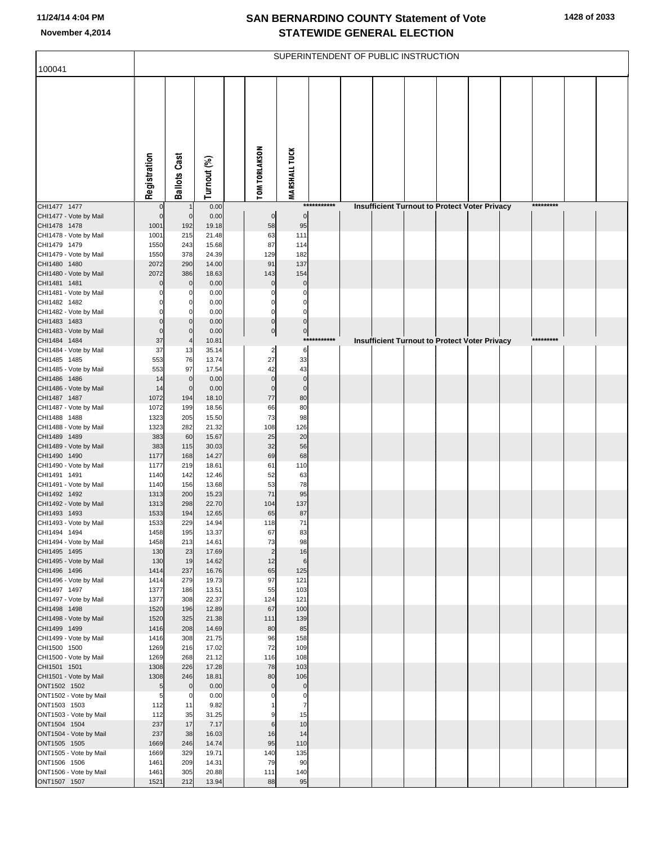| 100041                                 |                |                         |                |                            |                            |             | SUPERINTENDENT OF PUBLIC INSTRUCTION                 |  |  |           |  |
|----------------------------------------|----------------|-------------------------|----------------|----------------------------|----------------------------|-------------|------------------------------------------------------|--|--|-----------|--|
|                                        |                |                         |                |                            |                            |             |                                                      |  |  |           |  |
|                                        |                |                         |                |                            |                            |             |                                                      |  |  |           |  |
|                                        | Registration   | <b>Ballots Cast</b>     | Turnout (%)    | TOM TORLAKSON              | <b>MARSHALL TUCK</b>       |             |                                                      |  |  |           |  |
| CHI1477 1477                           | 0              |                         | 0.00           |                            |                            | *********** | <b>Insufficient Turnout to Protect Voter Privacy</b> |  |  | ********* |  |
| CHI1477 - Vote by Mail                 | $\mathbf 0$    | $\mathbf 0$             | 0.00           | $\pmb{0}$                  | $\mathbf 0$                |             |                                                      |  |  |           |  |
| CHI1478 1478                           | 1001           | 192                     | 19.18          | 58                         | 95                         |             |                                                      |  |  |           |  |
| CHI1478 - Vote by Mail<br>CHI1479 1479 | 1001<br>1550   | 215<br>243              | 21.48<br>15.68 | 63<br>87                   | 111<br>114                 |             |                                                      |  |  |           |  |
| CHI1479 - Vote by Mail                 | 1550           | 378                     | 24.39          | 129                        | 182                        |             |                                                      |  |  |           |  |
| CHI1480 1480                           | 2072           | 290                     | 14.00          | 91                         | 137                        |             |                                                      |  |  |           |  |
| CHI1480 - Vote by Mail                 | 2072           | 386                     | 18.63          | 143                        | 154                        |             |                                                      |  |  |           |  |
| CHI1481 1481<br>CHI1481 - Vote by Mail | $\Omega$       | $\mathbf 0$<br>$\Omega$ | 0.00<br>0.00   | $\mathbf 0$<br>$\Omega$    | $\mathbf 0$<br>0           |             |                                                      |  |  |           |  |
| CHI1482 1482                           |                | $\Omega$                | 0.00           | 0                          | 0                          |             |                                                      |  |  |           |  |
| CHI1482 - Vote by Mail                 |                | O                       | 0.00           | $\Omega$                   | $\Omega$                   |             |                                                      |  |  |           |  |
| CHI1483 1483                           | $\Omega$       | $\Omega$                | 0.00           | $\mathbf 0$                | $\mathbf 0$                |             |                                                      |  |  |           |  |
| CHI1483 - Vote by Mail                 | $\Omega$<br>37 | $\Omega$                | 0.00           | 0                          | $\pmb{0}$                  | *********** |                                                      |  |  | ********* |  |
| CHI1484 1484<br>CHI1484 - Vote by Mail | 37             | 13                      | 10.81<br>35.14 | $\overline{a}$             | 6                          |             | <b>Insufficient Turnout to Protect Voter Privacy</b> |  |  |           |  |
| CHI1485 1485                           | 553            | 76                      | 13.74          | 27                         | 33                         |             |                                                      |  |  |           |  |
| CHI1485 - Vote by Mail                 | 553            | 97                      | 17.54          | 42                         | 43                         |             |                                                      |  |  |           |  |
| CHI1486 1486                           | 14             | $\mathbf 0$             | 0.00           | $\mathbf 0$<br>$\mathbf 0$ | $\mathbf 0$<br>$\mathbf 0$ |             |                                                      |  |  |           |  |
| CHI1486 - Vote by Mail<br>CHI1487 1487 | 14<br>1072     | $\mathbf 0$<br>194      | 0.00<br>18.10  | 77                         | 80                         |             |                                                      |  |  |           |  |
| CHI1487 - Vote by Mail                 | 1072           | 199                     | 18.56          | 66                         | 80                         |             |                                                      |  |  |           |  |
| CHI1488 1488                           | 1323           | 205                     | 15.50          | 73                         | 98                         |             |                                                      |  |  |           |  |
| CHI1488 - Vote by Mail<br>CHI1489 1489 | 1323<br>383    | 282<br>60               | 21.32<br>15.67 | 108<br>25                  | 126<br>20                  |             |                                                      |  |  |           |  |
| CHI1489 - Vote by Mail                 | 383            | 115                     | 30.03          | 32                         | 56                         |             |                                                      |  |  |           |  |
| CHI1490 1490                           | 1177           | 168                     | 14.27          | 69                         | 68                         |             |                                                      |  |  |           |  |
| CHI1490 - Vote by Mail                 | 1177           | 219                     | 18.61          | 61                         | 110                        |             |                                                      |  |  |           |  |
| CHI1491 1491<br>CHI1491 - Vote by Mail | 1140<br>1140   | 142<br>156              | 12.46<br>13.68 | 52<br>53                   | 63<br>78                   |             |                                                      |  |  |           |  |
| CHI1492 1492                           | 1313           | 200                     | 15.23          | 71                         | 95                         |             |                                                      |  |  |           |  |
| CHI1492 - Vote by Mail                 | 1313           | 298                     | 22.70          | 104                        | 137                        |             |                                                      |  |  |           |  |
| CHI1493 1493                           | 1533           | 194                     | 12.65          | 65                         | 87                         |             |                                                      |  |  |           |  |
| CHI1493 - Vote by Mail<br>CHI1494 1494 | 1533<br>1458   | 229<br>195              | 14.94<br>13.37 | 118<br>67                  | 71<br>83                   |             |                                                      |  |  |           |  |
| CHI1494 - Vote by Mail                 | 1458           | 213                     | 14.61          | 73                         | 98                         |             |                                                      |  |  |           |  |
| CHI1495 1495                           | 130            | 23                      | 17.69          | $\overline{2}$             | 16                         |             |                                                      |  |  |           |  |
| CHI1495 - Vote by Mail                 | 130            | 19                      | 14.62          | 12                         | 6                          |             |                                                      |  |  |           |  |
| CHI1496 1496<br>CHI1496 - Vote by Mail | 1414<br>1414   | 237<br>279              | 16.76<br>19.73 | 65<br>97                   | 125<br>121                 |             |                                                      |  |  |           |  |
| CHI1497 1497                           | 1377           | 186                     | 13.51          | 55                         | 103                        |             |                                                      |  |  |           |  |
| CHI1497 - Vote by Mail                 | 1377           | 308                     | 22.37          | 124                        | 121                        |             |                                                      |  |  |           |  |
| CHI1498 1498<br>CHI1498 - Vote by Mail | 1520<br>1520   | 196<br>325              | 12.89<br>21.38 | 67<br>111                  | 100<br>139                 |             |                                                      |  |  |           |  |
| CHI1499 1499                           | 1416           | 208                     | 14.69          | 80                         | 85                         |             |                                                      |  |  |           |  |
| CHI1499 - Vote by Mail                 | 1416           | 308                     | 21.75          | 96                         | 158                        |             |                                                      |  |  |           |  |
| CHI1500 1500                           | 1269           | 216                     | 17.02          | 72                         | 109                        |             |                                                      |  |  |           |  |
| CHI1500 - Vote by Mail<br>CHI1501 1501 | 1269<br>1308   | 268<br>226              | 21.12<br>17.28 | 116<br>78                  | 108<br>103                 |             |                                                      |  |  |           |  |
| CHI1501 - Vote by Mail                 | 1308           | 246                     | 18.81          | 80                         | 106                        |             |                                                      |  |  |           |  |
| ONT1502 1502                           | 5 <sub>5</sub> | $\mathbf 0$             | 0.00           | $\mathbf 0$                | $\mathbf 0$                |             |                                                      |  |  |           |  |
| ONT1502 - Vote by Mail                 | 5              | $\mathbf 0$             | 0.00           |                            | 0                          |             |                                                      |  |  |           |  |
| ONT1503 1503<br>ONT1503 - Vote by Mail | 112<br>112     | 11<br>35                | 9.82<br>31.25  |                            | 7<br>15                    |             |                                                      |  |  |           |  |
| ONT1504 1504                           | 237            | 17                      | 7.17           | 6                          | 10                         |             |                                                      |  |  |           |  |
| ONT1504 - Vote by Mail                 | 237            | 38                      | 16.03          | 16                         | 14                         |             |                                                      |  |  |           |  |
| ONT1505 1505                           | 1669           | 246                     | 14.74          | 95                         | 110                        |             |                                                      |  |  |           |  |
| ONT1505 - Vote by Mail<br>ONT1506 1506 | 1669<br>1461   | 329<br>209              | 19.71<br>14.31 | 140<br>79                  | 135<br>90                  |             |                                                      |  |  |           |  |
| ONT1506 - Vote by Mail                 | 1461           | 305                     | 20.88          | 111                        | 140                        |             |                                                      |  |  |           |  |
| ONT1507 1507                           | 1521           | 212                     | 13.94          | 88                         | 95                         |             |                                                      |  |  |           |  |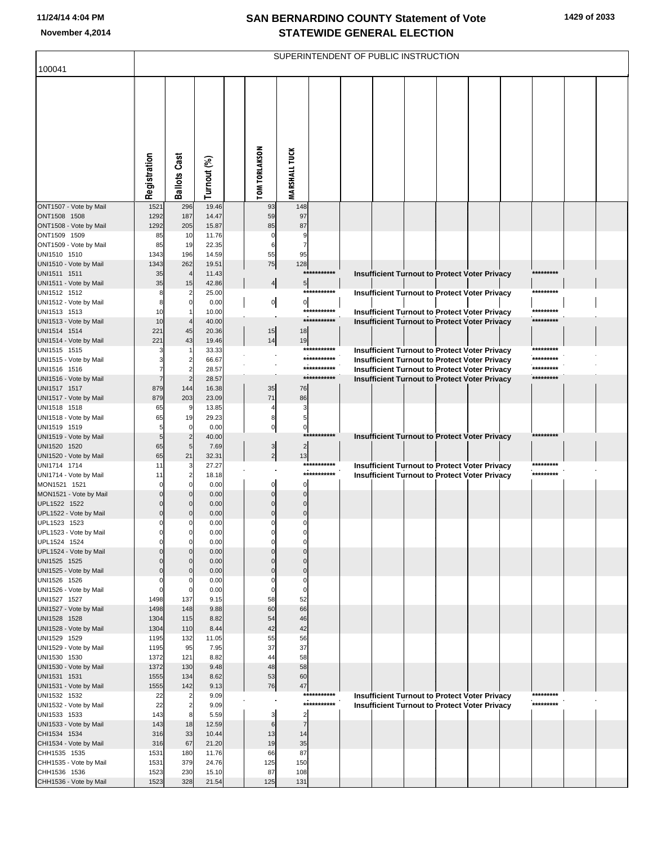| 100041                                 |                            |                                  |                |                      |                      |                            | SUPERINTENDENT OF PUBLIC INSTRUCTION |  |                                                                                                              |                     |  |
|----------------------------------------|----------------------------|----------------------------------|----------------|----------------------|----------------------|----------------------------|--------------------------------------|--|--------------------------------------------------------------------------------------------------------------|---------------------|--|
|                                        | Registration               | <b>Ballots Cast</b>              | Turnout (%)    | <b>TOM TORLAKSON</b> | <b>MARSHALL TUCK</b> |                            |                                      |  |                                                                                                              |                     |  |
| ONT1507 - Vote by Mail<br>ONT1508 1508 | 1521<br>1292               | 296<br>187                       | 19.46<br>14.47 | 93<br>59             | 148<br>97            |                            |                                      |  |                                                                                                              |                     |  |
| ONT1508 - Vote by Mail                 | 1292                       | 205                              | 15.87          | 85                   | 87                   |                            |                                      |  |                                                                                                              |                     |  |
| ONT1509 1509                           | 85                         | 10                               | 11.76          | $\mathbf 0$          | 9                    |                            |                                      |  |                                                                                                              |                     |  |
| ONT1509 - Vote by Mail                 | 85                         | 19                               | 22.35          | 6                    | 7                    |                            |                                      |  |                                                                                                              |                     |  |
| UNI1510 1510<br>UNI1510 - Vote by Mail | 1343<br>1343               | 196<br>262                       | 14.59<br>19.51 | 55<br>75             | 95<br>128            |                            |                                      |  |                                                                                                              |                     |  |
| UNI1511 1511                           | 35                         | $\overline{4}$                   | 11.43          |                      |                      | ***********                |                                      |  | Insufficient Turnout to Protect Voter Privacy                                                                | *********           |  |
| UNI1511 - Vote by Mail                 | 35                         | 15                               | 42.86          | 4                    | 5                    |                            |                                      |  |                                                                                                              |                     |  |
| UNI1512 1512                           | 8                          | $\overline{2}$                   | 25.00          |                      |                      | ***********                |                                      |  | <b>Insufficient Turnout to Protect Voter Privacy</b>                                                         | *********           |  |
| UNI1512 - Vote by Mail<br>UNI1513 1513 | 8<br>10                    | $\overline{0}$<br>$\mathbf{1}$   | 0.00<br>10.00  | $\overline{0}$       | $\mathbf{0}$         | ***********                |                                      |  | <b>Insufficient Turnout to Protect Voter Privacy</b>                                                         | *********           |  |
| UNI1513 - Vote by Mail                 | 10                         | $\overline{4}$                   | 40.00          |                      |                      | ***********                |                                      |  | Insufficient Turnout to Protect Voter Privacy                                                                | *********           |  |
| UNI1514 1514                           | 221                        | 45                               | 20.36          | 15                   | 18                   |                            |                                      |  |                                                                                                              |                     |  |
| UNI1514 - Vote by Mail                 | 221                        | 43                               | 19.46          | 14                   | 19                   |                            |                                      |  |                                                                                                              |                     |  |
| UNI1515 1515                           | 3                          |                                  | 33.33          |                      |                      | ***********<br>*********** |                                      |  | <b>Insufficient Turnout to Protect Voter Privacy</b>                                                         | ******<br>********* |  |
| UNI1515 - Vote by Mail<br>UNI1516 1516 | 3                          | $\overline{2}$<br>$\overline{2}$ | 66.67<br>28.57 |                      |                      | ***********                |                                      |  | <b>Insufficient Turnout to Protect Voter Privacy</b><br><b>Insufficient Turnout to Protect Voter Privacy</b> | *********           |  |
| UNI1516 - Vote by Mail                 | $\overline{7}$             | $\overline{2}$                   | 28.57          |                      |                      | ***********                |                                      |  | Insufficient Turnout to Protect Voter Privacy                                                                | *********           |  |
| UNI1517 1517                           | 879                        | 144                              | 16.38          | 35                   | 76                   |                            |                                      |  |                                                                                                              |                     |  |
| UNI1517 - Vote by Mail                 | 879                        | 203                              | 23.09          | 71                   | 86                   |                            |                                      |  |                                                                                                              |                     |  |
| UNI1518 1518<br>UNI1518 - Vote by Mail | 65<br>65                   | 9<br>19                          | 13.85<br>29.23 | 4<br>8               | 3<br>5               |                            |                                      |  |                                                                                                              |                     |  |
| UNI1519 1519                           | 5                          | $\mathbf 0$                      | 0.00           | $\pmb{0}$            | $\mathbf 0$          |                            |                                      |  |                                                                                                              |                     |  |
| UNI1519 - Vote by Mail                 | 5                          | $\overline{c}$                   | 40.00          |                      |                      | ***********                |                                      |  | Insufficient Turnout to Protect Voter Privacy                                                                | *********           |  |
| UNI1520 1520                           | 65                         | 5                                | 7.69           | $\overline{3}$       | $\overline{2}$       |                            |                                      |  |                                                                                                              |                     |  |
| UNI1520 - Vote by Mail<br>UNI1714 1714 | 65<br>11                   | 21<br>3                          | 32.31<br>27.27 | $\overline{2}$       | 13                   | ***********                |                                      |  | Insufficient Turnout to Protect Voter Privacy                                                                | *********           |  |
| UNI1714 - Vote by Mail                 | 11                         | 2                                | 18.18          |                      |                      | ***********                |                                      |  | Insufficient Turnout to Protect Voter Privacy                                                                | *********           |  |
| MON1521 1521                           | $\mathbf 0$                | O                                | 0.00           | $\Omega$             | $\Omega$             |                            |                                      |  |                                                                                                              |                     |  |
| MON1521 - Vote by Mail                 | $\mathbf 0$                | $\mathbf 0$                      | 0.00           | $\Omega$             | $\Omega$             |                            |                                      |  |                                                                                                              |                     |  |
| UPL1522 1522<br>UPL1522 - Vote by Mail | $\mathbf 0$<br>$\mathbf 0$ | $\mathbf{0}$<br>$\mathbf{0}$     | 0.00<br>0.00   | $\Omega$<br>$\Omega$ | $\mathsf{C}$         |                            |                                      |  |                                                                                                              |                     |  |
| UPL1523 1523                           | $\Omega$                   |                                  | 0.00           | C                    |                      |                            |                                      |  |                                                                                                              |                     |  |
| UPL1523 - Vote by Mail                 |                            |                                  | 0.00           |                      |                      |                            |                                      |  |                                                                                                              |                     |  |
| UPL1524 1524                           | 0                          | 0                                | 0.00           | 0                    | $\Omega$             |                            |                                      |  |                                                                                                              |                     |  |
| UPL1524 - Vote by Mail                 | $\mathbf 0$                |                                  | 0.00           |                      | $\Omega$<br>$\Omega$ |                            |                                      |  |                                                                                                              |                     |  |
| UNI1525 1525<br>UNI1525 - Vote by Mail | $\mathbf 0$<br>$\mathbf 0$ | $\mathbf 0$                      | 0.00<br>0.00   | $\Omega$<br>$\Omega$ | $\mathbf 0$          |                            |                                      |  |                                                                                                              |                     |  |
| UNI1526 1526                           | $\Omega$                   |                                  | 0.00           | $\Omega$             | $\Omega$             |                            |                                      |  |                                                                                                              |                     |  |
| UNI1526 - Vote by Mail                 | $\mathbf 0$                | 0                                | 0.00           | 0                    | 0                    |                            |                                      |  |                                                                                                              |                     |  |
| UNI1527 1527                           | 1498                       | 137                              | 9.15           | 58<br>60             | 52<br>66             |                            |                                      |  |                                                                                                              |                     |  |
| UNI1527 - Vote by Mail<br>UNI1528 1528 | 1498<br>1304               | 148<br>115                       | 9.88<br>8.82   | 54                   | 46                   |                            |                                      |  |                                                                                                              |                     |  |
| UNI1528 - Vote by Mail                 | 1304                       | 110                              | 8.44           | 42                   | 42                   |                            |                                      |  |                                                                                                              |                     |  |
| UNI1529 1529                           | 1195                       | 132                              | 11.05          | 55                   | 56                   |                            |                                      |  |                                                                                                              |                     |  |
| UNI1529 - Vote by Mail                 | 1195                       | 95                               | 7.95           | 37<br>44             | 37                   |                            |                                      |  |                                                                                                              |                     |  |
| UNI1530 1530<br>UNI1530 - Vote by Mail | 1372<br>1372               | 121<br>130                       | 8.82<br>9.48   | 48                   | 58<br>58             |                            |                                      |  |                                                                                                              |                     |  |
| UNI1531 1531                           | 1555                       | 134                              | 8.62           | 53                   | 60                   |                            |                                      |  |                                                                                                              |                     |  |
| UNI1531 - Vote by Mail                 | 1555                       | 142                              | 9.13           | 76                   | 47                   |                            |                                      |  |                                                                                                              |                     |  |
| UNI1532 1532                           | 22                         |                                  | 9.09           |                      |                      | ***********                |                                      |  | <b>Insufficient Turnout to Protect Voter Privacy</b>                                                         | *********           |  |
| UNI1532 - Vote by Mail<br>UNI1533 1533 | 22                         |                                  | 9.09           |                      | $\overline{2}$       | ***********                |                                      |  | <b>Insufficient Turnout to Protect Voter Privacy</b>                                                         | *********           |  |
| UNI1533 - Vote by Mail                 | 143<br>143                 | 18                               | 5.59<br>12.59  | 3<br>6               | $\overline{7}$       |                            |                                      |  |                                                                                                              |                     |  |
| CHI1534 1534                           | 316                        | 33                               | 10.44          | 13                   | 14                   |                            |                                      |  |                                                                                                              |                     |  |
| CHI1534 - Vote by Mail                 | 316                        | 67                               | 21.20          | 19                   | 35                   |                            |                                      |  |                                                                                                              |                     |  |
| CHH1535 1535                           | 1531                       | 180                              | 11.76          | 66                   | 87                   |                            |                                      |  |                                                                                                              |                     |  |
| CHH1535 - Vote by Mail<br>CHH1536 1536 | 1531<br>1523               | 379<br>230                       | 24.76<br>15.10 | 125<br>87            | 150<br>108           |                            |                                      |  |                                                                                                              |                     |  |
| CHH1536 - Vote by Mail                 | 1523                       | 328                              | 21.54          | 125                  | 131                  |                            |                                      |  |                                                                                                              |                     |  |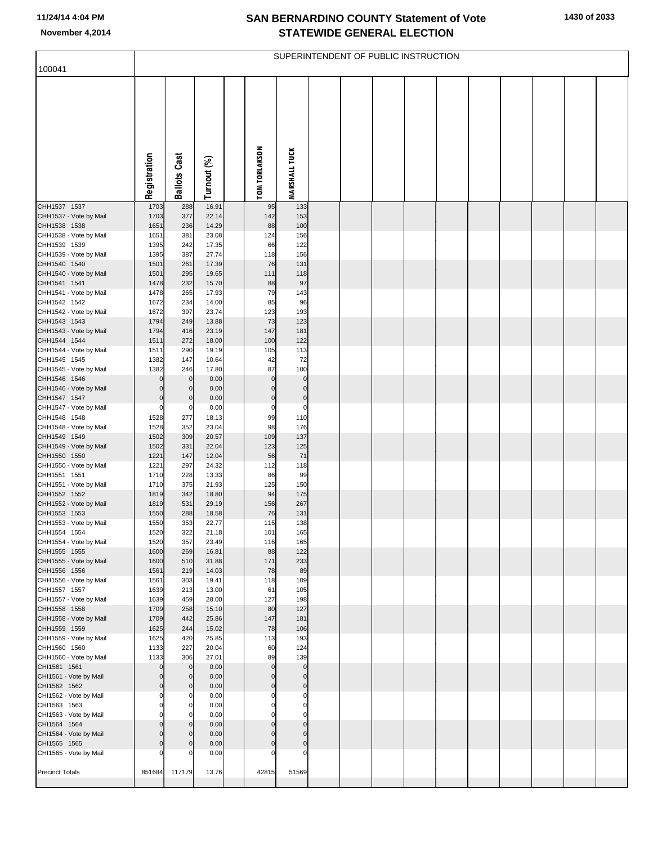| 100041                                 |                     |                     |                |                               |                            | SUPERINTENDENT OF PUBLIC INSTRUCTION |  |  |  |  |
|----------------------------------------|---------------------|---------------------|----------------|-------------------------------|----------------------------|--------------------------------------|--|--|--|--|
|                                        |                     |                     |                |                               |                            |                                      |  |  |  |  |
|                                        | Registration        | <b>Ballots Cast</b> | Turnout (%)    | <b>TOM TORLAKSON</b>          | <b>MARSHALL TUCK</b>       |                                      |  |  |  |  |
| CHH1537 1537<br>CHH1537 - Vote by Mail | 1703<br>1703        | 288<br>377          | 16.91<br>22.14 | 95<br>142                     | 133<br>153                 |                                      |  |  |  |  |
| CHH1538 1538                           | 1651                | 236                 | 14.29          | 88                            | 100                        |                                      |  |  |  |  |
| CHH1538 - Vote by Mail<br>CHH1539 1539 | 1651<br>1395        | 381<br>242          | 23.08<br>17.35 | 124<br>66                     | 156<br>122                 |                                      |  |  |  |  |
| CHH1539 - Vote by Mail                 | 1395                | 387                 | 27.74          | 118                           | 156                        |                                      |  |  |  |  |
| CHH1540 1540<br>CHH1540 - Vote by Mail | 1501<br>1501        | 261<br>295          | 17.39<br>19.65 | 76<br>111                     | 131<br>118                 |                                      |  |  |  |  |
| CHH1541 1541                           | 1478                | 232                 | 15.70          | 88                            | 97                         |                                      |  |  |  |  |
| CHH1541 - Vote by Mail                 | 1478                | 265                 | 17.93          | 79                            | 143                        |                                      |  |  |  |  |
| CHH1542 1542<br>CHH1542 - Vote by Mail | 1672<br>1672        | 234<br>397          | 14.00<br>23.74 | 85<br>123                     | 96<br>193                  |                                      |  |  |  |  |
| CHH1543 1543                           | 1794                | 249                 | 13.88          | 73                            | 123                        |                                      |  |  |  |  |
| CHH1543 - Vote by Mail<br>CHH1544 1544 | 1794<br>1511        | 416<br>272          | 23.19<br>18.00 | 147<br>100                    | 181<br>122                 |                                      |  |  |  |  |
| CHH1544 - Vote by Mail                 | 1511                | 290                 | 19.19          | 105                           | 113                        |                                      |  |  |  |  |
| CHH1545 1545                           | 1382                | 147                 | 10.64          | 42                            | 72                         |                                      |  |  |  |  |
| CHH1545 - Vote by Mail<br>CHH1546 1546 | 1382<br>$\mathbf 0$ | 246<br>$\mathbf 0$  | 17.80<br>0.00  | 87<br>$\pmb{0}$               | 100<br>$\bf 0$             |                                      |  |  |  |  |
| CHH1546 - Vote by Mail                 | 0                   | $\mathbf 0$         | 0.00           | $\mathbf 0$                   | $\bf 0$                    |                                      |  |  |  |  |
| CHH1547 1547<br>CHH1547 - Vote by Mail | $\mathbf 0$<br>0    | $\mathbf 0$<br>0    | 0.00<br>0.00   | $\overline{0}$<br>$\mathbf 0$ | $\mathbf 0$<br>$\mathbf 0$ |                                      |  |  |  |  |
| CHH1548 1548                           | 1528                | 277                 | 18.13          | 99                            | 110                        |                                      |  |  |  |  |
| CHH1548 - Vote by Mail<br>CHH1549 1549 | 1528<br>1502        | 352<br>309          | 23.04<br>20.57 | 98<br>109                     | 176<br>137                 |                                      |  |  |  |  |
| CHH1549 - Vote by Mail                 | 1502                | 331                 | 22.04          | 123                           | 125                        |                                      |  |  |  |  |
| CHH1550 1550                           | 1221                | 147                 | 12.04          | 56                            | 71                         |                                      |  |  |  |  |
| CHH1550 - Vote by Mail<br>CHH1551 1551 | 1221<br>1710        | 297<br>228          | 24.32<br>13.33 | 112<br>86                     | 118<br>99                  |                                      |  |  |  |  |
| CHH1551 - Vote by Mail                 | 1710                | 375                 | 21.93          | 125                           | 150                        |                                      |  |  |  |  |
| CHH1552 1552<br>CHH1552 - Vote by Mail | 1819<br>1819        | 342<br>531          | 18.80<br>29.19 | 94<br>156                     | 175<br>267                 |                                      |  |  |  |  |
| CHH1553 1553                           | 1550                | 288                 | 18.58          | 76                            | 131                        |                                      |  |  |  |  |
| CHH1553 - Vote by Mail                 | 1550                | 353                 | 22.77          | 115                           | 138                        |                                      |  |  |  |  |
| CHH1554 1554<br>CHH1554 - Vote by Mail | 1520<br>1520        | 322<br>357          | 21.18<br>23.49 | 101<br>116                    | 165<br>165                 |                                      |  |  |  |  |
| CHH1555 1555                           | 1600                | 269                 | 16.81          | 88                            | 122                        |                                      |  |  |  |  |
| CHH1555 - Vote by Mail<br>CHH1556 1556 | 1600<br>1561        | 510<br>219          | 31.88<br>14.03 | 171<br>78                     | 233<br>89                  |                                      |  |  |  |  |
| CHH1556 - Vote by Mail                 | 1561                | 303                 | 19.41          | 118                           | 109                        |                                      |  |  |  |  |
| CHH1557 1557<br>CHH1557 - Vote by Mail | 1639<br>1639        | 213<br>459          | 13.00<br>28.00 | 61<br>127                     | 105<br>198                 |                                      |  |  |  |  |
| CHH1558 1558                           | 1709                | 258                 | 15.10          | 80                            | 127                        |                                      |  |  |  |  |
| CHH1558 - Vote by Mail<br>CHH1559 1559 | 1709<br>1625        | 442<br>244          | 25.86<br>15.02 | 147<br>78                     | 181<br>106                 |                                      |  |  |  |  |
| CHH1559 - Vote by Mail                 | 1625                | 420                 | 25.85          | 113                           | 193                        |                                      |  |  |  |  |
| CHH1560 1560                           | 1133                | 227                 | 20.04          | 60                            | 124                        |                                      |  |  |  |  |
| CHH1560 - Vote by Mail<br>CHI1561 1561 | 1133<br>$\mathbf 0$ | 306<br>$\mathbf 0$  | 27.01<br>0.00  | 89<br>$\pmb{0}$               | 139<br>$\bf 0$             |                                      |  |  |  |  |
| CHI1561 - Vote by Mail                 | $\mathbf 0$         | $\mathbf 0$         | 0.00           | $\overline{0}$                | $\mathbf 0$                |                                      |  |  |  |  |
| CHI1562 1562<br>CHI1562 - Vote by Mail | 0<br>0              | $\mathbf 0$<br>0    | 0.00<br>0.00   | $\overline{0}$<br>$\mathbf 0$ | $\mathbf 0$<br>$\mathbf 0$ |                                      |  |  |  |  |
| CHI1563 1563                           | 0                   | 0                   | 0.00           | $\mathbf 0$                   | $\bf{0}$                   |                                      |  |  |  |  |
| CHI1563 - Vote by Mail                 | 0                   | 0                   | 0.00           | $\mathbf 0$                   | $\mathbf 0$                |                                      |  |  |  |  |
| CHI1564 1564<br>CHI1564 - Vote by Mail | 0<br>0              | 0<br>0              | 0.00<br>0.00   | $\overline{0}$<br>$\mathbf 0$ | $\pmb{0}$<br>$\mathbf 0$   |                                      |  |  |  |  |
| CHI1565 1565                           | $\Omega$            | $\mathbf 0$         | 0.00           | $\pmb{0}$                     | $\bf{0}$                   |                                      |  |  |  |  |
| CHI1565 - Vote by Mail                 |                     | C                   | 0.00           | $\mathbf 0$                   | 0                          |                                      |  |  |  |  |
| <b>Precinct Totals</b>                 |                     | 851684 117179       | 13.76          | 42815                         | 51569                      |                                      |  |  |  |  |